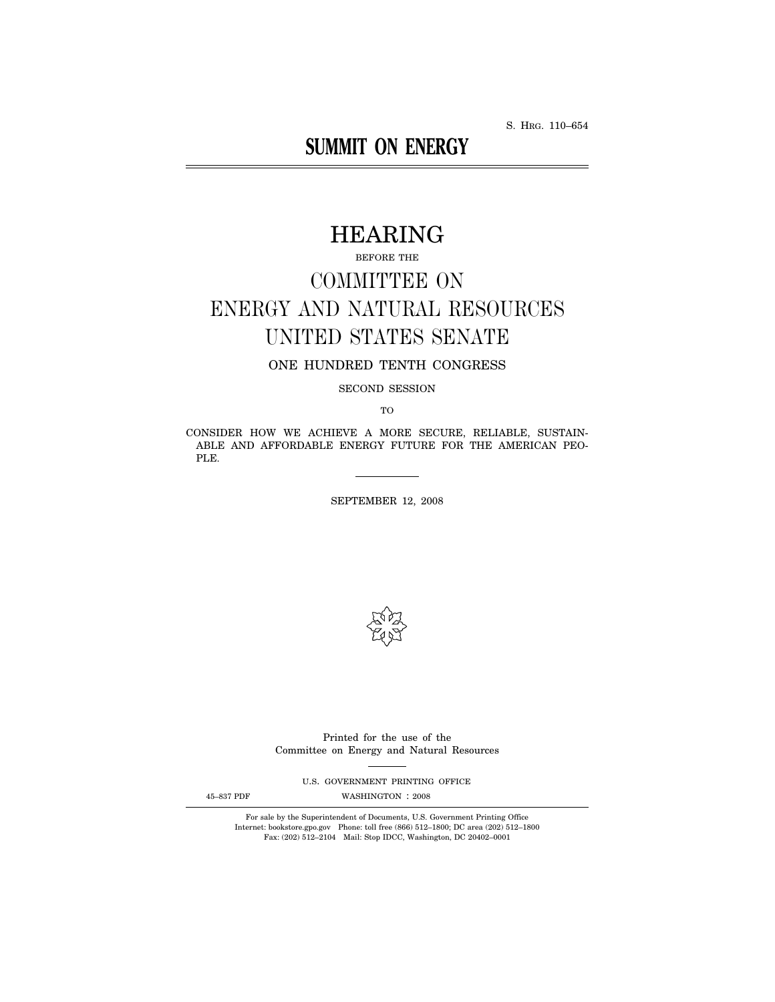S. HRG. 110–654

# **SUMMIT ON ENERGY**

# HEARING

BEFORE THE

# COMMITTEE ON ENERGY AND NATURAL RESOURCES UNITED STATES SENATE

# ONE HUNDRED TENTH CONGRESS

SECOND SESSION

TO

CONSIDER HOW WE ACHIEVE A MORE SECURE, RELIABLE, SUSTAIN-ABLE AND AFFORDABLE ENERGY FUTURE FOR THE AMERICAN PEO-PLE.

SEPTEMBER 12, 2008



Printed for the use of the Committee on Energy and Natural Resources

U.S. GOVERNMENT PRINTING OFFICE

45-837 PDF WASHINGTON : 2008

For sale by the Superintendent of Documents, U.S. Government Printing Office Internet: bookstore.gpo.gov Phone: toll free (866) 512–1800; DC area (202) 512–1800 Fax: (202) 512–2104 Mail: Stop IDCC, Washington, DC 20402–0001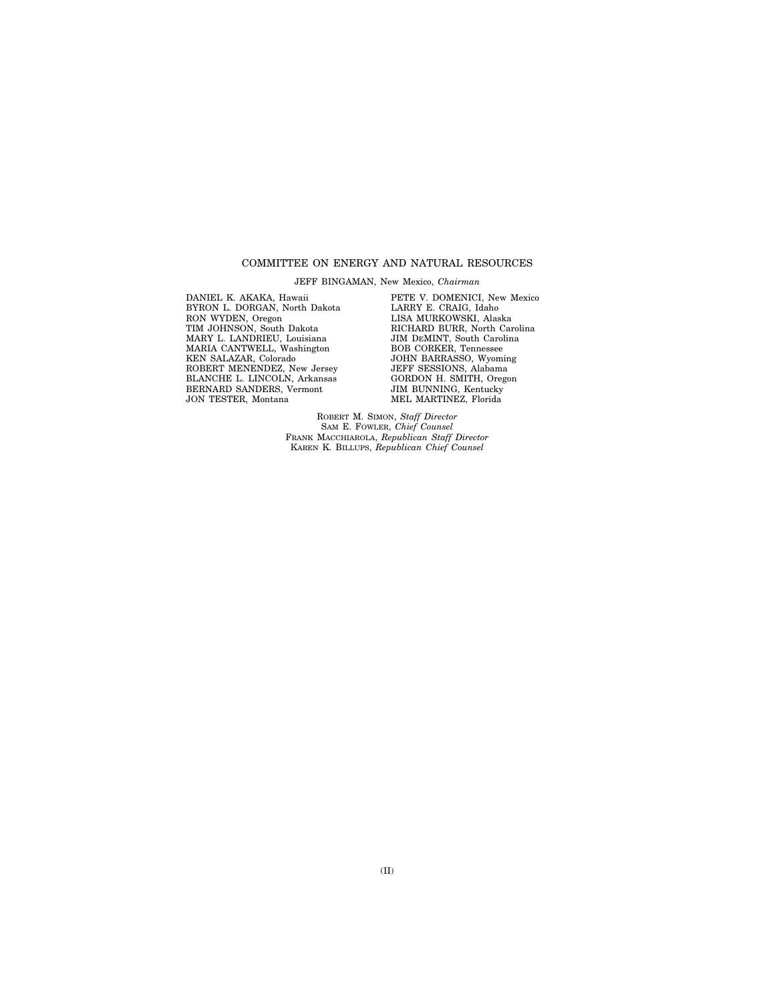## COMMITTEE ON ENERGY AND NATURAL RESOURCES

JEFF BINGAMAN, New Mexico, *Chairman* 

DANIEL K. AKAKA, Hawaii BYRON L. DORGAN, North Dakota RON WYDEN, Oregon TIM JOHNSON, South Dakota MARY L. LANDRIEU, Louisiana MARIA CANTWELL, Washington KEN SALAZAR, Colorado ROBERT MENENDEZ, New Jersey BLANCHE L. LINCOLN, Arkansas BERNARD SANDERS, Vermont JON TESTER, Montana

PETE V. DOMENICI, New Mexico LARRY E. CRAIG, Idaho LISA MURKOWSKI, Alaska RICHARD BURR, North Carolina JIM DEMINT, South Carolina BOB CORKER, Tennessee JOHN BARRASSO, Wyoming JEFF SESSIONS, Alabama GORDON H. SMITH, Oregon JIM BUNNING, Kentucky MEL MARTINEZ, Florida

ROBERT M. SIMON, *Staff Director*  SAM E. FOWLER, *Chief Counsel*  FRANK MACCHIAROLA, *Republican Staff Director*  KAREN K. BILLUPS, *Republican Chief Counsel*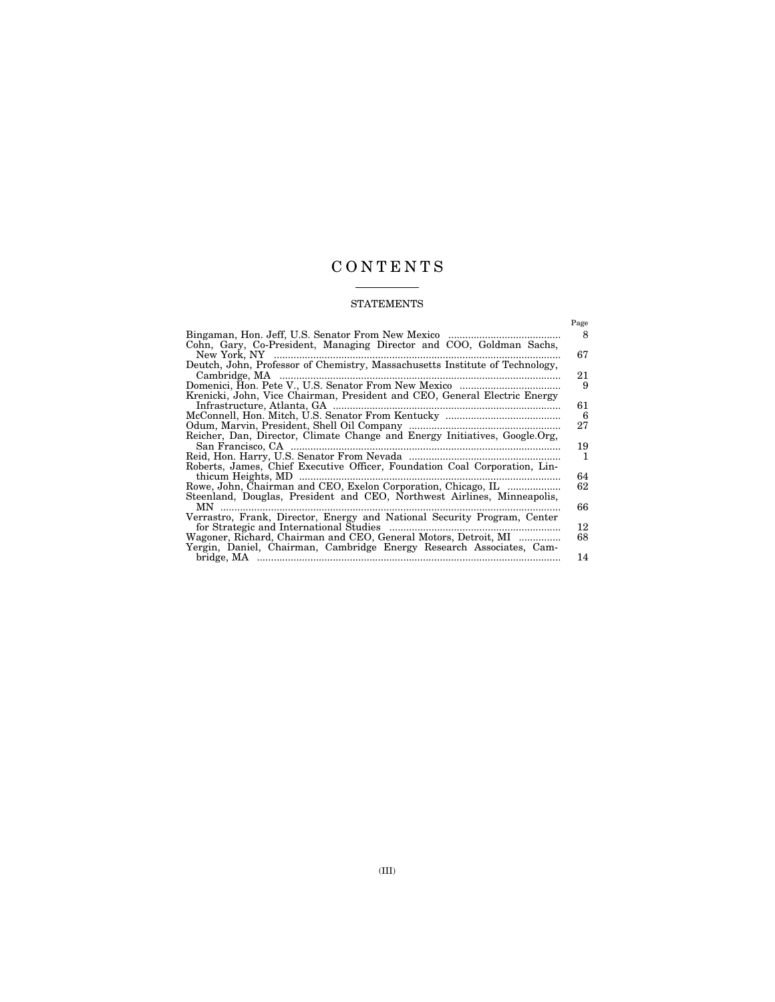# C O N T E N T S

# STATEMENTS

|                                                                                     | Page    |
|-------------------------------------------------------------------------------------|---------|
| Bingaman, Hon. Jeff, U.S. Senator From New Mexico                                   | 8       |
| Cohn, Gary, Co-President, Managing Director and COO, Goldman Sachs,<br>New York, NY | 67      |
| Deutch, John, Professor of Chemistry, Massachusetts Institute of Technology,        |         |
| Cambridge, MA                                                                       | 21<br>9 |
| Krenicki, John, Vice Chairman, President and CEO, General Electric Energy           |         |
| Infrastructure, Atlanta, GA                                                         | 61      |
|                                                                                     | 6       |
| Reicher, Dan, Director, Climate Change and Energy Initiatives, Google.Org,          | 27      |
| San Francisco, CA                                                                   | 19      |
|                                                                                     | 1       |
| Roberts, James, Chief Executive Officer, Foundation Coal Corporation, Lin-          |         |
| thicum Heights, MD                                                                  | 64      |
| Rowe, John, Chairman and CEO, Exelon Corporation, Chicago, IL                       | 62      |
| Steenland, Douglas, President and CEO, Northwest Airlines, Minneapolis,<br>MN.      | 66      |
| Verrastro, Frank, Director, Energy and National Security Program, Center            |         |
|                                                                                     | 12      |
| Wagoner, Richard, Chairman and CEO, General Motors, Detroit, MI                     | 68      |
| Yergin, Daniel, Chairman, Cambridge Energy Research Associates, Cam-                |         |
|                                                                                     | 14      |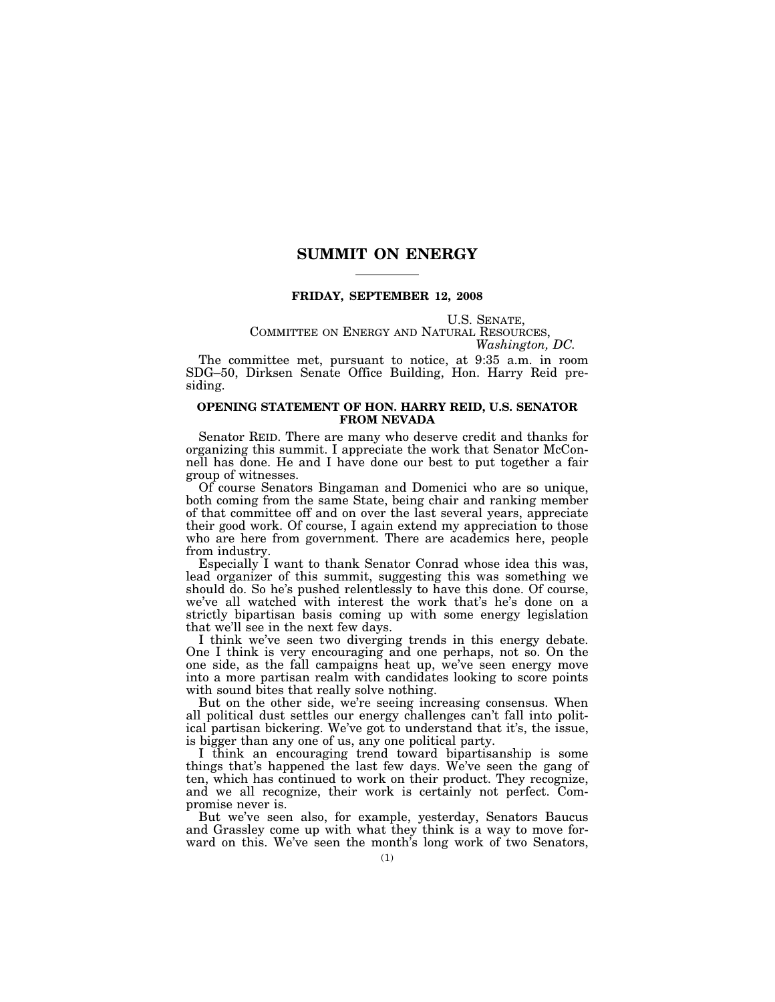# **SUMMIT ON ENERGY**

# **FRIDAY, SEPTEMBER 12, 2008**

# U.S. SENATE,<br>COMMITTEE ON ENERGY AND NATURAL RESOURCES,<br>*Washington, DC.*

The committee met, pursuant to notice, at 9:35 a.m. in room SDG–50, Dirksen Senate Office Building, Hon. Harry Reid presiding.

## **OPENING STATEMENT OF HON. HARRY REID, U.S. SENATOR FROM NEVADA**

Senator REID. There are many who deserve credit and thanks for organizing this summit. I appreciate the work that Senator McConnell has done. He and I have done our best to put together a fair group of witnesses.

Of course Senators Bingaman and Domenici who are so unique, both coming from the same State, being chair and ranking member of that committee off and on over the last several years, appreciate their good work. Of course, I again extend my appreciation to those who are here from government. There are academics here, people from industry.

Especially I want to thank Senator Conrad whose idea this was, lead organizer of this summit, suggesting this was something we should do. So he's pushed relentlessly to have this done. Of course, we've all watched with interest the work that's he's done on a strictly bipartisan basis coming up with some energy legislation that we'll see in the next few days.

I think we've seen two diverging trends in this energy debate. One I think is very encouraging and one perhaps, not so. On the one side, as the fall campaigns heat up, we've seen energy move into a more partisan realm with candidates looking to score points with sound bites that really solve nothing.

But on the other side, we're seeing increasing consensus. When all political dust settles our energy challenges can't fall into political partisan bickering. We've got to understand that it's, the issue, is bigger than any one of us, any one political party.

I think an encouraging trend toward bipartisanship is some things that's happened the last few days. We've seen the gang of ten, which has continued to work on their product. They recognize, and we all recognize, their work is certainly not perfect. Compromise never is.

But we've seen also, for example, yesterday, Senators Baucus and Grassley come up with what they think is a way to move forward on this. We've seen the month's long work of two Senators,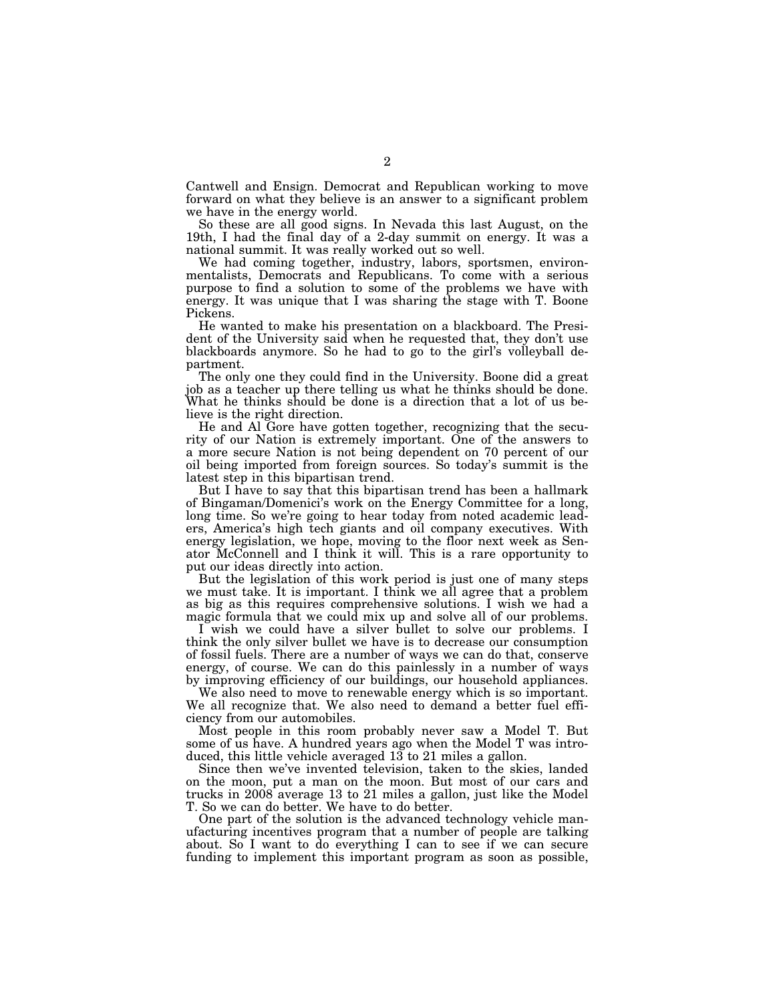Cantwell and Ensign. Democrat and Republican working to move forward on what they believe is an answer to a significant problem we have in the energy world.

So these are all good signs. In Nevada this last August, on the 19th, I had the final day of a 2-day summit on energy. It was a national summit. It was really worked out so well.

We had coming together, industry, labors, sportsmen, environmentalists, Democrats and Republicans. To come with a serious purpose to find a solution to some of the problems we have with energy. It was unique that I was sharing the stage with T. Boone Pickens.

He wanted to make his presentation on a blackboard. The President of the University said when he requested that, they don't use blackboards anymore. So he had to go to the girl's volleyball department.

The only one they could find in the University. Boone did a great job as a teacher up there telling us what he thinks should be done. What he thinks should be done is a direction that a lot of us believe is the right direction.

He and Al Gore have gotten together, recognizing that the security of our Nation is extremely important. One of the answers to a more secure Nation is not being dependent on 70 percent of our oil being imported from foreign sources. So today's summit is the latest step in this bipartisan trend.

But I have to say that this bipartisan trend has been a hallmark of Bingaman/Domenici's work on the Energy Committee for a long, long time. So we're going to hear today from noted academic leaders, America's high tech giants and oil company executives. With energy legislation, we hope, moving to the floor next week as Senator McConnell and I think it will. This is a rare opportunity to put our ideas directly into action.

But the legislation of this work period is just one of many steps we must take. It is important. I think we all agree that a problem as big as this requires comprehensive solutions. I wish we had a magic formula that we could mix up and solve all of our problems.

I wish we could have a silver bullet to solve our problems. I think the only silver bullet we have is to decrease our consumption of fossil fuels. There are a number of ways we can do that, conserve energy, of course. We can do this painlessly in a number of ways by improving efficiency of our buildings, our household appliances.

We also need to move to renewable energy which is so important. We all recognize that. We also need to demand a better fuel efficiency from our automobiles.

Most people in this room probably never saw a Model T. But some of us have. A hundred years ago when the Model T was introduced, this little vehicle averaged 13 to 21 miles a gallon.

Since then we've invented television, taken to the skies, landed on the moon, put a man on the moon. But most of our cars and trucks in 2008 average 13 to 21 miles a gallon, just like the Model T. So we can do better. We have to do better.

One part of the solution is the advanced technology vehicle manufacturing incentives program that a number of people are talking about. So I want to do everything I can to see if we can secure funding to implement this important program as soon as possible,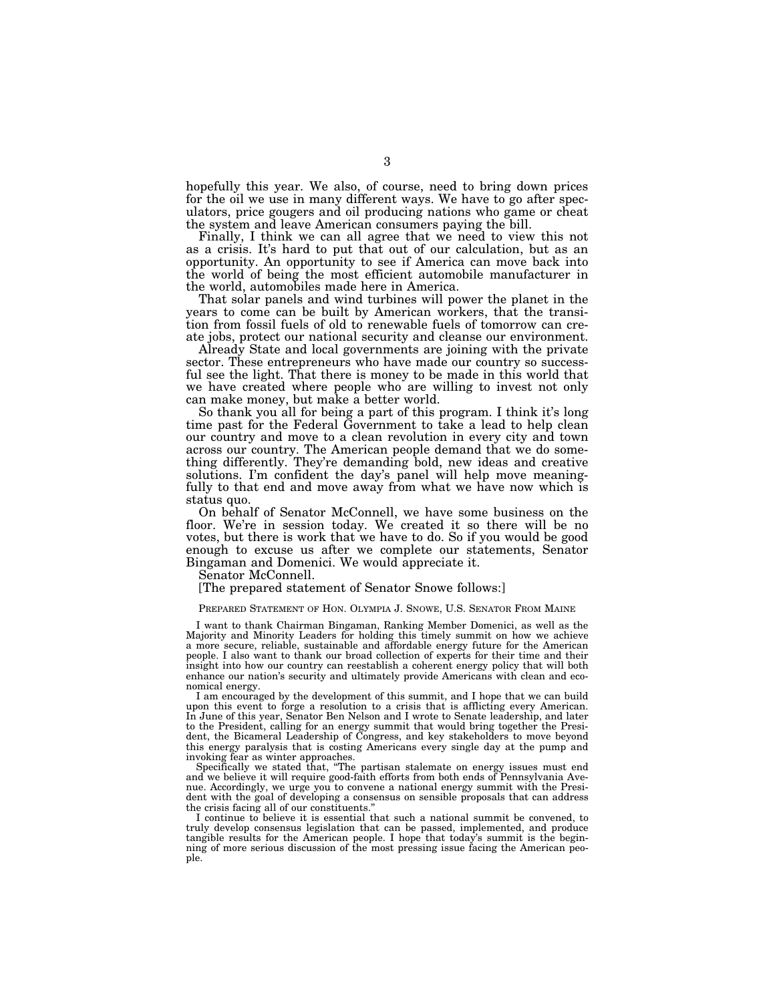hopefully this year. We also, of course, need to bring down prices for the oil we use in many different ways. We have to go after speculators, price gougers and oil producing nations who game or cheat the system and leave American consumers paying the bill.

Finally, I think we can all agree that we need to view this not as a crisis. It's hard to put that out of our calculation, but as an opportunity. An opportunity to see if America can move back into the world of being the most efficient automobile manufacturer in the world, automobiles made here in America.

That solar panels and wind turbines will power the planet in the years to come can be built by American workers, that the transition from fossil fuels of old to renewable fuels of tomorrow can create jobs, protect our national security and cleanse our environment.

Already State and local governments are joining with the private sector. These entrepreneurs who have made our country so successful see the light. That there is money to be made in this world that we have created where people who are willing to invest not only can make money, but make a better world.

So thank you all for being a part of this program. I think it's long time past for the Federal Government to take a lead to help clean our country and move to a clean revolution in every city and town across our country. The American people demand that we do something differently. They're demanding bold, new ideas and creative solutions. I'm confident the day's panel will help move meaningfully to that end and move away from what we have now which is status quo.

On behalf of Senator McConnell, we have some business on the floor. We're in session today. We created it so there will be no votes, but there is work that we have to do. So if you would be good enough to excuse us after we complete our statements, Senator Bingaman and Domenici. We would appreciate it.

Senator McConnell.

[The prepared statement of Senator Snowe follows:]

#### PREPARED STATEMENT OF HON. OLYMPIA J. SNOWE, U.S. SENATOR FROM MAINE

I want to thank Chairman Bingaman, Ranking Member Domenici, as well as the Majority and Minority Leaders for holding this timely summit on how we achieve a more secure, reliable, sustainable and affordable energy future for the American people. I also want to thank our broad collection of experts for their time and their insight into how our country can reestablish a coherent energy policy that will both enhance our nation's security and ultimately provide Americans with clean and economical energy.

I am encouraged by the development of this summit, and I hope that we can build upon this event to forge a resolution to a crisis that is afflicting every American. In June of this year, Senator Ben Nelson and I wrote to Senate leadership, and later to the President, calling for an energy summit that would bring together the President, the Bicameral Leadership of Congress, and key stakeholders to move beyond this energy paralysis that is costing Americans every single day at the pump and invoking fear as winter approaches.

Specifically we stated that, ''The partisan stalemate on energy issues must end and we believe it will require good-faith efforts from both ends of Pennsylvania Avenue. Accordingly, we urge you to convene a national energy summit with the President with the goal of developing a consensus on sensible proposals that can address the crisis facing all of our constituents.''

I continue to believe it is essential that such a national summit be convened, to truly develop consensus legislation that can be passed, implemented, and produce tangible results for the American people. I hope that today's summit is the begin-ning of more serious discussion of the most pressing issue facing the American people.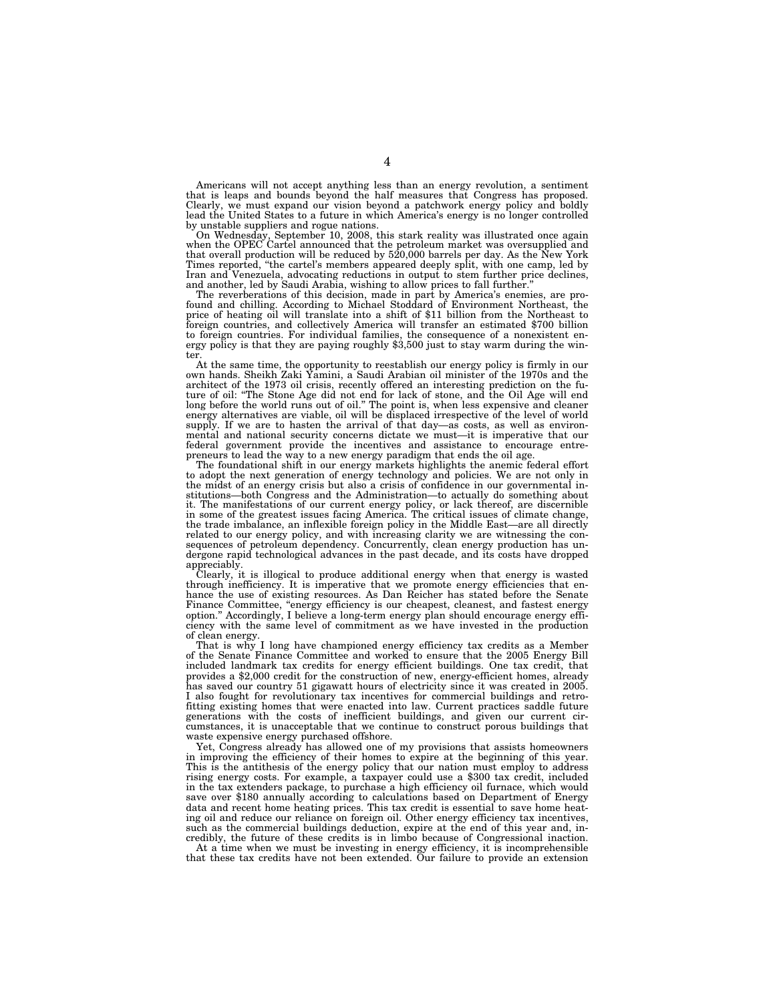Americans will not accept anything less than an energy revolution, a sentiment that is leaps and bounds beyond the half measures that Congress has proposed. Clearly, we must expand our vision beyond a patchwork energy policy and boldly lead the United States to a future in which America's energy is no longer controlled

by unstable suppliers and rogue nations.<br>On Wednesday, September 10, 2008, this stark reality was illustrated once again<br>when the OPEC Cartel announced that the petroleum market was oversupplied and<br>that overall production Times reported, ''the cartel's members appeared deeply split, with one camp, led by Iran and Venezuela, advocating reductions in output to stem further price declines, and another, led by Saudi Arabia, wishing to allow prices to fall further.''

The reverberations of this decision, made in part by America's enemies, are pro-found and chilling. According to Michael Stoddard of Environment Northeast, the price of heating oil will translate into a shift of \$11 billion from the Northeast to foreign countries, and collectively America will transfer an estimated \$700 billion to foreign countries. For individual families, the consequence of a nonexistent en-ergy policy is that they are paying roughly \$3,500 just to stay warm during the winter.

At the same time, the opportunity to reestablish our energy policy is firmly in our own hands. Sheikh Zaki Yamini, a Saudi Arabian oil minister of the 1970s and the architect of the 1973 oil crisis, recently offered an interesting prediction on the future of oil: ''The Stone Age did not end for lack of stone, and the Oil Age will end long before the world runs out of oil.'' The point is, when less expensive and cleaner energy alternatives are viable, oil will be displaced irrespective of the level of world supply. If we are to hasten the arrival of that day—as costs, as well as environmental and national security concerns dictate we must—it is imperative that our federal government provide the incentives and assistance to encourage entre-

preneurs to lead the way to a new energy paradigm that ends the oil age. The foundational shift in our energy markets highlights the anemic federal effort to adopt the next generation of energy technology and policies. We are not only in the midst of an energy crisis but also a crisis of confidence in our governmental institutions—both Congress and the Administration—to actually do something about<br>it. The manifestations of our current energy policy, or lack thereof, are discernible<br>in some of the greatest issues facing America. The critic the trade imbalance, an inflexible foreign policy in the Middle East—are all directly related to our energy policy, and with increasing clarity we are witnessing the consequences of petroleum dependency. Concurrently, clean energy production has undergone rapid technological advances in the past decade, and its costs have dropped

appreciably. Clearly, it is illogical to produce additional energy when that energy is wasted through inefficiency. It is imperative that we promote energy efficiencies that enhance the use of existing resources. As Dan Reicher has stated before the Senate Finance Committee, ''energy efficiency is our cheapest, cleanest, and fastest energy option.'' Accordingly, I believe a long-term energy plan should encourage energy efficiency with the same level of commitment as we have invested in the production of clean energy.

That is why I long have championed energy efficiency tax credits as a Member of the Senate Finance Committee and worked to ensure that the 2005 Energy Bill included landmark tax credits for energy efficient buildings. One tax credit, that provides a \$2,000 credit for the construction of new, energy-efficient homes, already has saved our country 51 gigawatt hours of electricity since it was created in 2005. I also fought for revolutionary tax incentives for commercial buildings and retrofitting existing homes that were enacted into law. Current practices saddle future generations with the costs of inefficient buildings, and given our current circumstances, it is unacceptable that we continue to construct porous buildings that waste expensive energy purchased offshore.

Yet, Congress already has allowed one of my provisions that assists homeowners in improving the efficiency of their homes to expire at the beginning of this year. This is the antithesis of the energy policy that our nation must employ to address rising energy costs. For example, a taxpayer could use a \$300 tax credit, included in the tax extenders package, to purchase a high efficiency oil furnace, which would save over \$180 annually according to calculations based on Department of Energy data and recent home heating prices. This tax credit is essential to save home heating oil and reduce our reliance on foreign oil. Other energy efficiency tax incentives, such as the commercial buildings deduction, expire at the end of this year and, incredibly, the future of these credits is in limbo because of Congressional inaction.

At a time when we must be investing in energy efficiency, it is incomprehensible that these tax credits have not been extended. Our failure to provide an extension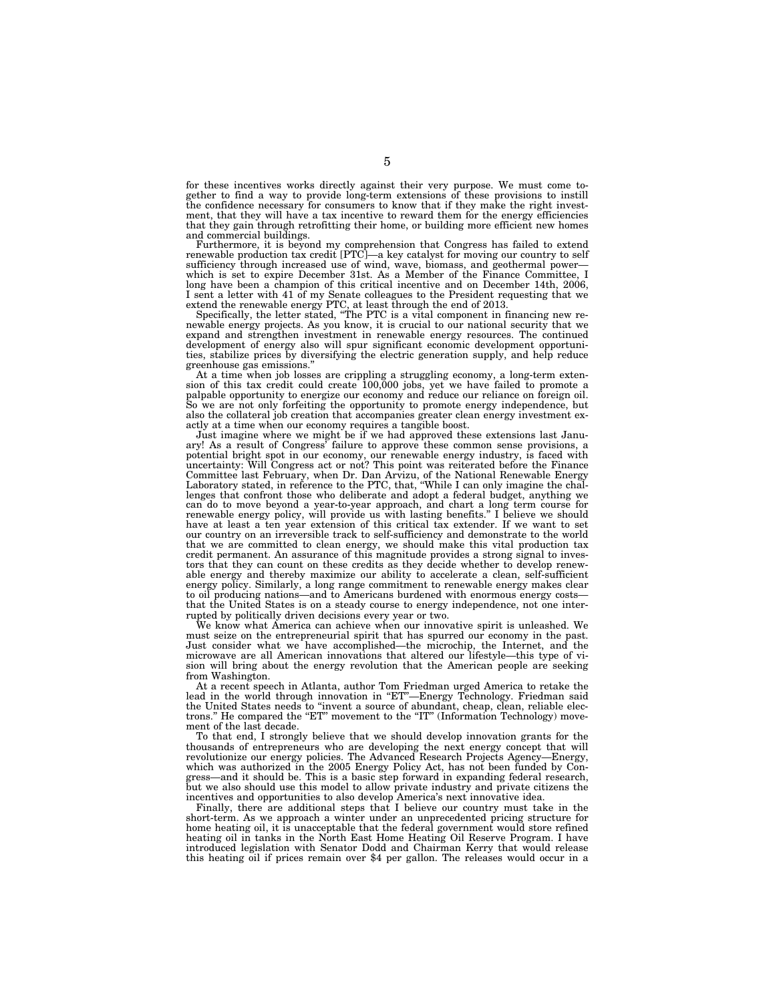for these incentives works directly against their very purpose. We must come together to find a way to provide long-term extensions of these provisions to instill the confidence necessary for consumers to know that if they make the right investment, that they will have a tax incentive to reward them for the energy efficiencies that they gain through retrofitting their home, or building more efficient new homes and commercial buildings.

Furthermore, it is beyond my comprehension that Congress has failed to extend<br>renewable production tax credit [PTC]—a key catalyst for moving our country to self<br>sufficiency through increased use of wind, wave, biomass, an which is set to expire December 31st. As a Member of the Finance Committee. I long have been a champion of this critical incentive and on December 14th, 2006, I sent a letter with 41 of my Senate colleagues to the President requesting that we extend the renewable energy PTC, at least through the end of 2013.

Specifically, the letter stated, ''The PTC is a vital component in financing new re-newable energy projects. As you know, it is crucial to our national security that we expand and strengthen investment in renewable energy resources. The continued development of energy also will spur significant economic development opportunities, stabilize prices by diversifying the electric generation supply, and help reduce greenhouse gas emissions.''

At a time when job losses are crippling a struggling economy, a long-term exten-sion of this tax credit could create 100,000 jobs, yet we have failed to promote a palpable opportunity to energize our economy and reduce our reliance on foreign oil. So we are not only forfeiting the opportunity to promote energy independence, but also the collateral job creation that accompanies greater clean energy investment exactly at a time when our economy requires a tangible boost.

Just imagine where we might be if we had approved these extensions last Janu-ary! As a result of Congress' failure to approve these common sense provisions, a potential bright spot in our economy, our renewable energy industry, is faced with uncertainty: Will Congress act or not? This point was reiterated before the Finance Committee last February, when Dr. Dan Arvizu, of the National Renewable Energy Laboratory stated, in reference to the PTC, that, ''While I can only imagine the challenges that confront those who deliberate and adopt a federal budget, anything we can do to move beyond a year-to-year approach, and chart a long term course for<br>renewable energy policy, will provide us with lasting benefits." I believe we should<br>have at least a ten year extension of this critical tax e our country on an irreversible track to self-sufficiency and demonstrate to the world that we are committed to clean energy, we should make this vital production tax<br>credit permanent. An assurance of this magnitude provides a strong signal to inves-<br>tors that they can count on these credits as they decide w able energy and thereby maximize our ability to accelerate a clean, self-sufficient energy policy. Similarly, a long range commitment to renewable energy makes clear to oil producing nations—and to Americans burdened with enormous energy costs that the United States is on a steady course to energy independence, not one interrupted by politically driven decisions every year or two.

We know what America can achieve when our innovative spirit is unleashed. We must seize on the entrepreneurial spirit that has spurred our economy in the past. Just consider what we have accomplished—the microchip, the Internet, and the microwave are all American innovations that altered our lifestyle—this type of vision will bring about the energy revolution that the American people are seeking from Washington.

At a recent speech in Atlanta, author Tom Friedman urged America to retake the lead in the world through innovation in "ET"—Energy Technology. Friedman said the United States needs to ''invent a source of abundant, cheap, clean, reliable electrons." He compared the "ET" movement to the "IT" (Information Technology) movement of the last decade.

To that end, I strongly believe that we should develop innovation grants for the thousands of entrepreneurs who are developing the next energy concept that will revolutionize our energy policies. The Advanced Research Projects Agency—Energy, which was authorized in the 2005 Energy Policy Act, has not been funded by Congress—and it should be. This is a basic step forward in expanding federal research, but we also should use this model to allow private industry and private citizens the incentives and opportunities to also develop America's next innovative idea.

Finally, there are additional steps that I believe our country must take in the short-term. As we approach a winter under an unprecedented pricing structure for home heating oil, it is unacceptable that the federal government would store refined heating oil in tanks in the North East Home Heating Oil Reserve Program. I have introduced legislation with Senator Dodd and Chairman Kerry that would release this heating oil if prices remain over \$4 per gallon. The releases would occur in a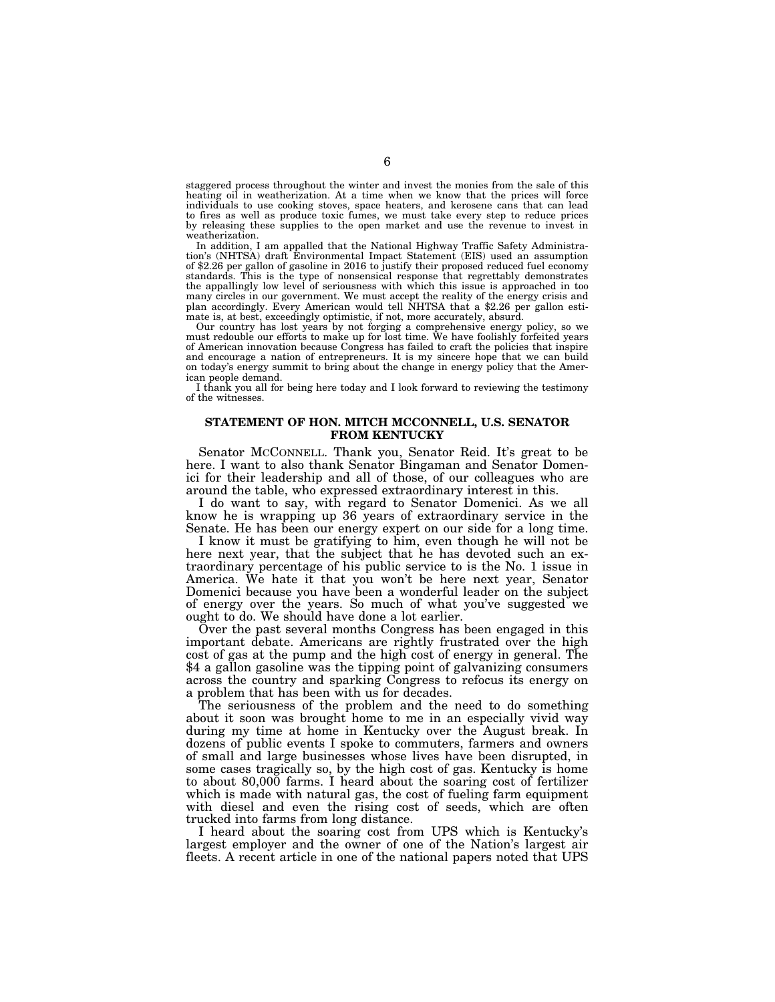staggered process throughout the winter and invest the monies from the sale of this heating oil in weatherization. At a time when we know that the prices will force individuals to use cooking stoves, space heaters, and kerosene cans that can lead to fires as well as produce toxic fumes, we must take every step to reduce prices by releasing these supplies to the open market and use the revenue to invest in weatherization.

In addition, I am appalled that the National Highway Traffic Safety Administration's (NHTSA) draft Environmental Impact Statement (EIS) used an assumption of \$2.26 per gallon of gasoline in 2016 to justify their proposed reduced fuel economy standards. This is the type of nonsensical response that regrettably demonstrates the appallingly low level of seriousness with which this issue is approached in too many circles in our government. We must accept the reality of the energy crisis and plan accordingly. Every American would tell NHTSA that a \$2.26 per gallon estimate is, at best, exceedingly optimistic, if not, more accurately, absurd.

Our country has lost years by not forging a comprehensive energy policy, so we must redouble our efforts to make up for lost time. We have foolishly forfeited years of American innovation because Congress has failed to craft the policies that inspire and encourage a nation of entrepreneurs. It is my sincere hope that we can build on today's energy summit to bring about the change in energy policy that the American people demand.

I thank you all for being here today and I look forward to reviewing the testimony of the witnesses.

## **STATEMENT OF HON. MITCH MCCONNELL, U.S. SENATOR FROM KENTUCKY**

Senator MCCONNELL. Thank you, Senator Reid. It's great to be here. I want to also thank Senator Bingaman and Senator Domenici for their leadership and all of those, of our colleagues who are around the table, who expressed extraordinary interest in this.

I do want to say, with regard to Senator Domenici. As we all know he is wrapping up 36 years of extraordinary service in the Senate. He has been our energy expert on our side for a long time.

I know it must be gratifying to him, even though he will not be here next year, that the subject that he has devoted such an extraordinary percentage of his public service to is the No. 1 issue in America. We hate it that you won't be here next year, Senator Domenici because you have been a wonderful leader on the subject of energy over the years. So much of what you've suggested we ought to do. We should have done a lot earlier.

Over the past several months Congress has been engaged in this important debate. Americans are rightly frustrated over the high cost of gas at the pump and the high cost of energy in general. The \$4 a gallon gasoline was the tipping point of galvanizing consumers across the country and sparking Congress to refocus its energy on a problem that has been with us for decades.

The seriousness of the problem and the need to do something about it soon was brought home to me in an especially vivid way during my time at home in Kentucky over the August break. In dozens of public events I spoke to commuters, farmers and owners of small and large businesses whose lives have been disrupted, in some cases tragically so, by the high cost of gas. Kentucky is home to about 80,000 farms. I heard about the soaring cost of fertilizer which is made with natural gas, the cost of fueling farm equipment with diesel and even the rising cost of seeds, which are often trucked into farms from long distance.

I heard about the soaring cost from UPS which is Kentucky's largest employer and the owner of one of the Nation's largest air fleets. A recent article in one of the national papers noted that UPS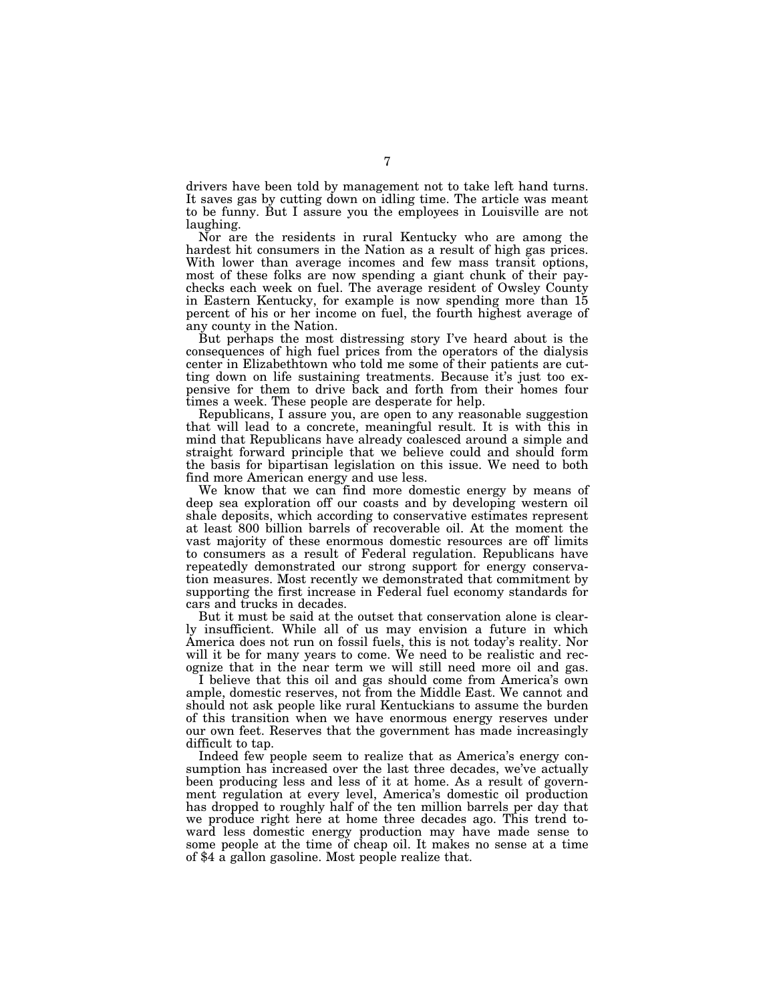drivers have been told by management not to take left hand turns. It saves gas by cutting down on idling time. The article was meant to be funny. But I assure you the employees in Louisville are not laughing.

Nor are the residents in rural Kentucky who are among the hardest hit consumers in the Nation as a result of high gas prices. With lower than average incomes and few mass transit options, most of these folks are now spending a giant chunk of their paychecks each week on fuel. The average resident of Owsley County in Eastern Kentucky, for example is now spending more than 15 percent of his or her income on fuel, the fourth highest average of any county in the Nation.

But perhaps the most distressing story I've heard about is the consequences of high fuel prices from the operators of the dialysis center in Elizabethtown who told me some of their patients are cutting down on life sustaining treatments. Because it's just too expensive for them to drive back and forth from their homes four times a week. These people are desperate for help.

Republicans, I assure you, are open to any reasonable suggestion that will lead to a concrete, meaningful result. It is with this in mind that Republicans have already coalesced around a simple and straight forward principle that we believe could and should form the basis for bipartisan legislation on this issue. We need to both find more American energy and use less.

We know that we can find more domestic energy by means of deep sea exploration off our coasts and by developing western oil shale deposits, which according to conservative estimates represent at least 800 billion barrels of recoverable oil. At the moment the vast majority of these enormous domestic resources are off limits to consumers as a result of Federal regulation. Republicans have repeatedly demonstrated our strong support for energy conservation measures. Most recently we demonstrated that commitment by supporting the first increase in Federal fuel economy standards for cars and trucks in decades.

But it must be said at the outset that conservation alone is clearly insufficient. While all of us may envision a future in which America does not run on fossil fuels, this is not today's reality. Nor will it be for many years to come. We need to be realistic and recognize that in the near term we will still need more oil and gas.

I believe that this oil and gas should come from America's own ample, domestic reserves, not from the Middle East. We cannot and should not ask people like rural Kentuckians to assume the burden of this transition when we have enormous energy reserves under our own feet. Reserves that the government has made increasingly difficult to tap.

Indeed few people seem to realize that as America's energy consumption has increased over the last three decades, we've actually been producing less and less of it at home. As a result of government regulation at every level, America's domestic oil production has dropped to roughly half of the ten million barrels per day that we produce right here at home three decades ago. This trend toward less domestic energy production may have made sense to some people at the time of cheap oil. It makes no sense at a time of \$4 a gallon gasoline. Most people realize that.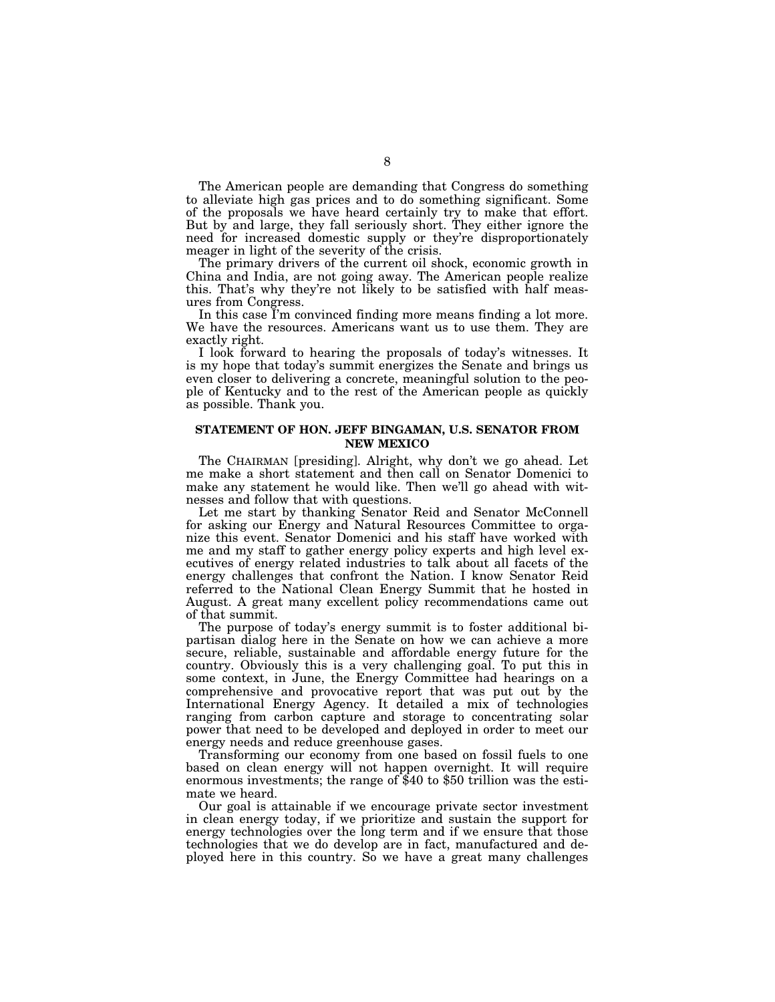The American people are demanding that Congress do something to alleviate high gas prices and to do something significant. Some of the proposals we have heard certainly try to make that effort. But by and large, they fall seriously short. They either ignore the need for increased domestic supply or they're disproportionately meager in light of the severity of the crisis.

The primary drivers of the current oil shock, economic growth in China and India, are not going away. The American people realize this. That's why they're not likely to be satisfied with half measures from Congress.

In this case I'm convinced finding more means finding a lot more. We have the resources. Americans want us to use them. They are exactly right.

I look forward to hearing the proposals of today's witnesses. It is my hope that today's summit energizes the Senate and brings us even closer to delivering a concrete, meaningful solution to the people of Kentucky and to the rest of the American people as quickly as possible. Thank you.

# **STATEMENT OF HON. JEFF BINGAMAN, U.S. SENATOR FROM NEW MEXICO**

The CHAIRMAN [presiding]. Alright, why don't we go ahead. Let me make a short statement and then call on Senator Domenici to make any statement he would like. Then we'll go ahead with witnesses and follow that with questions.

Let me start by thanking Senator Reid and Senator McConnell for asking our Energy and Natural Resources Committee to organize this event. Senator Domenici and his staff have worked with me and my staff to gather energy policy experts and high level executives of energy related industries to talk about all facets of the energy challenges that confront the Nation. I know Senator Reid referred to the National Clean Energy Summit that he hosted in August. A great many excellent policy recommendations came out of that summit.

The purpose of today's energy summit is to foster additional bipartisan dialog here in the Senate on how we can achieve a more secure, reliable, sustainable and affordable energy future for the country. Obviously this is a very challenging goal. To put this in some context, in June, the Energy Committee had hearings on a comprehensive and provocative report that was put out by the International Energy Agency. It detailed a mix of technologies ranging from carbon capture and storage to concentrating solar power that need to be developed and deployed in order to meet our energy needs and reduce greenhouse gases.

Transforming our economy from one based on fossil fuels to one based on clean energy will not happen overnight. It will require enormous investments; the range of \$40 to \$50 trillion was the estimate we heard.

Our goal is attainable if we encourage private sector investment in clean energy today, if we prioritize and sustain the support for energy technologies over the long term and if we ensure that those technologies that we do develop are in fact, manufactured and deployed here in this country. So we have a great many challenges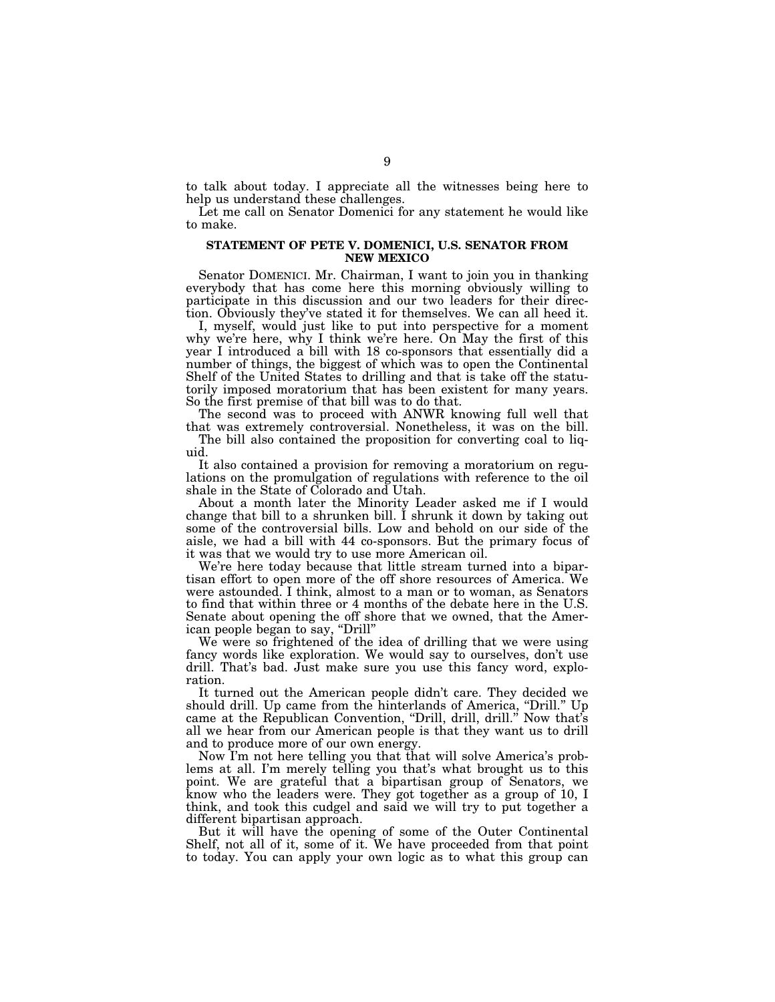to talk about today. I appreciate all the witnesses being here to help us understand these challenges.

Let me call on Senator Domenici for any statement he would like to make.

# **STATEMENT OF PETE V. DOMENICI, U.S. SENATOR FROM NEW MEXICO**

Senator DOMENICI. Mr. Chairman, I want to join you in thanking everybody that has come here this morning obviously willing to participate in this discussion and our two leaders for their direction. Obviously they've stated it for themselves. We can all heed it.

I, myself, would just like to put into perspective for a moment why we're here, why I think we're here. On May the first of this year I introduced a bill with 18 co-sponsors that essentially did a number of things, the biggest of which was to open the Continental Shelf of the United States to drilling and that is take off the statutorily imposed moratorium that has been existent for many years. So the first premise of that bill was to do that.

The second was to proceed with ANWR knowing full well that that was extremely controversial. Nonetheless, it was on the bill.

The bill also contained the proposition for converting coal to liquid.

It also contained a provision for removing a moratorium on regulations on the promulgation of regulations with reference to the oil shale in the State of Colorado and Utah.

About a month later the Minority Leader asked me if I would change that bill to a shrunken bill. I shrunk it down by taking out some of the controversial bills. Low and behold on our side of the aisle, we had a bill with 44 co-sponsors. But the primary focus of it was that we would try to use more American oil.

We're here today because that little stream turned into a bipartisan effort to open more of the off shore resources of America. We were astounded. I think, almost to a man or to woman, as Senators to find that within three or 4 months of the debate here in the U.S. Senate about opening the off shore that we owned, that the American people began to say, ''Drill''

We were so frightened of the idea of drilling that we were using fancy words like exploration. We would say to ourselves, don't use drill. That's bad. Just make sure you use this fancy word, exploration.

It turned out the American people didn't care. They decided we should drill. Up came from the hinterlands of America, "Drill." Up came at the Republican Convention, "Drill, drill, drill." Now that's all we hear from our American people is that they want us to drill and to produce more of our own energy.

Now I'm not here telling you that that will solve America's problems at all. I'm merely telling you that's what brought us to this point. We are grateful that a bipartisan group of Senators, we know who the leaders were. They got together as a group of 10, I think, and took this cudgel and said we will try to put together a different bipartisan approach.

But it will have the opening of some of the Outer Continental Shelf, not all of it, some of it. We have proceeded from that point to today. You can apply your own logic as to what this group can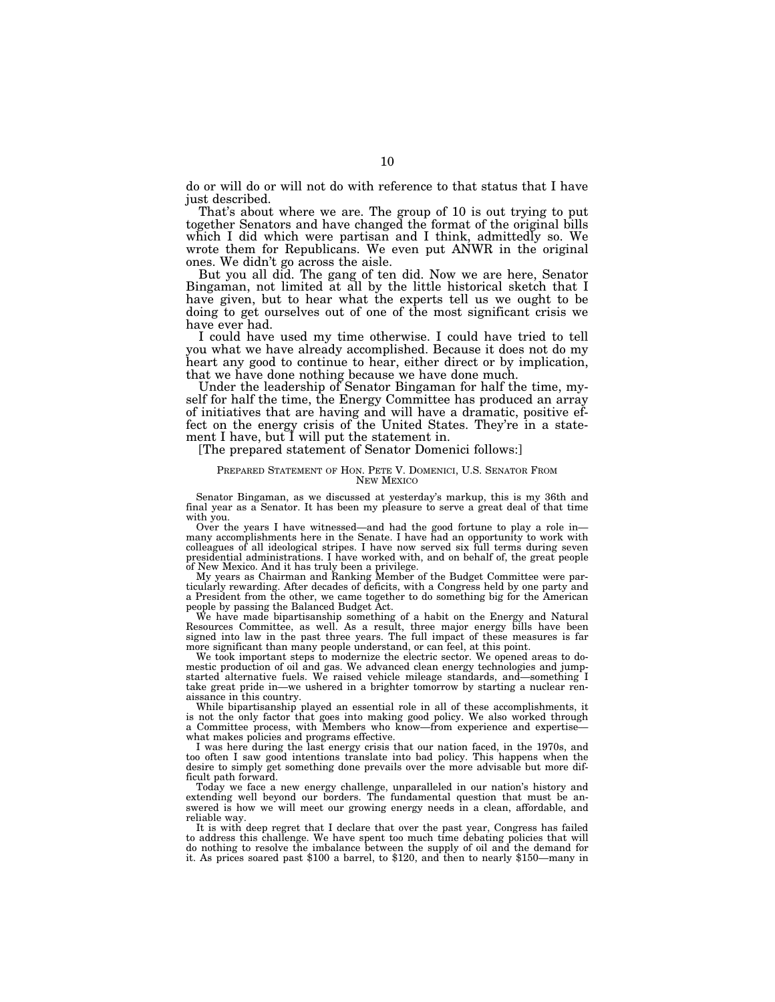do or will do or will not do with reference to that status that I have just described.

That's about where we are. The group of 10 is out trying to put together Senators and have changed the format of the original bills which I did which were partisan and I think, admittedly so. We wrote them for Republicans. We even put ANWR in the original ones. We didn't go across the aisle.

But you all did. The gang of ten did. Now we are here, Senator Bingaman, not limited at all by the little historical sketch that I have given, but to hear what the experts tell us we ought to be doing to get ourselves out of one of the most significant crisis we have ever had.

I could have used my time otherwise. I could have tried to tell you what we have already accomplished. Because it does not do my heart any good to continue to hear, either direct or by implication, that we have done nothing because we have done much.

Under the leadership of Senator Bingaman for half the time, myself for half the time, the Energy Committee has produced an array of initiatives that are having and will have a dramatic, positive effect on the energy crisis of the United States. They're in a statement I have, but I will put the statement in.

#### [The prepared statement of Senator Domenici follows:]

#### PREPARED STATEMENT OF HON. PETE V. DOMENICI, U.S. SENATOR FROM NEW MEXICO

Senator Bingaman, as we discussed at yesterday's markup, this is my 36th and final year as a Senator. It has been my pleasure to serve a great deal of that time with you.

Over the years I have witnessed—and had the good fortune to play a role in many accomplishments here in the Senate. I have had an opportunity to work with colleagues of all ideological stripes. I have now served six full terms during seven presidential administrations. I have worked with, and on behalf of, the great people of New Mexico. And it has truly been a privilege.

My years as Chairman and Ranking Member of the Budget Committee were par-ticularly rewarding. After decades of deficits, with a Congress held by one party and a President from the other, we came together to do something big for the American people by passing the Balanced Budget Act.

We have made bipartisanship something of a habit on the Energy and Natural Resources Committee, as well. As a result, three major energy bills have been signed into law in the past three years. The full impact of these measures is far more significant than many people understand, or can feel, at this point.

We took important steps to modernize the electric sector. We opened areas to domestic production of oil and gas. We advanced clean energy technologies and jump-started alternative fuels. We raised vehicle mileage standards, and—something I take great pride in—we ushered in a brighter tomorrow by starting a nuclear renaissance in this country.

While bipartisanship played an essential role in all of these accomplishments, it is not the only factor that goes into making good policy. We also worked through a Committee process, with Members who know—from experience and expertise what makes policies and programs effective.

I was here during the last energy crisis that our nation faced, in the 1970s, and too often I saw good intentions translate into bad policy. This happens when the desire to simply get something done prevails over the more advisable but more difficult path forward.

Today we face a new energy challenge, unparalleled in our nation's history and extending well beyond our borders. The fundamental question that must be answered is how we will meet our growing energy needs in a clean, affordable, and reliable way.

It is with deep regret that I declare that over the past year, Congress has failed to address this challenge. We have spent too much time debating policies that will do nothing to resolve the imbalance between the supply of oil and the demand for it. As prices soared past \$100 a barrel, to \$120, and then to nearly \$150—many in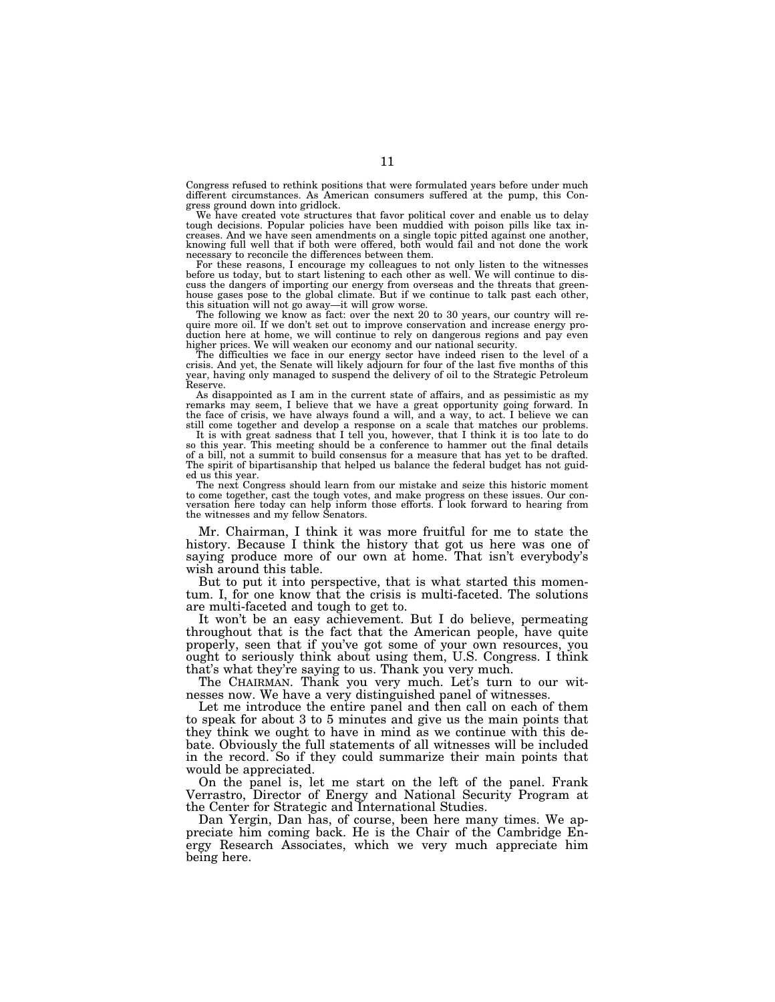Congress refused to rethink positions that were formulated years before under much different circumstances. As American consumers suffered at the pump, this Congress ground down into gridlock.

We have created vote structures that favor political cover and enable us to delay tough decisions. Popular policies have been muddied with poison pills like tax increases. And we have seen amendments on a single topic pitted against one another, knowing full well that if both were offered, both would fail and not done the work necessary to reconcile the differences between them.

For these reasons, I encourage my colleagues to not only listen to the witnesses before us today, but to start listening to each other as well. We will continue to discuss the dangers of importing our energy from overseas and the threats that greenhouse gases pose to the global climate. But if we continue to talk past each other, this situation will not go away—it will grow worse.

The following we know as fact: over the next 20 to 30 years, our country will require more oil. If we don't set out to improve conservation and increase energy production here at home, we will continue to rely on dangerous regions and pay even higher prices. We will weaken our economy and our national security.

The difficulties we face in our energy sector have indeed risen to the level of a crisis. And yet, the Senate will likely adjourn for four of the last five months of this year, having only managed to suspend the delivery of oil to the Strategic Petroleum Reserve.

As disappointed as I am in the current state of affairs, and as pessimistic as my remarks may seem, I believe that we have a great opportunity going forward. In the face of crisis, we have always found a will, and a way, to act. I believe we can still come together and develop a response on a scale that matches our problems.

It is with great sadness that I tell you, however, that I think it is too late to do<br>so this year. This meeting should be a conference to hammer out the final details<br>of a bill, not a summit to build consensus for a measur The spirit of bipartisanship that helped us balance the federal budget has not guided us this year.

The next Congress should learn from our mistake and seize this historic moment to come together, cast the tough votes, and make progress on these issues. Our con-versation here today can help inform those efforts. I look forward to hearing from the witnesses and my fellow Senators.

Mr. Chairman, I think it was more fruitful for me to state the history. Because I think the history that got us here was one of saying produce more of our own at home. That isn't everybody's wish around this table.

But to put it into perspective, that is what started this momentum. I, for one know that the crisis is multi-faceted. The solutions are multi-faceted and tough to get to.

It won't be an easy achievement. But I do believe, permeating throughout that is the fact that the American people, have quite properly, seen that if you've got some of your own resources, you ought to seriously think about using them, U.S. Congress. I think that's what they're saying to us. Thank you very much.

The CHAIRMAN. Thank you very much. Let's turn to our witnesses now. We have a very distinguished panel of witnesses.

Let me introduce the entire panel and then call on each of them to speak for about 3 to 5 minutes and give us the main points that they think we ought to have in mind as we continue with this debate. Obviously the full statements of all witnesses will be included in the record. So if they could summarize their main points that would be appreciated.

On the panel is, let me start on the left of the panel. Frank Verrastro, Director of Energy and National Security Program at the Center for Strategic and International Studies.

Dan Yergin, Dan has, of course, been here many times. We appreciate him coming back. He is the Chair of the Cambridge Energy Research Associates, which we very much appreciate him being here.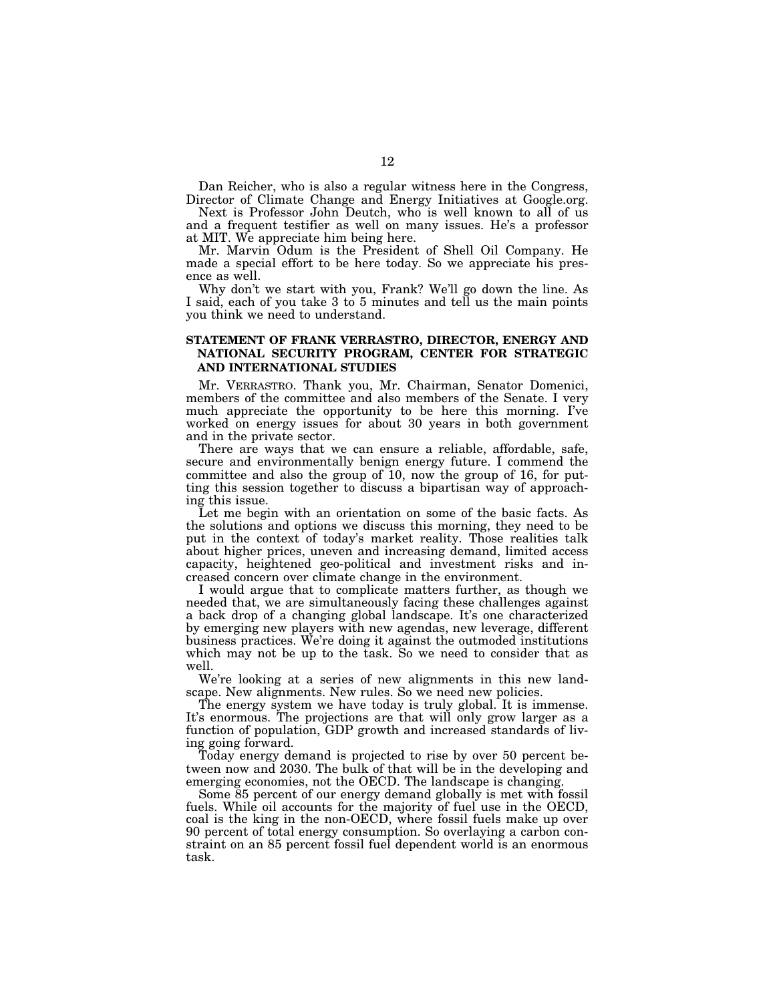Dan Reicher, who is also a regular witness here in the Congress, Director of Climate Change and Energy Initiatives at Google.org.

Next is Professor John Deutch, who is well known to all of us and a frequent testifier as well on many issues. He's a professor at MIT. We appreciate him being here.

Mr. Marvin Odum is the President of Shell Oil Company. He made a special effort to be here today. So we appreciate his presence as well.

Why don't we start with you, Frank? We'll go down the line. As I said, each of you take 3 to 5 minutes and tell us the main points you think we need to understand.

# **STATEMENT OF FRANK VERRASTRO, DIRECTOR, ENERGY AND NATIONAL SECURITY PROGRAM, CENTER FOR STRATEGIC AND INTERNATIONAL STUDIES**

Mr. VERRASTRO. Thank you, Mr. Chairman, Senator Domenici, members of the committee and also members of the Senate. I very much appreciate the opportunity to be here this morning. I've worked on energy issues for about 30 years in both government and in the private sector.

There are ways that we can ensure a reliable, affordable, safe, secure and environmentally benign energy future. I commend the committee and also the group of 10, now the group of 16, for putting this session together to discuss a bipartisan way of approaching this issue.

Let me begin with an orientation on some of the basic facts. As the solutions and options we discuss this morning, they need to be put in the context of today's market reality. Those realities talk about higher prices, uneven and increasing demand, limited access capacity, heightened geo-political and investment risks and increased concern over climate change in the environment.

I would argue that to complicate matters further, as though we needed that, we are simultaneously facing these challenges against a back drop of a changing global landscape. It's one characterized by emerging new players with new agendas, new leverage, different business practices. We're doing it against the outmoded institutions which may not be up to the task. So we need to consider that as well.

We're looking at a series of new alignments in this new landscape. New alignments. New rules. So we need new policies.

The energy system we have today is truly global. It is immense. It's enormous. The projections are that will only grow larger as a function of population, GDP growth and increased standards of living going forward.

Today energy demand is projected to rise by over 50 percent between now and 2030. The bulk of that will be in the developing and emerging economies, not the OECD. The landscape is changing.

Some 85 percent of our energy demand globally is met with fossil fuels. While oil accounts for the majority of fuel use in the OECD, coal is the king in the non-OECD, where fossil fuels make up over 90 percent of total energy consumption. So overlaying a carbon constraint on an 85 percent fossil fuel dependent world is an enormous task.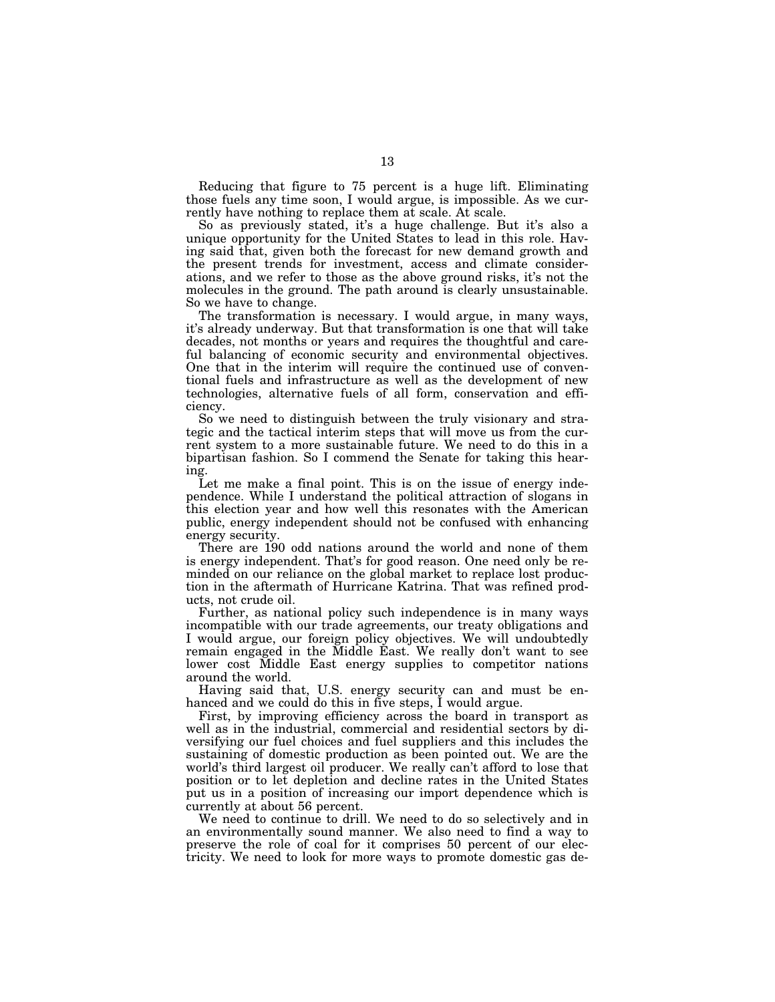Reducing that figure to 75 percent is a huge lift. Eliminating those fuels any time soon, I would argue, is impossible. As we currently have nothing to replace them at scale. At scale.

So as previously stated, it's a huge challenge. But it's also a unique opportunity for the United States to lead in this role. Having said that, given both the forecast for new demand growth and the present trends for investment, access and climate considerations, and we refer to those as the above ground risks, it's not the molecules in the ground. The path around is clearly unsustainable. So we have to change.

The transformation is necessary. I would argue, in many ways, it's already underway. But that transformation is one that will take decades, not months or years and requires the thoughtful and careful balancing of economic security and environmental objectives. One that in the interim will require the continued use of conventional fuels and infrastructure as well as the development of new technologies, alternative fuels of all form, conservation and efficiency.

So we need to distinguish between the truly visionary and strategic and the tactical interim steps that will move us from the current system to a more sustainable future. We need to do this in a bipartisan fashion. So I commend the Senate for taking this hearing.

Let me make a final point. This is on the issue of energy independence. While I understand the political attraction of slogans in this election year and how well this resonates with the American public, energy independent should not be confused with enhancing energy security.

There are 190 odd nations around the world and none of them is energy independent. That's for good reason. One need only be reminded on our reliance on the global market to replace lost production in the aftermath of Hurricane Katrina. That was refined products, not crude oil.

Further, as national policy such independence is in many ways incompatible with our trade agreements, our treaty obligations and I would argue, our foreign policy objectives. We will undoubtedly remain engaged in the Middle East. We really don't want to see lower cost Middle East energy supplies to competitor nations around the world.

Having said that, U.S. energy security can and must be enhanced and we could do this in five steps,  $\tilde{I}$  would argue.

First, by improving efficiency across the board in transport as well as in the industrial, commercial and residential sectors by diversifying our fuel choices and fuel suppliers and this includes the sustaining of domestic production as been pointed out. We are the world's third largest oil producer. We really can't afford to lose that position or to let depletion and decline rates in the United States put us in a position of increasing our import dependence which is currently at about 56 percent.

We need to continue to drill. We need to do so selectively and in an environmentally sound manner. We also need to find a way to preserve the role of coal for it comprises 50 percent of our electricity. We need to look for more ways to promote domestic gas de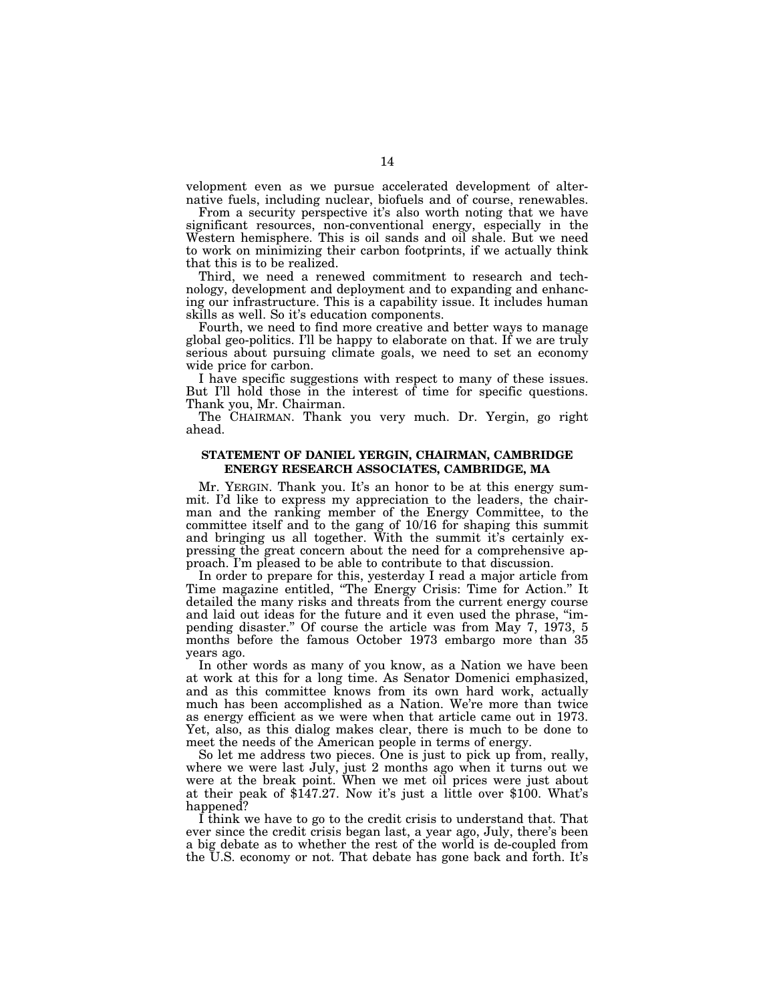velopment even as we pursue accelerated development of alternative fuels, including nuclear, biofuels and of course, renewables.

From a security perspective it's also worth noting that we have significant resources, non-conventional energy, especially in the Western hemisphere. This is oil sands and oil shale. But we need to work on minimizing their carbon footprints, if we actually think that this is to be realized.

Third, we need a renewed commitment to research and technology, development and deployment and to expanding and enhancing our infrastructure. This is a capability issue. It includes human skills as well. So it's education components.

Fourth, we need to find more creative and better ways to manage global geo-politics. I'll be happy to elaborate on that. If we are truly serious about pursuing climate goals, we need to set an economy wide price for carbon.

I have specific suggestions with respect to many of these issues. But I'll hold those in the interest of time for specific questions. Thank you, Mr. Chairman.

The CHAIRMAN. Thank you very much. Dr. Yergin, go right ahead.

# **STATEMENT OF DANIEL YERGIN, CHAIRMAN, CAMBRIDGE ENERGY RESEARCH ASSOCIATES, CAMBRIDGE, MA**

Mr. YERGIN. Thank you. It's an honor to be at this energy summit. I'd like to express my appreciation to the leaders, the chairman and the ranking member of the Energy Committee, to the committee itself and to the gang of 10/16 for shaping this summit and bringing us all together. With the summit it's certainly expressing the great concern about the need for a comprehensive approach. I'm pleased to be able to contribute to that discussion.

In order to prepare for this, yesterday I read a major article from Time magazine entitled, ''The Energy Crisis: Time for Action.'' It detailed the many risks and threats from the current energy course and laid out ideas for the future and it even used the phrase, ''impending disaster.'' Of course the article was from May 7, 1973, 5 months before the famous October 1973 embargo more than 35 years ago.

In other words as many of you know, as a Nation we have been at work at this for a long time. As Senator Domenici emphasized, and as this committee knows from its own hard work, actually much has been accomplished as a Nation. We're more than twice as energy efficient as we were when that article came out in 1973. Yet, also, as this dialog makes clear, there is much to be done to meet the needs of the American people in terms of energy.

So let me address two pieces. One is just to pick up from, really, where we were last July, just 2 months ago when it turns out we were at the break point. When we met oil prices were just about at their peak of \$147.27. Now it's just a little over \$100. What's happened?

I think we have to go to the credit crisis to understand that. That ever since the credit crisis began last, a year ago, July, there's been a big debate as to whether the rest of the world is de-coupled from the U.S. economy or not. That debate has gone back and forth. It's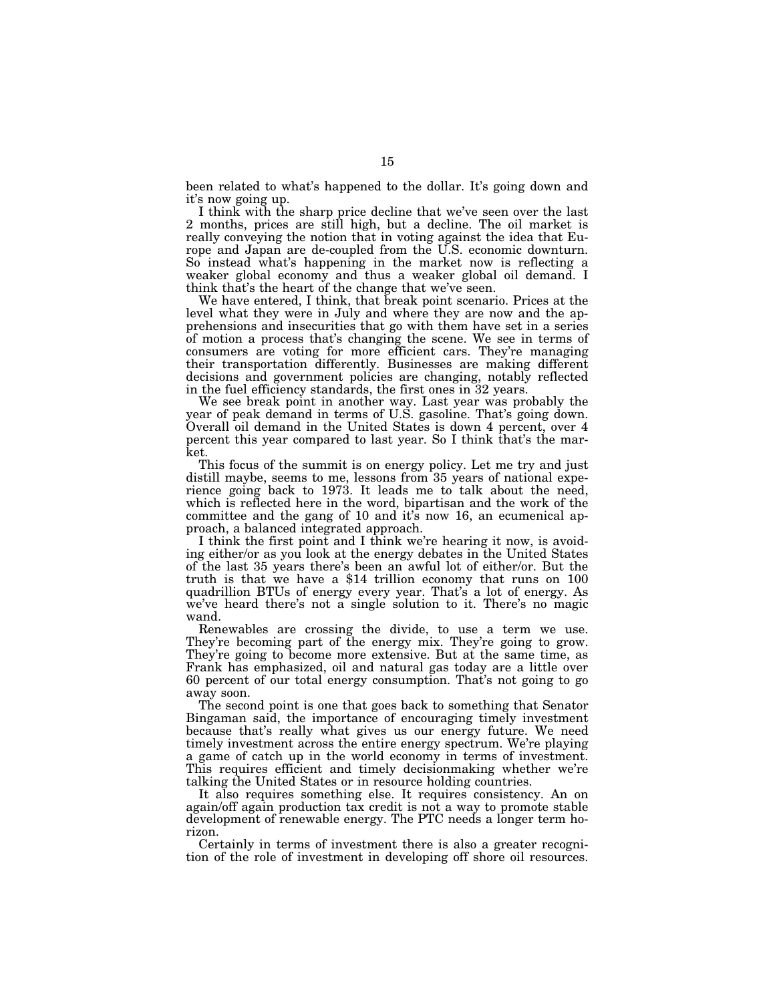been related to what's happened to the dollar. It's going down and it's now going up.

I think with the sharp price decline that we've seen over the last 2 months, prices are still high, but a decline. The oil market is really conveying the notion that in voting against the idea that Europe and Japan are de-coupled from the U.S. economic downturn. So instead what's happening in the market now is reflecting a weaker global economy and thus a weaker global oil demand. I think that's the heart of the change that we've seen.

We have entered, I think, that break point scenario. Prices at the level what they were in July and where they are now and the apprehensions and insecurities that go with them have set in a series of motion a process that's changing the scene. We see in terms of consumers are voting for more efficient cars. They're managing their transportation differently. Businesses are making different decisions and government policies are changing, notably reflected in the fuel efficiency standards, the first ones in 32 years.

We see break point in another way. Last year was probably the year of peak demand in terms of U.S. gasoline. That's going down. Overall oil demand in the United States is down 4 percent, over 4 percent this year compared to last year. So I think that's the market.

This focus of the summit is on energy policy. Let me try and just distill maybe, seems to me, lessons from 35 years of national experience going back to 1973. It leads me to talk about the need, which is reflected here in the word, bipartisan and the work of the committee and the gang of 10 and it's now 16, an ecumenical approach, a balanced integrated approach.

I think the first point and I think we're hearing it now, is avoiding either/or as you look at the energy debates in the United States of the last 35 years there's been an awful lot of either/or. But the truth is that we have a \$14 trillion economy that runs on 100 quadrillion BTUs of energy every year. That's a lot of energy. As we've heard there's not a single solution to it. There's no magic wand.

Renewables are crossing the divide, to use a term we use. They're becoming part of the energy mix. They're going to grow. They're going to become more extensive. But at the same time, as Frank has emphasized, oil and natural gas today are a little over 60 percent of our total energy consumption. That's not going to go away soon.

The second point is one that goes back to something that Senator Bingaman said, the importance of encouraging timely investment because that's really what gives us our energy future. We need timely investment across the entire energy spectrum. We're playing a game of catch up in the world economy in terms of investment. This requires efficient and timely decisionmaking whether we're talking the United States or in resource holding countries.

It also requires something else. It requires consistency. An on again/off again production tax credit is not a way to promote stable development of renewable energy. The PTC needs a longer term horizon.

Certainly in terms of investment there is also a greater recognition of the role of investment in developing off shore oil resources.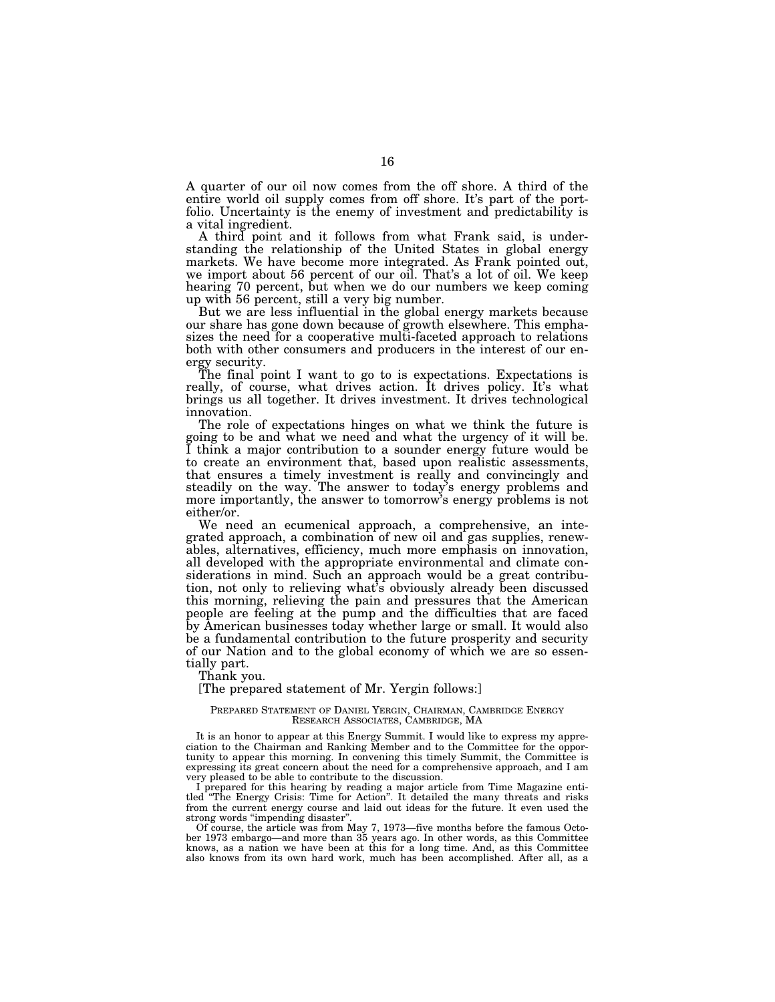A quarter of our oil now comes from the off shore. A third of the entire world oil supply comes from off shore. It's part of the portfolio. Uncertainty is the enemy of investment and predictability is a vital ingredient.

A third point and it follows from what Frank said, is understanding the relationship of the United States in global energy markets. We have become more integrated. As Frank pointed out, we import about 56 percent of our oil. That's a lot of oil. We keep hearing 70 percent, but when we do our numbers we keep coming up with 56 percent, still a very big number.

But we are less influential in the global energy markets because our share has gone down because of growth elsewhere. This emphasizes the need for a cooperative multi-faceted approach to relations both with other consumers and producers in the interest of our energy security.

The final point I want to go to is expectations. Expectations is really, of course, what drives action. It drives policy. It's what brings us all together. It drives investment. It drives technological innovation.

The role of expectations hinges on what we think the future is going to be and what we need and what the urgency of it will be. I think a major contribution to a sounder energy future would be to create an environment that, based upon realistic assessments, that ensures a timely investment is really and convincingly and steadily on the way. The answer to today's energy problems and more importantly, the answer to tomorrow's energy problems is not either/or.

We need an ecumenical approach, a comprehensive, an integrated approach, a combination of new oil and gas supplies, renewables, alternatives, efficiency, much more emphasis on innovation, all developed with the appropriate environmental and climate considerations in mind. Such an approach would be a great contribution, not only to relieving what's obviously already been discussed this morning, relieving the pain and pressures that the American people are feeling at the pump and the difficulties that are faced by American businesses today whether large or small. It would also be a fundamental contribution to the future prosperity and security of our Nation and to the global economy of which we are so essentially part.

Thank you.

## [The prepared statement of Mr. Yergin follows:]

#### PREPARED STATEMENT OF DANIEL YERGIN, CHAIRMAN, CAMBRIDGE ENERGY RESEARCH ASSOCIATES, CAMBRIDGE, MA

It is an honor to appear at this Energy Summit. I would like to express my appreciation to the Chairman and Ranking Member and to the Committee for the opportunity to appear this morning. In convening this timely Summit, the Committee is expressing its great concern about the need for a comprehensive approach, and I am very pleased to be able to contribute to the discussion.

I prepared for this hearing by reading a major article from Time Magazine entitled ''The Energy Crisis: Time for Action''. It detailed the many threats and risks from the current energy course and laid out ideas for the future. It even used the strong words ''impending disaster''.

Of course, the article was from May 7, 1973—five months before the famous October 1973 embargo—and more than 35 years ago. In other words, as this Committee knows, as a nation we have been at this for a long time. And, as this Committee also knows from its own hard work, much has been accomplished. After all, as a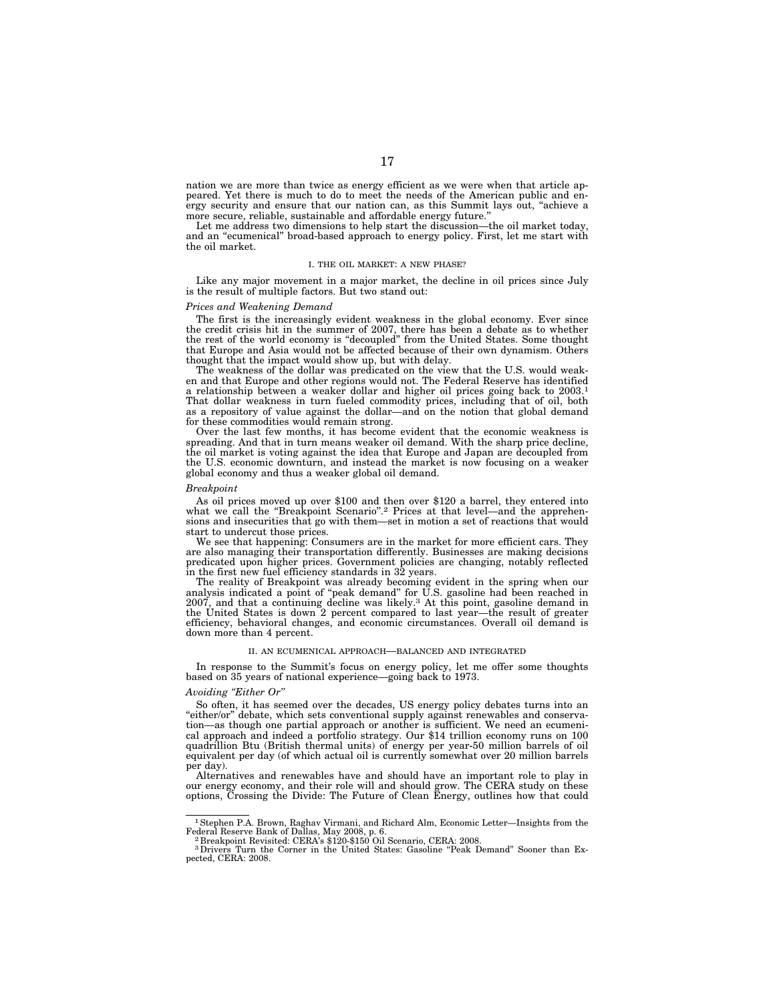nation we are more than twice as energy efficient as we were when that article appeared. Yet there is much to do to meet the needs of the American public and energy security and ensure that our nation can, as this Summit lays out, ''achieve a more secure, reliable, sustainable and affordable energy future.''

Let me address two dimensions to help start the discussion—the oil market today, and an "ecumenical" broad-based approach to energy policy. First, let me start with the oil market.

#### I. THE OIL MARKET: A NEW PHASE?

Like any major movement in a major market, the decline in oil prices since July is the result of multiple factors. But two stand out:

#### *Prices and Weakening Demand*

The first is the increasingly evident weakness in the global economy. Ever since the credit crisis hit in the summer of 2007, there has been a debate as to whether the rest of the world economy is ''decoupled'' from the United States. Some thought that Europe and Asia would not be affected because of their own dynamism. Others thought that the impact would show up, but with delay.

The weakness of the dollar was predicated on the view that the U.S. would weaken and that Europe and other regions would not. The Federal Reserve has identified a relationship between a weaker dollar and higher oil prices going back to 2003.1 That dollar weakness in turn fueled commodity prices, including that of oil, both as a repository of value against the dollar—and on the notion that global demand for these commodities would remain strong.

Over the last few months, it has become evident that the economic weakness is spreading. And that in turn means weaker oil demand. With the sharp price decline, the oil market is voting against the idea that Europe and Japan are decoupled from the U.S. economic downturn, and instead the market is now focusing on a weaker global economy and thus a weaker global oil demand.

#### *Breakpoint*

As oil prices moved up over \$100 and then over \$120 a barrel, they entered into what we call the "Breakpoint Scenario".<sup>2</sup> Prices at that level—and the apprehensions and insecurities that go with them—set in motion a set of reactions that would start to undercut those prices.

We see that happening: Consumers are in the market for more efficient cars. They are also managing their transportation differently. Businesses are making decisions predicated upon higher prices. Government policies are changing, notably reflected in the first new fuel efficiency standards in 32 years.

The reality of Breakpoint was already becoming evident in the spring when our analysis indicated a point of ''peak demand'' for U.S. gasoline had been reached in 2007, and that a continuing decline was likely.3 At this point, gasoline demand in the United States is down 2 percent compared to last year—the result of greater efficiency, behavioral changes, and economic circumstances. Overall oil demand is down more than 4 percent.

#### II. AN ECUMENICAL APPROACH—BALANCED AND INTEGRATED

In response to the Summit's focus on energy policy, let me offer some thoughts based on 35 years of national experience—going back to 1973.

#### *Avoiding ''Either Or''*

So often, it has seemed over the decades, US energy policy debates turns into an "either/or" debate, which sets conventional supply against renewables and conservation—as though one partial approach or another is sufficient. We need an ecumenical approach and indeed a portfolio strategy. Our \$14 trillion economy runs on 100 quadrillion Btu (British thermal units) of energy per year-50 million barrels of oil equivalent per day (of which actual oil is currently somewhat over 20 million barrels per day).

Alternatives and renewables have and should have an important role to play in our energy economy, and their role will and should grow. The CERA study on these options, Crossing the Divide: The Future of Clean Energy, outlines how that could

<sup>1</sup>Stephen P.A. Brown, Raghav Virmani, and Richard Alm, Economic Letter—Insights from the Federal Reserve Bank of Dallas, May 2008, p. 6. 2 Breakpoint Revisited: CERA's \$120-\$150 Oil Scenario, CERA: 2008.

<sup>&</sup>lt;sup>3</sup>Drivers Turn the Corner in the United States: Gasoline "Peak Demand" Sooner than Expected, CERA: 2008.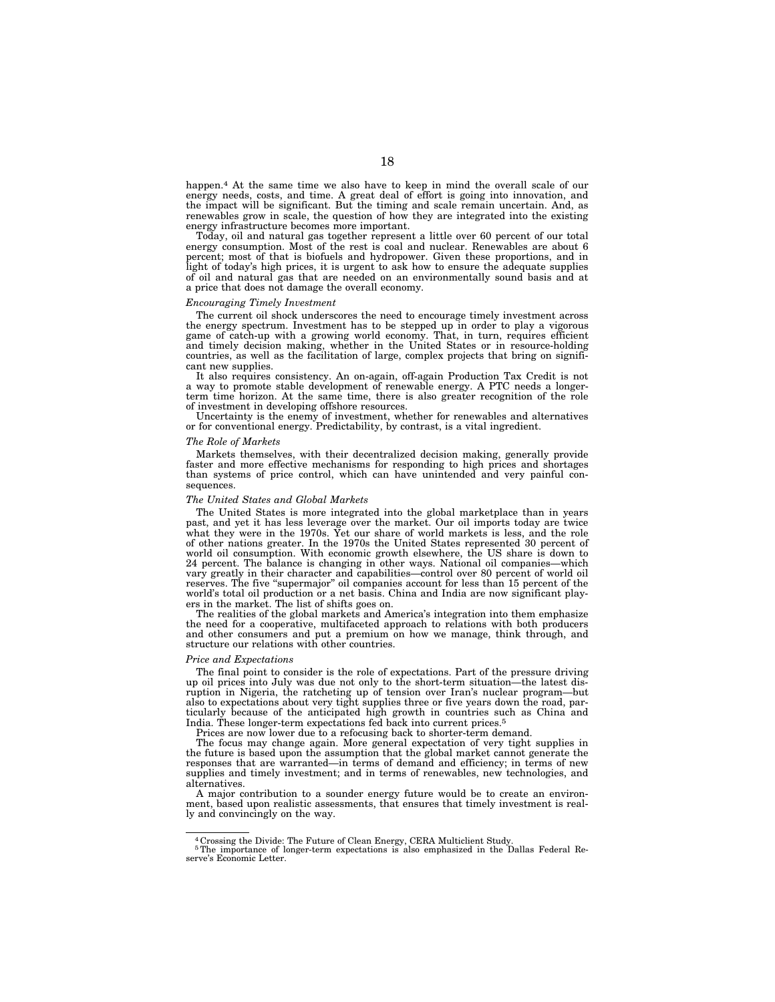happen.4 At the same time we also have to keep in mind the overall scale of our energy needs, costs, and time. A great deal of effort is going into innovation, and the impact will be significant. But the timing and scale remain uncertain. And, as renewables grow in scale, the question of how they are integrated into the existing energy infrastructure becomes more important.

Today, oil and natural gas together represent a little over 60 percent of our total energy consumption. Most of the rest is coal and nuclear. Renewables are about 6 percent; most of that is biofuels and hydropower. Given these proportions, and in light of today's high prices, it is urgent to ask how to ensure the adequate supplies of oil and natural gas that are needed on an environmentally sound basis and at a price that does not damage the overall economy.

#### *Encouraging Timely Investment*

The current oil shock underscores the need to encourage timely investment across the energy spectrum. Investment has to be stepped up in order to play a vigorous game of catch-up with a growing world economy. That, in turn, requires efficient and timely decision making, whether in the United States or in resource-holding countries, as well as the facilitation of large, complex projects that bring on significant new supplies.

It also requires consistency. An on-again, off-again Production Tax Credit is not a way to promote stable development of renewable energy. A PTC needs a longerterm time horizon. At the same time, there is also greater recognition of the role of investment in developing offshore resources.

Uncertainty is the enemy of investment, whether for renewables and alternatives or for conventional energy. Predictability, by contrast, is a vital ingredient.

#### *The Role of Markets*

Markets themselves, with their decentralized decision making, generally provide faster and more effective mechanisms for responding to high prices and shortages than systems of price control, which can have unintended and very painful consequences.

#### *The United States and Global Markets*

The United States is more integrated into the global marketplace than in years past, and yet it has less leverage over the market. Our oil imports today are twice what they were in the 1970s. Yet our share of world markets is less, and the role of other nations greater. In the 1970s the United States represented 30 percent of world oil consumption. With economic growth elsewhere, the US share is down to 24 percent. The balance is changing in other ways. National oil companies—which vary greatly in their character and capabilities—control over 80 percent of world oil reserves. The five "supermajor" oil companies account for less than 15 percent of the world's total oil production or a net basis. China and India are now significant players in the market. The list of shifts goes on.

The realities of the global markets and America's integration into them emphasize the need for a cooperative, multifaceted approach to relations with both producers and other consumers and put a premium on how we manage, think through, and structure our relations with other countries.

#### *Price and Expectations*

The final point to consider is the role of expectations. Part of the pressure driving up oil prices into July was due not only to the short-term situation—the latest disruption in Nigeria, the ratcheting up of tension over Iran's nuclear program—but also to expectations about very tight supplies three or five years down the road, particularly because of the anticipated high growth in countries such as China and India. These longer-term expectations fed back into current prices.<sup>5</sup>

Prices are now lower due to a refocusing back to shorter-term demand.

The focus may change again. More general expectation of very tight supplies in the future is based upon the assumption that the global market cannot generate the responses that are warranted—in terms of demand and efficiency; in terms of new supplies and timely investment; and in terms of renewables, new technologies, and alternatives.

A major contribution to a sounder energy future would be to create an environment, based upon realistic assessments, that ensures that timely investment is really and convincingly on the way.

5The importance of longer-term expectations is also emphasized in the Dallas Federal Re-serve's Economic Letter.

<sup>4</sup> Crossing the Divide: The Future of Clean Energy, CERA Multiclient Study.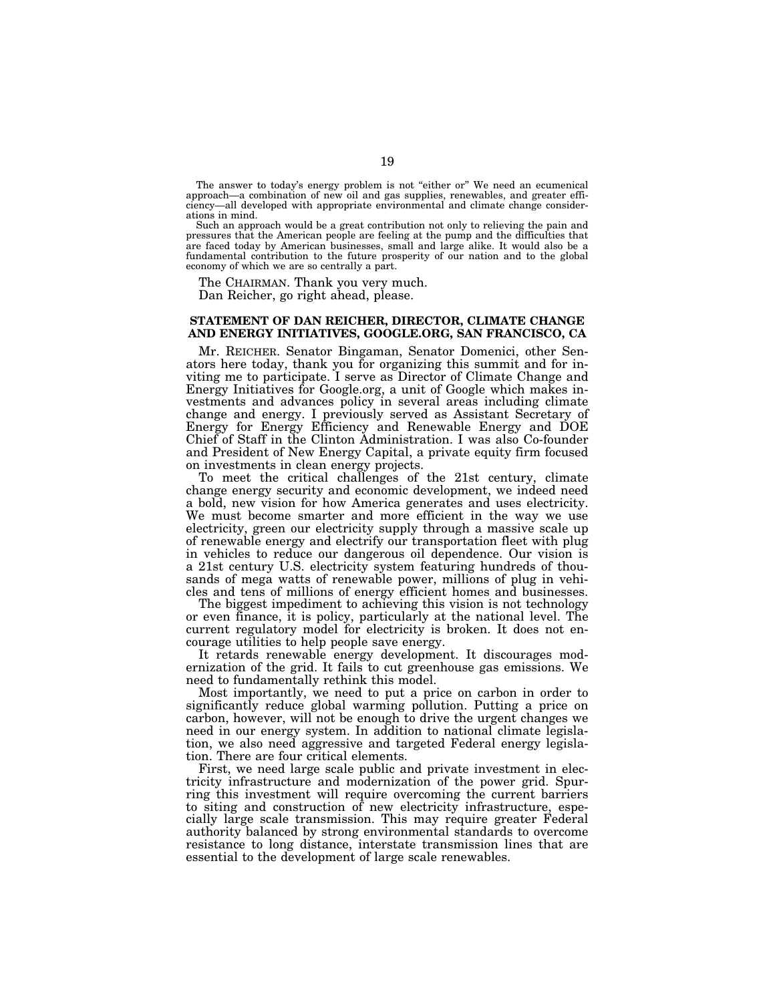The answer to today's energy problem is not "either or" We need an ecumenical approach—a combination of new oil and gas supplies, renewables, and greater efficiency—all developed with appropriate environmental and climate change considerations in mind.

Such an approach would be a great contribution not only to relieving the pain and pressures that the American people are feeling at the pump and the difficulties that are faced today by American businesses, small and large alike. It would also be a fundamental contribution to the future prosperity of our nation and to the global economy of which we are so centrally a part.

The CHAIRMAN. Thank you very much. Dan Reicher, go right ahead, please.

## **STATEMENT OF DAN REICHER, DIRECTOR, CLIMATE CHANGE AND ENERGY INITIATIVES, GOOGLE.ORG, SAN FRANCISCO, CA**

Mr. REICHER. Senator Bingaman, Senator Domenici, other Senators here today, thank you for organizing this summit and for inviting me to participate. I serve as Director of Climate Change and Energy Initiatives for Google.org, a unit of Google which makes investments and advances policy in several areas including climate change and energy. I previously served as Assistant Secretary of Energy for Energy Efficiency and Renewable Energy and DOE Chief of Staff in the Clinton Administration. I was also Co-founder and President of New Energy Capital, a private equity firm focused on investments in clean energy projects.

To meet the critical challenges of the 21st century, climate change energy security and economic development, we indeed need a bold, new vision for how America generates and uses electricity. We must become smarter and more efficient in the way we use electricity, green our electricity supply through a massive scale up of renewable energy and electrify our transportation fleet with plug in vehicles to reduce our dangerous oil dependence. Our vision is a 21st century U.S. electricity system featuring hundreds of thousands of mega watts of renewable power, millions of plug in vehicles and tens of millions of energy efficient homes and businesses.

The biggest impediment to achieving this vision is not technology or even finance, it is policy, particularly at the national level. The current regulatory model for electricity is broken. It does not encourage utilities to help people save energy.

It retards renewable energy development. It discourages modernization of the grid. It fails to cut greenhouse gas emissions. We need to fundamentally rethink this model.

Most importantly, we need to put a price on carbon in order to significantly reduce global warming pollution. Putting a price on carbon, however, will not be enough to drive the urgent changes we need in our energy system. In addition to national climate legislation, we also need aggressive and targeted Federal energy legislation. There are four critical elements.

First, we need large scale public and private investment in electricity infrastructure and modernization of the power grid. Spurring this investment will require overcoming the current barriers to siting and construction of new electricity infrastructure, especially large scale transmission. This may require greater Federal authority balanced by strong environmental standards to overcome resistance to long distance, interstate transmission lines that are essential to the development of large scale renewables.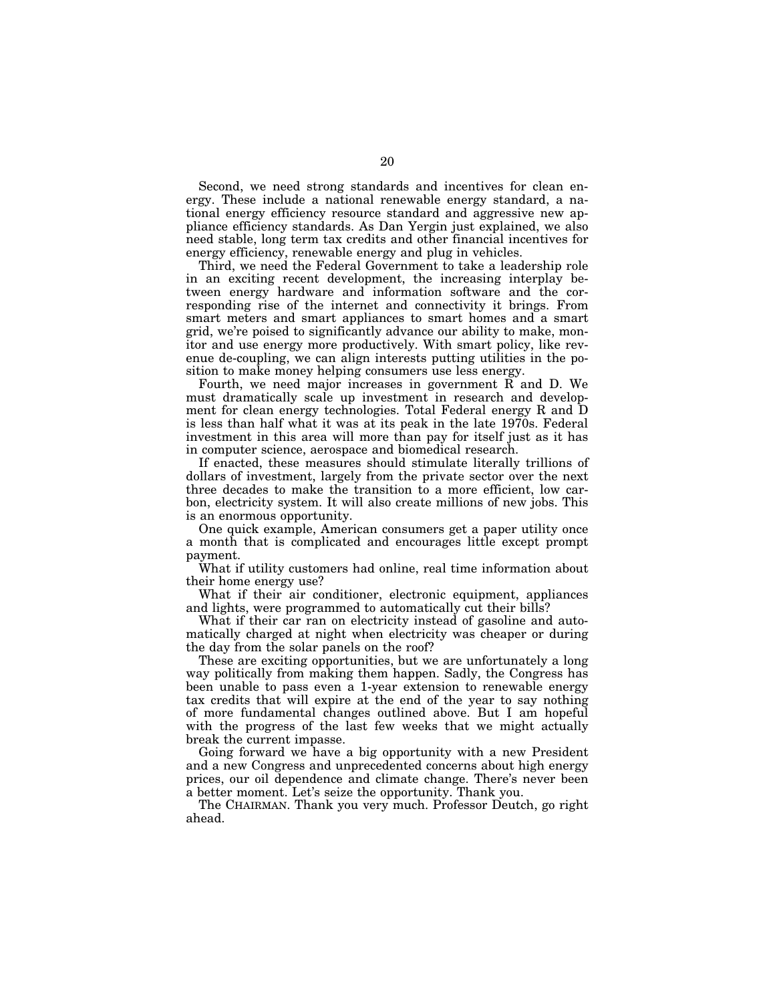Second, we need strong standards and incentives for clean energy. These include a national renewable energy standard, a national energy efficiency resource standard and aggressive new appliance efficiency standards. As Dan Yergin just explained, we also need stable, long term tax credits and other financial incentives for energy efficiency, renewable energy and plug in vehicles.

Third, we need the Federal Government to take a leadership role in an exciting recent development, the increasing interplay between energy hardware and information software and the corresponding rise of the internet and connectivity it brings. From smart meters and smart appliances to smart homes and a smart grid, we're poised to significantly advance our ability to make, monitor and use energy more productively. With smart policy, like revenue de-coupling, we can align interests putting utilities in the position to make money helping consumers use less energy.

Fourth, we need major increases in government R and D. We must dramatically scale up investment in research and development for clean energy technologies. Total Federal energy R and D is less than half what it was at its peak in the late 1970s. Federal investment in this area will more than pay for itself just as it has in computer science, aerospace and biomedical research.

If enacted, these measures should stimulate literally trillions of dollars of investment, largely from the private sector over the next three decades to make the transition to a more efficient, low carbon, electricity system. It will also create millions of new jobs. This is an enormous opportunity.

One quick example, American consumers get a paper utility once a month that is complicated and encourages little except prompt payment.

What if utility customers had online, real time information about their home energy use?

What if their air conditioner, electronic equipment, appliances and lights, were programmed to automatically cut their bills?

What if their car ran on electricity instead of gasoline and automatically charged at night when electricity was cheaper or during the day from the solar panels on the roof?

These are exciting opportunities, but we are unfortunately a long way politically from making them happen. Sadly, the Congress has been unable to pass even a 1-year extension to renewable energy tax credits that will expire at the end of the year to say nothing of more fundamental changes outlined above. But I am hopeful with the progress of the last few weeks that we might actually break the current impasse.

Going forward we have a big opportunity with a new President and a new Congress and unprecedented concerns about high energy prices, our oil dependence and climate change. There's never been a better moment. Let's seize the opportunity. Thank you.

The CHAIRMAN. Thank you very much. Professor Deutch, go right ahead.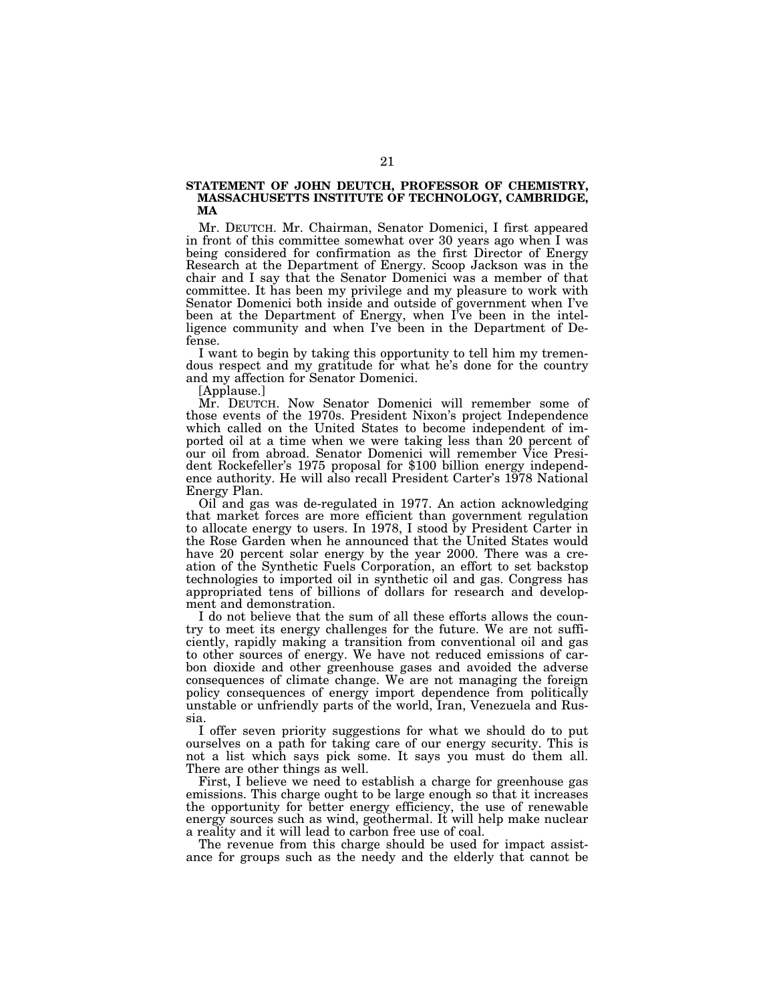# **STATEMENT OF JOHN DEUTCH, PROFESSOR OF CHEMISTRY, MASSACHUSETTS INSTITUTE OF TECHNOLOGY, CAMBRIDGE, MA**

Mr. DEUTCH. Mr. Chairman, Senator Domenici, I first appeared in front of this committee somewhat over 30 years ago when I was being considered for confirmation as the first Director of Energy Research at the Department of Energy. Scoop Jackson was in the chair and I say that the Senator Domenici was a member of that committee. It has been my privilege and my pleasure to work with Senator Domenici both inside and outside of government when I've been at the Department of Energy, when I've been in the intelligence community and when I've been in the Department of Defense.

I want to begin by taking this opportunity to tell him my tremendous respect and my gratitude for what he's done for the country and my affection for Senator Domenici.

[Applause.]

Mr. DEUTCH. Now Senator Domenici will remember some of those events of the 1970s. President Nixon's project Independence which called on the United States to become independent of imported oil at a time when we were taking less than 20 percent of our oil from abroad. Senator Domenici will remember Vice President Rockefeller's 1975 proposal for \$100 billion energy independence authority. He will also recall President Carter's 1978 National Energy Plan.

Oil and gas was de-regulated in 1977. An action acknowledging that market forces are more efficient than government regulation to allocate energy to users. In 1978, I stood by President Carter in the Rose Garden when he announced that the United States would have 20 percent solar energy by the year 2000. There was a creation of the Synthetic Fuels Corporation, an effort to set backstop technologies to imported oil in synthetic oil and gas. Congress has appropriated tens of billions of dollars for research and development and demonstration.

I do not believe that the sum of all these efforts allows the country to meet its energy challenges for the future. We are not sufficiently, rapidly making a transition from conventional oil and gas to other sources of energy. We have not reduced emissions of carbon dioxide and other greenhouse gases and avoided the adverse consequences of climate change. We are not managing the foreign policy consequences of energy import dependence from politically unstable or unfriendly parts of the world, Iran, Venezuela and Russia.

I offer seven priority suggestions for what we should do to put ourselves on a path for taking care of our energy security. This is not a list which says pick some. It says you must do them all. There are other things as well.

First, I believe we need to establish a charge for greenhouse gas emissions. This charge ought to be large enough so that it increases the opportunity for better energy efficiency, the use of renewable energy sources such as wind, geothermal. It will help make nuclear a reality and it will lead to carbon free use of coal.

The revenue from this charge should be used for impact assistance for groups such as the needy and the elderly that cannot be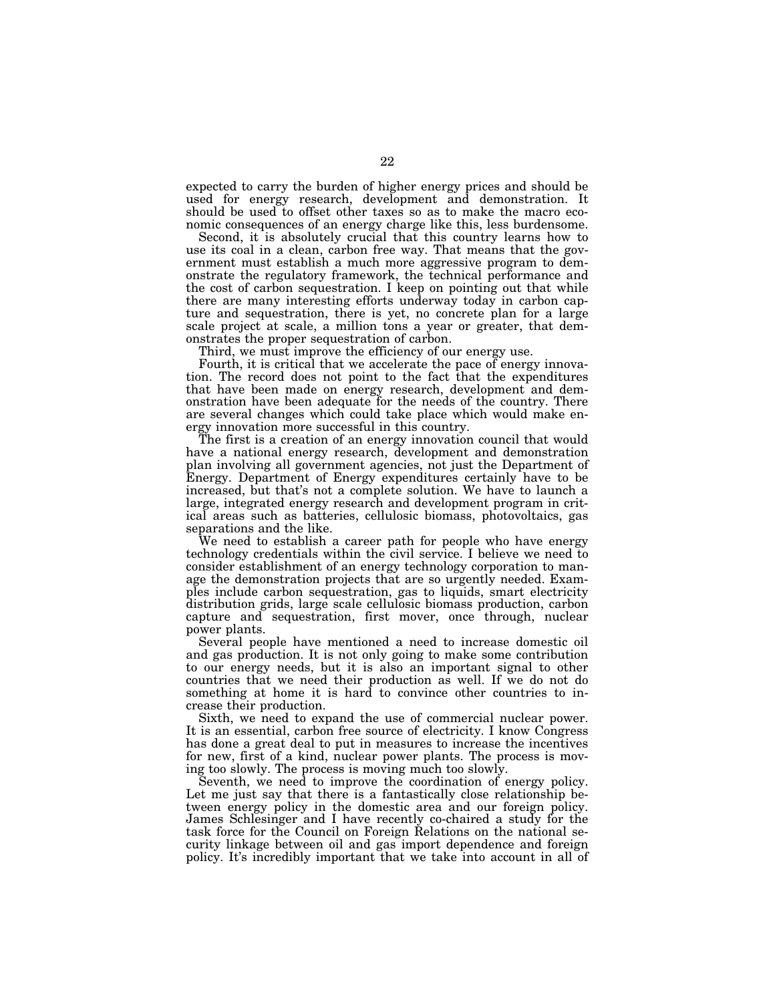expected to carry the burden of higher energy prices and should be used for energy research, development and demonstration. It should be used to offset other taxes so as to make the macro economic consequences of an energy charge like this, less burdensome.

Second, it is absolutely crucial that this country learns how to use its coal in a clean, carbon free way. That means that the government must establish a much more aggressive program to demonstrate the regulatory framework, the technical performance and the cost of carbon sequestration. I keep on pointing out that while there are many interesting efforts underway today in carbon capture and sequestration, there is yet, no concrete plan for a large scale project at scale, a million tons a year or greater, that demonstrates the proper sequestration of carbon.

Third, we must improve the efficiency of our energy use.

Fourth, it is critical that we accelerate the pace of energy innovation. The record does not point to the fact that the expenditures that have been made on energy research, development and demonstration have been adequate for the needs of the country. There are several changes which could take place which would make energy innovation more successful in this country.

The first is a creation of an energy innovation council that would have a national energy research, development and demonstration plan involving all government agencies, not just the Department of Energy. Department of Energy expenditures certainly have to be increased, but that's not a complete solution. We have to launch a large, integrated energy research and development program in critical areas such as batteries, cellulosic biomass, photovoltaics, gas separations and the like.

We need to establish a career path for people who have energy technology credentials within the civil service. I believe we need to consider establishment of an energy technology corporation to manage the demonstration projects that are so urgently needed. Examples include carbon sequestration, gas to liquids, smart electricity distribution grids, large scale cellulosic biomass production, carbon capture and sequestration, first mover, once through, nuclear power plants.

Several people have mentioned a need to increase domestic oil and gas production. It is not only going to make some contribution to our energy needs, but it is also an important signal to other countries that we need their production as well. If we do not do something at home it is hard to convince other countries to increase their production.

Sixth, we need to expand the use of commercial nuclear power. It is an essential, carbon free source of electricity. I know Congress has done a great deal to put in measures to increase the incentives for new, first of a kind, nuclear power plants. The process is moving too slowly. The process is moving much too slowly.

Seventh, we need to improve the coordination of energy policy. Let me just say that there is a fantastically close relationship between energy policy in the domestic area and our foreign policy. James Schlesinger and I have recently co-chaired a study for the task force for the Council on Foreign Relations on the national security linkage between oil and gas import dependence and foreign policy. It's incredibly important that we take into account in all of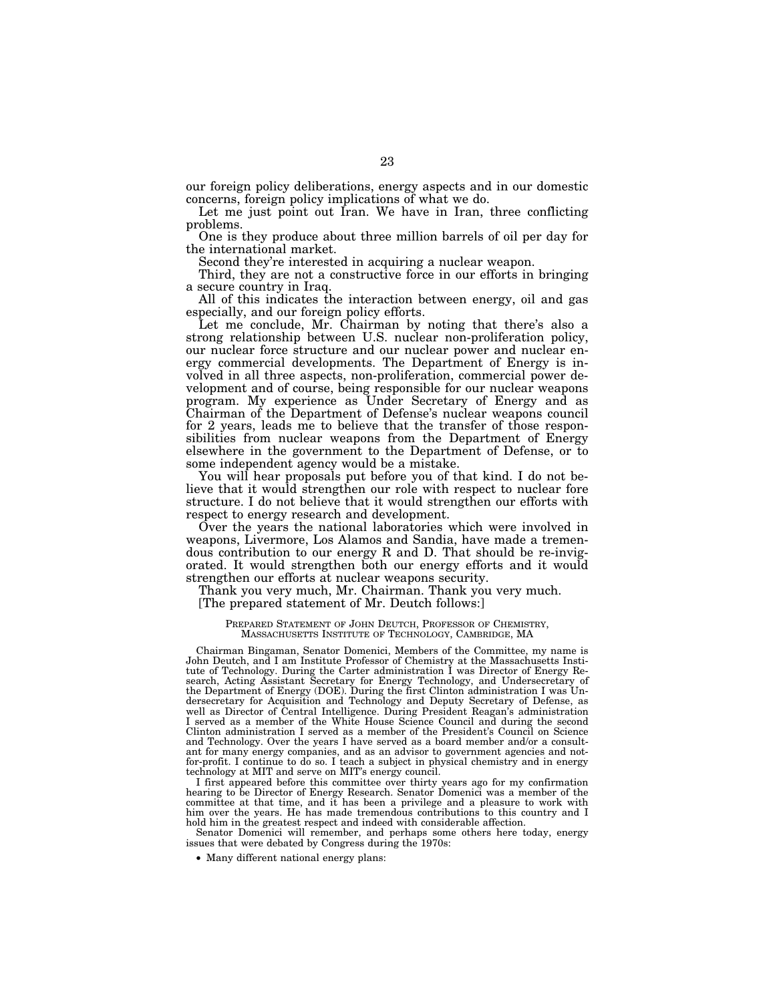our foreign policy deliberations, energy aspects and in our domestic concerns, foreign policy implications of what we do.

Let me just point out Iran. We have in Iran, three conflicting problems.

One is they produce about three million barrels of oil per day for the international market.

Second they're interested in acquiring a nuclear weapon.

Third, they are not a constructive force in our efforts in bringing a secure country in Iraq.

All of this indicates the interaction between energy, oil and gas especially, and our foreign policy efforts.

Let me conclude, Mr. Chairman by noting that there's also a strong relationship between U.S. nuclear non-proliferation policy, our nuclear force structure and our nuclear power and nuclear energy commercial developments. The Department of Energy is involved in all three aspects, non-proliferation, commercial power development and of course, being responsible for our nuclear weapons program. My experience as Under Secretary of Energy and as Chairman of the Department of Defense's nuclear weapons council for 2 years, leads me to believe that the transfer of those responsibilities from nuclear weapons from the Department of Energy elsewhere in the government to the Department of Defense, or to some independent agency would be a mistake.

You will hear proposals put before you of that kind. I do not believe that it would strengthen our role with respect to nuclear fore structure. I do not believe that it would strengthen our efforts with respect to energy research and development.

Over the years the national laboratories which were involved in weapons, Livermore, Los Alamos and Sandia, have made a tremendous contribution to our energy R and D. That should be re-invigorated. It would strengthen both our energy efforts and it would strengthen our efforts at nuclear weapons security.

Thank you very much, Mr. Chairman. Thank you very much. [The prepared statement of Mr. Deutch follows:]

#### PREPARED STATEMENT OF JOHN DEUTCH, PROFESSOR OF CHEMISTRY, MASSACHUSETTS INSTITUTE OF TECHNOLOGY, CAMBRIDGE, MA

Chairman Bingaman, Senator Domenici, Members of the Committee, my name is John Deutch, and I am Institute Professor of Chemistry at the Massachusetts Institute of Technology. During the Carter administration I was Director of Energy Research, Acting Assistant Secretary for Energy Technology, and Undersecretary of the Department of Energy (DOE). During the first Clinton administration I was Undersecretary for Acquisition and Technology and Deputy Secretary of Defense, as well as Director of Central Intelligence. During President Reagan's administration I served as a member of the White House Science Council and during the second Clinton administration I served as a member of the President's Council on Science and Technology. Over the years I have served as a board member and/or a consultant for many energy companies, and as an advisor to government agencies and notfor-profit. I continue to do so. I teach a subject in physical chemistry and in energy technology at MIT and serve on MIT's energy council.

I first appeared before this committee over thirty years ago for my confirmation hearing to be Director of Energy Research. Senator Domenici was a member of the committee at that time, and it has been a privilege and a pleasure to work with him over the years. He has made tremendous contributions to this country and I hold him in the greatest respect and indeed with considerable affection.

Senator Domenici will remember, and perhaps some others here today, energy issues that were debated by Congress during the 1970s:

• Many different national energy plans: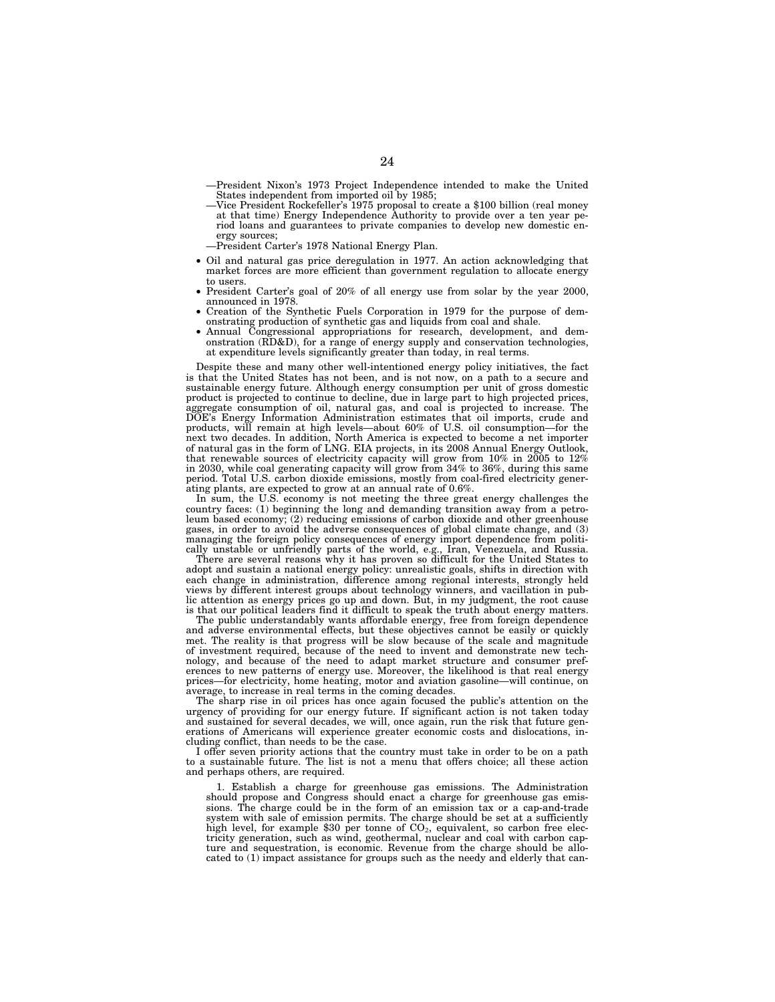—President Nixon's 1973 Project Independence intended to make the United States independent from imported oil by 1985;

—Vice President Rockefeller's 1975 proposal to create a \$100 billion (real money at that time) Energy Independence Authority to provide over a ten year period loans and guarantees to private companies to develop new domestic energy sources;

—President Carter's 1978 National Energy Plan.

- Oil and natural gas price deregulation in 1977. An action acknowledging that market forces are more efficient than government regulation to allocate energy to users.
- President Carter's goal of 20% of all energy use from solar by the year 2000, announced in 1978.
- Creation of the Synthetic Fuels Corporation in 1979 for the purpose of demonstrating production of synthetic gas and liquids from coal and shale.
- Annual Congressional appropriations for research, development, and demonstration (RD&D), for a range of energy supply and conservation technologies, at expenditure levels significantly greater than today, in real terms.

Despite these and many other well-intentioned energy policy initiatives, the fact is that the United States has not been, and is not now, on a path to a secure and sustainable energy future. Although energy consumption per unit of gross domestic product is projected to continue to decline, due in large part to high projected prices, aggregate consumption of oil, natural gas, and coal is projected to increase. The DOE's Energy Information Administration estimates that oil imports, crude and products, will remain at high levels—about 60% of U.S. oil consumption—for the next two decades. In addition, North America is expected to become a net importer of natural gas in the form of LNG. EIA projects, in its 2008 Annual Energy Outlook, that renewable sources of electricity capacity will grow from 10% in 2005 to 12% in 2030, while coal generating capacity will grow from 34% to 36%, during this same period. Total U.S. carbon dioxide emissions, mostly from coal-fired electricity generating plants, are expected to grow at an annual rate of 0.6%.

In sum, the U.S. economy is not meeting the three great energy challenges the country faces: (1) beginning the long and demanding transition away from a petroleum based economy; (2) reducing emissions of carbon dioxide and other greenhouse gases, in order to avoid the adverse consequences of global climate change, and (3) managing the foreign policy consequences of energy import dependence from politically unstable or unfriendly parts of the world, e.g., Iran, Venezuela, and Russia.

There are several reasons why it has proven so difficult for the United States to adopt and sustain a national energy policy: unrealistic goals, shifts in direction with each change in administration, difference among regional interests, strongly held views by different interest groups about technology winners, and vacillation in public attention as energy prices go up and down. But, in my judgment, the root cause is that our political leaders find it difficult to speak the truth about energy matters.

The public understandably wants affordable energy, free from foreign dependence and adverse environmental effects, but these objectives cannot be easily or quickly met. The reality is that progress will be slow because of the scale and magnitude of investment required, because of the need to invent and demonstrate new technology, and because of the need to adapt market structure and consumer preferences to new patterns of energy use. Moreover, the likelihood is that real energy<br>prices—for electricity, home heating, motor and aviation gasoline—will continue, on prices—for electricity, home heating, motor and aviation gasoline average, to increase in real terms in the coming decades.

The sharp rise in oil prices has once again focused the public's attention on the urgency of providing for our energy future. If significant action is not taken today and sustained for several decades, we will, once again, run the risk that future generations of Americans will experience greater economic costs and dislocations, including conflict, than needs to be the case.

I offer seven priority actions that the country must take in order to be on a path to a sustainable future. The list is not a menu that offers choice; all these action and perhaps others, are required.

1. Establish a charge for greenhouse gas emissions. The Administration should propose and Congress should enact a charge for greenhouse gas emissions. The charge could be in the form of an emission tax or a cap-and-trade system with sale of emission permits. The charge should be set at a sufficiently high level, for example \$30 per tonne of  $CO<sub>2</sub>$ , equivalent, so carbon free electricity generation, such as wind, geothermal, nuclear and coal with carbon capture and sequestration, is economic. Revenue from the charge should be allocated to (1) impact assistance for groups such as the needy and elderly that can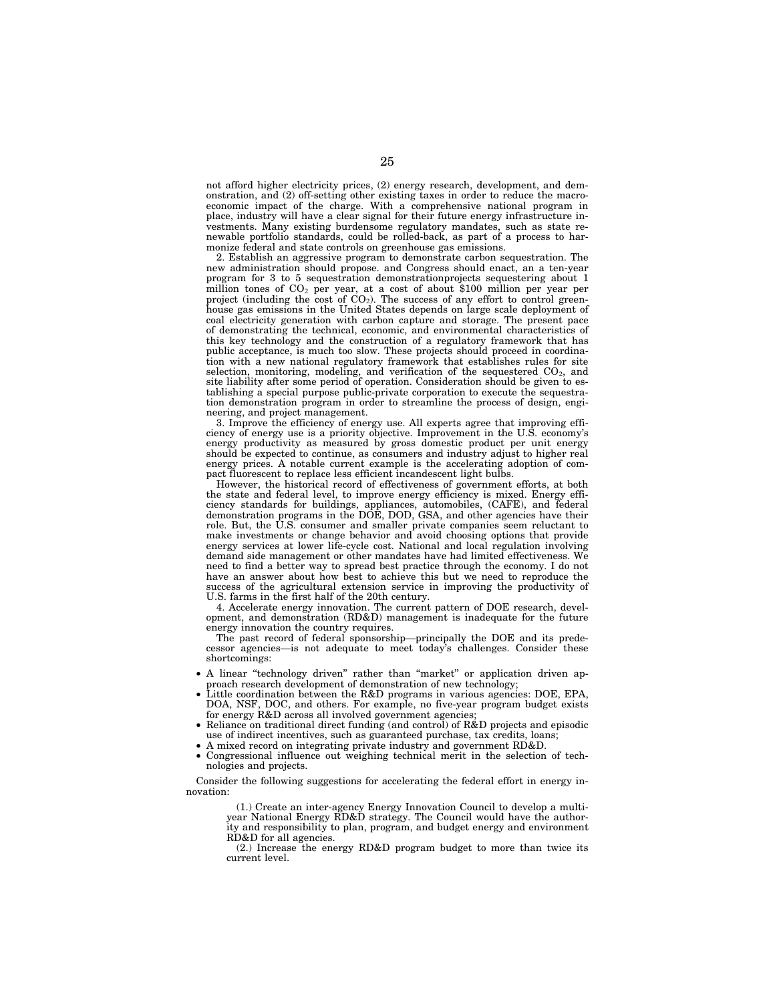not afford higher electricity prices, (2) energy research, development, and demonstration, and (2) off-setting other existing taxes in order to reduce the macroeconomic impact of the charge. With a comprehensive national program in place, industry will have a clear signal for their future energy infrastructure investments. Many existing burdensome regulatory mandates, such as state renewable portfolio standards, could be rolled-back, as part of a process to harmonize federal and state controls on greenhouse gas emissions.

2. Establish an aggressive program to demonstrate carbon sequestration. The new administration should propose. and Congress should enact, an a ten-year program for 3 to 5 sequestration demonstrationprojects sequestering about 1 million tones of  $CO<sub>2</sub>$  per year, at a cost of about \$100 million per year per project (including the cost of  $CO<sub>2</sub>$ ). The success of any effort to control greenhouse gas emissions in the United States depends on large scale deployment of coal electricity generation with carbon capture and storage. The present pace of demonstrating the technical, economic, and environmental characteristics of this key technology and the construction of a regulatory framework that has public acceptance, is much too slow. These projects should proceed in coordination with a new national regulatory framework that establishes rules for site selection, monitoring, modeling, and verification of the sequestered  $CO<sub>2</sub>$ , and site liability after some period of operation. Consideration should be given to establishing a special purpose public-private corporation to execute the sequestration demonstration program in order to streamline the process of design, engineering, and project management.

3. Improve the efficiency of energy use. All experts agree that improving efficiency of energy use is a priority objective. Improvement in the U.S. economy's energy productivity as measured by gross domestic product per unit energy should be expected to continue, as consumers and industry adjust to higher real energy prices. A notable current example is the accelerating adoption of compact fluorescent to replace less efficient incandescent light bulbs.

However, the historical record of effectiveness of government efforts, at both the state and federal level, to improve energy efficiency is mixed. Energy efficiency standards for buildings, appliances, automobiles, (CAFE), and federal demonstration programs in the DOE, DOD, GSA, and other agencies have their role. But, the U.S. consumer and smaller private companies seem reluctant to make investments or change behavior and avoid choosing options that provide energy services at lower life-cycle cost. National and local regulation involving demand side management or other mandates have had limited effectiveness. We need to find a better way to spread best practice through the economy. I do not have an answer about how best to achieve this but we need to reproduce the success of the agricultural extension service in improving the productivity of U.S. farms in the first half of the 20th century.

4. Accelerate energy innovation. The current pattern of DOE research, development, and demonstration (RD&D) management is inadequate for the future energy innovation the country requires.

The past record of federal sponsorship—principally the DOE and its predecessor agencies—is not adequate to meet today's challenges. Consider these shortcomings:

- A linear ''technology driven'' rather than ''market'' or application driven approach research development of demonstration of new technology;
- Little coordination between the R&D programs in various agencies: DOE, EPA, DOA, NSF, DOC, and others. For example, no five-year program budget exists for energy R&D across all involved government agencies;
- Reliance on traditional direct funding (and control) of R&D projects and episodic use of indirect incentives, such as guaranteed purchase, tax credits, loans;
- A mixed record on integrating private industry and government RD&D.
- Congressional influence out weighing technical merit in the selection of technologies and projects.

Consider the following suggestions for accelerating the federal effort in energy innovation:

(1.) Create an inter-agency Energy Innovation Council to develop a multiyear National Energy RD&D strategy. The Council would have the authority and responsibility to plan, program, and budget energy and environment RD&D for all agencies.

(2.) Increase the energy RD&D program budget to more than twice its current level.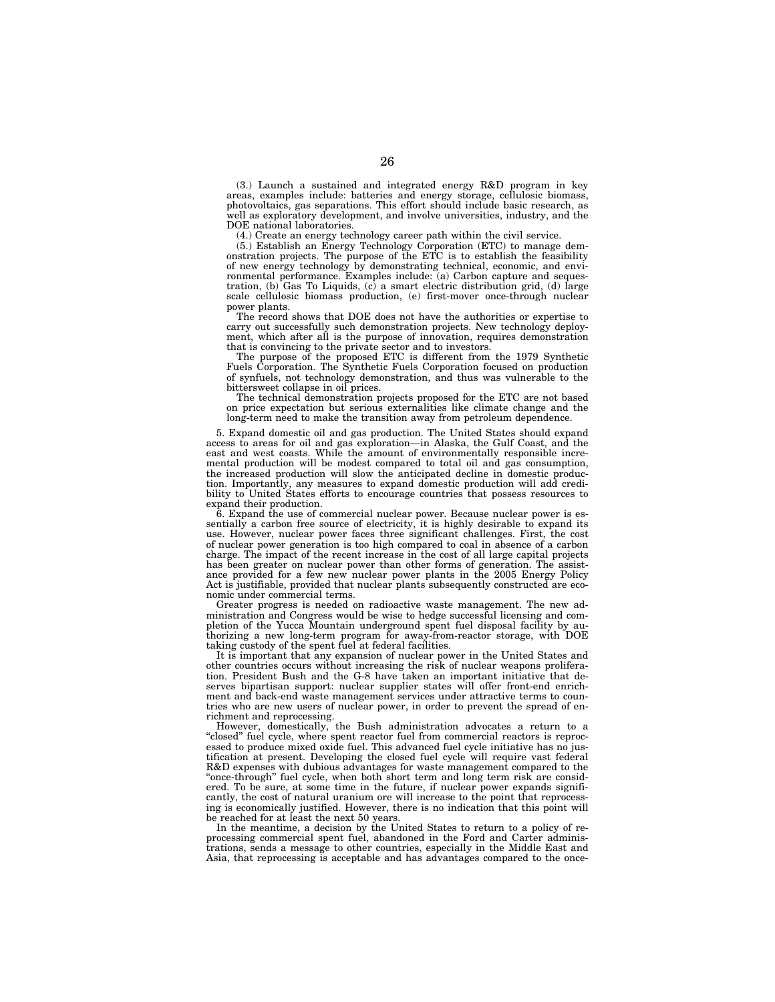(3.) Launch a sustained and integrated energy R&D program in key areas, examples include: batteries and energy storage, cellulosic biomass, photovoltaics, gas separations. This effort should include basic research, as well as exploratory development, and involve universities, industry, and the DOE national laboratories.

(4.) Create an energy technology career path within the civil service.

(5.) Establish an Energy Technology Corporation (ETC) to manage demonstration projects. The purpose of the ETC is to establish the feasibility of new energy technology by demonstrating technical, economic, and environmental performance. Examples include: (a) Carbon capture and sequestration, (b) Gas To Liquids, (c) a smart electric distribution grid, (d) large scale cellulosic biomass production, (e) first-mover once-through nuclear power plants.

The record shows that DOE does not have the authorities or expertise to carry out successfully such demonstration projects. New technology deployment, which after all is the purpose of innovation, requires demonstration that is convincing to the private sector and to investors.

The purpose of the proposed ETC is different from the 1979 Synthetic Fuels Corporation. The Synthetic Fuels Corporation focused on production of synfuels, not technology demonstration, and thus was vulnerable to the bittersweet collapse in oil prices.

The technical demonstration projects proposed for the ETC are not based on price expectation but serious externalities like climate change and the long-term need to make the transition away from petroleum dependence.

5. Expand domestic oil and gas production. The United States should expand access to areas for oil and gas exploration—in Alaska, the Gulf Coast, and the east and west coasts. While the amount of environmentally responsible incremental production will be modest compared to total oil and gas consumption, the increased production will slow the anticipated decline in domestic production. Importantly, any measures to expand domestic production will add credibility to United States efforts to encourage countries that possess resources to expand their production.

6. Expand the use of commercial nuclear power. Because nuclear power is essentially a carbon free source of electricity, it is highly desirable to expand its use. However, nuclear power faces three significant challenges. First, the cost of nuclear power generation is too high compared to coal in absence of a carbon charge. The impact of the recent increase in the cost of all large capital projects has been greater on nuclear power than other forms of generation. The assistance provided for a few new nuclear power plants in the 2005 Energy Policy Act is justifiable, provided that nuclear plants subsequently constructed are economic under commercial terms.

Greater progress is needed on radioactive waste management. The new administration and Congress would be wise to hedge successful licensing and completion of the Yucca Mountain underground spent fuel disposal facility by authorizing a new long-term program for away-from-reactor storage, with DOE taking custody of the spent fuel at federal facilities.

It is important that any expansion of nuclear power in the United States and other countries occurs without increasing the risk of nuclear weapons proliferation. President Bush and the G-8 have taken an important initiative that deserves bipartisan support: nuclear supplier states will offer front-end enrichment and back-end waste management services under attractive terms to countries who are new users of nuclear power, in order to prevent the spread of enrichment and reprocessing.

However, domestically, the Bush administration advocates a return to a ''closed'' fuel cycle, where spent reactor fuel from commercial reactors is reprocessed to produce mixed oxide fuel. This advanced fuel cycle initiative has no justification at present. Developing the closed fuel cycle will require vast federal R&D expenses with dubious advantages for waste management compared to the "once-through" fuel cycle, when both short term and long term risk are considered. To be sure, at some time in the future, if nuclear power expands significantly, the cost of natural uranium ore will increase to the point that reprocessing is economically justified. However, there is no indication that this point will be reached for at least the next 50 years.

In the meantime, a decision by the United States to return to a policy of reprocessing commercial spent fuel, abandoned in the Ford and Carter adminis-trations, sends a message to other countries, especially in the Middle East and Asia, that reprocessing is acceptable and has advantages compared to the once-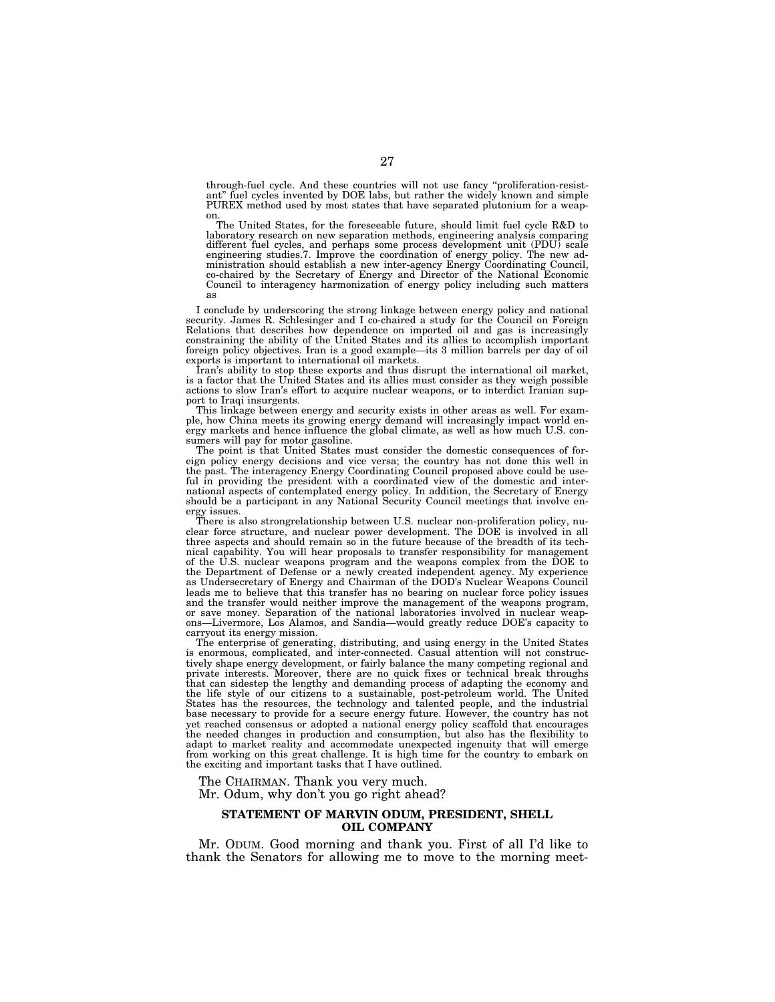through-fuel cycle. And these countries will not use fancy ''proliferation-resist-ant'' fuel cycles invented by DOE labs, but rather the widely known and simple PUREX method used by most states that have separated plutonium for a weap-

on. The United States, for the foreseeable future, should limit fuel cycle R&D to laboratory research on new separation methods, engineering analysis comparing different fuel cycles, and perhaps some process development unit (PDU) scale engineering studies.7. Improve the coordination of energy policy. The new administration should establish a new inter-agency Energy Coordinating Council, co-chaired by the Secretary of Energy and Director of the National Economic Council to interagency harmonization of energy policy including such matters as

I conclude by underscoring the strong linkage between energy policy and national security. James R. Schlesinger and I co-chaired a study for the Council on Foreign Relations that describes how dependence on imported oil and gas is increasingly constraining the ability of the United States and its allies to accomplish important foreign policy objectives. Iran is a good example—its 3 million barrels per day of oil exports is important to international oil markets.

Iran's ability to stop these exports and thus disrupt the international oil market, is a factor that the United States and its allies must consider as they weigh possible actions to slow Iran's effort to acquire nuclear weapons, or to interdict Iranian support to Iraqi insurgents.

This linkage between energy and security exists in other areas as well. For example, how China meets its growing energy demand will increasingly impact world energy markets and hence influence the global climate, as well as how much U.S. consumers will pay for motor gasoline.

The point is that United States must consider the domestic consequences of foreign policy energy decisions and vice versa; the country has not done this well in the past. The interagency Energy Coordinating Council proposed above could be useful in providing the president with a coordinated view of the domestic and international aspects of contemplated energy policy. In addition, the Secretary of Energy should be a participant in any National Security Council meetings that involve energy issues.

There is also strongrelationship between U.S. nuclear non-proliferation policy, nuclear force structure, and nuclear power development. The DOE is involved in all three aspects and should remain so in the future because of the breadth of its technical capability. You will hear proposals to transfer responsibility for management of the U.S. nuclear weapons program and the weapons complex from the DOE to the Department of Defense or a newly created independent agency. My experience as Undersecretary of Energy and Chairman of the DOD's Nuclear Weapons Council leads me to believe that this transfer has no bearing on nuclear force policy issues and the transfer would neither improve the management of the weapons program, or save money. Separation of the national laboratories involved in nuclear weapons—Livermore, Los Alamos, and Sandia—would greatly reduce DOE's capacity to carryout its energy mission.

The enterprise of generating, distributing, and using energy in the United States is enormous, complicated, and inter-connected. Casual attention will not constructively shape energy development, or fairly balance the many competing regional and private interests. Moreover, there are no quick fixes or technical break throughs that can sidestep the lengthy and demanding process of adapting the economy and the life style of our citizens to a sustainable, post-petroleum world. The United States has the resources, the technology and talented people, and the industrial base necessary to provide for a secure energy future. However, the country has not yet reached consensus or adopted a national energy policy scaffold that encourages the needed changes in production and consumption, but also has the flexibility to adapt to market reality and accommodate unexpected ingenuity that will emerge from working on this great challenge. It is high time for the country to embark on the exciting and important tasks that I have outlined.

The CHAIRMAN. Thank you very much. Mr. Odum, why don't you go right ahead?

#### **STATEMENT OF MARVIN ODUM, PRESIDENT, SHELL OIL COMPANY**

Mr. ODUM. Good morning and thank you. First of all I'd like to thank the Senators for allowing me to move to the morning meet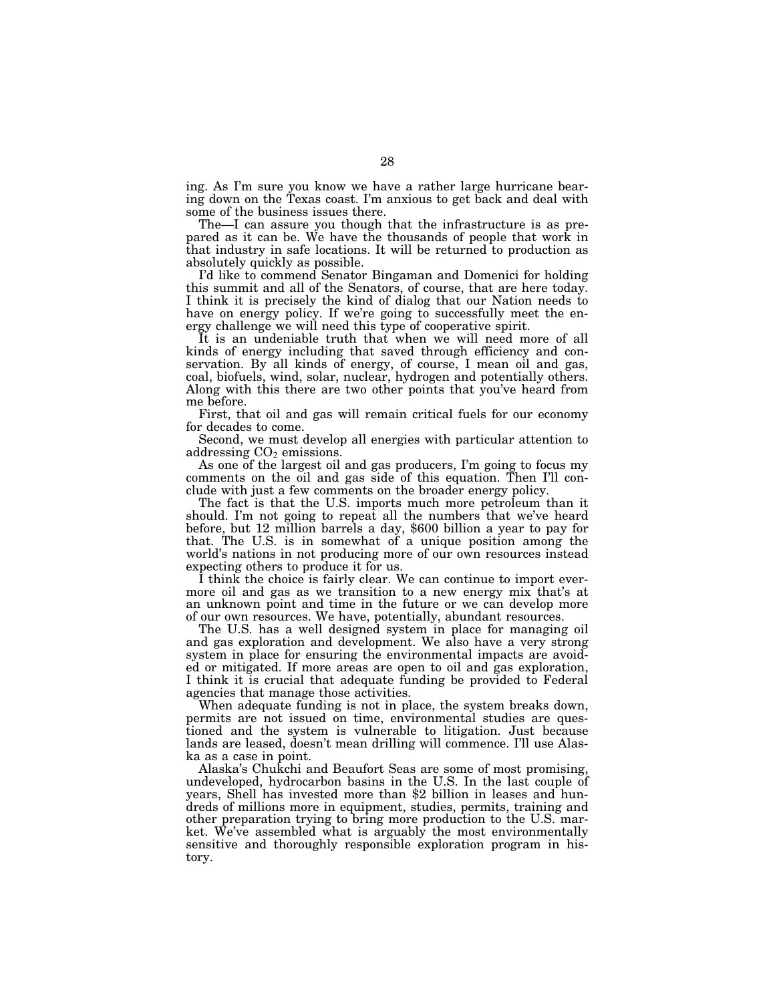ing. As I'm sure you know we have a rather large hurricane bearing down on the Texas coast. I'm anxious to get back and deal with some of the business issues there.

The—I can assure you though that the infrastructure is as prepared as it can be. We have the thousands of people that work in that industry in safe locations. It will be returned to production as absolutely quickly as possible.

I'd like to commend Senator Bingaman and Domenici for holding this summit and all of the Senators, of course, that are here today. I think it is precisely the kind of dialog that our Nation needs to have on energy policy. If we're going to successfully meet the energy challenge we will need this type of cooperative spirit.

It is an undeniable truth that when we will need more of all kinds of energy including that saved through efficiency and conservation. By all kinds of energy, of course, I mean oil and gas, coal, biofuels, wind, solar, nuclear, hydrogen and potentially others. Along with this there are two other points that you've heard from me before.

First, that oil and gas will remain critical fuels for our economy for decades to come.

Second, we must develop all energies with particular attention to addressing CO<sub>2</sub> emissions.

As one of the largest oil and gas producers, I'm going to focus my comments on the oil and gas side of this equation. Then I'll conclude with just a few comments on the broader energy policy.

The fact is that the U.S. imports much more petroleum than it should. I'm not going to repeat all the numbers that we've heard before, but 12 million barrels a day, \$600 billion a year to pay for that. The U.S. is in somewhat of a unique position among the world's nations in not producing more of our own resources instead expecting others to produce it for us.

I think the choice is fairly clear. We can continue to import evermore oil and gas as we transition to a new energy mix that's at an unknown point and time in the future or we can develop more of our own resources. We have, potentially, abundant resources.

The U.S. has a well designed system in place for managing oil and gas exploration and development. We also have a very strong system in place for ensuring the environmental impacts are avoided or mitigated. If more areas are open to oil and gas exploration, I think it is crucial that adequate funding be provided to Federal agencies that manage those activities.

When adequate funding is not in place, the system breaks down, permits are not issued on time, environmental studies are questioned and the system is vulnerable to litigation. Just because lands are leased, doesn't mean drilling will commence. I'll use Alaska as a case in point.

Alaska's Chukchi and Beaufort Seas are some of most promising, undeveloped, hydrocarbon basins in the U.S. In the last couple of years, Shell has invested more than \$2 billion in leases and hundreds of millions more in equipment, studies, permits, training and other preparation trying to bring more production to the U.S. market. We've assembled what is arguably the most environmentally sensitive and thoroughly responsible exploration program in history.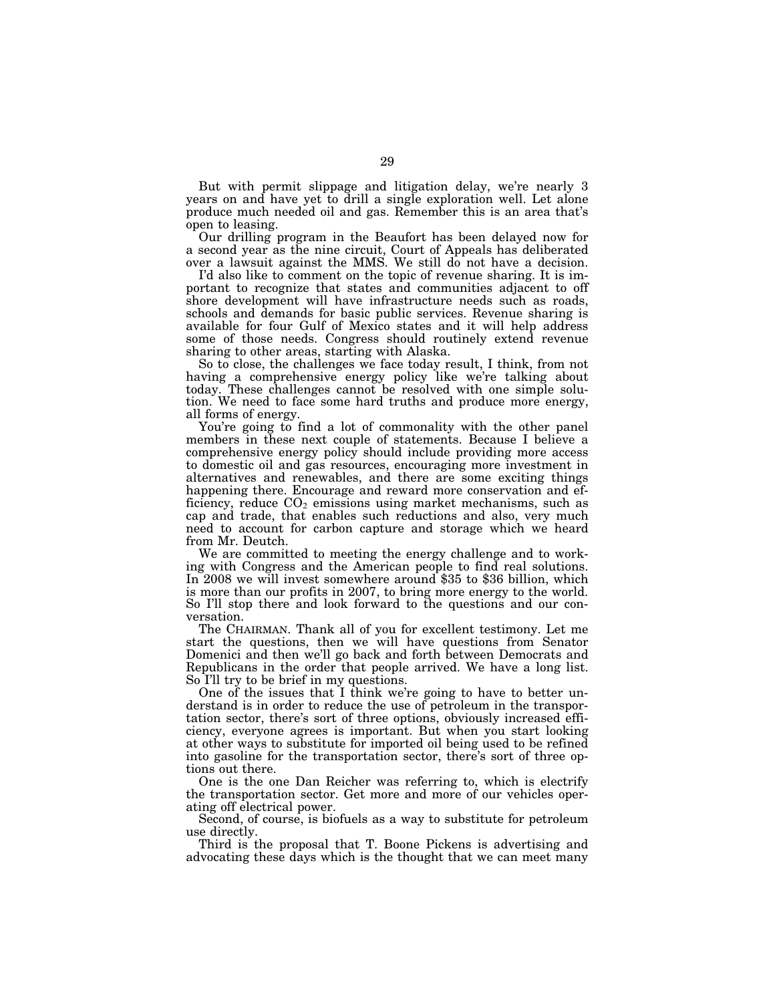But with permit slippage and litigation delay, we're nearly 3 years on and have yet to drill a single exploration well. Let alone produce much needed oil and gas. Remember this is an area that's open to leasing.

Our drilling program in the Beaufort has been delayed now for a second year as the nine circuit, Court of Appeals has deliberated over a lawsuit against the MMS. We still do not have a decision.

I'd also like to comment on the topic of revenue sharing. It is important to recognize that states and communities adjacent to off shore development will have infrastructure needs such as roads, schools and demands for basic public services. Revenue sharing is available for four Gulf of Mexico states and it will help address some of those needs. Congress should routinely extend revenue sharing to other areas, starting with Alaska.

So to close, the challenges we face today result, I think, from not having a comprehensive energy policy like we're talking about today. These challenges cannot be resolved with one simple solution. We need to face some hard truths and produce more energy, all forms of energy.

You're going to find a lot of commonality with the other panel members in these next couple of statements. Because I believe a comprehensive energy policy should include providing more access to domestic oil and gas resources, encouraging more investment in alternatives and renewables, and there are some exciting things happening there. Encourage and reward more conservation and efficiency, reduce  $CO<sub>2</sub>$  emissions using market mechanisms, such as cap and trade, that enables such reductions and also, very much need to account for carbon capture and storage which we heard from Mr. Deutch.

We are committed to meeting the energy challenge and to working with Congress and the American people to find real solutions. In 2008 we will invest somewhere around \$35 to \$36 billion, which is more than our profits in 2007, to bring more energy to the world. So I'll stop there and look forward to the questions and our conversation.

The CHAIRMAN. Thank all of you for excellent testimony. Let me start the questions, then we will have questions from Senator Domenici and then we'll go back and forth between Democrats and Republicans in the order that people arrived. We have a long list. So I'll try to be brief in my questions.

One of the issues that I think we're going to have to better understand is in order to reduce the use of petroleum in the transportation sector, there's sort of three options, obviously increased efficiency, everyone agrees is important. But when you start looking at other ways to substitute for imported oil being used to be refined into gasoline for the transportation sector, there's sort of three options out there.

One is the one Dan Reicher was referring to, which is electrify the transportation sector. Get more and more of our vehicles operating off electrical power.

Second, of course, is biofuels as a way to substitute for petroleum use directly.

Third is the proposal that T. Boone Pickens is advertising and advocating these days which is the thought that we can meet many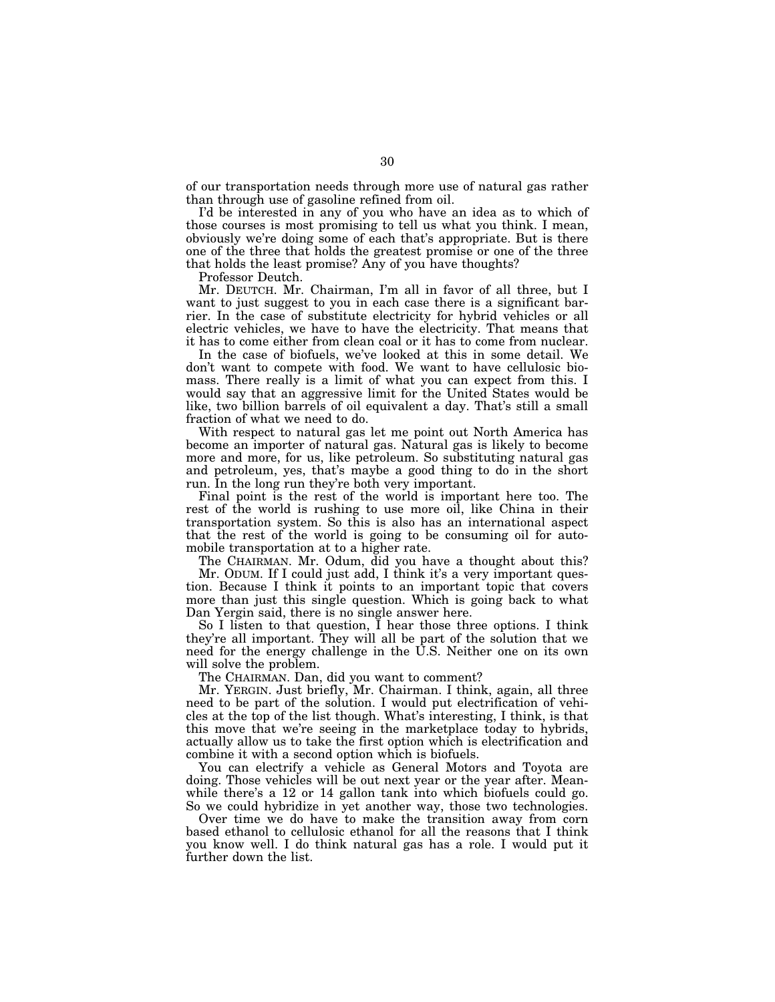of our transportation needs through more use of natural gas rather than through use of gasoline refined from oil.

I'd be interested in any of you who have an idea as to which of those courses is most promising to tell us what you think. I mean, obviously we're doing some of each that's appropriate. But is there one of the three that holds the greatest promise or one of the three that holds the least promise? Any of you have thoughts?

Professor Deutch.

Mr. DEUTCH. Mr. Chairman, I'm all in favor of all three, but I want to just suggest to you in each case there is a significant barrier. In the case of substitute electricity for hybrid vehicles or all electric vehicles, we have to have the electricity. That means that it has to come either from clean coal or it has to come from nuclear.

In the case of biofuels, we've looked at this in some detail. We don't want to compete with food. We want to have cellulosic biomass. There really is a limit of what you can expect from this. I would say that an aggressive limit for the United States would be like, two billion barrels of oil equivalent a day. That's still a small fraction of what we need to do.

With respect to natural gas let me point out North America has become an importer of natural gas. Natural gas is likely to become more and more, for us, like petroleum. So substituting natural gas and petroleum, yes, that's maybe a good thing to do in the short run. In the long run they're both very important.

Final point is the rest of the world is important here too. The rest of the world is rushing to use more oil, like China in their transportation system. So this is also has an international aspect that the rest of the world is going to be consuming oil for automobile transportation at to a higher rate.

The CHAIRMAN. Mr. Odum, did you have a thought about this? Mr. ODUM. If I could just add, I think it's a very important question. Because I think it points to an important topic that covers more than just this single question. Which is going back to what Dan Yergin said, there is no single answer here.

So I listen to that question, I hear those three options. I think they're all important. They will all be part of the solution that we need for the energy challenge in the U.S. Neither one on its own will solve the problem.

The CHAIRMAN. Dan, did you want to comment?

Mr. YERGIN. Just briefly, Mr. Chairman. I think, again, all three need to be part of the solution. I would put electrification of vehicles at the top of the list though. What's interesting, I think, is that this move that we're seeing in the marketplace today to hybrids, actually allow us to take the first option which is electrification and combine it with a second option which is biofuels.

You can electrify a vehicle as General Motors and Toyota are doing. Those vehicles will be out next year or the year after. Meanwhile there's a 12 or 14 gallon tank into which biofuels could go. So we could hybridize in yet another way, those two technologies.

Over time we do have to make the transition away from corn based ethanol to cellulosic ethanol for all the reasons that I think you know well. I do think natural gas has a role. I would put it further down the list.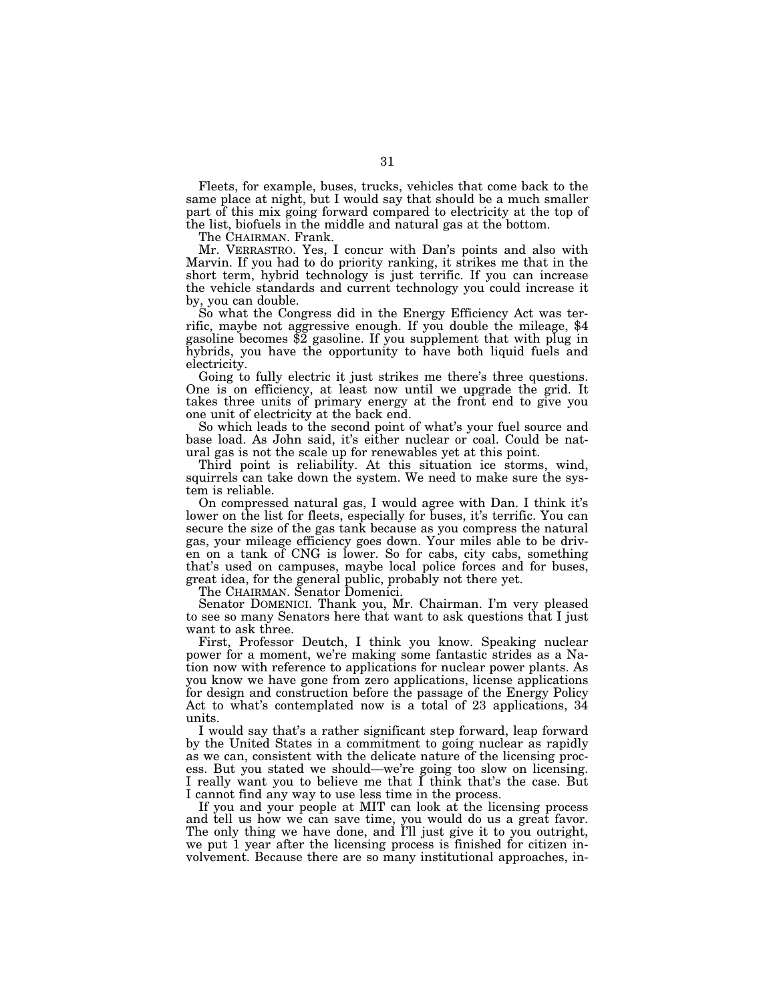Fleets, for example, buses, trucks, vehicles that come back to the same place at night, but I would say that should be a much smaller part of this mix going forward compared to electricity at the top of the list, biofuels in the middle and natural gas at the bottom.

The CHAIRMAN. Frank.

Mr. VERRASTRO. Yes, I concur with Dan's points and also with Marvin. If you had to do priority ranking, it strikes me that in the short term, hybrid technology is just terrific. If you can increase the vehicle standards and current technology you could increase it by, you can double.<br>So what the Congress did in the Energy Efficiency Act was ter-

So what the Congress did in the Energy Efficiency Act was ter- rific, maybe not aggressive enough. If you double the mileage, \$4 gasoline becomes \$2 gasoline. If you supplement that with plug in hybrids, you have the opportunity to have both liquid fuels and electricity.

Going to fully electric it just strikes me there's three questions. One is on efficiency, at least now until we upgrade the grid. It takes three units of primary energy at the front end to give you one unit of electricity at the back end.

So which leads to the second point of what's your fuel source and base load. As John said, it's either nuclear or coal. Could be natural gas is not the scale up for renewables yet at this point.

Third point is reliability. At this situation ice storms, wind, squirrels can take down the system. We need to make sure the system is reliable.

On compressed natural gas, I would agree with Dan. I think it's lower on the list for fleets, especially for buses, it's terrific. You can secure the size of the gas tank because as you compress the natural gas, your mileage efficiency goes down. Your miles able to be driven on a tank of CNG is lower. So for cabs, city cabs, something that's used on campuses, maybe local police forces and for buses, great idea, for the general public, probably not there yet.

The CHAIRMAN. Senator Domenici.

Senator DOMENICI. Thank you, Mr. Chairman. I'm very pleased to see so many Senators here that want to ask questions that I just want to ask three.

First, Professor Deutch, I think you know. Speaking nuclear power for a moment, we're making some fantastic strides as a Nation now with reference to applications for nuclear power plants. As you know we have gone from zero applications, license applications for design and construction before the passage of the Energy Policy Act to what's contemplated now is a total of 23 applications, 34 units.

I would say that's a rather significant step forward, leap forward by the United States in a commitment to going nuclear as rapidly as we can, consistent with the delicate nature of the licensing process. But you stated we should—we're going too slow on licensing. I really want you to believe me that I think that's the case. But I cannot find any way to use less time in the process.

If you and your people at MIT can look at the licensing process and tell us how we can save time, you would do us a great favor. The only thing we have done, and I'll just give it to you outright, we put 1 year after the licensing process is finished for citizen involvement. Because there are so many institutional approaches, in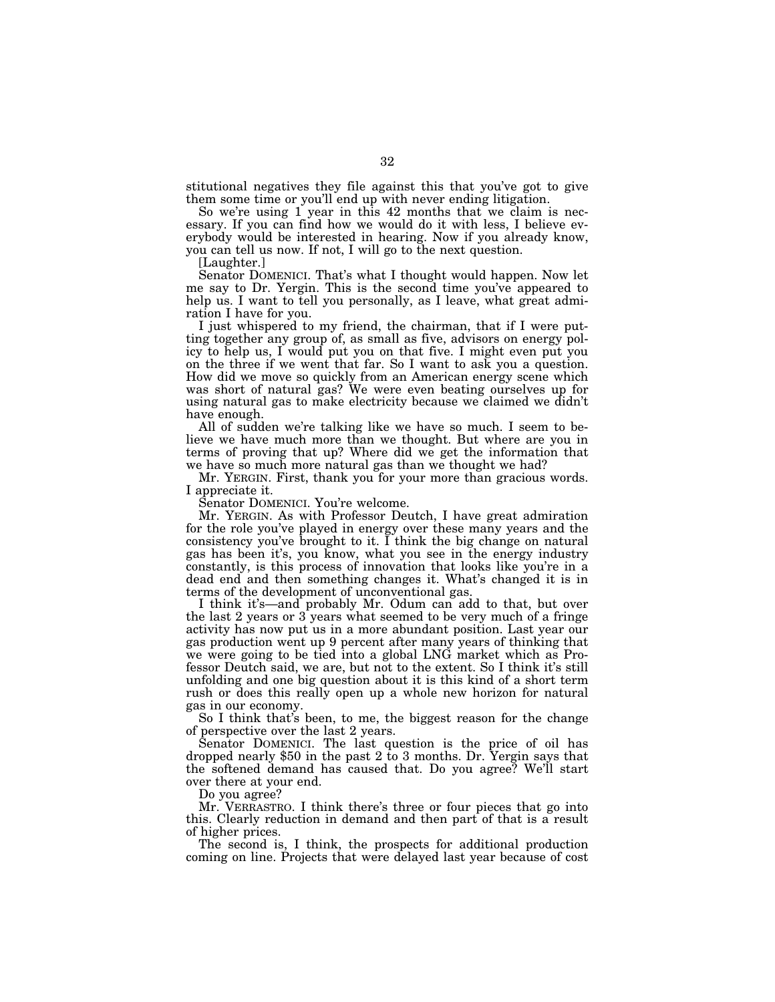stitutional negatives they file against this that you've got to give them some time or you'll end up with never ending litigation.

So we're using 1 year in this 42 months that we claim is necessary. If you can find how we would do it with less, I believe everybody would be interested in hearing. Now if you already know, you can tell us now. If not, I will go to the next question.

[Laughter.]

Senator DOMENICI. That's what I thought would happen. Now let me say to Dr. Yergin. This is the second time you've appeared to help us. I want to tell you personally, as I leave, what great admiration I have for you.

I just whispered to my friend, the chairman, that if I were putting together any group of, as small as five, advisors on energy policy to help us, I would put you on that five. I might even put you on the three if we went that far. So I want to ask you a question. How did we move so quickly from an American energy scene which was short of natural gas? We were even beating ourselves up for using natural gas to make electricity because we claimed we didn't have enough.

All of sudden we're talking like we have so much. I seem to believe we have much more than we thought. But where are you in terms of proving that up? Where did we get the information that we have so much more natural gas than we thought we had?

Mr. YERGIN. First, thank you for your more than gracious words. I appreciate it.

Senator DOMENICI. You're welcome.

Mr. YERGIN. As with Professor Deutch, I have great admiration for the role you've played in energy over these many years and the consistency you've brought to it. I think the big change on natural gas has been it's, you know, what you see in the energy industry constantly, is this process of innovation that looks like you're in a dead end and then something changes it. What's changed it is in terms of the development of unconventional gas.

I think it's—and probably Mr. Odum can add to that, but over the last 2 years or 3 years what seemed to be very much of a fringe activity has now put us in a more abundant position. Last year our gas production went up 9 percent after many years of thinking that we were going to be tied into a global LNG market which as Professor Deutch said, we are, but not to the extent. So I think it's still unfolding and one big question about it is this kind of a short term rush or does this really open up a whole new horizon for natural gas in our economy.

So I think that's been, to me, the biggest reason for the change of perspective over the last 2 years.

Senator DOMENICI. The last question is the price of oil has dropped nearly \$50 in the past 2 to 3 months. Dr. Yergin says that the softened demand has caused that. Do you agree? We'll start over there at your end.

Do you agree?

Mr. VERRASTRO. I think there's three or four pieces that go into this. Clearly reduction in demand and then part of that is a result of higher prices.

The second is, I think, the prospects for additional production coming on line. Projects that were delayed last year because of cost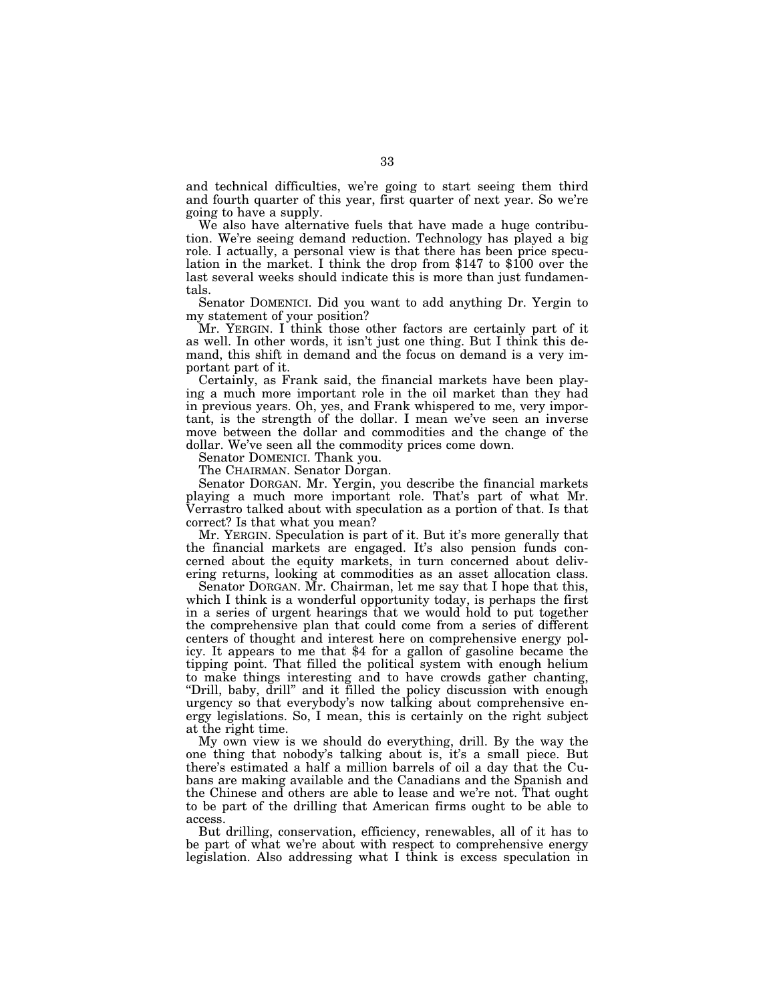and technical difficulties, we're going to start seeing them third and fourth quarter of this year, first quarter of next year. So we're going to have a supply.

We also have alternative fuels that have made a huge contribution. We're seeing demand reduction. Technology has played a big role. I actually, a personal view is that there has been price speculation in the market. I think the drop from \$147 to \$100 over the last several weeks should indicate this is more than just fundamentals.

Senator DOMENICI. Did you want to add anything Dr. Yergin to my statement of your position?

Mr. YERGIN. I think those other factors are certainly part of it as well. In other words, it isn't just one thing. But I think this demand, this shift in demand and the focus on demand is a very important part of it.

Certainly, as Frank said, the financial markets have been playing a much more important role in the oil market than they had in previous years. Oh, yes, and Frank whispered to me, very important, is the strength of the dollar. I mean we've seen an inverse move between the dollar and commodities and the change of the dollar. We've seen all the commodity prices come down.

Senator DOMENICI. Thank you.

The CHAIRMAN. Senator Dorgan.

Senator DORGAN. Mr. Yergin, you describe the financial markets playing a much more important role. That's part of what Mr. Verrastro talked about with speculation as a portion of that. Is that correct? Is that what you mean?

Mr. YERGIN. Speculation is part of it. But it's more generally that the financial markets are engaged. It's also pension funds concerned about the equity markets, in turn concerned about delivering returns, looking at commodities as an asset allocation class.

Senator DORGAN. Mr. Chairman, let me say that I hope that this, which I think is a wonderful opportunity today, is perhaps the first in a series of urgent hearings that we would hold to put together the comprehensive plan that could come from a series of different centers of thought and interest here on comprehensive energy policy. It appears to me that \$4 for a gallon of gasoline became the tipping point. That filled the political system with enough helium to make things interesting and to have crowds gather chanting, "Drill, baby, drill" and it filled the policy discussion with enough urgency so that everybody's now talking about comprehensive energy legislations. So, I mean, this is certainly on the right subject at the right time.

My own view is we should do everything, drill. By the way the one thing that nobody's talking about is, it's a small piece. But there's estimated a half a million barrels of oil a day that the Cubans are making available and the Canadians and the Spanish and the Chinese and others are able to lease and we're not. That ought to be part of the drilling that American firms ought to be able to access.

But drilling, conservation, efficiency, renewables, all of it has to be part of what we're about with respect to comprehensive energy legislation. Also addressing what I think is excess speculation in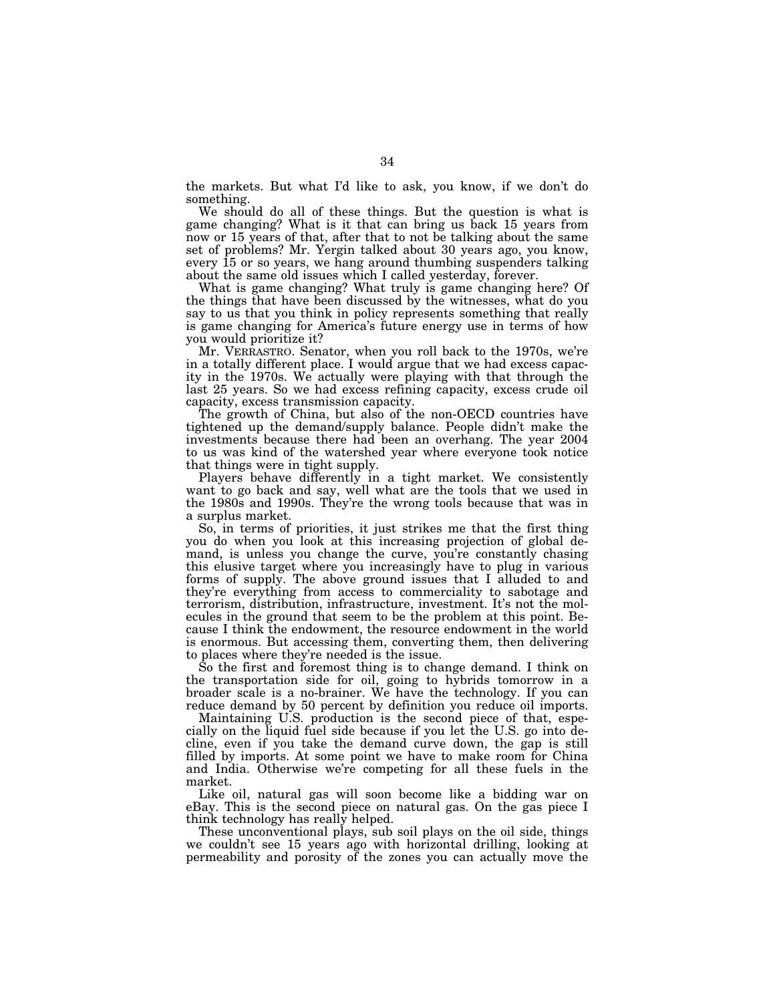the markets. But what I'd like to ask, you know, if we don't do something.

We should do all of these things. But the question is what is game changing? What is it that can bring us back 15 years from now or 15 years of that, after that to not be talking about the same set of problems? Mr. Yergin talked about 30 years ago, you know, every 15 or so years, we hang around thumbing suspenders talking about the same old issues which I called yesterday, forever.

What is game changing? What truly is game changing here? Of the things that have been discussed by the witnesses, what do you say to us that you think in policy represents something that really is game changing for America's future energy use in terms of how you would prioritize it?

Mr. VERRASTRO. Senator, when you roll back to the 1970s, we're in a totally different place. I would argue that we had excess capacity in the 1970s. We actually were playing with that through the last 25 years. So we had excess refining capacity, excess crude oil capacity, excess transmission capacity.

The growth of China, but also of the non-OECD countries have tightened up the demand/supply balance. People didn't make the investments because there had been an overhang. The year 2004 to us was kind of the watershed year where everyone took notice that things were in tight supply.

Players behave differently in a tight market. We consistently want to go back and say, well what are the tools that we used in the 1980s and 1990s. They're the wrong tools because that was in a surplus market.

So, in terms of priorities, it just strikes me that the first thing you do when you look at this increasing projection of global demand, is unless you change the curve, you're constantly chasing this elusive target where you increasingly have to plug in various forms of supply. The above ground issues that I alluded to and they're everything from access to commerciality to sabotage and terrorism, distribution, infrastructure, investment. It's not the molecules in the ground that seem to be the problem at this point. Because I think the endowment, the resource endowment in the world is enormous. But accessing them, converting them, then delivering to places where they're needed is the issue.

So the first and foremost thing is to change demand. I think on the transportation side for oil, going to hybrids tomorrow in a broader scale is a no-brainer. We have the technology. If you can reduce demand by 50 percent by definition you reduce oil imports.

Maintaining U.S. production is the second piece of that, especially on the liquid fuel side because if you let the U.S. go into decline, even if you take the demand curve down, the gap is still filled by imports. At some point we have to make room for China and India. Otherwise we're competing for all these fuels in the market.

Like oil, natural gas will soon become like a bidding war on eBay. This is the second piece on natural gas. On the gas piece I think technology has really helped.

These unconventional plays, sub soil plays on the oil side, things we couldn't see 15 years ago with horizontal drilling, looking at permeability and porosity of the zones you can actually move the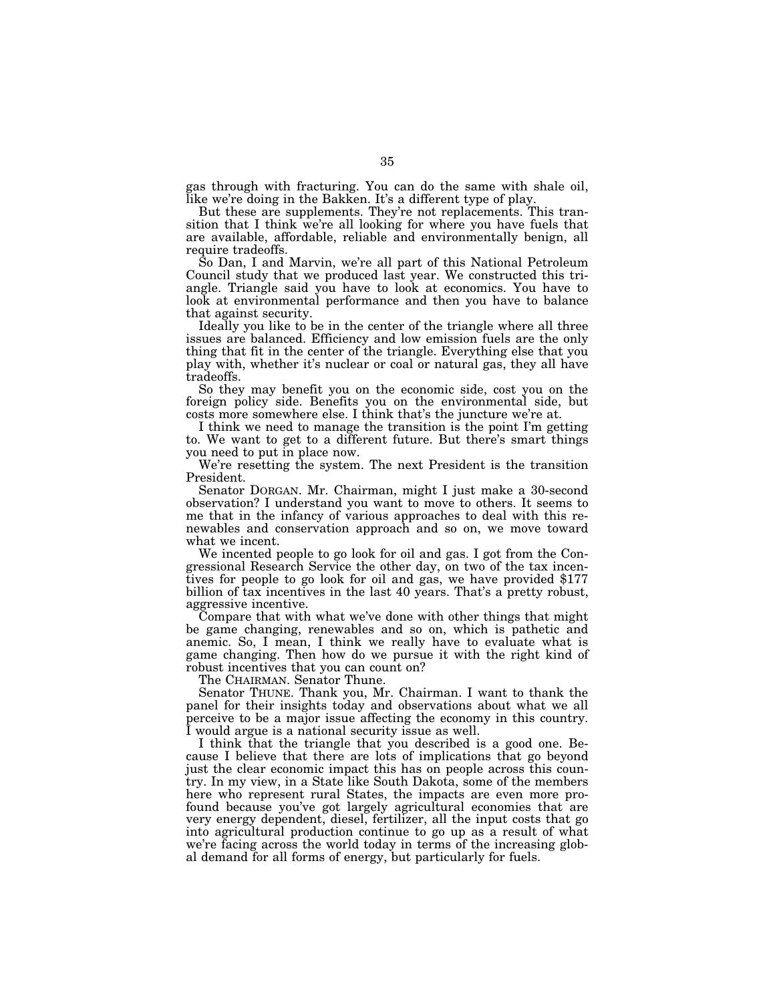gas through with fracturing. You can do the same with shale oil, like we're doing in the Bakken. It's a different type of play.

But these are supplements. They're not replacements. This transition that I think we're all looking for where you have fuels that are available, affordable, reliable and environmentally benign, all require tradeoffs.

So Dan, I and Marvin, we're all part of this National Petroleum Council study that we produced last year. We constructed this triangle. Triangle said you have to look at economics. You have to look at environmental performance and then you have to balance that against security.

Ideally you like to be in the center of the triangle where all three issues are balanced. Efficiency and low emission fuels are the only thing that fit in the center of the triangle. Everything else that you play with, whether it's nuclear or coal or natural gas, they all have tradeoffs.

So they may benefit you on the economic side, cost you on the foreign policy side. Benefits you on the environmental side, but costs more somewhere else. I think that's the juncture we're at.

I think we need to manage the transition is the point I'm getting to. We want to get to a different future. But there's smart things you need to put in place now.

We're resetting the system. The next President is the transition President.

Senator DORGAN. Mr. Chairman, might I just make a 30-second observation? I understand you want to move to others. It seems to me that in the infancy of various approaches to deal with this renewables and conservation approach and so on, we move toward what we incent.

We incented people to go look for oil and gas. I got from the Congressional Research Service the other day, on two of the tax incentives for people to go look for oil and gas, we have provided \$177 billion of tax incentives in the last 40 years. That's a pretty robust, aggressive incentive.

Compare that with what we've done with other things that might be game changing, renewables and so on, which is pathetic and anemic. So, I mean, I think we really have to evaluate what is game changing. Then how do we pursue it with the right kind of robust incentives that you can count on?

The CHAIRMAN. Senator Thune.

Senator THUNE. Thank you, Mr. Chairman. I want to thank the panel for their insights today and observations about what we all perceive to be a major issue affecting the economy in this country. I would argue is a national security issue as well.

I think that the triangle that you described is a good one. Because I believe that there are lots of implications that go beyond just the clear economic impact this has on people across this country. In my view, in a State like South Dakota, some of the members here who represent rural States, the impacts are even more profound because you've got largely agricultural economies that are very energy dependent, diesel, fertilizer, all the input costs that go into agricultural production continue to go up as a result of what we're facing across the world today in terms of the increasing global demand for all forms of energy, but particularly for fuels.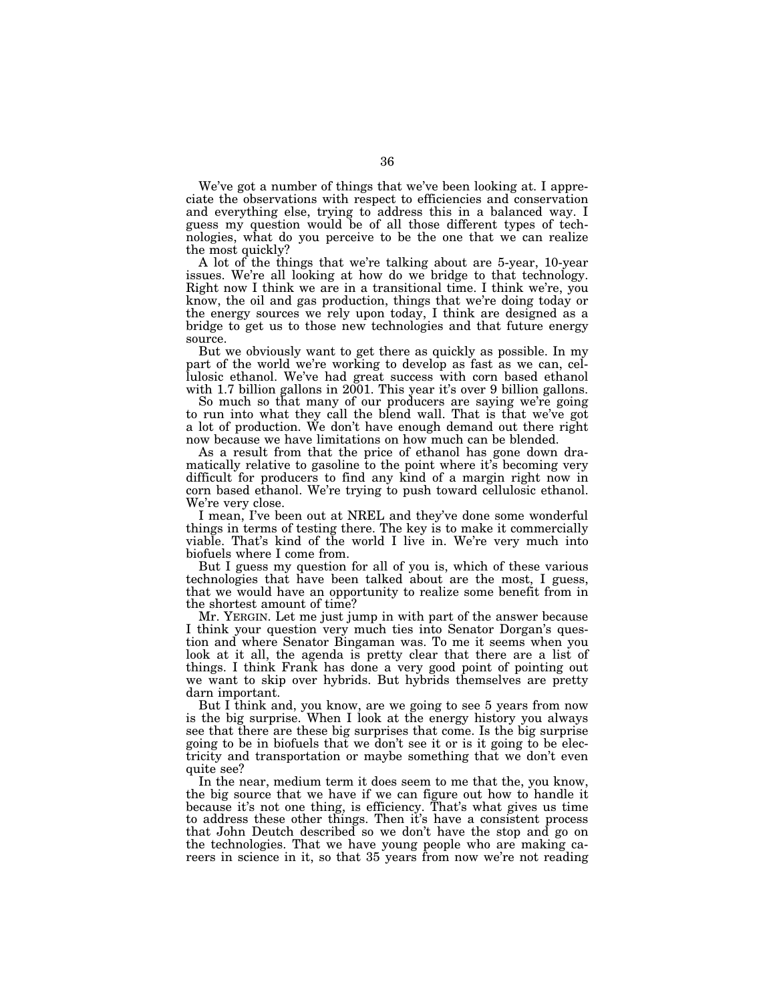We've got a number of things that we've been looking at. I appreciate the observations with respect to efficiencies and conservation and everything else, trying to address this in a balanced way. I guess my question would be of all those different types of technologies, what do you perceive to be the one that we can realize the most quickly?

A lot of the things that we're talking about are 5-year, 10-year issues. We're all looking at how do we bridge to that technology. Right now I think we are in a transitional time. I think we're, you know, the oil and gas production, things that we're doing today or the energy sources we rely upon today, I think are designed as a bridge to get us to those new technologies and that future energy source.

But we obviously want to get there as quickly as possible. In my part of the world we're working to develop as fast as we can, cellulosic ethanol. We've had great success with corn based ethanol with 1.7 billion gallons in 2001. This year it's over 9 billion gallons.

So much so that many of our producers are saying we're going to run into what they call the blend wall. That is that we've got a lot of production. We don't have enough demand out there right now because we have limitations on how much can be blended.

As a result from that the price of ethanol has gone down dramatically relative to gasoline to the point where it's becoming very difficult for producers to find any kind of a margin right now in corn based ethanol. We're trying to push toward cellulosic ethanol. We're very close.

I mean, I've been out at NREL and they've done some wonderful things in terms of testing there. The key is to make it commercially viable. That's kind of the world I live in. We're very much into biofuels where I come from.

But I guess my question for all of you is, which of these various technologies that have been talked about are the most, I guess, that we would have an opportunity to realize some benefit from in the shortest amount of time?

Mr. YERGIN. Let me just jump in with part of the answer because I think your question very much ties into Senator Dorgan's question and where Senator Bingaman was. To me it seems when you look at it all, the agenda is pretty clear that there are a list of things. I think Frank has done a very good point of pointing out we want to skip over hybrids. But hybrids themselves are pretty darn important.

But I think and, you know, are we going to see 5 years from now is the big surprise. When I look at the energy history you always see that there are these big surprises that come. Is the big surprise going to be in biofuels that we don't see it or is it going to be electricity and transportation or maybe something that we don't even quite see?

In the near, medium term it does seem to me that the, you know, the big source that we have if we can figure out how to handle it because it's not one thing, is efficiency. That's what gives us time to address these other things. Then it's have a consistent process that John Deutch described so we don't have the stop and go on the technologies. That we have young people who are making careers in science in it, so that 35 years from now we're not reading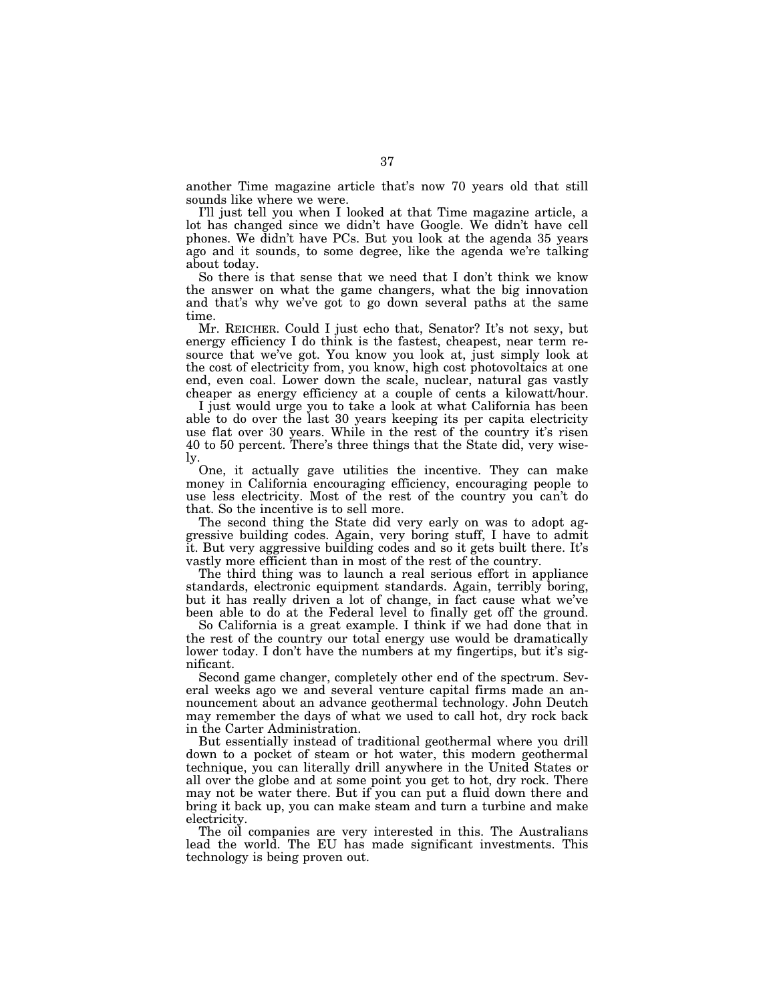another Time magazine article that's now 70 years old that still sounds like where we were.

I'll just tell you when I looked at that Time magazine article, a lot has changed since we didn't have Google. We didn't have cell phones. We didn't have PCs. But you look at the agenda 35 years ago and it sounds, to some degree, like the agenda we're talking about today.

So there is that sense that we need that I don't think we know the answer on what the game changers, what the big innovation and that's why we've got to go down several paths at the same time.

Mr. REICHER. Could I just echo that, Senator? It's not sexy, but energy efficiency I do think is the fastest, cheapest, near term resource that we've got. You know you look at, just simply look at the cost of electricity from, you know, high cost photovoltaics at one end, even coal. Lower down the scale, nuclear, natural gas vastly cheaper as energy efficiency at a couple of cents a kilowatt/hour.

I just would urge you to take a look at what California has been able to do over the last 30 years keeping its per capita electricity use flat over 30 years. While in the rest of the country it's risen 40 to 50 percent. There's three things that the State did, very wisely.

One, it actually gave utilities the incentive. They can make money in California encouraging efficiency, encouraging people to use less electricity. Most of the rest of the country you can't do that. So the incentive is to sell more.

The second thing the State did very early on was to adopt aggressive building codes. Again, very boring stuff, I have to admit it. But very aggressive building codes and so it gets built there. It's vastly more efficient than in most of the rest of the country.

The third thing was to launch a real serious effort in appliance standards, electronic equipment standards. Again, terribly boring, but it has really driven a lot of change, in fact cause what we've been able to do at the Federal level to finally get off the ground.

So California is a great example. I think if we had done that in the rest of the country our total energy use would be dramatically lower today. I don't have the numbers at my fingertips, but it's significant.

Second game changer, completely other end of the spectrum. Several weeks ago we and several venture capital firms made an announcement about an advance geothermal technology. John Deutch may remember the days of what we used to call hot, dry rock back in the Carter Administration.

But essentially instead of traditional geothermal where you drill down to a pocket of steam or hot water, this modern geothermal technique, you can literally drill anywhere in the United States or all over the globe and at some point you get to hot, dry rock. There may not be water there. But if you can put a fluid down there and bring it back up, you can make steam and turn a turbine and make electricity.

The oil companies are very interested in this. The Australians lead the world. The EU has made significant investments. This technology is being proven out.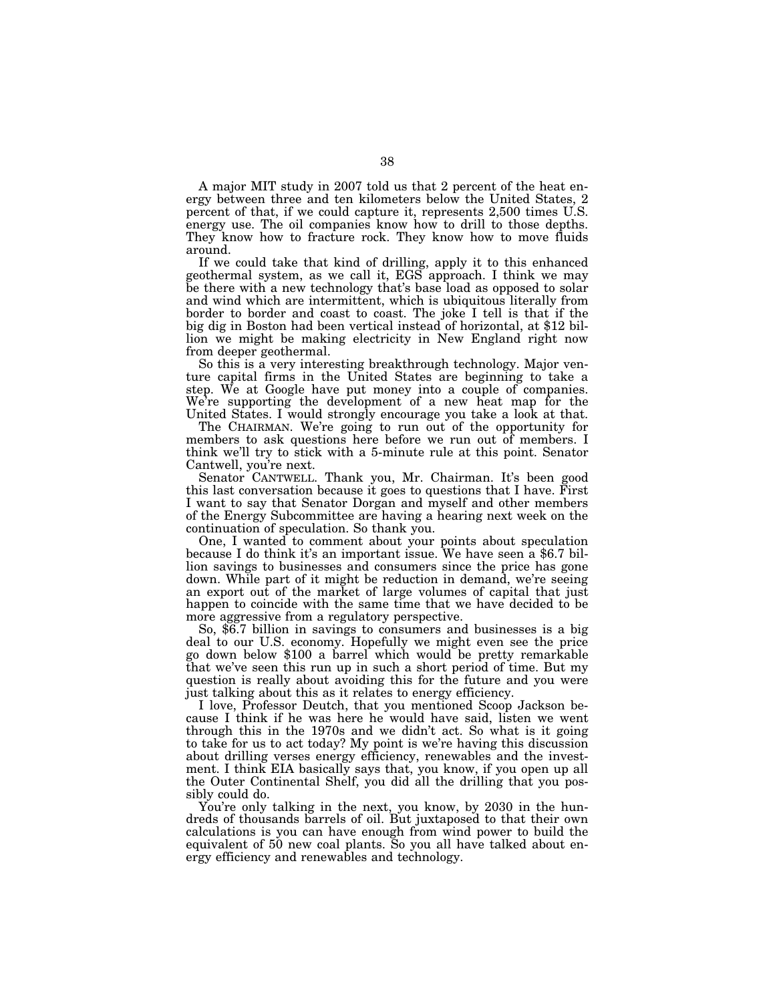A major MIT study in 2007 told us that 2 percent of the heat energy between three and ten kilometers below the United States, 2 percent of that, if we could capture it, represents 2,500 times U.S. energy use. The oil companies know how to drill to those depths. They know how to fracture rock. They know how to move fluids around.

If we could take that kind of drilling, apply it to this enhanced geothermal system, as we call it, EGS approach. I think we may be there with a new technology that's base load as opposed to solar and wind which are intermittent, which is ubiquitous literally from border to border and coast to coast. The joke I tell is that if the big dig in Boston had been vertical instead of horizontal, at \$12 billion we might be making electricity in New England right now from deeper geothermal.

So this is a very interesting breakthrough technology. Major venture capital firms in the United States are beginning to take a step. We at Google have put money into a couple of companies. We're supporting the development of a new heat map for the United States. I would strongly encourage you take a look at that.

The CHAIRMAN. We're going to run out of the opportunity for members to ask questions here before we run out of members. I think we'll try to stick with a 5-minute rule at this point. Senator Cantwell, you're next.

Senator CANTWELL. Thank you, Mr. Chairman. It's been good this last conversation because it goes to questions that I have. First I want to say that Senator Dorgan and myself and other members of the Energy Subcommittee are having a hearing next week on the continuation of speculation. So thank you.

One, I wanted to comment about your points about speculation because I do think it's an important issue. We have seen a \$6.7 billion savings to businesses and consumers since the price has gone down. While part of it might be reduction in demand, we're seeing an export out of the market of large volumes of capital that just happen to coincide with the same time that we have decided to be more aggressive from a regulatory perspective.

So, \$6.7 billion in savings to consumers and businesses is a big deal to our U.S. economy. Hopefully we might even see the price go down below \$100 a barrel which would be pretty remarkable that we've seen this run up in such a short period of time. But my question is really about avoiding this for the future and you were just talking about this as it relates to energy efficiency.

I love, Professor Deutch, that you mentioned Scoop Jackson because I think if he was here he would have said, listen we went through this in the 1970s and we didn't act. So what is it going to take for us to act today? My point is we're having this discussion about drilling verses energy efficiency, renewables and the investment. I think EIA basically says that, you know, if you open up all the Outer Continental Shelf, you did all the drilling that you possibly could do.

You're only talking in the next, you know, by 2030 in the hundreds of thousands barrels of oil. But juxtaposed to that their own calculations is you can have enough from wind power to build the equivalent of 50 new coal plants. So you all have talked about energy efficiency and renewables and technology.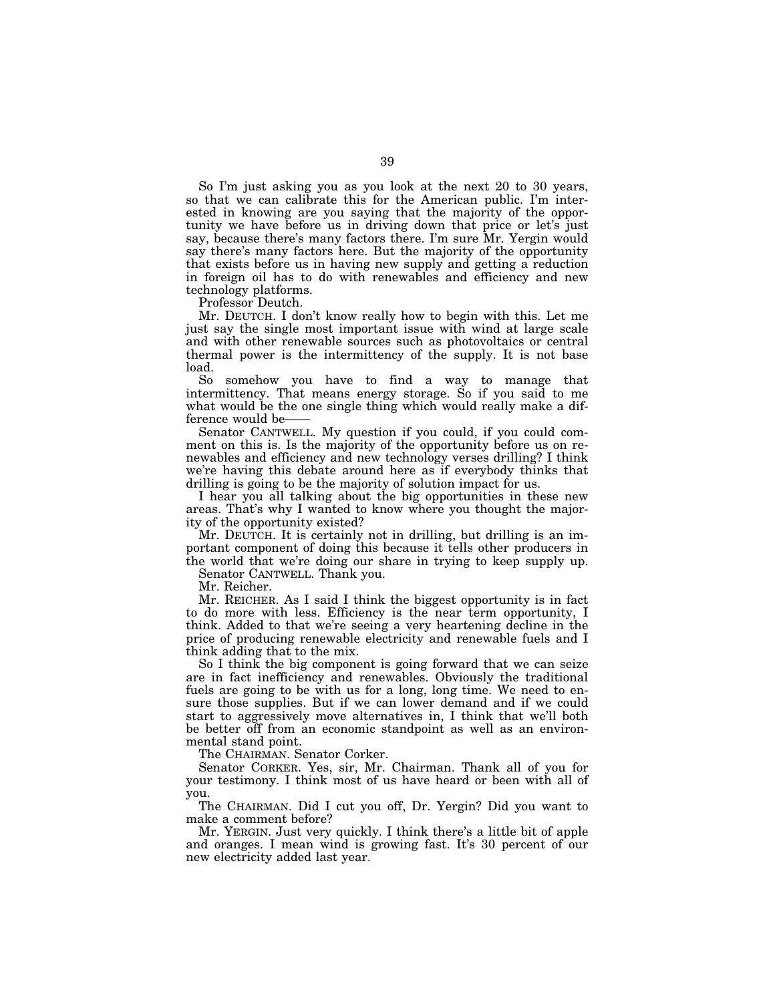So I'm just asking you as you look at the next 20 to 30 years, so that we can calibrate this for the American public. I'm interested in knowing are you saying that the majority of the opportunity we have before us in driving down that price or let's just say, because there's many factors there. I'm sure Mr. Yergin would say there's many factors here. But the majority of the opportunity that exists before us in having new supply and getting a reduction in foreign oil has to do with renewables and efficiency and new technology platforms.

Professor Deutch.

Mr. DEUTCH. I don't know really how to begin with this. Let me just say the single most important issue with wind at large scale and with other renewable sources such as photovoltaics or central thermal power is the intermittency of the supply. It is not base load.

So somehow you have to find a way to manage that intermittency. That means energy storage. So if you said to me what would be the one single thing which would really make a difference would be-

Senator CANTWELL. My question if you could, if you could comment on this is. Is the majority of the opportunity before us on renewables and efficiency and new technology verses drilling? I think we're having this debate around here as if everybody thinks that drilling is going to be the majority of solution impact for us.

I hear you all talking about the big opportunities in these new areas. That's why I wanted to know where you thought the majority of the opportunity existed?

Mr. DEUTCH. It is certainly not in drilling, but drilling is an important component of doing this because it tells other producers in the world that we're doing our share in trying to keep supply up.

Senator CANTWELL. Thank you.

Mr. Reicher.

Mr. REICHER. As I said I think the biggest opportunity is in fact to do more with less. Efficiency is the near term opportunity, I think. Added to that we're seeing a very heartening decline in the price of producing renewable electricity and renewable fuels and I think adding that to the mix.

So I think the big component is going forward that we can seize are in fact inefficiency and renewables. Obviously the traditional fuels are going to be with us for a long, long time. We need to ensure those supplies. But if we can lower demand and if we could start to aggressively move alternatives in, I think that we'll both be better off from an economic standpoint as well as an environmental stand point.

The CHAIRMAN. Senator Corker.

Senator CORKER. Yes, sir, Mr. Chairman. Thank all of you for your testimony. I think most of us have heard or been with all of you.

The CHAIRMAN. Did I cut you off, Dr. Yergin? Did you want to make a comment before?

Mr. YERGIN. Just very quickly. I think there's a little bit of apple and oranges. I mean wind is growing fast. It's 30 percent of our new electricity added last year.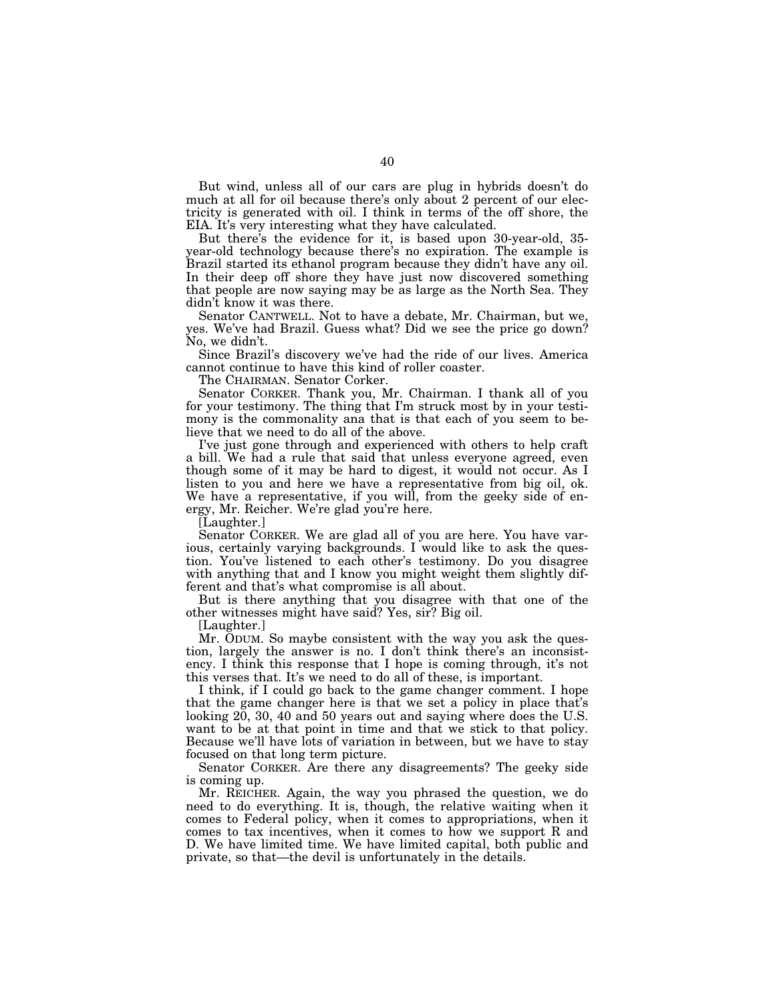But wind, unless all of our cars are plug in hybrids doesn't do much at all for oil because there's only about 2 percent of our electricity is generated with oil. I think in terms of the off shore, the EIA. It's very interesting what they have calculated.

But there's the evidence for it, is based upon 30-year-old, 35 year-old technology because there's no expiration. The example is Brazil started its ethanol program because they didn't have any oil. In their deep off shore they have just now discovered something that people are now saying may be as large as the North Sea. They didn't know it was there.

Senator CANTWELL. Not to have a debate, Mr. Chairman, but we, yes. We've had Brazil. Guess what? Did we see the price go down? No, we didn't.

Since Brazil's discovery we've had the ride of our lives. America cannot continue to have this kind of roller coaster.

The CHAIRMAN. Senator Corker.

Senator CORKER. Thank you, Mr. Chairman. I thank all of you for your testimony. The thing that I'm struck most by in your testimony is the commonality ana that is that each of you seem to believe that we need to do all of the above.

I've just gone through and experienced with others to help craft a bill. We had a rule that said that unless everyone agreed, even though some of it may be hard to digest, it would not occur. As I listen to you and here we have a representative from big oil, ok. We have a representative, if you will, from the geeky side of energy, Mr. Reicher. We're glad you're here.

[Laughter.]

Senator CORKER. We are glad all of you are here. You have various, certainly varying backgrounds. I would like to ask the question. You've listened to each other's testimony. Do you disagree with anything that and I know you might weight them slightly different and that's what compromise is all about.

But is there anything that you disagree with that one of the other witnesses might have said? Yes, sir? Big oil.

[Laughter.]

Mr. ODUM. So maybe consistent with the way you ask the question, largely the answer is no. I don't think there's an inconsistency. I think this response that I hope is coming through, it's not this verses that. It's we need to do all of these, is important.

I think, if I could go back to the game changer comment. I hope that the game changer here is that we set a policy in place that's looking  $20$ ,  $30$ ,  $40$  and  $50$  years out and saying where does the U.S. want to be at that point in time and that we stick to that policy. Because we'll have lots of variation in between, but we have to stay focused on that long term picture.

Senator CORKER. Are there any disagreements? The geeky side is coming up.

Mr. REICHER. Again, the way you phrased the question, we do need to do everything. It is, though, the relative waiting when it comes to Federal policy, when it comes to appropriations, when it comes to tax incentives, when it comes to how we support R and D. We have limited time. We have limited capital, both public and private, so that—the devil is unfortunately in the details.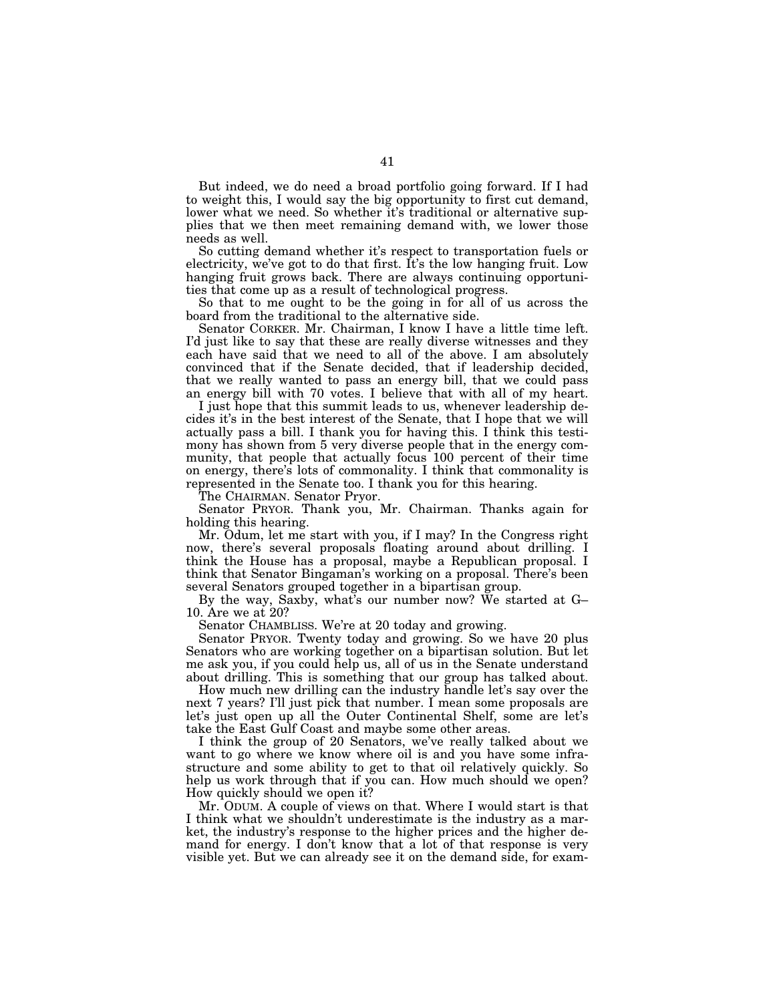But indeed, we do need a broad portfolio going forward. If I had to weight this, I would say the big opportunity to first cut demand, lower what we need. So whether it's traditional or alternative supplies that we then meet remaining demand with, we lower those needs as well.

So cutting demand whether it's respect to transportation fuels or electricity, we've got to do that first. It's the low hanging fruit. Low hanging fruit grows back. There are always continuing opportunities that come up as a result of technological progress.

So that to me ought to be the going in for all of us across the board from the traditional to the alternative side.

Senator CORKER. Mr. Chairman, I know I have a little time left. I'd just like to say that these are really diverse witnesses and they each have said that we need to all of the above. I am absolutely convinced that if the Senate decided, that if leadership decided, that we really wanted to pass an energy bill, that we could pass an energy bill with 70 votes. I believe that with all of my heart.

I just hope that this summit leads to us, whenever leadership decides it's in the best interest of the Senate, that I hope that we will actually pass a bill. I thank you for having this. I think this testimony has shown from 5 very diverse people that in the energy community, that people that actually focus 100 percent of their time on energy, there's lots of commonality. I think that commonality is represented in the Senate too. I thank you for this hearing.

The CHAIRMAN. Senator Pryor.

Senator PRYOR. Thank you, Mr. Chairman. Thanks again for holding this hearing.

Mr. Odum, let me start with you, if I may? In the Congress right now, there's several proposals floating around about drilling. I think the House has a proposal, maybe a Republican proposal. I think that Senator Bingaman's working on a proposal. There's been several Senators grouped together in a bipartisan group.

By the way, Saxby, what's our number now? We started at G– 10. Are we at 20?

Senator CHAMBLISS. We're at 20 today and growing.

Senator PRYOR. Twenty today and growing. So we have 20 plus Senators who are working together on a bipartisan solution. But let me ask you, if you could help us, all of us in the Senate understand about drilling. This is something that our group has talked about.

How much new drilling can the industry handle let's say over the next 7 years? I'll just pick that number. I mean some proposals are let's just open up all the Outer Continental Shelf, some are let's take the East Gulf Coast and maybe some other areas.

I think the group of 20 Senators, we've really talked about we want to go where we know where oil is and you have some infrastructure and some ability to get to that oil relatively quickly. So help us work through that if you can. How much should we open? How quickly should we open it?

Mr. ODUM. A couple of views on that. Where I would start is that I think what we shouldn't underestimate is the industry as a market, the industry's response to the higher prices and the higher demand for energy. I don't know that a lot of that response is very visible yet. But we can already see it on the demand side, for exam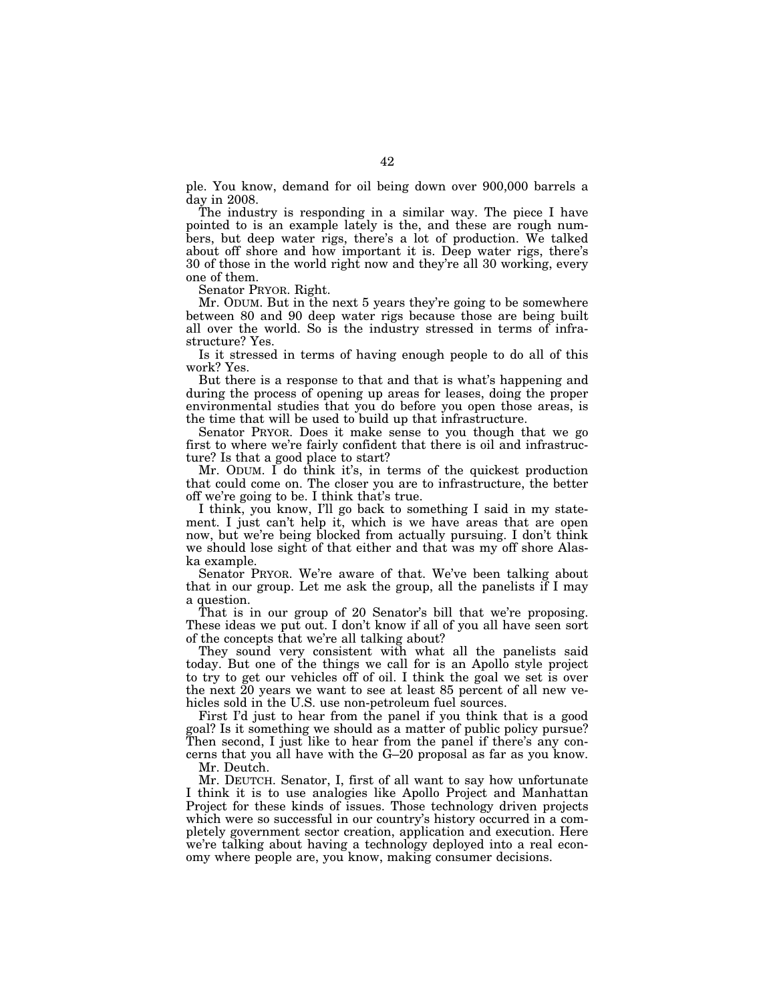ple. You know, demand for oil being down over 900,000 barrels a day in 2008.

The industry is responding in a similar way. The piece I have pointed to is an example lately is the, and these are rough numbers, but deep water rigs, there's a lot of production. We talked about off shore and how important it is. Deep water rigs, there's 30 of those in the world right now and they're all 30 working, every one of them.

Senator PRYOR. Right.

Mr. ODUM. But in the next 5 years they're going to be somewhere between 80 and 90 deep water rigs because those are being built all over the world. So is the industry stressed in terms of infrastructure? Yes.

Is it stressed in terms of having enough people to do all of this work? Yes.

But there is a response to that and that is what's happening and during the process of opening up areas for leases, doing the proper environmental studies that you do before you open those areas, is the time that will be used to build up that infrastructure.

Senator PRYOR. Does it make sense to you though that we go first to where we're fairly confident that there is oil and infrastructure? Is that a good place to start?

Mr. ODUM. I do think it's, in terms of the quickest production that could come on. The closer you are to infrastructure, the better off we're going to be. I think that's true.

I think, you know, I'll go back to something I said in my statement. I just can't help it, which is we have areas that are open now, but we're being blocked from actually pursuing. I don't think we should lose sight of that either and that was my off shore Alaska example.

Senator PRYOR. We're aware of that. We've been talking about that in our group. Let me ask the group, all the panelists if I may a question.

That is in our group of 20 Senator's bill that we're proposing. These ideas we put out. I don't know if all of you all have seen sort of the concepts that we're all talking about?

They sound very consistent with what all the panelists said today. But one of the things we call for is an Apollo style project to try to get our vehicles off of oil. I think the goal we set is over the next 20 years we want to see at least 85 percent of all new vehicles sold in the U.S. use non-petroleum fuel sources.

First I'd just to hear from the panel if you think that is a good goal? Is it something we should as a matter of public policy pursue? Then second, I just like to hear from the panel if there's any concerns that you all have with the G–20 proposal as far as you know. Mr. Deutch.

Mr. DEUTCH. Senator, I, first of all want to say how unfortunate I think it is to use analogies like Apollo Project and Manhattan Project for these kinds of issues. Those technology driven projects which were so successful in our country's history occurred in a completely government sector creation, application and execution. Here we're talking about having a technology deployed into a real economy where people are, you know, making consumer decisions.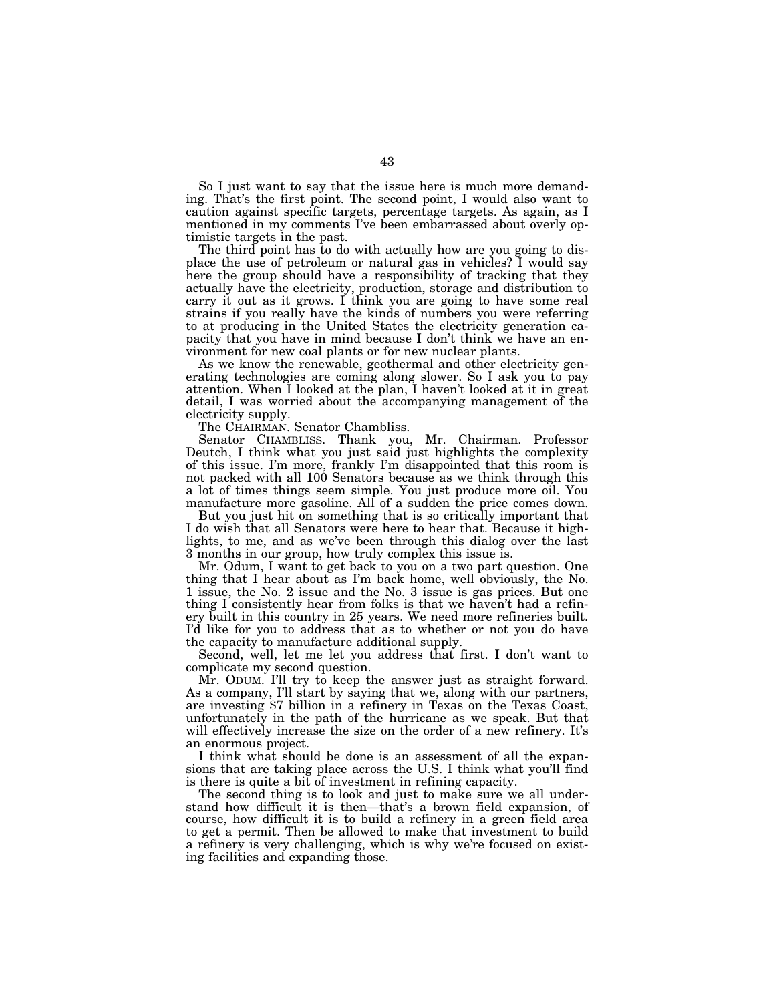So I just want to say that the issue here is much more demanding. That's the first point. The second point, I would also want to caution against specific targets, percentage targets. As again, as I mentioned in my comments I've been embarrassed about overly optimistic targets in the past.

The third point has to do with actually how are you going to displace the use of petroleum or natural gas in vehicles? I would say here the group should have a responsibility of tracking that they actually have the electricity, production, storage and distribution to carry it out as it grows. I think you are going to have some real strains if you really have the kinds of numbers you were referring to at producing in the United States the electricity generation capacity that you have in mind because I don't think we have an environment for new coal plants or for new nuclear plants.

As we know the renewable, geothermal and other electricity generating technologies are coming along slower. So I ask you to pay attention. When I looked at the plan, I haven't looked at it in great detail, I was worried about the accompanying management of the electricity supply.

The CHAIRMAN. Senator Chambliss.

Senator CHAMBLISS. Thank you, Mr. Chairman. Professor Deutch, I think what you just said just highlights the complexity of this issue. I'm more, frankly I'm disappointed that this room is not packed with all 100 Senators because as we think through this a lot of times things seem simple. You just produce more oil. You manufacture more gasoline. All of a sudden the price comes down.

But you just hit on something that is so critically important that I do wish that all Senators were here to hear that. Because it highlights, to me, and as we've been through this dialog over the last 3 months in our group, how truly complex this issue is.

Mr. Odum, I want to get back to you on a two part question. One thing that I hear about as I'm back home, well obviously, the No. 1 issue, the No. 2 issue and the No. 3 issue is gas prices. But one thing I consistently hear from folks is that we haven't had a refinery built in this country in 25 years. We need more refineries built. I'd like for you to address that as to whether or not you do have the capacity to manufacture additional supply.

Second, well, let me let you address that first. I don't want to complicate my second question.

Mr. ODUM. I'll try to keep the answer just as straight forward. As a company, I'll start by saying that we, along with our partners, are investing \$7 billion in a refinery in Texas on the Texas Coast, unfortunately in the path of the hurricane as we speak. But that will effectively increase the size on the order of a new refinery. It's an enormous project.

I think what should be done is an assessment of all the expansions that are taking place across the U.S. I think what you'll find is there is quite a bit of investment in refining capacity.

The second thing is to look and just to make sure we all understand how difficult it is then—that's a brown field expansion, of course, how difficult it is to build a refinery in a green field area to get a permit. Then be allowed to make that investment to build a refinery is very challenging, which is why we're focused on existing facilities and expanding those.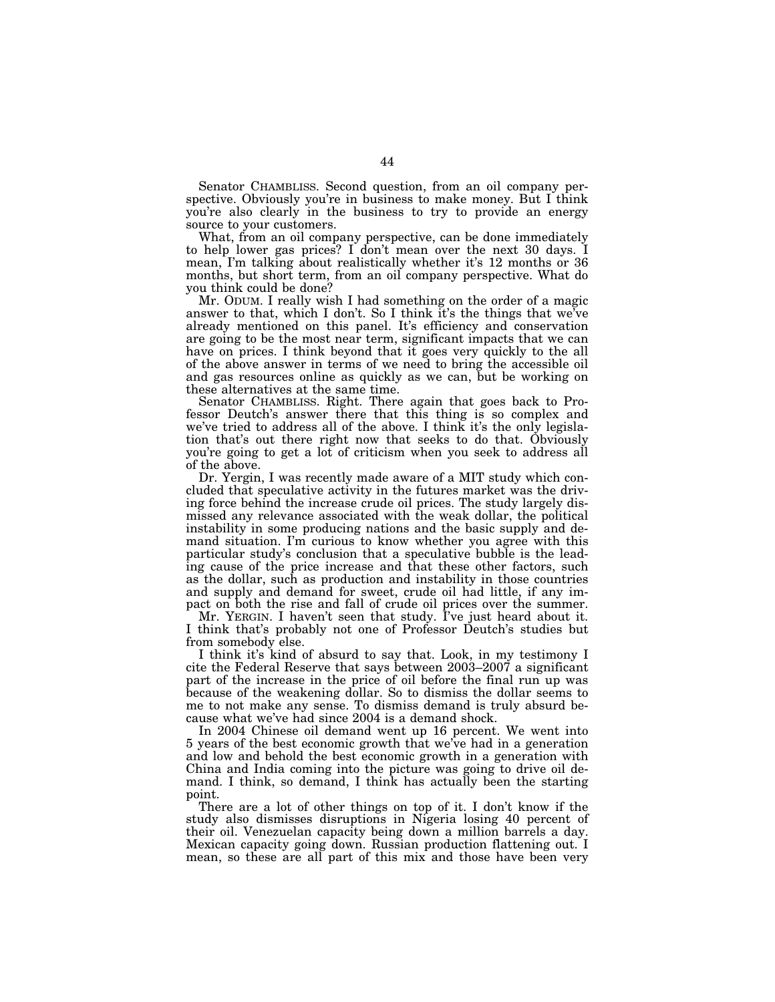Senator CHAMBLISS. Second question, from an oil company perspective. Obviously you're in business to make money. But I think you're also clearly in the business to try to provide an energy source to your customers.

What, from an oil company perspective, can be done immediately to help lower gas prices? I don't mean over the next 30 days. I mean, I'm talking about realistically whether it's 12 months or 36 months, but short term, from an oil company perspective. What do you think could be done?

Mr. ODUM. I really wish I had something on the order of a magic answer to that, which I don't. So I think it's the things that we've already mentioned on this panel. It's efficiency and conservation are going to be the most near term, significant impacts that we can have on prices. I think beyond that it goes very quickly to the all of the above answer in terms of we need to bring the accessible oil and gas resources online as quickly as we can, but be working on these alternatives at the same time.

Senator CHAMBLISS. Right. There again that goes back to Professor Deutch's answer there that this thing is so complex and we've tried to address all of the above. I think it's the only legislation that's out there right now that seeks to do that. Obviously you're going to get a lot of criticism when you seek to address all of the above.

Dr. Yergin, I was recently made aware of a MIT study which concluded that speculative activity in the futures market was the driving force behind the increase crude oil prices. The study largely dismissed any relevance associated with the weak dollar, the political instability in some producing nations and the basic supply and demand situation. I'm curious to know whether you agree with this particular study's conclusion that a speculative bubble is the leading cause of the price increase and that these other factors, such as the dollar, such as production and instability in those countries and supply and demand for sweet, crude oil had little, if any impact on both the rise and fall of crude oil prices over the summer.

Mr. YERGIN. I haven't seen that study. I've just heard about it. I think that's probably not one of Professor Deutch's studies but from somebody else.

I think it's kind of absurd to say that. Look, in my testimony I cite the Federal Reserve that says between 2003–2007 a significant part of the increase in the price of oil before the final run up was because of the weakening dollar. So to dismiss the dollar seems to me to not make any sense. To dismiss demand is truly absurd because what we've had since 2004 is a demand shock.

In 2004 Chinese oil demand went up 16 percent. We went into 5 years of the best economic growth that we've had in a generation and low and behold the best economic growth in a generation with China and India coming into the picture was going to drive oil demand. I think, so demand, I think has actually been the starting point.

There are a lot of other things on top of it. I don't know if the study also dismisses disruptions in Nigeria losing 40 percent of their oil. Venezuelan capacity being down a million barrels a day. Mexican capacity going down. Russian production flattening out. I mean, so these are all part of this mix and those have been very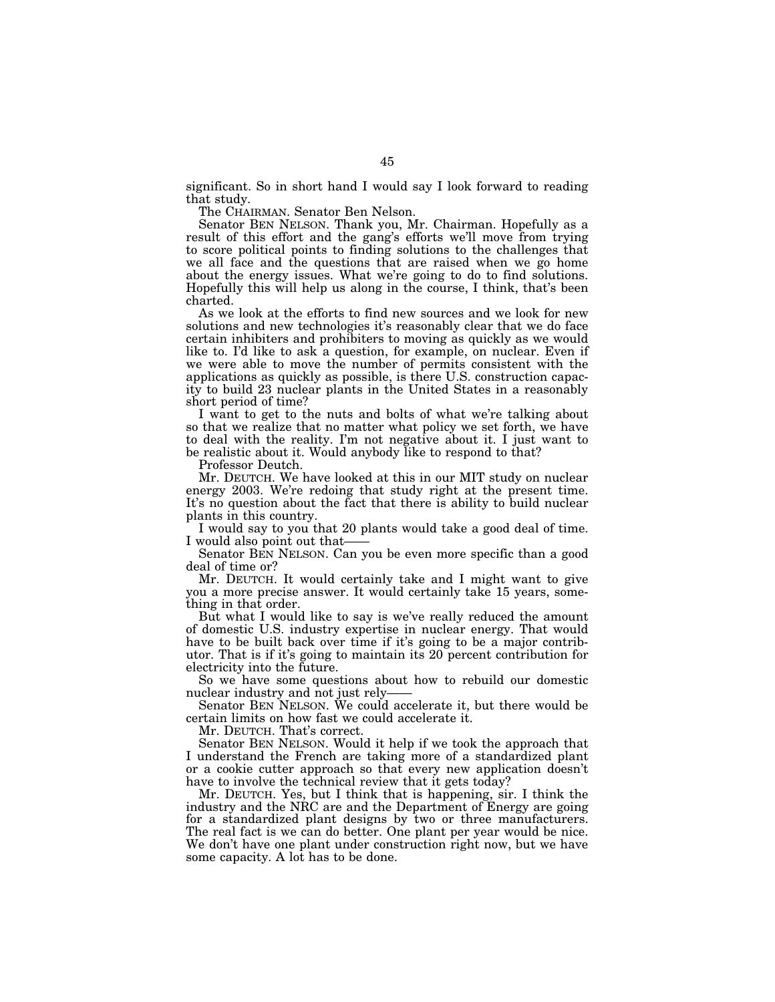significant. So in short hand I would say I look forward to reading that study.

The CHAIRMAN. Senator Ben Nelson.

Senator BEN NELSON. Thank you, Mr. Chairman. Hopefully as a result of this effort and the gang's efforts we'll move from trying to score political points to finding solutions to the challenges that we all face and the questions that are raised when we go home about the energy issues. What we're going to do to find solutions. Hopefully this will help us along in the course, I think, that's been charted.

As we look at the efforts to find new sources and we look for new solutions and new technologies it's reasonably clear that we do face certain inhibiters and prohibiters to moving as quickly as we would like to. I'd like to ask a question, for example, on nuclear. Even if we were able to move the number of permits consistent with the applications as quickly as possible, is there U.S. construction capacity to build 23 nuclear plants in the United States in a reasonably short period of time?

I want to get to the nuts and bolts of what we're talking about so that we realize that no matter what policy we set forth, we have to deal with the reality. I'm not negative about it. I just want to be realistic about it. Would anybody like to respond to that?

Professor Deutch.

Mr. DEUTCH. We have looked at this in our MIT study on nuclear energy 2003. We're redoing that study right at the present time. It's no question about the fact that there is ability to build nuclear plants in this country.

I would say to you that 20 plants would take a good deal of time. I would also point out that——

Senator BEN NELSON. Can you be even more specific than a good deal of time or?

Mr. DEUTCH. It would certainly take and I might want to give you a more precise answer. It would certainly take 15 years, something in that order.

But what I would like to say is we've really reduced the amount of domestic U.S. industry expertise in nuclear energy. That would have to be built back over time if it's going to be a major contributor. That is if it's going to maintain its 20 percent contribution for electricity into the future.

So we have some questions about how to rebuild our domestic nuclear industry and not just rely——

Senator BEN NELSON. We could accelerate it, but there would be certain limits on how fast we could accelerate it.

Mr. DEUTCH. That's correct.

Senator BEN NELSON. Would it help if we took the approach that I understand the French are taking more of a standardized plant or a cookie cutter approach so that every new application doesn't have to involve the technical review that it gets today?

Mr. DEUTCH. Yes, but I think that is happening, sir. I think the industry and the NRC are and the Department of Energy are going for a standardized plant designs by two or three manufacturers. The real fact is we can do better. One plant per year would be nice. We don't have one plant under construction right now, but we have some capacity. A lot has to be done.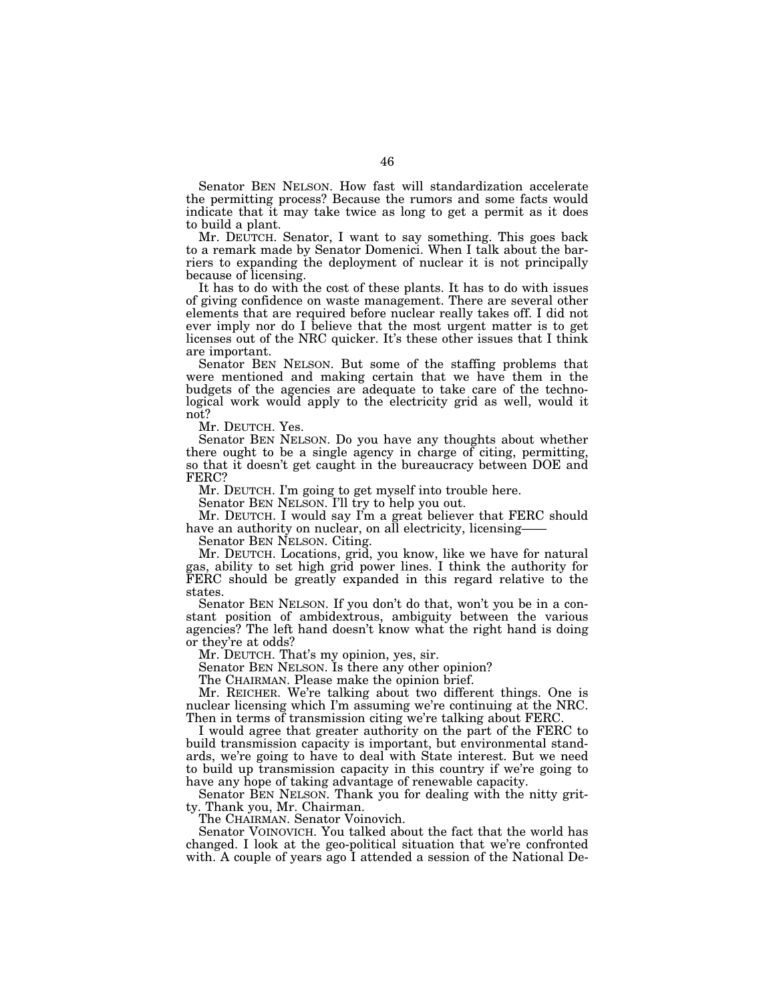Senator BEN NELSON. How fast will standardization accelerate the permitting process? Because the rumors and some facts would indicate that it may take twice as long to get a permit as it does to build a plant.

Mr. DEUTCH. Senator, I want to say something. This goes back to a remark made by Senator Domenici. When I talk about the barriers to expanding the deployment of nuclear it is not principally because of licensing.

It has to do with the cost of these plants. It has to do with issues of giving confidence on waste management. There are several other elements that are required before nuclear really takes off. I did not ever imply nor do I believe that the most urgent matter is to get licenses out of the NRC quicker. It's these other issues that I think are important.

Senator BEN NELSON. But some of the staffing problems that were mentioned and making certain that we have them in the budgets of the agencies are adequate to take care of the technological work would apply to the electricity grid as well, would it not?

Mr. DEUTCH. Yes.

Senator BEN NELSON. Do you have any thoughts about whether there ought to be a single agency in charge of citing, permitting, so that it doesn't get caught in the bureaucracy between DOE and FERC?

Mr. DEUTCH. I'm going to get myself into trouble here.

Senator BEN NELSON. I'll try to help you out.

Mr. DEUTCH. I would say I'm a great believer that FERC should have an authority on nuclear, on all electricity, licensing——

Senator BEN NELSON. Citing.

Mr. DEUTCH. Locations, grid, you know, like we have for natural gas, ability to set high grid power lines. I think the authority for FERC should be greatly expanded in this regard relative to the states.

Senator BEN NELSON. If you don't do that, won't you be in a constant position of ambidextrous, ambiguity between the various agencies? The left hand doesn't know what the right hand is doing or they're at odds?

Mr. DEUTCH. That's my opinion, yes, sir.

Senator BEN NELSON. Is there any other opinion?

The CHAIRMAN. Please make the opinion brief.

Mr. REICHER. We're talking about two different things. One is nuclear licensing which I'm assuming we're continuing at the NRC. Then in terms of transmission citing we're talking about FERC.

I would agree that greater authority on the part of the FERC to build transmission capacity is important, but environmental standards, we're going to have to deal with State interest. But we need to build up transmission capacity in this country if we're going to have any hope of taking advantage of renewable capacity.

Senator BEN NELSON. Thank you for dealing with the nitty gritty. Thank you, Mr. Chairman.

The CHAIRMAN. Senator Voinovich.

Senator VOINOVICH. You talked about the fact that the world has changed. I look at the geo-political situation that we're confronted with. A couple of years ago I attended a session of the National De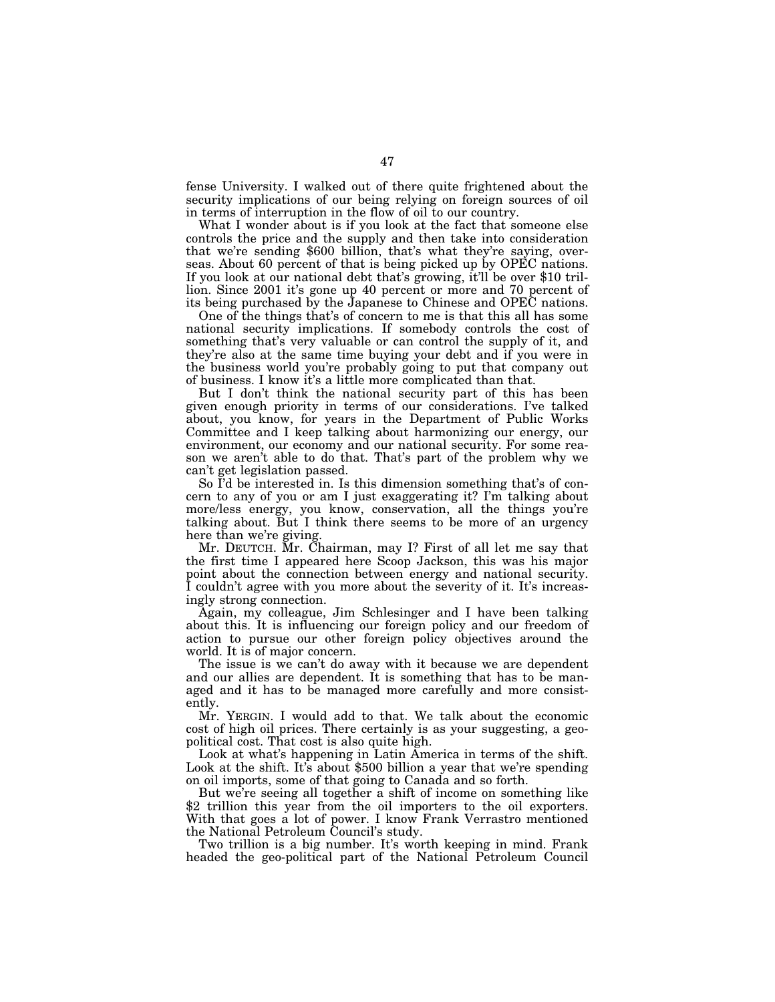fense University. I walked out of there quite frightened about the security implications of our being relying on foreign sources of oil in terms of interruption in the flow of oil to our country.

What I wonder about is if you look at the fact that someone else controls the price and the supply and then take into consideration that we're sending \$600 billion, that's what they're saying, overseas. About 60 percent of that is being picked up by OPEC nations. If you look at our national debt that's growing, it'll be over \$10 trillion. Since 2001 it's gone up 40 percent or more and 70 percent of its being purchased by the Japanese to Chinese and OPEC nations.

One of the things that's of concern to me is that this all has some national security implications. If somebody controls the cost of something that's very valuable or can control the supply of it, and they're also at the same time buying your debt and if you were in the business world you're probably going to put that company out of business. I know it's a little more complicated than that.

But I don't think the national security part of this has been given enough priority in terms of our considerations. I've talked about, you know, for years in the Department of Public Works Committee and I keep talking about harmonizing our energy, our environment, our economy and our national security. For some reason we aren't able to do that. That's part of the problem why we can't get legislation passed.

So I'd be interested in. Is this dimension something that's of concern to any of you or am I just exaggerating it? I'm talking about more/less energy, you know, conservation, all the things you're talking about. But I think there seems to be more of an urgency here than we're giving.

Mr. DEUTCH. Mr. Chairman, may I? First of all let me say that the first time I appeared here Scoop Jackson, this was his major point about the connection between energy and national security. I couldn't agree with you more about the severity of it. It's increasingly strong connection.

Again, my colleague, Jim Schlesinger and I have been talking about this. It is influencing our foreign policy and our freedom of action to pursue our other foreign policy objectives around the world. It is of major concern.

The issue is we can't do away with it because we are dependent and our allies are dependent. It is something that has to be managed and it has to be managed more carefully and more consistently.

Mr. YERGIN. I would add to that. We talk about the economic cost of high oil prices. There certainly is as your suggesting, a geopolitical cost. That cost is also quite high.

Look at what's happening in Latin America in terms of the shift. Look at the shift. It's about \$500 billion a year that we're spending on oil imports, some of that going to Canada and so forth.

But we're seeing all together a shift of income on something like \$2 trillion this year from the oil importers to the oil exporters. With that goes a lot of power. I know Frank Verrastro mentioned the National Petroleum Council's study.

Two trillion is a big number. It's worth keeping in mind. Frank headed the geo-political part of the National Petroleum Council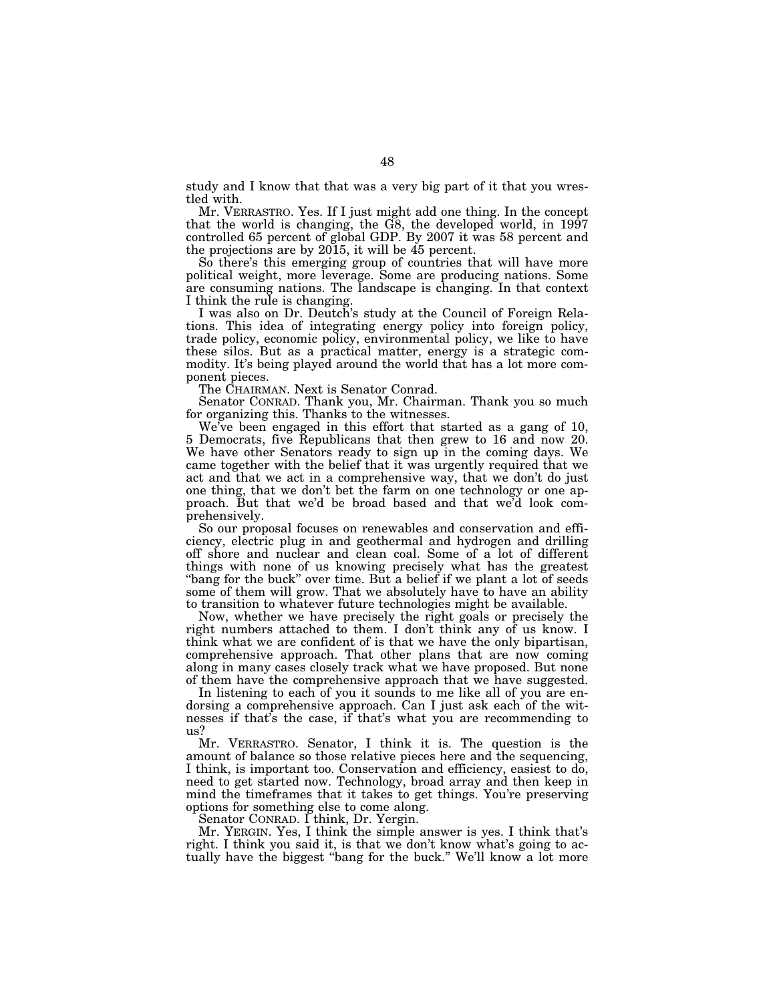study and I know that that was a very big part of it that you wrestled with.

Mr. VERRASTRO. Yes. If I just might add one thing. In the concept that the world is changing, the G8, the developed world, in 1997 controlled 65 percent of global GDP. By 2007 it was 58 percent and the projections are by 2015, it will be 45 percent.

So there's this emerging group of countries that will have more political weight, more leverage. Some are producing nations. Some are consuming nations. The landscape is changing. In that context I think the rule is changing.

I was also on Dr. Deutch's study at the Council of Foreign Relations. This idea of integrating energy policy into foreign policy, trade policy, economic policy, environmental policy, we like to have these silos. But as a practical matter, energy is a strategic commodity. It's being played around the world that has a lot more component pieces.

The CHAIRMAN. Next is Senator Conrad.

Senator CONRAD. Thank you, Mr. Chairman. Thank you so much for organizing this. Thanks to the witnesses.

We've been engaged in this effort that started as a gang of 10, 5 Democrats, five Republicans that then grew to 16 and now 20. We have other Senators ready to sign up in the coming days. We came together with the belief that it was urgently required that we act and that we act in a comprehensive way, that we don't do just one thing, that we don't bet the farm on one technology or one approach. But that we'd be broad based and that we'd look comprehensively.

So our proposal focuses on renewables and conservation and efficiency, electric plug in and geothermal and hydrogen and drilling off shore and nuclear and clean coal. Some of a lot of different things with none of us knowing precisely what has the greatest "bang for the buck" over time. But a belief if we plant a lot of seeds some of them will grow. That we absolutely have to have an ability to transition to whatever future technologies might be available.

Now, whether we have precisely the right goals or precisely the right numbers attached to them. I don't think any of us know. I think what we are confident of is that we have the only bipartisan, comprehensive approach. That other plans that are now coming along in many cases closely track what we have proposed. But none of them have the comprehensive approach that we have suggested.

In listening to each of you it sounds to me like all of you are endorsing a comprehensive approach. Can I just ask each of the witnesses if that's the case, if that's what you are recommending to us?

Mr. VERRASTRO. Senator, I think it is. The question is the amount of balance so those relative pieces here and the sequencing, I think, is important too. Conservation and efficiency, easiest to do, need to get started now. Technology, broad array and then keep in mind the timeframes that it takes to get things. You're preserving options for something else to come along.

Senator CONRAD. I think, Dr. Yergin.

Mr. YERGIN. Yes, I think the simple answer is yes. I think that's right. I think you said it, is that we don't know what's going to actually have the biggest ''bang for the buck.'' We'll know a lot more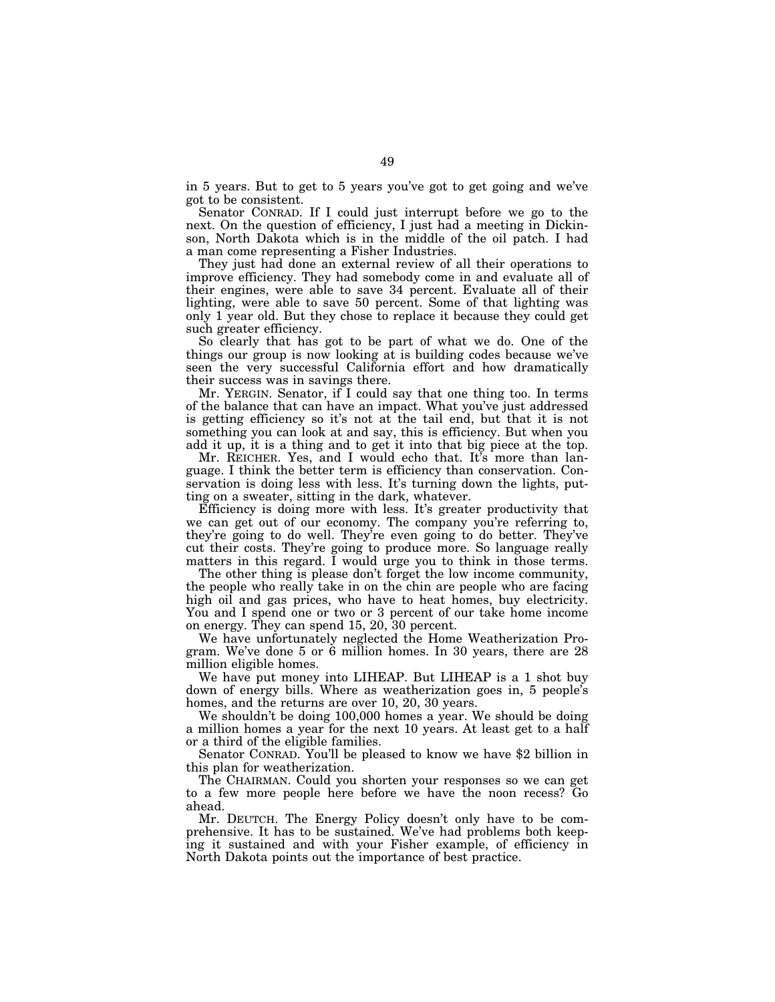in 5 years. But to get to 5 years you've got to get going and we've got to be consistent.

Senator CONRAD. If I could just interrupt before we go to the next. On the question of efficiency, I just had a meeting in Dickinson, North Dakota which is in the middle of the oil patch. I had a man come representing a Fisher Industries.

They just had done an external review of all their operations to improve efficiency. They had somebody come in and evaluate all of their engines, were able to save 34 percent. Evaluate all of their lighting, were able to save 50 percent. Some of that lighting was only 1 year old. But they chose to replace it because they could get such greater efficiency.

So clearly that has got to be part of what we do. One of the things our group is now looking at is building codes because we've seen the very successful California effort and how dramatically their success was in savings there.

Mr. YERGIN. Senator, if I could say that one thing too. In terms of the balance that can have an impact. What you've just addressed is getting efficiency so it's not at the tail end, but that it is not something you can look at and say, this is efficiency. But when you add it up, it is a thing and to get it into that big piece at the top.

Mr. REICHER. Yes, and I would echo that. It's more than language. I think the better term is efficiency than conservation. Conservation is doing less with less. It's turning down the lights, putting on a sweater, sitting in the dark, whatever.

Efficiency is doing more with less. It's greater productivity that we can get out of our economy. The company you're referring to, they're going to do well. They're even going to do better. They've cut their costs. They're going to produce more. So language really matters in this regard. I would urge you to think in those terms.

The other thing is please don't forget the low income community, the people who really take in on the chin are people who are facing high oil and gas prices, who have to heat homes, buy electricity. You and I spend one or two or 3 percent of our take home income on energy. They can spend 15, 20, 30 percent.

We have unfortunately neglected the Home Weatherization Program. We've done 5 or 6 million homes. In 30 years, there are 28 million eligible homes.

We have put money into LIHEAP. But LIHEAP is a 1 shot buy down of energy bills. Where as weatherization goes in, 5 people's homes, and the returns are over 10, 20, 30 years.

We shouldn't be doing 100,000 homes a year. We should be doing a million homes a year for the next 10 years. At least get to a half or a third of the eligible families.

Senator CONRAD. You'll be pleased to know we have \$2 billion in this plan for weatherization.

The CHAIRMAN. Could you shorten your responses so we can get to a few more people here before we have the noon recess? Go ahead.

Mr. DEUTCH. The Energy Policy doesn't only have to be comprehensive. It has to be sustained. We've had problems both keeping it sustained and with your Fisher example, of efficiency in North Dakota points out the importance of best practice.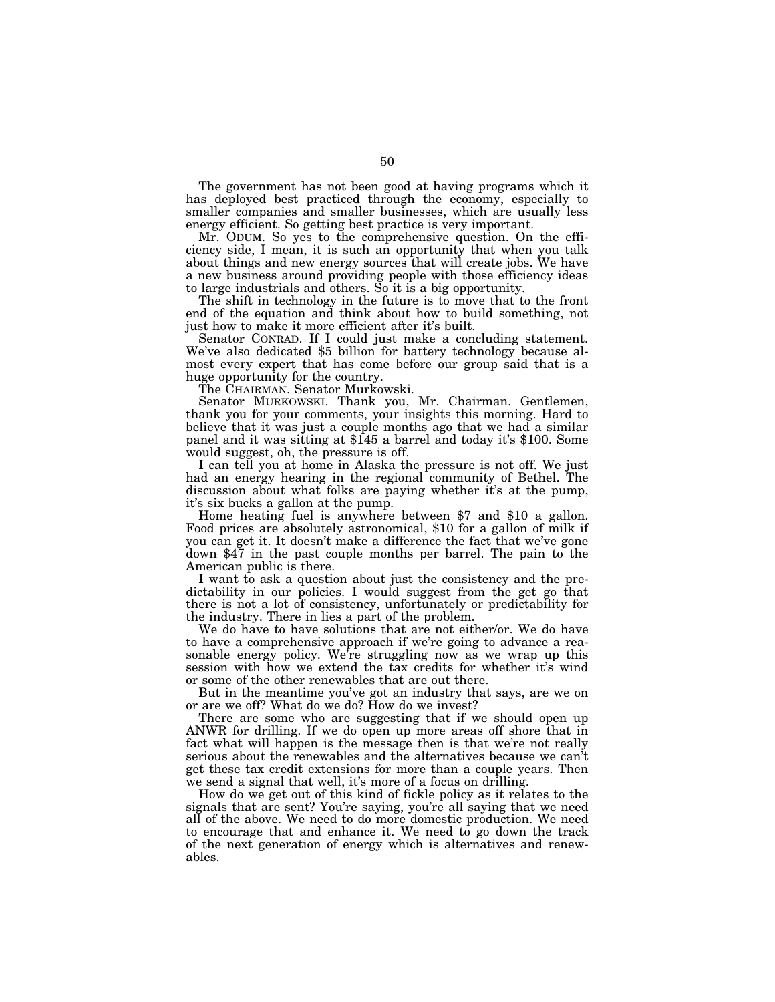The government has not been good at having programs which it has deployed best practiced through the economy, especially to smaller companies and smaller businesses, which are usually less energy efficient. So getting best practice is very important.

Mr. ODUM. So yes to the comprehensive question. On the efficiency side, I mean, it is such an opportunity that when you talk about things and new energy sources that will create jobs. We have a new business around providing people with those efficiency ideas to large industrials and others. So it is a big opportunity.

The shift in technology in the future is to move that to the front end of the equation and think about how to build something, not just how to make it more efficient after it's built.

Senator CONRAD. If I could just make a concluding statement. We've also dedicated \$5 billion for battery technology because almost every expert that has come before our group said that is a huge opportunity for the country.

The CHAIRMAN. Senator Murkowski.

Senator MURKOWSKI. Thank you, Mr. Chairman. Gentlemen, thank you for your comments, your insights this morning. Hard to believe that it was just a couple months ago that we had a similar panel and it was sitting at \$145 a barrel and today it's \$100. Some would suggest, oh, the pressure is off.

I can tell you at home in Alaska the pressure is not off. We just had an energy hearing in the regional community of Bethel. The discussion about what folks are paying whether it's at the pump,

it's six bucks a gallon at the pump. Home heating fuel is anywhere between \$7 and \$10 a gallon. Food prices are absolutely astronomical, \$10 for a gallon of milk if you can get it. It doesn't make a difference the fact that we've gone down \$47 in the past couple months per barrel. The pain to the American public is there.

I want to ask a question about just the consistency and the predictability in our policies. I would suggest from the get go that there is not a lot of consistency, unfortunately or predictability for the industry. There in lies a part of the problem.

We do have to have solutions that are not either/or. We do have to have a comprehensive approach if we're going to advance a reasonable energy policy. We're struggling now as we wrap up this session with how we extend the tax credits for whether it's wind or some of the other renewables that are out there.

But in the meantime you've got an industry that says, are we on or are we off? What do we do? How do we invest?

There are some who are suggesting that if we should open up ANWR for drilling. If we do open up more areas off shore that in fact what will happen is the message then is that we're not really serious about the renewables and the alternatives because we can't get these tax credit extensions for more than a couple years. Then we send a signal that well, it's more of a focus on drilling.

How do we get out of this kind of fickle policy as it relates to the signals that are sent? You're saying, you're all saying that we need all of the above. We need to do more domestic production. We need to encourage that and enhance it. We need to go down the track of the next generation of energy which is alternatives and renewables.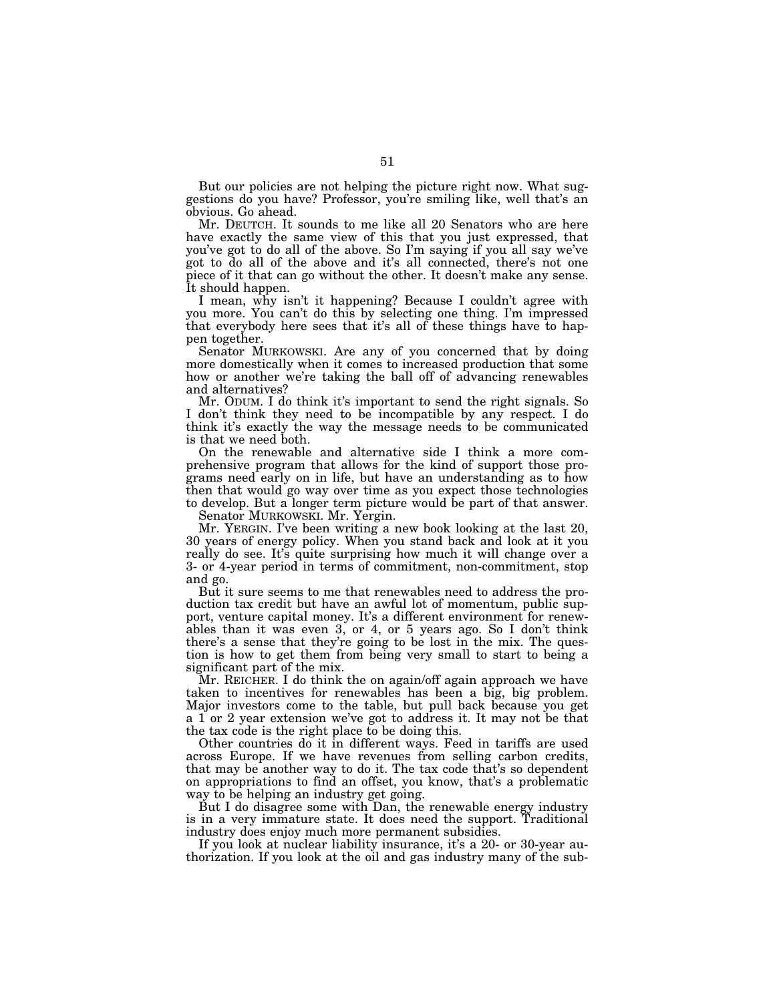But our policies are not helping the picture right now. What suggestions do you have? Professor, you're smiling like, well that's an obvious. Go ahead.

Mr. DEUTCH. It sounds to me like all 20 Senators who are here have exactly the same view of this that you just expressed, that you've got to do all of the above. So I'm saying if you all say we've got to do all of the above and it's all connected, there's not one piece of it that can go without the other. It doesn't make any sense. It should happen.

I mean, why isn't it happening? Because I couldn't agree with you more. You can't do this by selecting one thing. I'm impressed that everybody here sees that it's all of these things have to happen together.

Senator MURKOWSKI. Are any of you concerned that by doing more domestically when it comes to increased production that some how or another we're taking the ball off of advancing renewables and alternatives?

Mr. ODUM. I do think it's important to send the right signals. So I don't think they need to be incompatible by any respect. I do think it's exactly the way the message needs to be communicated is that we need both.

On the renewable and alternative side I think a more comprehensive program that allows for the kind of support those programs need early on in life, but have an understanding as to how then that would go way over time as you expect those technologies to develop. But a longer term picture would be part of that answer.

Senator MURKOWSKI. Mr. Yergin.

Mr. YERGIN. I've been writing a new book looking at the last 20, 30 years of energy policy. When you stand back and look at it you really do see. It's quite surprising how much it will change over a 3- or 4-year period in terms of commitment, non-commitment, stop and go.

But it sure seems to me that renewables need to address the production tax credit but have an awful lot of momentum, public support, venture capital money. It's a different environment for renewables than it was even 3, or 4, or 5 years ago. So I don't think there's a sense that they're going to be lost in the mix. The question is how to get them from being very small to start to being a significant part of the mix.

Mr. REICHER. I do think the on again/off again approach we have taken to incentives for renewables has been a big, big problem. Major investors come to the table, but pull back because you get a 1 or 2 year extension we've got to address it. It may not be that the tax code is the right place to be doing this.

Other countries do it in different ways. Feed in tariffs are used across Europe. If we have revenues from selling carbon credits, that may be another way to do it. The tax code that's so dependent on appropriations to find an offset, you know, that's a problematic way to be helping an industry get going.

But I do disagree some with Dan, the renewable energy industry is in a very immature state. It does need the support. Traditional industry does enjoy much more permanent subsidies.

If you look at nuclear liability insurance, it's a 20- or 30-year authorization. If you look at the oil and gas industry many of the sub-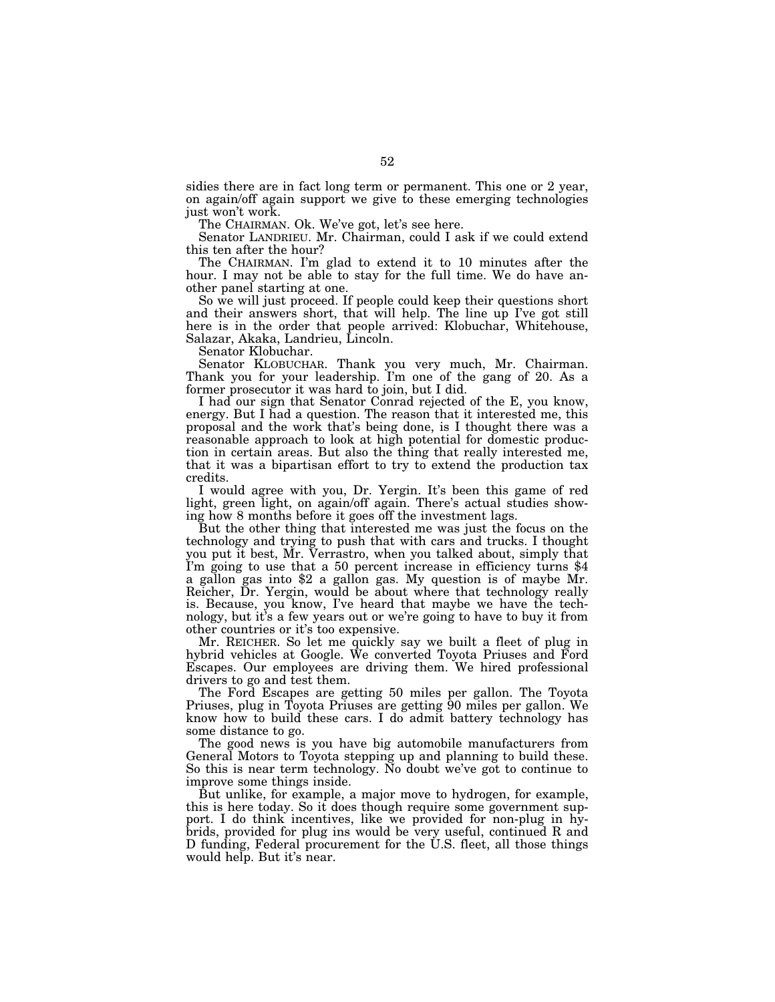sidies there are in fact long term or permanent. This one or 2 year, on again/off again support we give to these emerging technologies just won't work.

The CHAIRMAN. Ok. We've got, let's see here.

Senator LANDRIEU. Mr. Chairman, could I ask if we could extend this ten after the hour?

The CHAIRMAN. I'm glad to extend it to 10 minutes after the hour. I may not be able to stay for the full time. We do have another panel starting at one.

So we will just proceed. If people could keep their questions short and their answers short, that will help. The line up I've got still here is in the order that people arrived: Klobuchar, Whitehouse, Salazar, Akaka, Landrieu, Lincoln.

Senator Klobuchar.

Senator KLOBUCHAR. Thank you very much, Mr. Chairman. Thank you for your leadership. I'm one of the gang of 20. As a former prosecutor it was hard to join, but I did.

I had our sign that Senator Conrad rejected of the E, you know, energy. But I had a question. The reason that it interested me, this proposal and the work that's being done, is I thought there was a reasonable approach to look at high potential for domestic production in certain areas. But also the thing that really interested me, that it was a bipartisan effort to try to extend the production tax credits.

I would agree with you, Dr. Yergin. It's been this game of red light, green light, on again/off again. There's actual studies showing how 8 months before it goes off the investment lags.

But the other thing that interested me was just the focus on the technology and trying to push that with cars and trucks. I thought you put it best, Mr. Verrastro, when you talked about, simply that I'm going to use that a 50 percent increase in efficiency turns \$4 a gallon gas into \$2 a gallon gas. My question is of maybe Mr. Reicher, Dr. Yergin, would be about where that technology really is. Because, you know, I've heard that maybe we have the technology, but it's a few years out or we're going to have to buy it from other countries or it's too expensive.

Mr. REICHER. So let me quickly say we built a fleet of plug in hybrid vehicles at Google. We converted Toyota Priuses and Ford Escapes. Our employees are driving them. We hired professional drivers to go and test them.

The Ford Escapes are getting 50 miles per gallon. The Toyota Priuses, plug in Toyota Priuses are getting 90 miles per gallon. We know how to build these cars. I do admit battery technology has some distance to go.

The good news is you have big automobile manufacturers from General Motors to Toyota stepping up and planning to build these. So this is near term technology. No doubt we've got to continue to improve some things inside.

But unlike, for example, a major move to hydrogen, for example, this is here today. So it does though require some government support. I do think incentives, like we provided for non-plug in hybrids, provided for plug ins would be very useful, continued R and D funding, Federal procurement for the U.S. fleet, all those things would help. But it's near.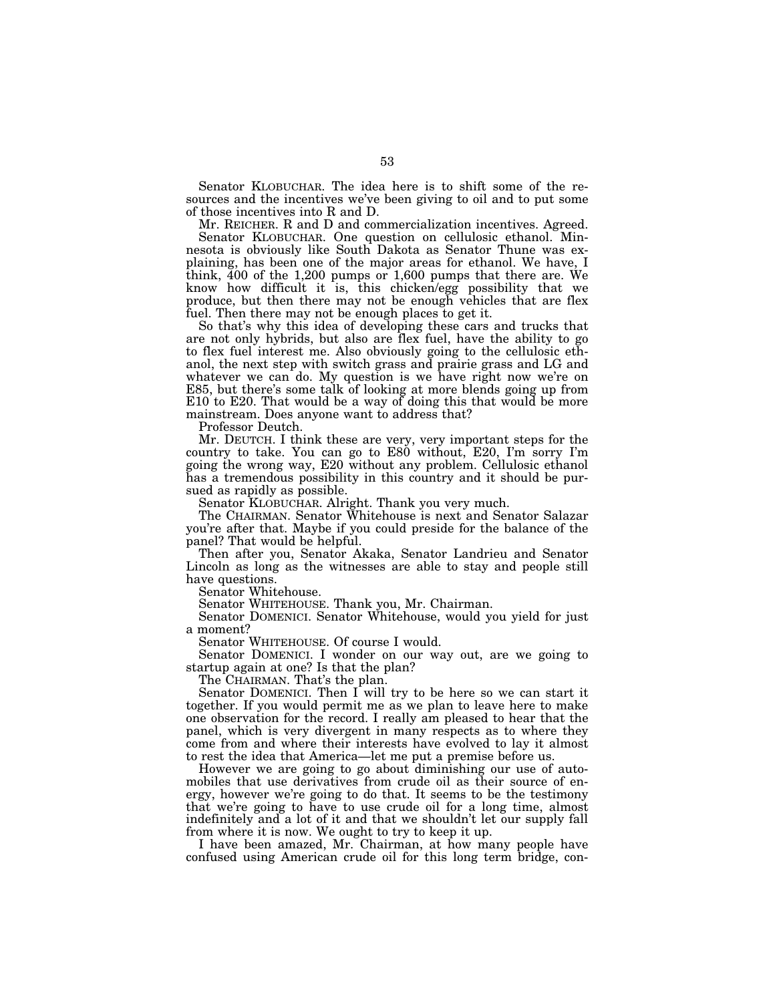Senator KLOBUCHAR. The idea here is to shift some of the resources and the incentives we've been giving to oil and to put some of those incentives into R and D.

Mr. REICHER. R and D and commercialization incentives. Agreed. Senator KLOBUCHAR. One question on cellulosic ethanol. Minnesota is obviously like South Dakota as Senator Thune was explaining, has been one of the major areas for ethanol. We have, I think, 400 of the 1,200 pumps or 1,600 pumps that there are. We know how difficult it is, this chicken/egg possibility that we produce, but then there may not be enough vehicles that are flex fuel. Then there may not be enough places to get it.

So that's why this idea of developing these cars and trucks that are not only hybrids, but also are flex fuel, have the ability to go to flex fuel interest me. Also obviously going to the cellulosic ethanol, the next step with switch grass and prairie grass and LG and whatever we can do. My question is we have right now we're on E85, but there's some talk of looking at more blends going up from E10 to E20. That would be a way of doing this that would be more mainstream. Does anyone want to address that?

Professor Deutch.

Mr. DEUTCH. I think these are very, very important steps for the country to take. You can go to E80 without, E20, I'm sorry I'm going the wrong way, E20 without any problem. Cellulosic ethanol has a tremendous possibility in this country and it should be pursued as rapidly as possible.

Senator KLOBUCHAR. Alright. Thank you very much.

The CHAIRMAN. Senator Whitehouse is next and Senator Salazar you're after that. Maybe if you could preside for the balance of the panel? That would be helpful.

Then after you, Senator Akaka, Senator Landrieu and Senator Lincoln as long as the witnesses are able to stay and people still have questions.

Senator Whitehouse.

Senator WHITEHOUSE. Thank you, Mr. Chairman.

Senator DOMENICI. Senator Whitehouse, would you yield for just a moment?

Senator WHITEHOUSE. Of course I would.

Senator DOMENICI. I wonder on our way out, are we going to startup again at one? Is that the plan?

The CHAIRMAN. That's the plan.

Senator DOMENICI. Then I will try to be here so we can start it together. If you would permit me as we plan to leave here to make one observation for the record. I really am pleased to hear that the panel, which is very divergent in many respects as to where they come from and where their interests have evolved to lay it almost to rest the idea that America—let me put a premise before us.

However we are going to go about diminishing our use of automobiles that use derivatives from crude oil as their source of energy, however we're going to do that. It seems to be the testimony that we're going to have to use crude oil for a long time, almost indefinitely and a lot of it and that we shouldn't let our supply fall from where it is now. We ought to try to keep it up.

I have been amazed, Mr. Chairman, at how many people have confused using American crude oil for this long term bridge, con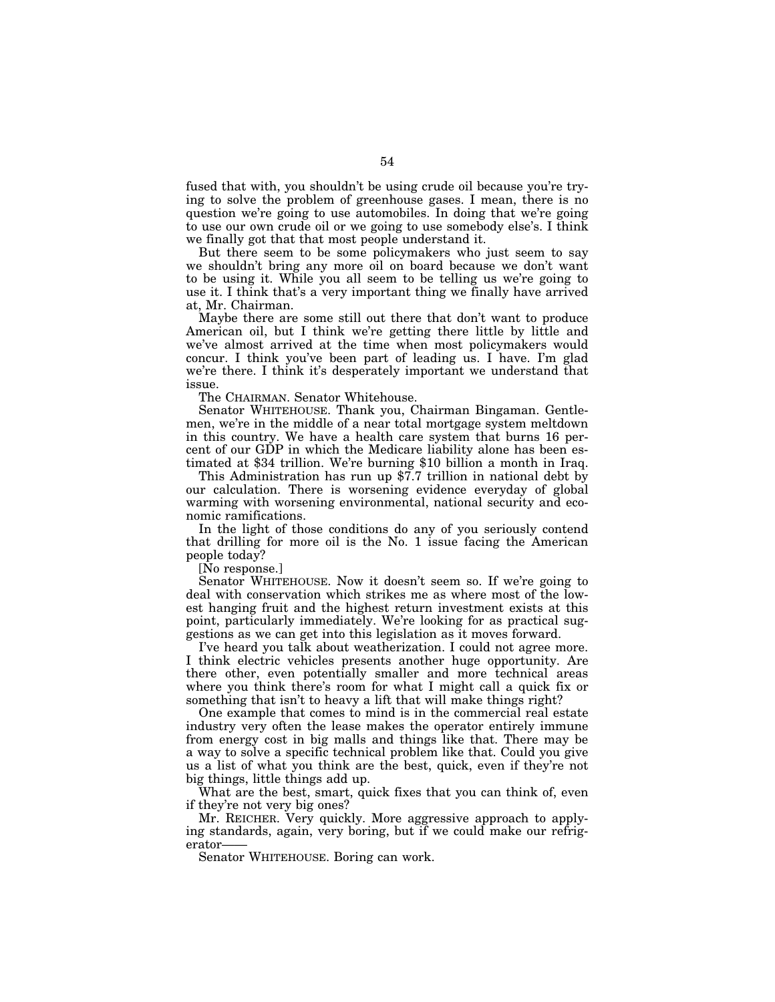fused that with, you shouldn't be using crude oil because you're trying to solve the problem of greenhouse gases. I mean, there is no question we're going to use automobiles. In doing that we're going to use our own crude oil or we going to use somebody else's. I think we finally got that that most people understand it.

But there seem to be some policymakers who just seem to say we shouldn't bring any more oil on board because we don't want to be using it. While you all seem to be telling us we're going to use it. I think that's a very important thing we finally have arrived at, Mr. Chairman.

Maybe there are some still out there that don't want to produce American oil, but I think we're getting there little by little and we've almost arrived at the time when most policymakers would concur. I think you've been part of leading us. I have. I'm glad we're there. I think it's desperately important we understand that issue.

The CHAIRMAN. Senator Whitehouse.

Senator WHITEHOUSE. Thank you, Chairman Bingaman. Gentlemen, we're in the middle of a near total mortgage system meltdown in this country. We have a health care system that burns 16 percent of our GDP in which the Medicare liability alone has been estimated at \$34 trillion. We're burning \$10 billion a month in Iraq.

This Administration has run up \$7.7 trillion in national debt by our calculation. There is worsening evidence everyday of global warming with worsening environmental, national security and economic ramifications.

In the light of those conditions do any of you seriously contend that drilling for more oil is the No. 1 issue facing the American people today?

[No response.]

Senator WHITEHOUSE. Now it doesn't seem so. If we're going to deal with conservation which strikes me as where most of the lowest hanging fruit and the highest return investment exists at this point, particularly immediately. We're looking for as practical suggestions as we can get into this legislation as it moves forward.

I've heard you talk about weatherization. I could not agree more. I think electric vehicles presents another huge opportunity. Are there other, even potentially smaller and more technical areas where you think there's room for what I might call a quick fix or something that isn't to heavy a lift that will make things right?

One example that comes to mind is in the commercial real estate industry very often the lease makes the operator entirely immune from energy cost in big malls and things like that. There may be a way to solve a specific technical problem like that. Could you give us a list of what you think are the best, quick, even if they're not big things, little things add up.

What are the best, smart, quick fixes that you can think of, even if they're not very big ones?

Mr. REICHER. Very quickly. More aggressive approach to applying standards, again, very boring, but if we could make our refrigerator-

Senator WHITEHOUSE. Boring can work.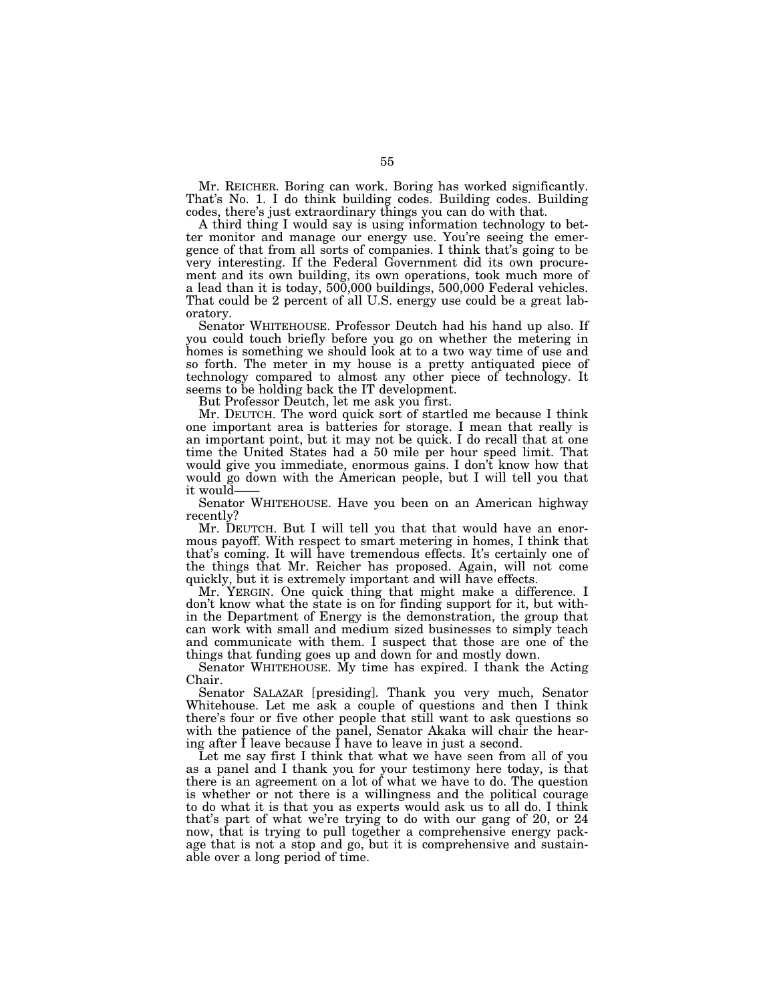Mr. REICHER. Boring can work. Boring has worked significantly. That's No. 1. I do think building codes. Building codes. Building codes, there's just extraordinary things you can do with that.

A third thing I would say is using information technology to better monitor and manage our energy use. You're seeing the emergence of that from all sorts of companies. I think that's going to be very interesting. If the Federal Government did its own procurement and its own building, its own operations, took much more of a lead than it is today, 500,000 buildings, 500,000 Federal vehicles. That could be 2 percent of all U.S. energy use could be a great laboratory.

Senator WHITEHOUSE. Professor Deutch had his hand up also. If you could touch briefly before you go on whether the metering in homes is something we should look at to a two way time of use and so forth. The meter in my house is a pretty antiquated piece of technology compared to almost any other piece of technology. It seems to be holding back the IT development.

But Professor Deutch, let me ask you first.

Mr. DEUTCH. The word quick sort of startled me because I think one important area is batteries for storage. I mean that really is an important point, but it may not be quick. I do recall that at one time the United States had a 50 mile per hour speed limit. That would give you immediate, enormous gains. I don't know how that would go down with the American people, but I will tell you that it would——

Senator WHITEHOUSE. Have you been on an American highway recently?

Mr. DEUTCH. But I will tell you that that would have an enormous payoff. With respect to smart metering in homes, I think that that's coming. It will have tremendous effects. It's certainly one of the things that Mr. Reicher has proposed. Again, will not come quickly, but it is extremely important and will have effects.

Mr. YERGIN. One quick thing that might make a difference. I don't know what the state is on for finding support for it, but within the Department of Energy is the demonstration, the group that can work with small and medium sized businesses to simply teach and communicate with them. I suspect that those are one of the things that funding goes up and down for and mostly down.

Senator WHITEHOUSE. My time has expired. I thank the Acting Chair.

Senator SALAZAR [presiding]. Thank you very much, Senator Whitehouse. Let me ask a couple of questions and then I think there's four or five other people that still want to ask questions so with the patience of the panel, Senator Akaka will chair the hearing after I leave because I have to leave in just a second.

Let me say first I think that what we have seen from all of you as a panel and I thank you for your testimony here today, is that there is an agreement on a lot of what we have to do. The question is whether or not there is a willingness and the political courage to do what it is that you as experts would ask us to all do. I think that's part of what we're trying to do with our gang of 20, or 24 now, that is trying to pull together a comprehensive energy package that is not a stop and go, but it is comprehensive and sustainable over a long period of time.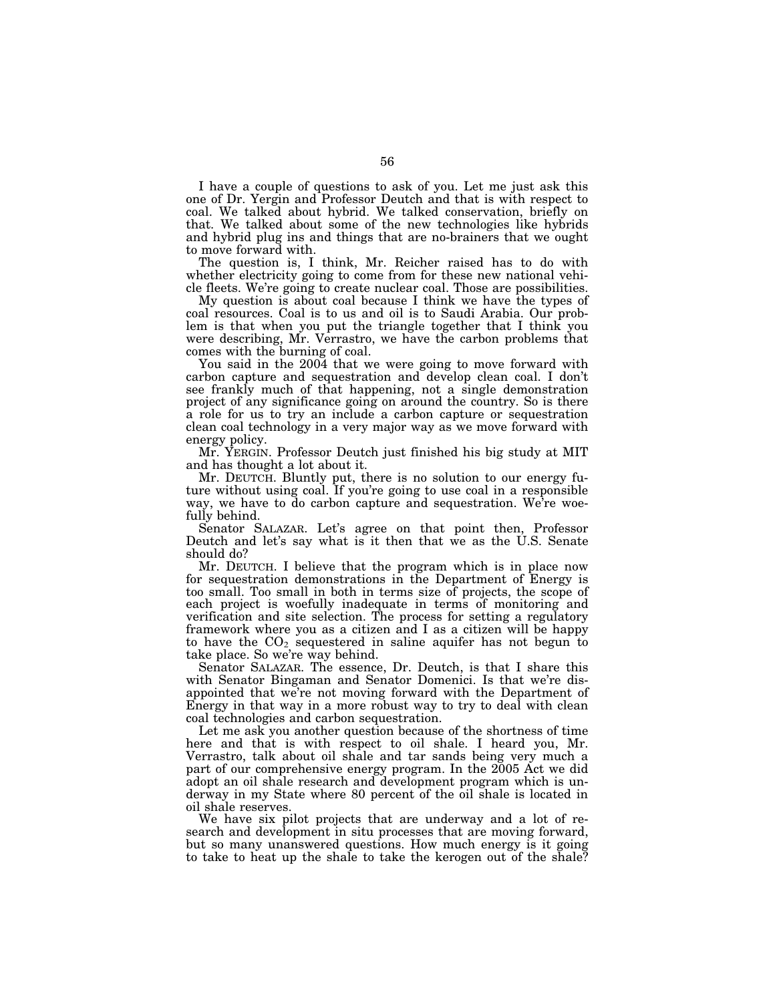I have a couple of questions to ask of you. Let me just ask this one of Dr. Yergin and Professor Deutch and that is with respect to coal. We talked about hybrid. We talked conservation, briefly on that. We talked about some of the new technologies like hybrids and hybrid plug ins and things that are no-brainers that we ought to move forward with.

The question is, I think, Mr. Reicher raised has to do with whether electricity going to come from for these new national vehicle fleets. We're going to create nuclear coal. Those are possibilities.

My question is about coal because I think we have the types of coal resources. Coal is to us and oil is to Saudi Arabia. Our problem is that when you put the triangle together that I think you were describing, Mr. Verrastro, we have the carbon problems that comes with the burning of coal.

You said in the 2004 that we were going to move forward with carbon capture and sequestration and develop clean coal. I don't see frankly much of that happening, not a single demonstration project of any significance going on around the country. So is there a role for us to try an include a carbon capture or sequestration clean coal technology in a very major way as we move forward with energy policy.

Mr. YERGIN. Professor Deutch just finished his big study at MIT and has thought a lot about it.

Mr. DEUTCH. Bluntly put, there is no solution to our energy future without using coal. If you're going to use coal in a responsible way, we have to do carbon capture and sequestration. We're woefully behind.

Senator SALAZAR. Let's agree on that point then, Professor Deutch and let's say what is it then that we as the U.S. Senate should do?

Mr. DEUTCH. I believe that the program which is in place now for sequestration demonstrations in the Department of Energy is too small. Too small in both in terms size of projects, the scope of each project is woefully inadequate in terms of monitoring and verification and site selection. The process for setting a regulatory framework where you as a citizen and I as a citizen will be happy to have the  $CO<sub>2</sub>$  sequestered in saline aquifer has not begun to take place. So we're way behind.

Senator SALAZAR. The essence, Dr. Deutch, is that I share this with Senator Bingaman and Senator Domenici. Is that we're disappointed that we're not moving forward with the Department of Energy in that way in a more robust way to try to deal with clean coal technologies and carbon sequestration.

Let me ask you another question because of the shortness of time here and that is with respect to oil shale. I heard you, Mr. Verrastro, talk about oil shale and tar sands being very much a part of our comprehensive energy program. In the 2005 Act we did adopt an oil shale research and development program which is underway in my State where 80 percent of the oil shale is located in oil shale reserves.

We have six pilot projects that are underway and a lot of research and development in situ processes that are moving forward, but so many unanswered questions. How much energy is it going to take to heat up the shale to take the kerogen out of the shale?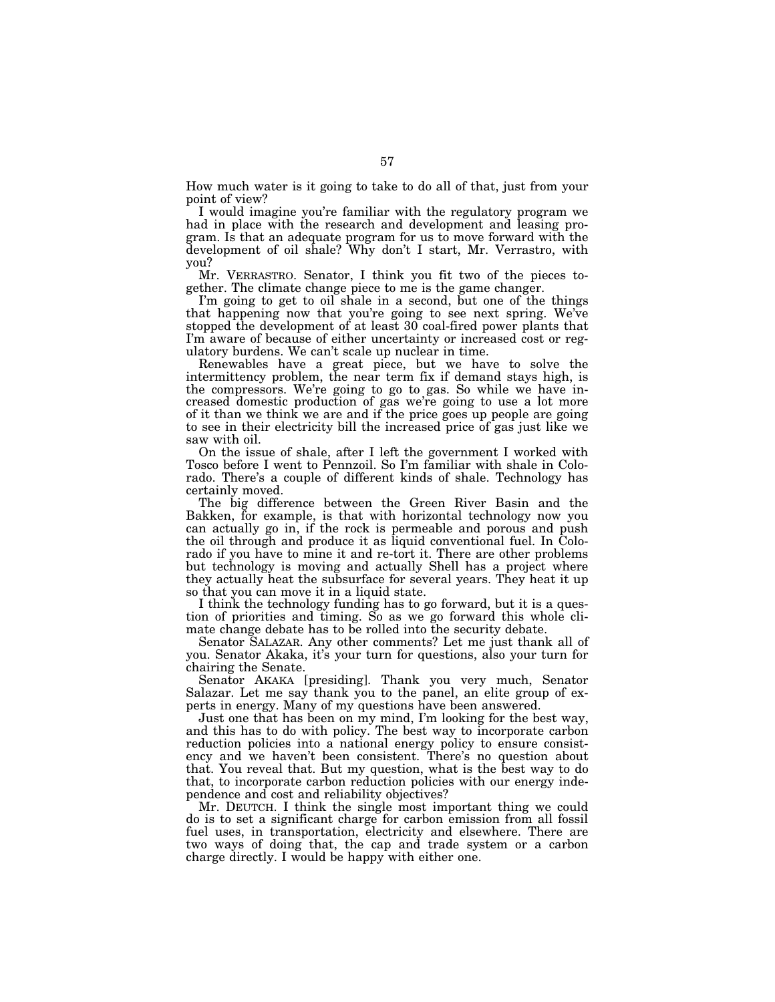How much water is it going to take to do all of that, just from your point of view?

I would imagine you're familiar with the regulatory program we had in place with the research and development and leasing program. Is that an adequate program for us to move forward with the development of oil shale? Why don't I start, Mr. Verrastro, with you?

Mr. VERRASTRO. Senator, I think you fit two of the pieces together. The climate change piece to me is the game changer.

I'm going to get to oil shale in a second, but one of the things that happening now that you're going to see next spring. We've stopped the development of at least 30 coal-fired power plants that I'm aware of because of either uncertainty or increased cost or regulatory burdens. We can't scale up nuclear in time.

Renewables have a great piece, but we have to solve the intermittency problem, the near term fix if demand stays high, is the compressors. We're going to go to gas. So while we have increased domestic production of gas we're going to use a lot more of it than we think we are and if the price goes up people are going to see in their electricity bill the increased price of gas just like we saw with oil.

On the issue of shale, after I left the government I worked with Tosco before I went to Pennzoil. So I'm familiar with shale in Colorado. There's a couple of different kinds of shale. Technology has certainly moved.

The big difference between the Green River Basin and the Bakken, for example, is that with horizontal technology now you can actually go in, if the rock is permeable and porous and push the oil through and produce it as liquid conventional fuel. In Colorado if you have to mine it and re-tort it. There are other problems but technology is moving and actually Shell has a project where they actually heat the subsurface for several years. They heat it up so that you can move it in a liquid state.

I think the technology funding has to go forward, but it is a question of priorities and timing. So as we go forward this whole climate change debate has to be rolled into the security debate.

Senator SALAZAR. Any other comments? Let me just thank all of you. Senator Akaka, it's your turn for questions, also your turn for chairing the Senate.

Senator AKAKA [presiding]. Thank you very much, Senator Salazar. Let me say thank you to the panel, an elite group of experts in energy. Many of my questions have been answered.

Just one that has been on my mind, I'm looking for the best way, and this has to do with policy. The best way to incorporate carbon reduction policies into a national energy policy to ensure consistency and we haven't been consistent. There's no question about that. You reveal that. But my question, what is the best way to do that, to incorporate carbon reduction policies with our energy independence and cost and reliability objectives?

Mr. DEUTCH. I think the single most important thing we could do is to set a significant charge for carbon emission from all fossil fuel uses, in transportation, electricity and elsewhere. There are two ways of doing that, the cap and trade system or a carbon charge directly. I would be happy with either one.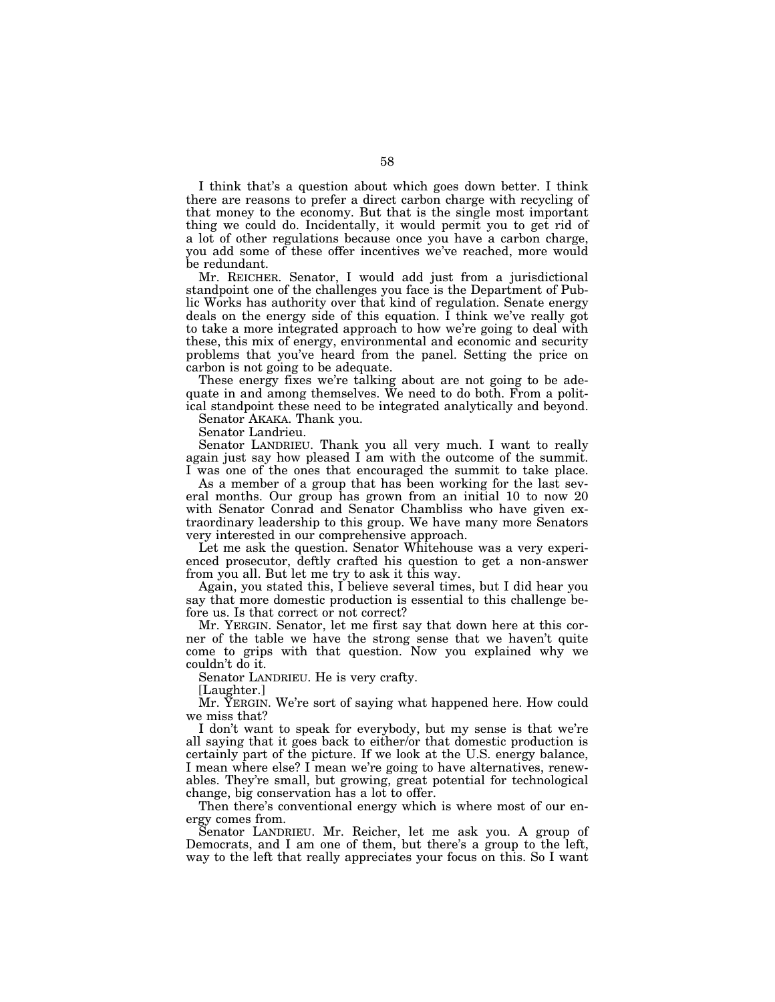I think that's a question about which goes down better. I think there are reasons to prefer a direct carbon charge with recycling of that money to the economy. But that is the single most important thing we could do. Incidentally, it would permit you to get rid of a lot of other regulations because once you have a carbon charge, you add some of these offer incentives we've reached, more would be redundant.

Mr. REICHER. Senator, I would add just from a jurisdictional standpoint one of the challenges you face is the Department of Public Works has authority over that kind of regulation. Senate energy deals on the energy side of this equation. I think we've really got to take a more integrated approach to how we're going to deal with these, this mix of energy, environmental and economic and security problems that you've heard from the panel. Setting the price on carbon is not going to be adequate.

These energy fixes we're talking about are not going to be adequate in and among themselves. We need to do both. From a political standpoint these need to be integrated analytically and beyond.

Senator AKAKA. Thank you.

Senator Landrieu.

Senator LANDRIEU. Thank you all very much. I want to really again just say how pleased I am with the outcome of the summit. I was one of the ones that encouraged the summit to take place.

As a member of a group that has been working for the last several months. Our group has grown from an initial 10 to now 20 with Senator Conrad and Senator Chambliss who have given extraordinary leadership to this group. We have many more Senators very interested in our comprehensive approach.

Let me ask the question. Senator Whitehouse was a very experienced prosecutor, deftly crafted his question to get a non-answer from you all. But let me try to ask it this way.

Again, you stated this, I believe several times, but I did hear you say that more domestic production is essential to this challenge before us. Is that correct or not correct?

Mr. YERGIN. Senator, let me first say that down here at this corner of the table we have the strong sense that we haven't quite come to grips with that question. Now you explained why we couldn't do it.

Senator LANDRIEU. He is very crafty.

[Laughter.]

Mr. YERGIN. We're sort of saying what happened here. How could we miss that?

I don't want to speak for everybody, but my sense is that we're all saying that it goes back to either/or that domestic production is certainly part of the picture. If we look at the U.S. energy balance, I mean where else? I mean we're going to have alternatives, renewables. They're small, but growing, great potential for technological change, big conservation has a lot to offer.

Then there's conventional energy which is where most of our energy comes from.

Senator LANDRIEU. Mr. Reicher, let me ask you. A group of Democrats, and I am one of them, but there's a group to the left, way to the left that really appreciates your focus on this. So I want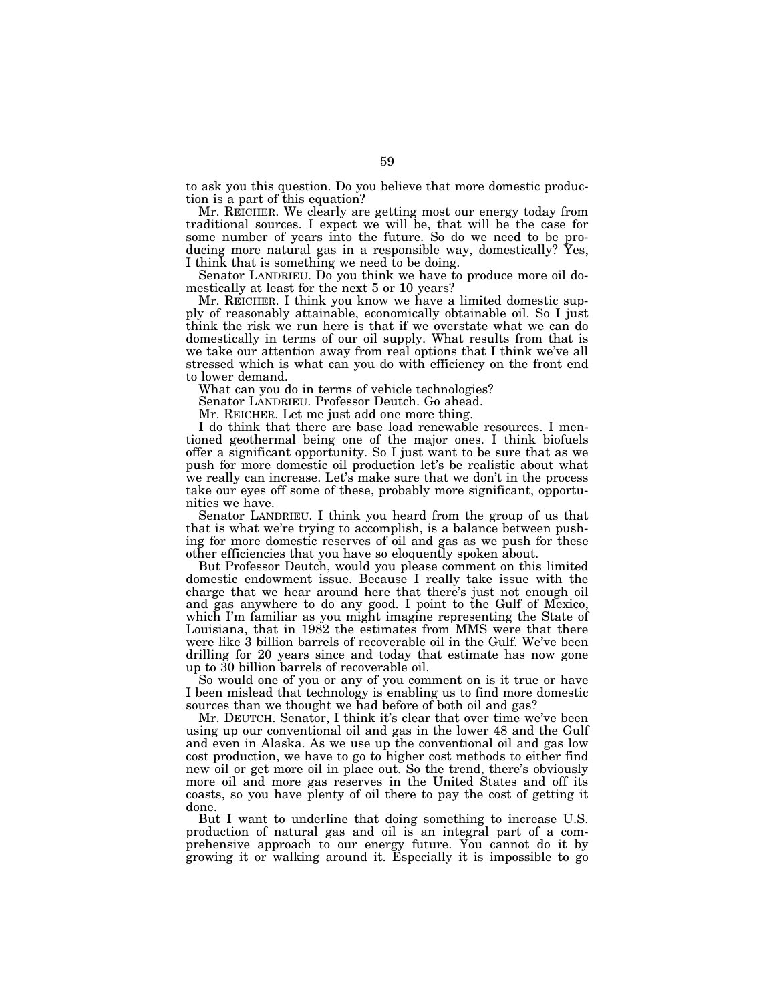to ask you this question. Do you believe that more domestic production is a part of this equation?

Mr. REICHER. We clearly are getting most our energy today from traditional sources. I expect we will be, that will be the case for some number of years into the future. So do we need to be producing more natural gas in a responsible way, domestically? Yes, I think that is something we need to be doing.

Senator LANDRIEU. Do you think we have to produce more oil domestically at least for the next 5 or 10 years?

Mr. REICHER. I think you know we have a limited domestic supply of reasonably attainable, economically obtainable oil. So I just think the risk we run here is that if we overstate what we can do domestically in terms of our oil supply. What results from that is we take our attention away from real options that I think we've all stressed which is what can you do with efficiency on the front end to lower demand.

What can you do in terms of vehicle technologies?

Senator LANDRIEU. Professor Deutch. Go ahead.

Mr. REICHER. Let me just add one more thing.

I do think that there are base load renewable resources. I mentioned geothermal being one of the major ones. I think biofuels offer a significant opportunity. So I just want to be sure that as we push for more domestic oil production let's be realistic about what we really can increase. Let's make sure that we don't in the process take our eyes off some of these, probably more significant, opportunities we have.

Senator LANDRIEU. I think you heard from the group of us that that is what we're trying to accomplish, is a balance between pushing for more domestic reserves of oil and gas as we push for these other efficiencies that you have so eloquently spoken about.

But Professor Deutch, would you please comment on this limited domestic endowment issue. Because I really take issue with the charge that we hear around here that there's just not enough oil and gas anywhere to do any good. I point to the Gulf of Mexico, which I'm familiar as you might imagine representing the State of Louisiana, that in 1982 the estimates from MMS were that there were like 3 billion barrels of recoverable oil in the Gulf. We've been drilling for 20 years since and today that estimate has now gone up to 30 billion barrels of recoverable oil.

So would one of you or any of you comment on is it true or have I been mislead that technology is enabling us to find more domestic sources than we thought we had before of both oil and gas?

Mr. DEUTCH. Senator, I think it's clear that over time we've been using up our conventional oil and gas in the lower 48 and the Gulf and even in Alaska. As we use up the conventional oil and gas low cost production, we have to go to higher cost methods to either find new oil or get more oil in place out. So the trend, there's obviously more oil and more gas reserves in the United States and off its coasts, so you have plenty of oil there to pay the cost of getting it done.

But I want to underline that doing something to increase U.S. production of natural gas and oil is an integral part of a comprehensive approach to our energy future. You cannot do it by growing it or walking around it. Especially it is impossible to go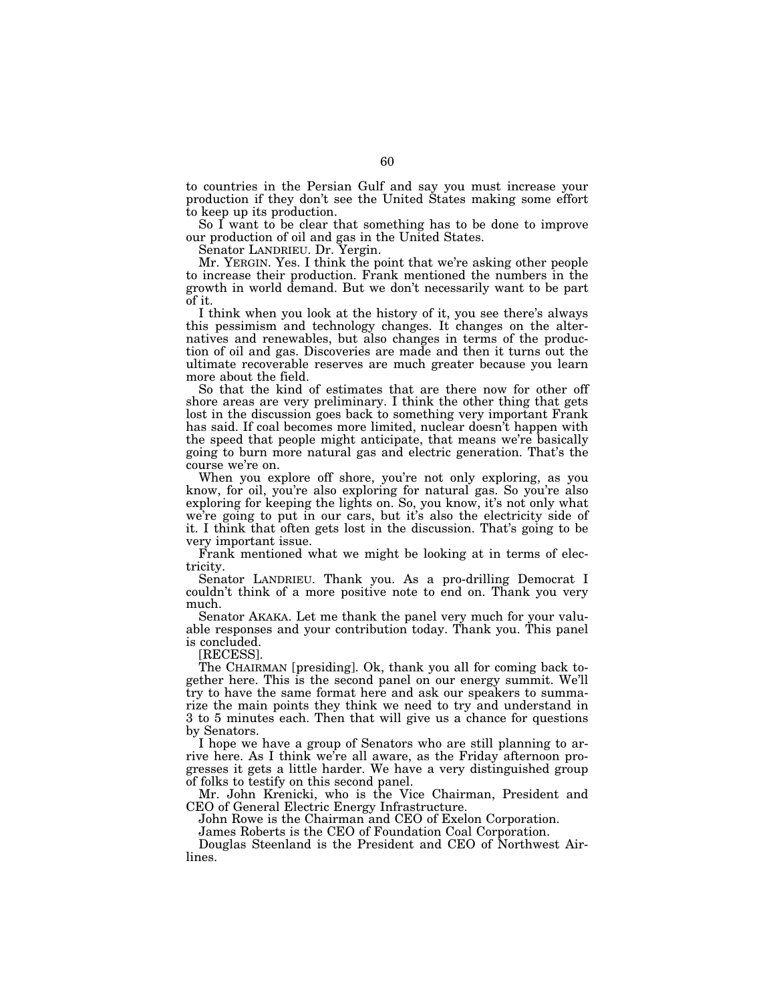to countries in the Persian Gulf and say you must increase your production if they don't see the United States making some effort to keep up its production.

So I want to be clear that something has to be done to improve our production of oil and gas in the United States.

Senator LANDRIEU. Dr. Yergin.

Mr. YERGIN. Yes. I think the point that we're asking other people to increase their production. Frank mentioned the numbers in the growth in world demand. But we don't necessarily want to be part of it.

I think when you look at the history of it, you see there's always this pessimism and technology changes. It changes on the alternatives and renewables, but also changes in terms of the production of oil and gas. Discoveries are made and then it turns out the ultimate recoverable reserves are much greater because you learn more about the field.

So that the kind of estimates that are there now for other off shore areas are very preliminary. I think the other thing that gets lost in the discussion goes back to something very important Frank has said. If coal becomes more limited, nuclear doesn't happen with the speed that people might anticipate, that means we're basically going to burn more natural gas and electric generation. That's the course we're on.

When you explore off shore, you're not only exploring, as you know, for oil, you're also exploring for natural gas. So you're also exploring for keeping the lights on. So, you know, it's not only what we're going to put in our cars, but it's also the electricity side of it. I think that often gets lost in the discussion. That's going to be very important issue.

Frank mentioned what we might be looking at in terms of electricity.

Senator LANDRIEU. Thank you. As a pro-drilling Democrat I couldn't think of a more positive note to end on. Thank you very much.

Senator AKAKA. Let me thank the panel very much for your valuable responses and your contribution today. Thank you. This panel is concluded.

[RECESS].

The CHAIRMAN [presiding]. Ok, thank you all for coming back together here. This is the second panel on our energy summit. We'll try to have the same format here and ask our speakers to summarize the main points they think we need to try and understand in 3 to 5 minutes each. Then that will give us a chance for questions by Senators.

I hope we have a group of Senators who are still planning to arrive here. As I think we're all aware, as the Friday afternoon progresses it gets a little harder. We have a very distinguished group of folks to testify on this second panel.

Mr. John Krenicki, who is the Vice Chairman, President and CEO of General Electric Energy Infrastructure.

John Rowe is the Chairman and CEO of Exelon Corporation.

James Roberts is the CEO of Foundation Coal Corporation.

Douglas Steenland is the President and CEO of Northwest Airlines.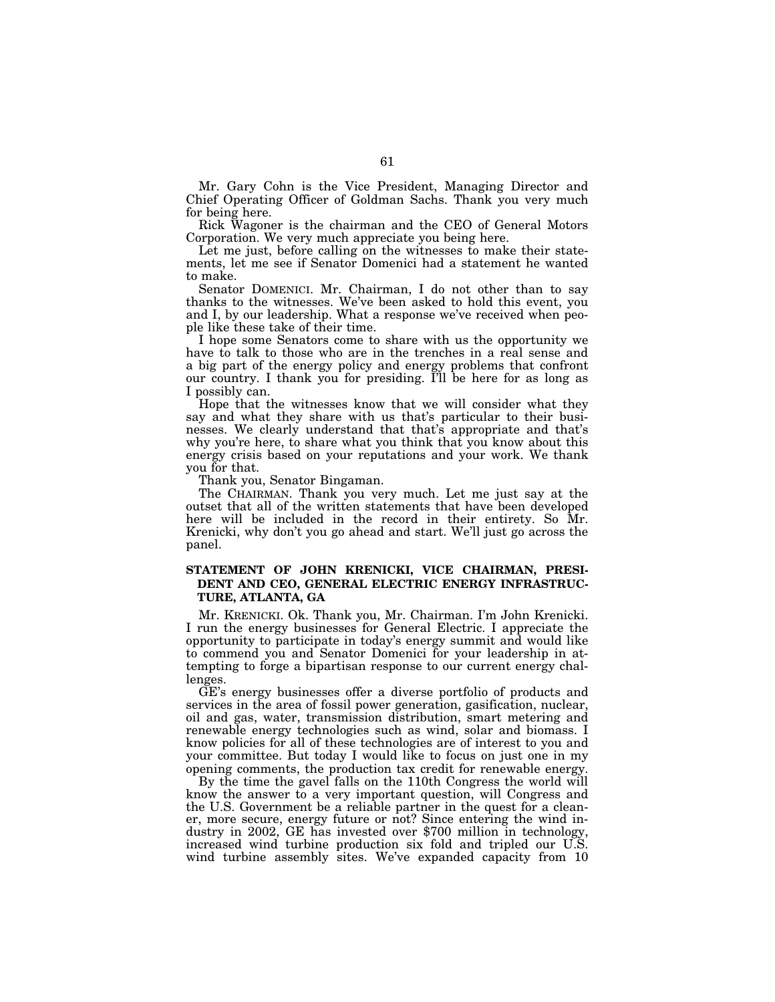Mr. Gary Cohn is the Vice President, Managing Director and Chief Operating Officer of Goldman Sachs. Thank you very much for being here.

Rick Wagoner is the chairman and the CEO of General Motors Corporation. We very much appreciate you being here.

Let me just, before calling on the witnesses to make their statements, let me see if Senator Domenici had a statement he wanted to make.

Senator DOMENICI. Mr. Chairman, I do not other than to say thanks to the witnesses. We've been asked to hold this event, you and I, by our leadership. What a response we've received when people like these take of their time.

I hope some Senators come to share with us the opportunity we have to talk to those who are in the trenches in a real sense and a big part of the energy policy and energy problems that confront our country. I thank you for presiding. I'll be here for as long as I possibly can.

Hope that the witnesses know that we will consider what they say and what they share with us that's particular to their businesses. We clearly understand that that's appropriate and that's why you're here, to share what you think that you know about this energy crisis based on your reputations and your work. We thank you for that.

Thank you, Senator Bingaman.

The CHAIRMAN. Thank you very much. Let me just say at the outset that all of the written statements that have been developed here will be included in the record in their entirety. So Mr. Krenicki, why don't you go ahead and start. We'll just go across the panel.

# **STATEMENT OF JOHN KRENICKI, VICE CHAIRMAN, PRESI-DENT AND CEO, GENERAL ELECTRIC ENERGY INFRASTRUC-TURE, ATLANTA, GA**

Mr. KRENICKI. Ok. Thank you, Mr. Chairman. I'm John Krenicki. I run the energy businesses for General Electric. I appreciate the opportunity to participate in today's energy summit and would like to commend you and Senator Domenici for your leadership in attempting to forge a bipartisan response to our current energy challenges.

GE's energy businesses offer a diverse portfolio of products and services in the area of fossil power generation, gasification, nuclear, oil and gas, water, transmission distribution, smart metering and renewable energy technologies such as wind, solar and biomass. I know policies for all of these technologies are of interest to you and your committee. But today I would like to focus on just one in my opening comments, the production tax credit for renewable energy.

By the time the gavel falls on the 110th Congress the world will know the answer to a very important question, will Congress and the U.S. Government be a reliable partner in the quest for a cleaner, more secure, energy future or not? Since entering the wind industry in 2002, GE has invested over \$700 million in technology, increased wind turbine production six fold and tripled our U.S. wind turbine assembly sites. We've expanded capacity from 10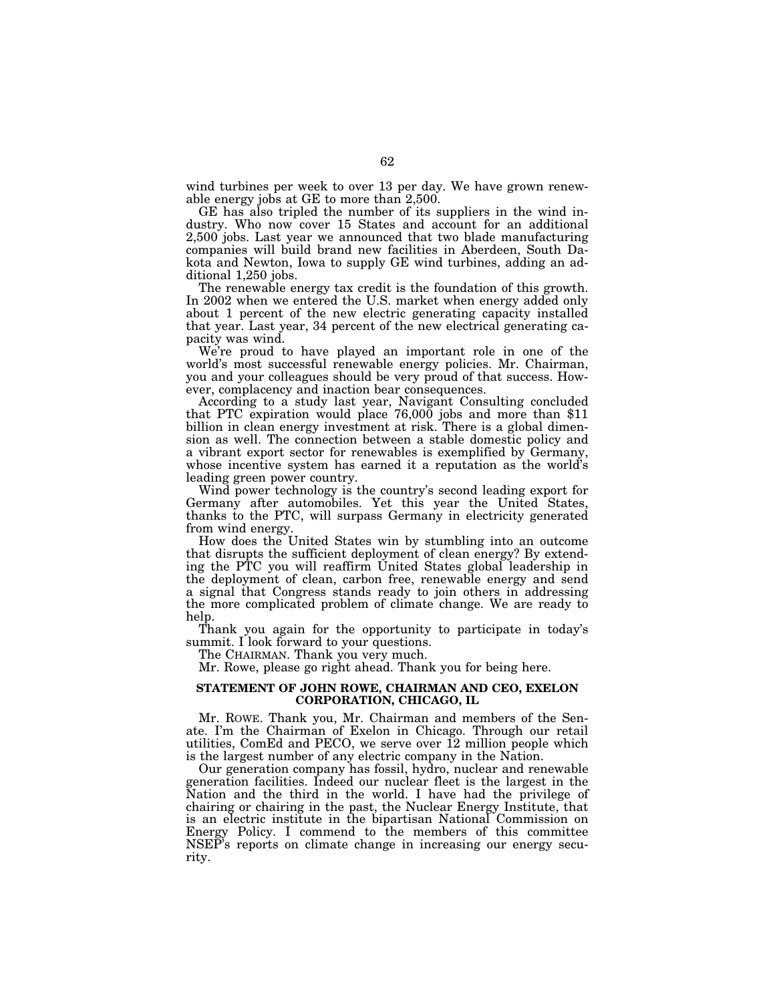wind turbines per week to over 13 per day. We have grown renewable energy jobs at GE to more than 2,500.

GE has also tripled the number of its suppliers in the wind industry. Who now cover 15 States and account for an additional 2,500 jobs. Last year we announced that two blade manufacturing companies will build brand new facilities in Aberdeen, South Dakota and Newton, Iowa to supply GE wind turbines, adding an additional 1,250 jobs.

The renewable energy tax credit is the foundation of this growth. In 2002 when we entered the U.S. market when energy added only about 1 percent of the new electric generating capacity installed that year. Last year, 34 percent of the new electrical generating capacity was wind.

We're proud to have played an important role in one of the world's most successful renewable energy policies. Mr. Chairman, you and your colleagues should be very proud of that success. However, complacency and inaction bear consequences.

According to a study last year, Navigant Consulting concluded that PTC expiration would place 76,000 jobs and more than \$11 billion in clean energy investment at risk. There is a global dimension as well. The connection between a stable domestic policy and a vibrant export sector for renewables is exemplified by Germany, whose incentive system has earned it a reputation as the world's leading green power country.

Wind power technology is the country's second leading export for Germany after automobiles. Yet this year the United States, thanks to the PTC, will surpass Germany in electricity generated from wind energy.

How does the United States win by stumbling into an outcome that disrupts the sufficient deployment of clean energy? By extending the PTC you will reaffirm United States global leadership in the deployment of clean, carbon free, renewable energy and send a signal that Congress stands ready to join others in addressing the more complicated problem of climate change. We are ready to help.

Thank you again for the opportunity to participate in today's summit. I look forward to your questions.

The CHAIRMAN. Thank you very much.

Mr. Rowe, please go right ahead. Thank you for being here.

## **STATEMENT OF JOHN ROWE, CHAIRMAN AND CEO, EXELON CORPORATION, CHICAGO, IL**

Mr. ROWE. Thank you, Mr. Chairman and members of the Senate. I'm the Chairman of Exelon in Chicago. Through our retail utilities, ComEd and PECO, we serve over 12 million people which is the largest number of any electric company in the Nation.

Our generation company has fossil, hydro, nuclear and renewable generation facilities. Indeed our nuclear fleet is the largest in the Nation and the third in the world. I have had the privilege of chairing or chairing in the past, the Nuclear Energy Institute, that is an electric institute in the bipartisan National Commission on Energy Policy. I commend to the members of this committee NSEP's reports on climate change in increasing our energy security.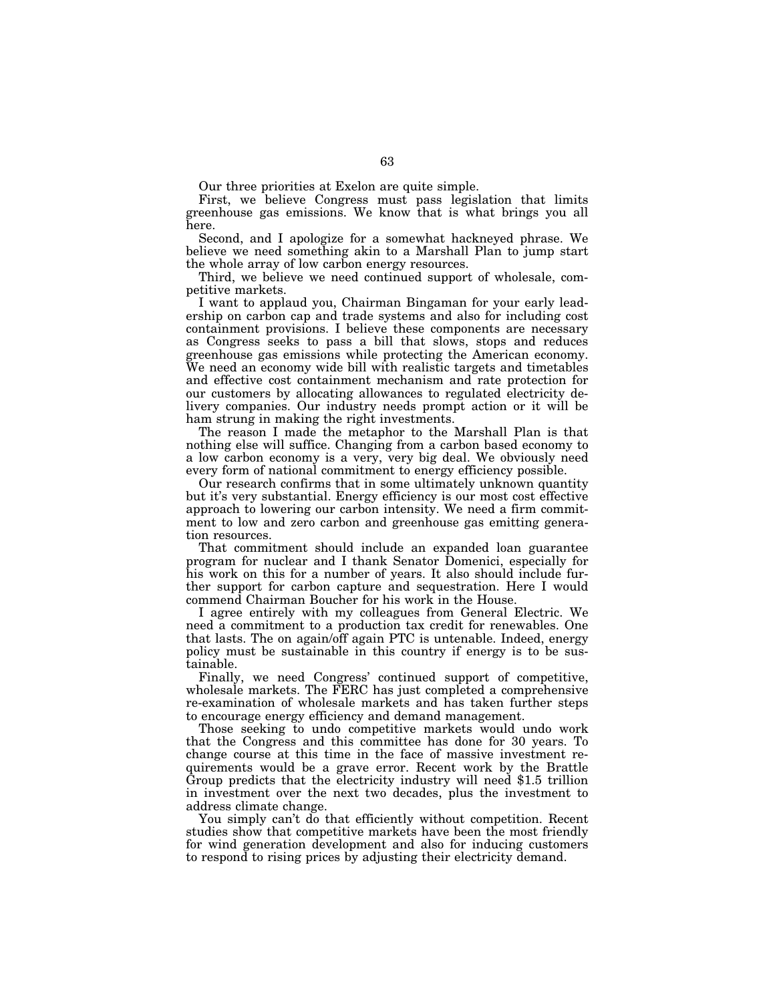Our three priorities at Exelon are quite simple.

First, we believe Congress must pass legislation that limits greenhouse gas emissions. We know that is what brings you all here.

Second, and I apologize for a somewhat hackneyed phrase. We believe we need something akin to a Marshall Plan to jump start the whole array of low carbon energy resources.

Third, we believe we need continued support of wholesale, competitive markets.

I want to applaud you, Chairman Bingaman for your early leadership on carbon cap and trade systems and also for including cost containment provisions. I believe these components are necessary as Congress seeks to pass a bill that slows, stops and reduces greenhouse gas emissions while protecting the American economy. We need an economy wide bill with realistic targets and timetables and effective cost containment mechanism and rate protection for our customers by allocating allowances to regulated electricity delivery companies. Our industry needs prompt action or it will be ham strung in making the right investments.

The reason I made the metaphor to the Marshall Plan is that nothing else will suffice. Changing from a carbon based economy to a low carbon economy is a very, very big deal. We obviously need every form of national commitment to energy efficiency possible.

Our research confirms that in some ultimately unknown quantity but it's very substantial. Energy efficiency is our most cost effective approach to lowering our carbon intensity. We need a firm commitment to low and zero carbon and greenhouse gas emitting generation resources.

That commitment should include an expanded loan guarantee program for nuclear and I thank Senator Domenici, especially for his work on this for a number of years. It also should include further support for carbon capture and sequestration. Here I would commend Chairman Boucher for his work in the House.

I agree entirely with my colleagues from General Electric. We need a commitment to a production tax credit for renewables. One that lasts. The on again/off again PTC is untenable. Indeed, energy policy must be sustainable in this country if energy is to be sustainable.

Finally, we need Congress' continued support of competitive, wholesale markets. The FERC has just completed a comprehensive re-examination of wholesale markets and has taken further steps to encourage energy efficiency and demand management.

Those seeking to undo competitive markets would undo work that the Congress and this committee has done for 30 years. To change course at this time in the face of massive investment requirements would be a grave error. Recent work by the Brattle Group predicts that the electricity industry will need \$1.5 trillion in investment over the next two decades, plus the investment to address climate change.

You simply can't do that efficiently without competition. Recent studies show that competitive markets have been the most friendly for wind generation development and also for inducing customers to respond to rising prices by adjusting their electricity demand.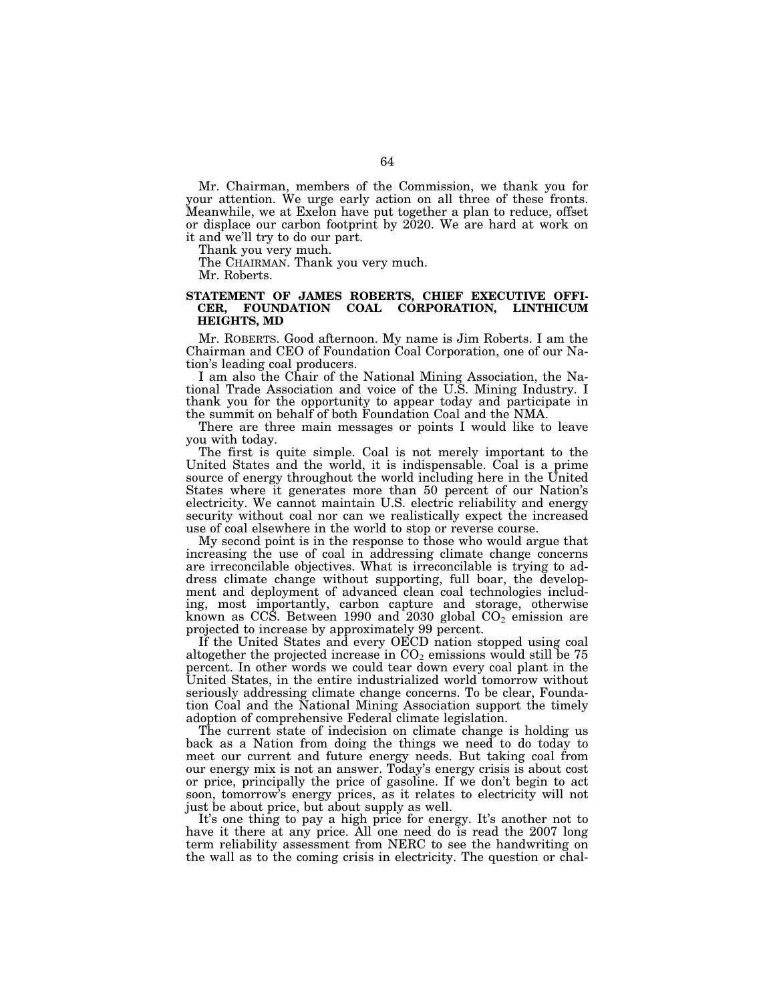Mr. Chairman, members of the Commission, we thank you for your attention. We urge early action on all three of these fronts. Meanwhile, we at Exelon have put together a plan to reduce, offset or displace our carbon footprint by 2020. We are hard at work on it and we'll try to do our part.

Thank you very much.

The CHAIRMAN. Thank you very much.

Mr. Roberts.

## **STATEMENT OF JAMES ROBERTS, CHIEF EXECUTIVE OFFI-CER, FOUNDATION COAL CORPORATION, LINTHICUM HEIGHTS, MD**

Mr. ROBERTS. Good afternoon. My name is Jim Roberts. I am the Chairman and CEO of Foundation Coal Corporation, one of our Nation's leading coal producers.

I am also the Chair of the National Mining Association, the National Trade Association and voice of the U.S. Mining Industry. I thank you for the opportunity to appear today and participate in the summit on behalf of both Foundation Coal and the NMA.

There are three main messages or points I would like to leave you with today.

The first is quite simple. Coal is not merely important to the United States and the world, it is indispensable. Coal is a prime source of energy throughout the world including here in the United States where it generates more than 50 percent of our Nation's electricity. We cannot maintain U.S. electric reliability and energy security without coal nor can we realistically expect the increased use of coal elsewhere in the world to stop or reverse course.

My second point is in the response to those who would argue that increasing the use of coal in addressing climate change concerns are irreconcilable objectives. What is irreconcilable is trying to address climate change without supporting, full boar, the development and deployment of advanced clean coal technologies including, most importantly, carbon capture and storage, otherwise known as CCS. Between 1990 and  $2030$  global  $CO<sub>2</sub>$  emission are projected to increase by approximately 99 percent.

If the United States and every OECD nation stopped using coal altogether the projected increase in  $CO<sub>2</sub>$  emissions would still be 75 percent. In other words we could tear down every coal plant in the United States, in the entire industrialized world tomorrow without seriously addressing climate change concerns. To be clear, Foundation Coal and the National Mining Association support the timely adoption of comprehensive Federal climate legislation.

The current state of indecision on climate change is holding us back as a Nation from doing the things we need to do today to meet our current and future energy needs. But taking coal from our energy mix is not an answer. Today's energy crisis is about cost or price, principally the price of gasoline. If we don't begin to act soon, tomorrow's energy prices, as it relates to electricity will not just be about price, but about supply as well.

It's one thing to pay a high price for energy. It's another not to have it there at any price. All one need do is read the 2007 long term reliability assessment from NERC to see the handwriting on the wall as to the coming crisis in electricity. The question or chal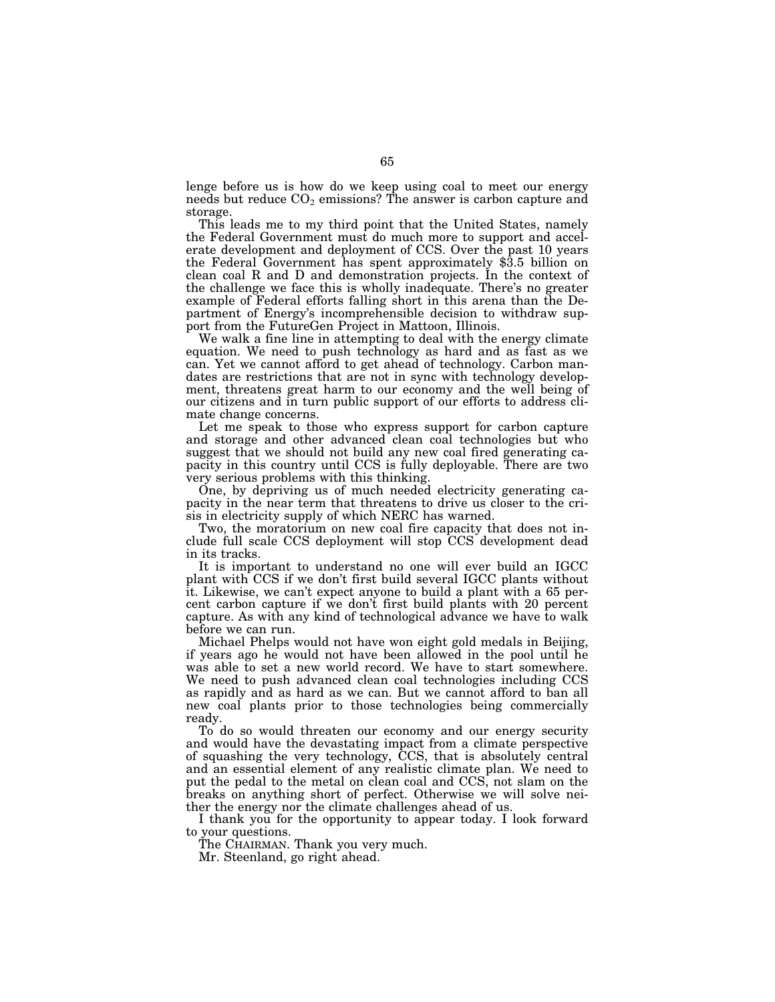lenge before us is how do we keep using coal to meet our energy needs but reduce  $CO<sub>2</sub>$  emissions? The answer is carbon capture and storage.

This leads me to my third point that the United States, namely the Federal Government must do much more to support and accelerate development and deployment of CCS. Over the past 10 years the Federal Government has spent approximately \$3.5 billion on clean coal R and D and demonstration projects. In the context of the challenge we face this is wholly inadequate. There's no greater example of Federal efforts falling short in this arena than the Department of Energy's incomprehensible decision to withdraw support from the FutureGen Project in Mattoon, Illinois.

We walk a fine line in attempting to deal with the energy climate equation. We need to push technology as hard and as fast as we can. Yet we cannot afford to get ahead of technology. Carbon mandates are restrictions that are not in sync with technology development, threatens great harm to our economy and the well being of our citizens and in turn public support of our efforts to address climate change concerns.

Let me speak to those who express support for carbon capture and storage and other advanced clean coal technologies but who suggest that we should not build any new coal fired generating capacity in this country until CCS is fully deployable. There are two very serious problems with this thinking.

One, by depriving us of much needed electricity generating capacity in the near term that threatens to drive us closer to the crisis in electricity supply of which NERC has warned.

Two, the moratorium on new coal fire capacity that does not include full scale CCS deployment will stop CCS development dead in its tracks.

It is important to understand no one will ever build an IGCC plant with CCS if we don't first build several IGCC plants without it. Likewise, we can't expect anyone to build a plant with a 65 percent carbon capture if we don't first build plants with 20 percent capture. As with any kind of technological advance we have to walk before we can run.

Michael Phelps would not have won eight gold medals in Beijing, if years ago he would not have been allowed in the pool until he was able to set a new world record. We have to start somewhere. We need to push advanced clean coal technologies including CCS as rapidly and as hard as we can. But we cannot afford to ban all new coal plants prior to those technologies being commercially ready.

To do so would threaten our economy and our energy security and would have the devastating impact from a climate perspective of squashing the very technology, CCS, that is absolutely central and an essential element of any realistic climate plan. We need to put the pedal to the metal on clean coal and CCS, not slam on the breaks on anything short of perfect. Otherwise we will solve neither the energy nor the climate challenges ahead of us.

I thank you for the opportunity to appear today. I look forward to your questions.

The CHAIRMAN. Thank you very much.

Mr. Steenland, go right ahead.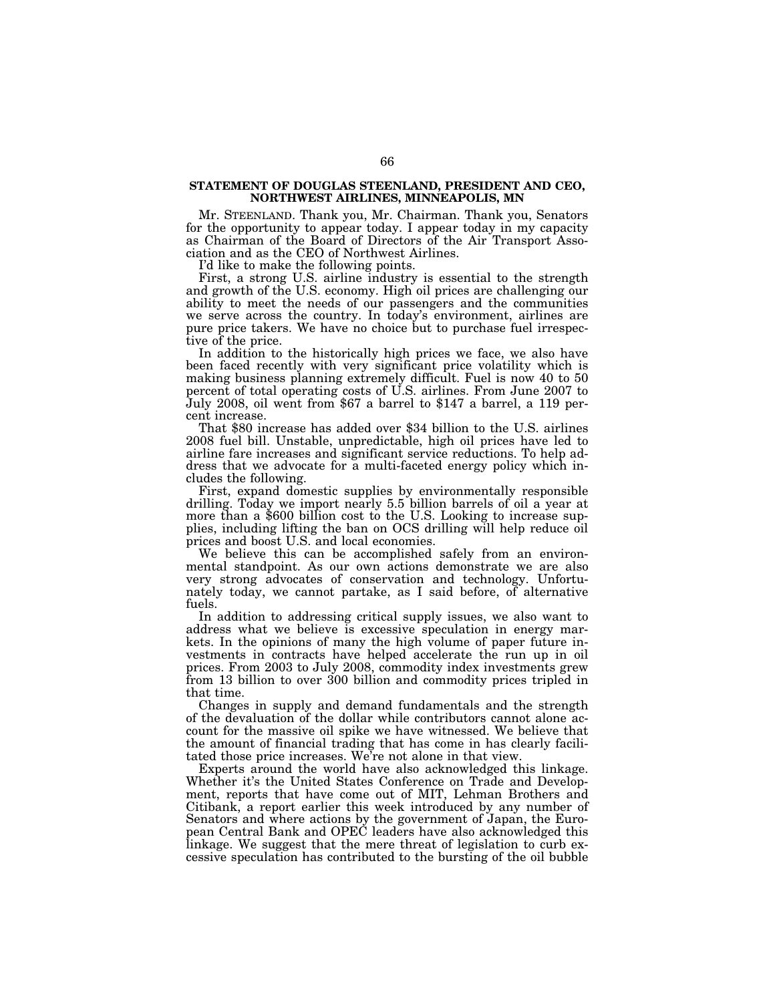#### **STATEMENT OF DOUGLAS STEENLAND, PRESIDENT AND CEO, NORTHWEST AIRLINES, MINNEAPOLIS, MN**

Mr. STEENLAND. Thank you, Mr. Chairman. Thank you, Senators for the opportunity to appear today. I appear today in my capacity as Chairman of the Board of Directors of the Air Transport Association and as the CEO of Northwest Airlines.

I'd like to make the following points.

First, a strong U.S. airline industry is essential to the strength and growth of the U.S. economy. High oil prices are challenging our ability to meet the needs of our passengers and the communities we serve across the country. In today's environment, airlines are pure price takers. We have no choice but to purchase fuel irrespective of the price.

In addition to the historically high prices we face, we also have been faced recently with very significant price volatility which is making business planning extremely difficult. Fuel is now 40 to 50 percent of total operating costs of U.S. airlines. From June 2007 to July 2008, oil went from \$67 a barrel to \$147 a barrel, a 119 percent increase.

That \$80 increase has added over \$34 billion to the U.S. airlines 2008 fuel bill. Unstable, unpredictable, high oil prices have led to airline fare increases and significant service reductions. To help address that we advocate for a multi-faceted energy policy which includes the following.

First, expand domestic supplies by environmentally responsible drilling. Today we import nearly 5.5 billion barrels of oil a year at more than a \$600 billion cost to the U.S. Looking to increase supplies, including lifting the ban on OCS drilling will help reduce oil prices and boost U.S. and local economies.

We believe this can be accomplished safely from an environmental standpoint. As our own actions demonstrate we are also very strong advocates of conservation and technology. Unfortunately today, we cannot partake, as I said before, of alternative fuels.

In addition to addressing critical supply issues, we also want to address what we believe is excessive speculation in energy markets. In the opinions of many the high volume of paper future investments in contracts have helped accelerate the run up in oil prices. From 2003 to July 2008, commodity index investments grew from 13 billion to over 300 billion and commodity prices tripled in that time.

Changes in supply and demand fundamentals and the strength of the devaluation of the dollar while contributors cannot alone account for the massive oil spike we have witnessed. We believe that the amount of financial trading that has come in has clearly facilitated those price increases. We're not alone in that view.

Experts around the world have also acknowledged this linkage. Whether it's the United States Conference on Trade and Development, reports that have come out of MIT, Lehman Brothers and Citibank, a report earlier this week introduced by any number of Senators and where actions by the government of Japan, the European Central Bank and OPEC leaders have also acknowledged this linkage. We suggest that the mere threat of legislation to curb excessive speculation has contributed to the bursting of the oil bubble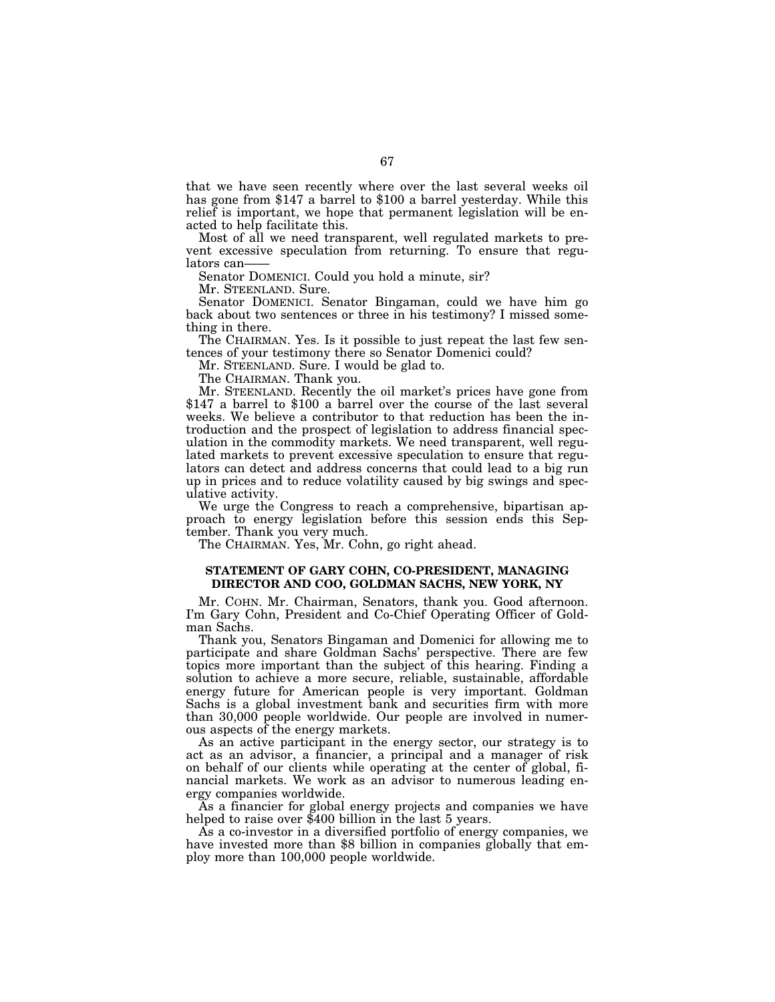that we have seen recently where over the last several weeks oil has gone from \$147 a barrel to \$100 a barrel yesterday. While this relief is important, we hope that permanent legislation will be enacted to help facilitate this.

Most of all we need transparent, well regulated markets to prevent excessive speculation from returning. To ensure that regulators can-

Senator DOMENICI. Could you hold a minute, sir?

Mr. STEENLAND. Sure.

Senator DOMENICI. Senator Bingaman, could we have him go back about two sentences or three in his testimony? I missed something in there.

The CHAIRMAN. Yes. Is it possible to just repeat the last few sentences of your testimony there so Senator Domenici could?

Mr. STEENLAND. Sure. I would be glad to.

The CHAIRMAN. Thank you.

Mr. STEENLAND. Recently the oil market's prices have gone from \$147 a barrel to \$100 a barrel over the course of the last several weeks. We believe a contributor to that reduction has been the introduction and the prospect of legislation to address financial speculation in the commodity markets. We need transparent, well regulated markets to prevent excessive speculation to ensure that regulators can detect and address concerns that could lead to a big run up in prices and to reduce volatility caused by big swings and speculative activity.

We urge the Congress to reach a comprehensive, bipartisan approach to energy legislation before this session ends this September. Thank you very much.

The CHAIRMAN. Yes, Mr. Cohn, go right ahead.

## **STATEMENT OF GARY COHN, CO-PRESIDENT, MANAGING DIRECTOR AND COO, GOLDMAN SACHS, NEW YORK, NY**

Mr. COHN. Mr. Chairman, Senators, thank you. Good afternoon. I'm Gary Cohn, President and Co-Chief Operating Officer of Goldman Sachs.

Thank you, Senators Bingaman and Domenici for allowing me to participate and share Goldman Sachs' perspective. There are few topics more important than the subject of this hearing. Finding a solution to achieve a more secure, reliable, sustainable, affordable energy future for American people is very important. Goldman Sachs is a global investment bank and securities firm with more than 30,000 people worldwide. Our people are involved in numerous aspects of the energy markets.

As an active participant in the energy sector, our strategy is to act as an advisor, a financier, a principal and a manager of risk on behalf of our clients while operating at the center of global, financial markets. We work as an advisor to numerous leading energy companies worldwide.

As a financier for global energy projects and companies we have helped to raise over \$400 billion in the last 5 years.

As a co-investor in a diversified portfolio of energy companies, we have invested more than \$8 billion in companies globally that employ more than 100,000 people worldwide.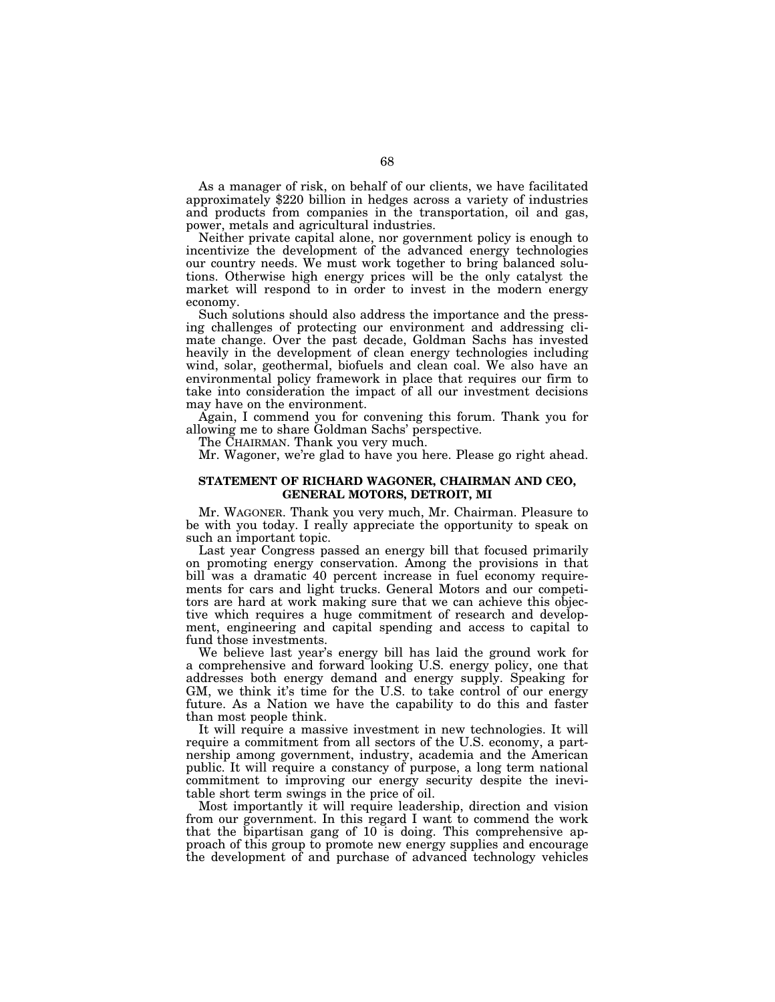As a manager of risk, on behalf of our clients, we have facilitated approximately \$220 billion in hedges across a variety of industries and products from companies in the transportation, oil and gas, power, metals and agricultural industries.

Neither private capital alone, nor government policy is enough to incentivize the development of the advanced energy technologies our country needs. We must work together to bring balanced solutions. Otherwise high energy prices will be the only catalyst the market will respond to in order to invest in the modern energy economy.

Such solutions should also address the importance and the pressing challenges of protecting our environment and addressing climate change. Over the past decade, Goldman Sachs has invested heavily in the development of clean energy technologies including wind, solar, geothermal, biofuels and clean coal. We also have an environmental policy framework in place that requires our firm to take into consideration the impact of all our investment decisions may have on the environment.

Again, I commend you for convening this forum. Thank you for allowing me to share Goldman Sachs' perspective.

The CHAIRMAN. Thank you very much.

Mr. Wagoner, we're glad to have you here. Please go right ahead.

# **STATEMENT OF RICHARD WAGONER, CHAIRMAN AND CEO, GENERAL MOTORS, DETROIT, MI**

Mr. WAGONER. Thank you very much, Mr. Chairman. Pleasure to be with you today. I really appreciate the opportunity to speak on such an important topic.

Last year Congress passed an energy bill that focused primarily on promoting energy conservation. Among the provisions in that bill was a dramatic 40 percent increase in fuel economy requirements for cars and light trucks. General Motors and our competitors are hard at work making sure that we can achieve this objective which requires a huge commitment of research and development, engineering and capital spending and access to capital to fund those investments.

We believe last year's energy bill has laid the ground work for a comprehensive and forward looking U.S. energy policy, one that addresses both energy demand and energy supply. Speaking for GM, we think it's time for the U.S. to take control of our energy future. As a Nation we have the capability to do this and faster than most people think.

It will require a massive investment in new technologies. It will require a commitment from all sectors of the U.S. economy, a partnership among government, industry, academia and the American public. It will require a constancy of purpose, a long term national commitment to improving our energy security despite the inevitable short term swings in the price of oil.

Most importantly it will require leadership, direction and vision from our government. In this regard I want to commend the work that the bipartisan gang of 10 is doing. This comprehensive approach of this group to promote new energy supplies and encourage the development of and purchase of advanced technology vehicles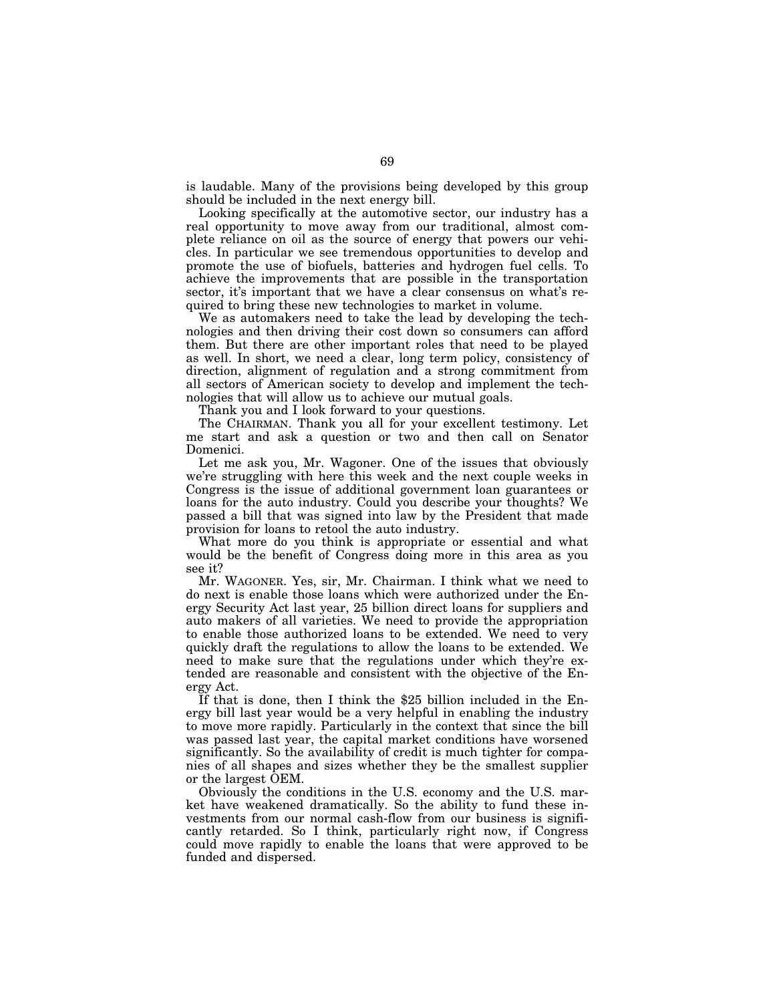is laudable. Many of the provisions being developed by this group should be included in the next energy bill.

Looking specifically at the automotive sector, our industry has a real opportunity to move away from our traditional, almost complete reliance on oil as the source of energy that powers our vehicles. In particular we see tremendous opportunities to develop and promote the use of biofuels, batteries and hydrogen fuel cells. To achieve the improvements that are possible in the transportation sector, it's important that we have a clear consensus on what's required to bring these new technologies to market in volume.

We as automakers need to take the lead by developing the technologies and then driving their cost down so consumers can afford them. But there are other important roles that need to be played as well. In short, we need a clear, long term policy, consistency of direction, alignment of regulation and a strong commitment from all sectors of American society to develop and implement the technologies that will allow us to achieve our mutual goals.

Thank you and I look forward to your questions.

The CHAIRMAN. Thank you all for your excellent testimony. Let me start and ask a question or two and then call on Senator Domenici.

Let me ask you, Mr. Wagoner. One of the issues that obviously we're struggling with here this week and the next couple weeks in Congress is the issue of additional government loan guarantees or loans for the auto industry. Could you describe your thoughts? We passed a bill that was signed into law by the President that made provision for loans to retool the auto industry.

What more do you think is appropriate or essential and what would be the benefit of Congress doing more in this area as you see it?

Mr. WAGONER. Yes, sir, Mr. Chairman. I think what we need to do next is enable those loans which were authorized under the Energy Security Act last year, 25 billion direct loans for suppliers and auto makers of all varieties. We need to provide the appropriation to enable those authorized loans to be extended. We need to very quickly draft the regulations to allow the loans to be extended. We need to make sure that the regulations under which they're extended are reasonable and consistent with the objective of the Energy Act.

If that is done, then I think the \$25 billion included in the Energy bill last year would be a very helpful in enabling the industry to move more rapidly. Particularly in the context that since the bill was passed last year, the capital market conditions have worsened significantly. So the availability of credit is much tighter for companies of all shapes and sizes whether they be the smallest supplier or the largest OEM.

Obviously the conditions in the U.S. economy and the U.S. market have weakened dramatically. So the ability to fund these investments from our normal cash-flow from our business is significantly retarded. So I think, particularly right now, if Congress could move rapidly to enable the loans that were approved to be funded and dispersed.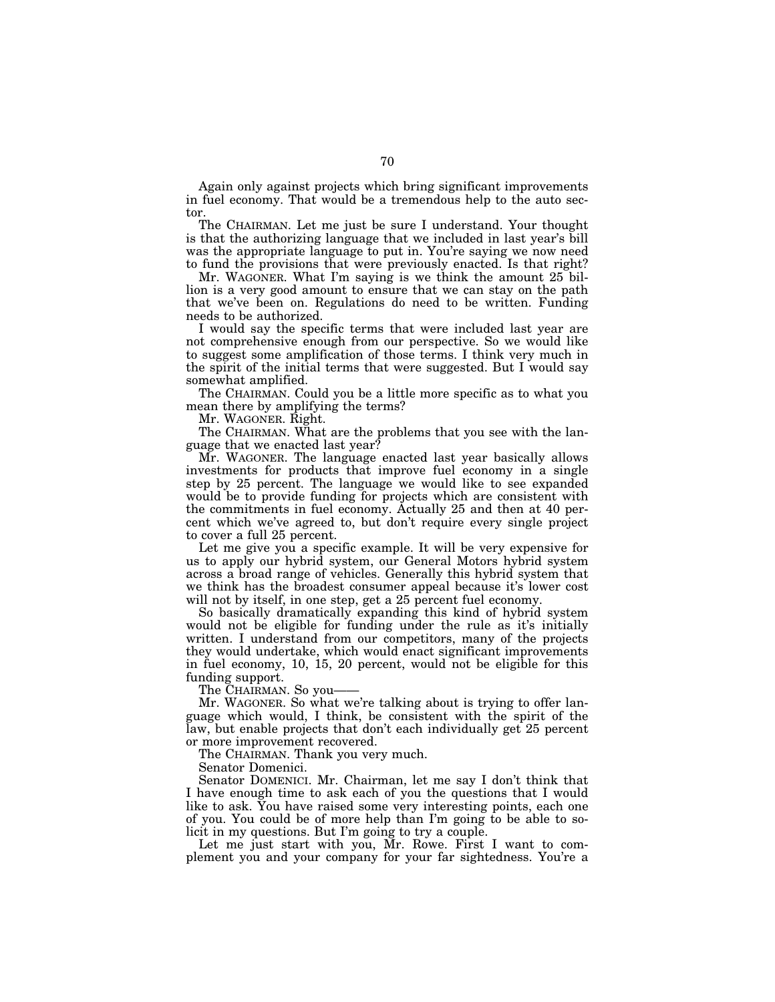Again only against projects which bring significant improvements in fuel economy. That would be a tremendous help to the auto sector.

The CHAIRMAN. Let me just be sure I understand. Your thought is that the authorizing language that we included in last year's bill was the appropriate language to put in. You're saying we now need to fund the provisions that were previously enacted. Is that right?

Mr. WAGONER. What I'm saying is we think the amount 25 billion is a very good amount to ensure that we can stay on the path that we've been on. Regulations do need to be written. Funding needs to be authorized.

I would say the specific terms that were included last year are not comprehensive enough from our perspective. So we would like to suggest some amplification of those terms. I think very much in the spirit of the initial terms that were suggested. But I would say somewhat amplified.

The CHAIRMAN. Could you be a little more specific as to what you mean there by amplifying the terms?

Mr. WAGONER. Right.

The CHAIRMAN. What are the problems that you see with the language that we enacted last year?

Mr. WAGONER. The language enacted last year basically allows investments for products that improve fuel economy in a single step by 25 percent. The language we would like to see expanded would be to provide funding for projects which are consistent with the commitments in fuel economy. Actually 25 and then at 40 percent which we've agreed to, but don't require every single project to cover a full 25 percent.

Let me give you a specific example. It will be very expensive for us to apply our hybrid system, our General Motors hybrid system across a broad range of vehicles. Generally this hybrid system that we think has the broadest consumer appeal because it's lower cost will not by itself, in one step, get a 25 percent fuel economy.

So basically dramatically expanding this kind of hybrid system would not be eligible for funding under the rule as it's initially written. I understand from our competitors, many of the projects they would undertake, which would enact significant improvements in fuel economy, 10, 15, 20 percent, would not be eligible for this funding support.

The CHAIRMAN. So you——

Mr. WAGONER. So what we're talking about is trying to offer language which would, I think, be consistent with the spirit of the law, but enable projects that don't each individually get 25 percent or more improvement recovered.

The CHAIRMAN. Thank you very much.

Senator Domenici.

Senator DOMENICI. Mr. Chairman, let me say I don't think that I have enough time to ask each of you the questions that I would like to ask. You have raised some very interesting points, each one of you. You could be of more help than I'm going to be able to solicit in my questions. But I'm going to try a couple.

Let me just start with you, Mr. Rowe. First I want to complement you and your company for your far sightedness. You're a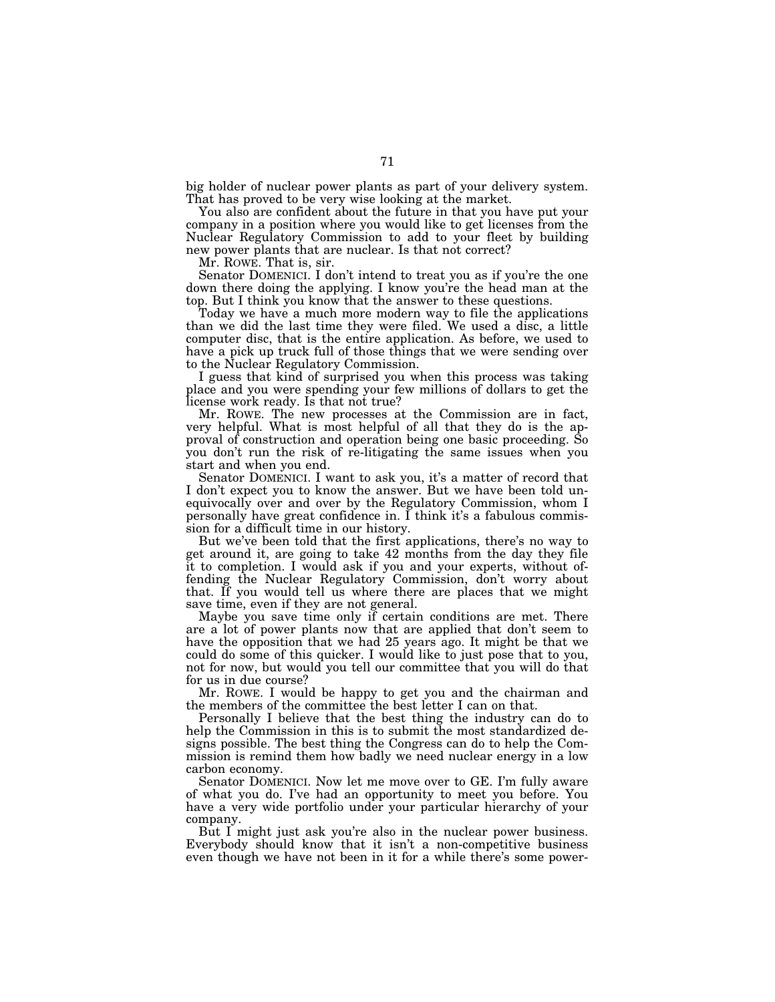big holder of nuclear power plants as part of your delivery system. That has proved to be very wise looking at the market.

You also are confident about the future in that you have put your company in a position where you would like to get licenses from the Nuclear Regulatory Commission to add to your fleet by building new power plants that are nuclear. Is that not correct?

Mr. ROWE. That is, sir.

Senator DOMENICI. I don't intend to treat you as if you're the one down there doing the applying. I know you're the head man at the top. But I think you know that the answer to these questions.

Today we have a much more modern way to file the applications than we did the last time they were filed. We used a disc, a little computer disc, that is the entire application. As before, we used to have a pick up truck full of those things that we were sending over to the Nuclear Regulatory Commission.

I guess that kind of surprised you when this process was taking place and you were spending your few millions of dollars to get the license work ready. Is that not true?

Mr. ROWE. The new processes at the Commission are in fact, very helpful. What is most helpful of all that they do is the approval of construction and operation being one basic proceeding. So you don't run the risk of re-litigating the same issues when you start and when you end.

Senator DOMENICI. I want to ask you, it's a matter of record that I don't expect you to know the answer. But we have been told unequivocally over and over by the Regulatory Commission, whom I personally have great confidence in. I think it's a fabulous commission for a difficult time in our history.

But we've been told that the first applications, there's no way to get around it, are going to take 42 months from the day they file it to completion. I would ask if you and your experts, without offending the Nuclear Regulatory Commission, don't worry about that. If you would tell us where there are places that we might save time, even if they are not general.

Maybe you save time only if certain conditions are met. There are a lot of power plants now that are applied that don't seem to have the opposition that we had 25 years ago. It might be that we could do some of this quicker. I would like to just pose that to you, not for now, but would you tell our committee that you will do that for us in due course?

Mr. ROWE. I would be happy to get you and the chairman and the members of the committee the best letter I can on that.

Personally I believe that the best thing the industry can do to help the Commission in this is to submit the most standardized designs possible. The best thing the Congress can do to help the Commission is remind them how badly we need nuclear energy in a low carbon economy.

Senator DOMENICI. Now let me move over to GE. I'm fully aware of what you do. I've had an opportunity to meet you before. You have a very wide portfolio under your particular hierarchy of your company.

But I might just ask you're also in the nuclear power business. Everybody should know that it isn't a non-competitive business even though we have not been in it for a while there's some power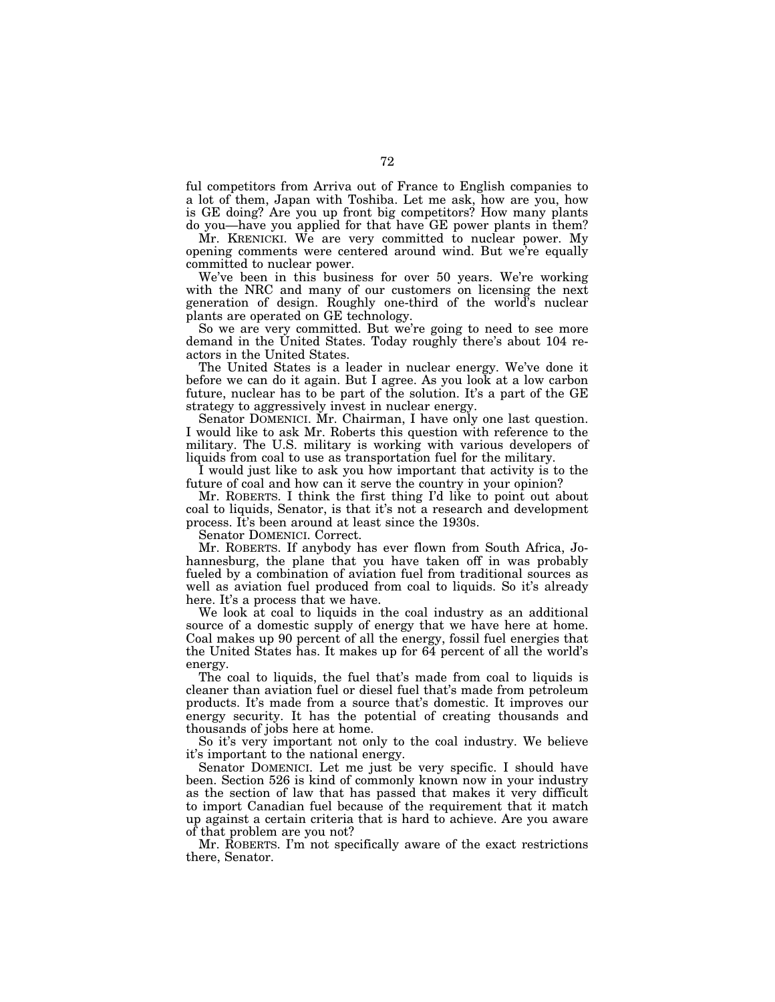ful competitors from Arriva out of France to English companies to a lot of them, Japan with Toshiba. Let me ask, how are you, how is GE doing? Are you up front big competitors? How many plants do you—have you applied for that have GE power plants in them?

Mr. KRENICKI. We are very committed to nuclear power. My opening comments were centered around wind. But we're equally committed to nuclear power.

We've been in this business for over 50 years. We're working with the NRC and many of our customers on licensing the next generation of design. Roughly one-third of the world's nuclear plants are operated on GE technology.

So we are very committed. But we're going to need to see more demand in the United States. Today roughly there's about 104 reactors in the United States.

The United States is a leader in nuclear energy. We've done it before we can do it again. But I agree. As you look at a low carbon future, nuclear has to be part of the solution. It's a part of the GE strategy to aggressively invest in nuclear energy.

Senator DOMENICI. Mr. Chairman, I have only one last question. I would like to ask Mr. Roberts this question with reference to the military. The U.S. military is working with various developers of liquids from coal to use as transportation fuel for the military.

I would just like to ask you how important that activity is to the future of coal and how can it serve the country in your opinion?

Mr. ROBERTS. I think the first thing I'd like to point out about coal to liquids, Senator, is that it's not a research and development process. It's been around at least since the 1930s.

Senator DOMENICI. Correct.

Mr. ROBERTS. If anybody has ever flown from South Africa, Johannesburg, the plane that you have taken off in was probably fueled by a combination of aviation fuel from traditional sources as well as aviation fuel produced from coal to liquids. So it's already here. It's a process that we have.

We look at coal to liquids in the coal industry as an additional source of a domestic supply of energy that we have here at home. Coal makes up 90 percent of all the energy, fossil fuel energies that the United States has. It makes up for 64 percent of all the world's energy.

The coal to liquids, the fuel that's made from coal to liquids is cleaner than aviation fuel or diesel fuel that's made from petroleum products. It's made from a source that's domestic. It improves our energy security. It has the potential of creating thousands and thousands of jobs here at home.

So it's very important not only to the coal industry. We believe it's important to the national energy.

Senator DOMENICI. Let me just be very specific. I should have been. Section 526 is kind of commonly known now in your industry as the section of law that has passed that makes it very difficult to import Canadian fuel because of the requirement that it match up against a certain criteria that is hard to achieve. Are you aware of that problem are you not?

Mr. ROBERTS. I'm not specifically aware of the exact restrictions there, Senator.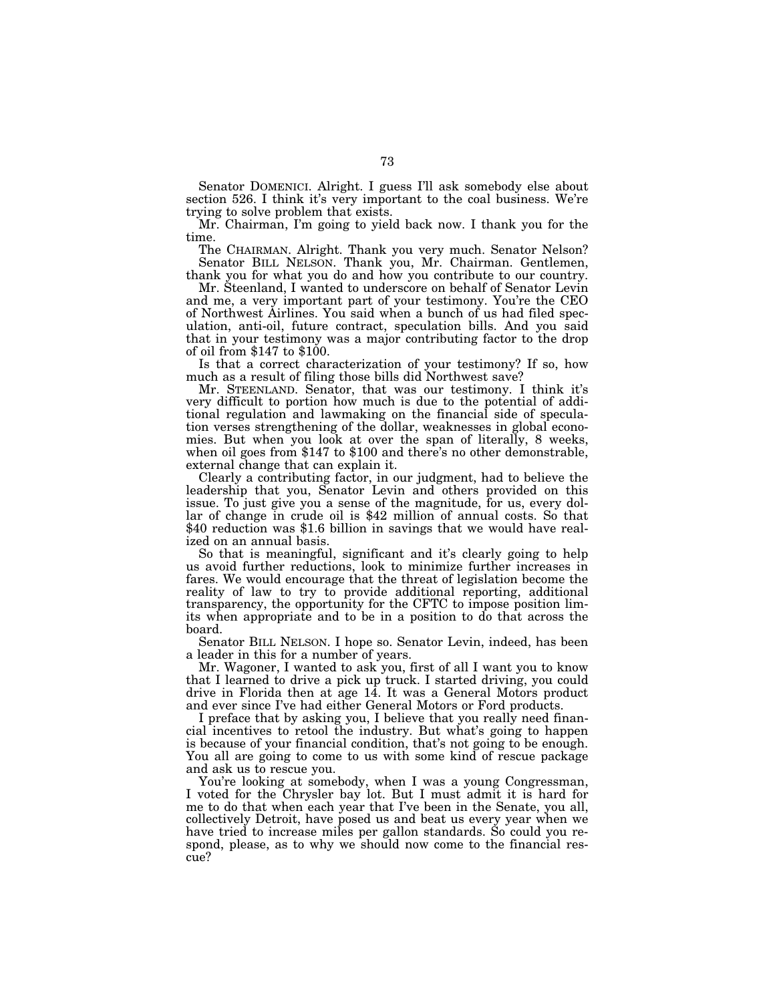Senator DOMENICI. Alright. I guess I'll ask somebody else about section 526. I think it's very important to the coal business. We're trying to solve problem that exists.

Mr. Chairman, I'm going to yield back now. I thank you for the time.

The CHAIRMAN. Alright. Thank you very much. Senator Nelson? Senator BILL NELSON. Thank you, Mr. Chairman. Gentlemen, thank you for what you do and how you contribute to our country.

Mr. Steenland, I wanted to underscore on behalf of Senator Levin and me, a very important part of your testimony. You're the CEO of Northwest Airlines. You said when a bunch of us had filed speculation, anti-oil, future contract, speculation bills. And you said that in your testimony was a major contributing factor to the drop of oil from \$147 to \$100.

Is that a correct characterization of your testimony? If so, how much as a result of filing those bills did Northwest save?

Mr. STEENLAND. Senator, that was our testimony. I think it's very difficult to portion how much is due to the potential of additional regulation and lawmaking on the financial side of speculation verses strengthening of the dollar, weaknesses in global economies. But when you look at over the span of literally, 8 weeks, when oil goes from \$147 to \$100 and there's no other demonstrable, external change that can explain it.

Clearly a contributing factor, in our judgment, had to believe the leadership that you, Senator Levin and others provided on this issue. To just give you a sense of the magnitude, for us, every dollar of change in crude oil is \$42 million of annual costs. So that \$40 reduction was \$1.6 billion in savings that we would have realized on an annual basis.

So that is meaningful, significant and it's clearly going to help us avoid further reductions, look to minimize further increases in fares. We would encourage that the threat of legislation become the reality of law to try to provide additional reporting, additional transparency, the opportunity for the CFTC to impose position limits when appropriate and to be in a position to do that across the board.

Senator BILL NELSON. I hope so. Senator Levin, indeed, has been a leader in this for a number of years.

Mr. Wagoner, I wanted to ask you, first of all I want you to know that I learned to drive a pick up truck. I started driving, you could drive in Florida then at age 14. It was a General Motors product and ever since I've had either General Motors or Ford products.

I preface that by asking you, I believe that you really need financial incentives to retool the industry. But what's going to happen is because of your financial condition, that's not going to be enough. You all are going to come to us with some kind of rescue package and ask us to rescue you.

You're looking at somebody, when I was a young Congressman, I voted for the Chrysler bay lot. But I must admit it is hard for me to do that when each year that I've been in the Senate, you all, collectively Detroit, have posed us and beat us every year when we have tried to increase miles per gallon standards. So could you respond, please, as to why we should now come to the financial rescue?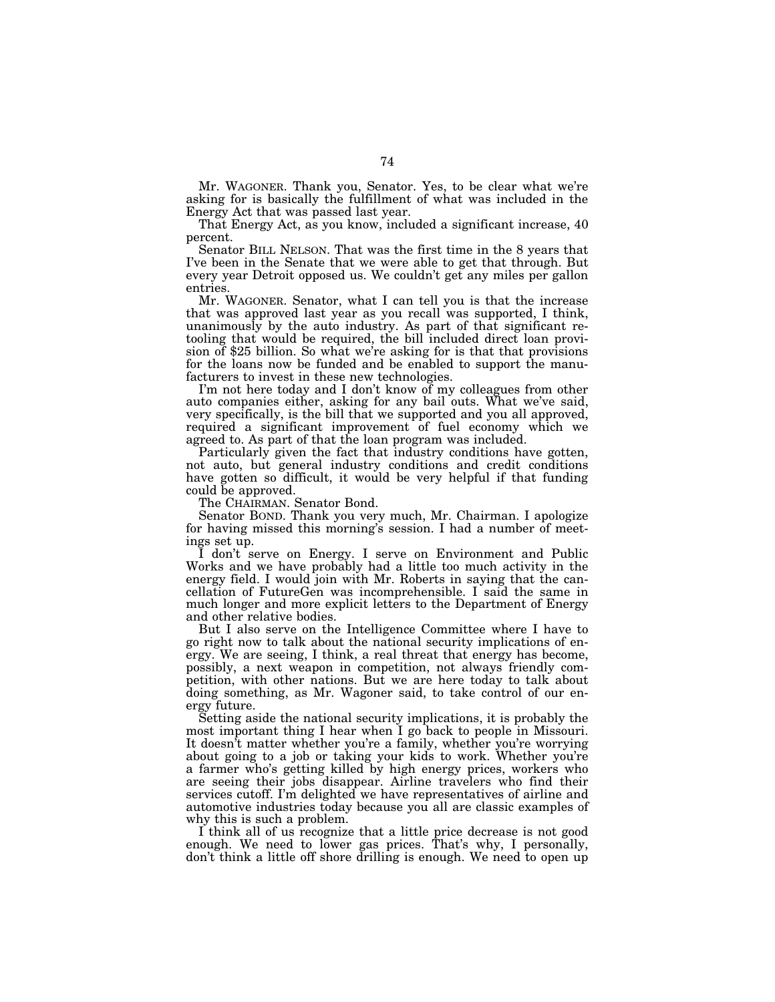Mr. WAGONER. Thank you, Senator. Yes, to be clear what we're asking for is basically the fulfillment of what was included in the Energy Act that was passed last year.

That Energy Act, as you know, included a significant increase, 40 percent.

Senator BILL NELSON. That was the first time in the 8 years that I've been in the Senate that we were able to get that through. But every year Detroit opposed us. We couldn't get any miles per gallon entries.

Mr. WAGONER. Senator, what I can tell you is that the increase that was approved last year as you recall was supported, I think, unanimously by the auto industry. As part of that significant retooling that would be required, the bill included direct loan provision of \$25 billion. So what we're asking for is that that provisions for the loans now be funded and be enabled to support the manufacturers to invest in these new technologies.

I'm not here today and I don't know of my colleagues from other auto companies either, asking for any bail outs. What we've said, very specifically, is the bill that we supported and you all approved, required a significant improvement of fuel economy which we agreed to. As part of that the loan program was included.

Particularly given the fact that industry conditions have gotten, not auto, but general industry conditions and credit conditions have gotten so difficult, it would be very helpful if that funding could be approved.

The CHAIRMAN. Senator Bond.

Senator BOND. Thank you very much, Mr. Chairman. I apologize for having missed this morning's session. I had a number of meetings set up.

I don't serve on Energy. I serve on Environment and Public Works and we have probably had a little too much activity in the energy field. I would join with Mr. Roberts in saying that the cancellation of FutureGen was incomprehensible. I said the same in much longer and more explicit letters to the Department of Energy and other relative bodies.

But I also serve on the Intelligence Committee where I have to go right now to talk about the national security implications of energy. We are seeing, I think, a real threat that energy has become, possibly, a next weapon in competition, not always friendly competition, with other nations. But we are here today to talk about doing something, as Mr. Wagoner said, to take control of our energy future.

Setting aside the national security implications, it is probably the most important thing I hear when I go back to people in Missouri. It doesn't matter whether you're a family, whether you're worrying about going to a job or taking your kids to work. Whether you're a farmer who's getting killed by high energy prices, workers who are seeing their jobs disappear. Airline travelers who find their services cutoff. I'm delighted we have representatives of airline and automotive industries today because you all are classic examples of why this is such a problem.

I think all of us recognize that a little price decrease is not good enough. We need to lower gas prices. That's why, I personally, don't think a little off shore drilling is enough. We need to open up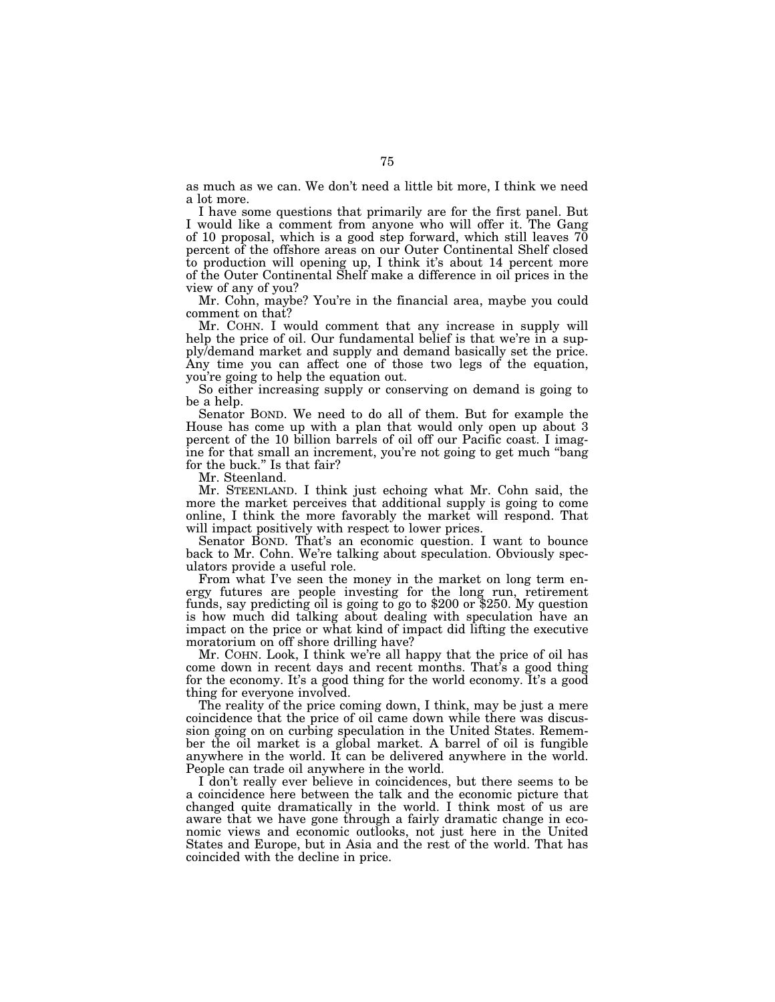as much as we can. We don't need a little bit more, I think we need a lot more.

I have some questions that primarily are for the first panel. But I would like a comment from anyone who will offer it. The Gang of 10 proposal, which is a good step forward, which still leaves  $70$ percent of the offshore areas on our Outer Continental Shelf closed to production will opening up, I think it's about 14 percent more of the Outer Continental Shelf make a difference in oil prices in the view of any of you?

Mr. Cohn, maybe? You're in the financial area, maybe you could comment on that?

Mr. COHN. I would comment that any increase in supply will help the price of oil. Our fundamental belief is that we're in a supply/demand market and supply and demand basically set the price. Any time you can affect one of those two legs of the equation, you're going to help the equation out.

So either increasing supply or conserving on demand is going to be a help.

Senator BOND. We need to do all of them. But for example the House has come up with a plan that would only open up about 3 percent of the 10 billion barrels of oil off our Pacific coast. I imagine for that small an increment, you're not going to get much ''bang for the buck.'' Is that fair?

Mr. Steenland.

Mr. STEENLAND. I think just echoing what Mr. Cohn said, the more the market perceives that additional supply is going to come online, I think the more favorably the market will respond. That will impact positively with respect to lower prices.

Senator BOND. That's an economic question. I want to bounce back to Mr. Cohn. We're talking about speculation. Obviously speculators provide a useful role.

From what I've seen the money in the market on long term energy futures are people investing for the long run, retirement funds, say predicting oil is going to go to \$200 or \$250. My question is how much did talking about dealing with speculation have an impact on the price or what kind of impact did lifting the executive moratorium on off shore drilling have?

Mr. COHN. Look, I think we're all happy that the price of oil has come down in recent days and recent months. That's a good thing for the economy. It's a good thing for the world economy. It's a good thing for everyone involved.

The reality of the price coming down, I think, may be just a mere coincidence that the price of oil came down while there was discussion going on on curbing speculation in the United States. Remember the oil market is a global market. A barrel of oil is fungible anywhere in the world. It can be delivered anywhere in the world. People can trade oil anywhere in the world.

I don't really ever believe in coincidences, but there seems to be a coincidence here between the talk and the economic picture that changed quite dramatically in the world. I think most of us are aware that we have gone through a fairly dramatic change in economic views and economic outlooks, not just here in the United States and Europe, but in Asia and the rest of the world. That has coincided with the decline in price.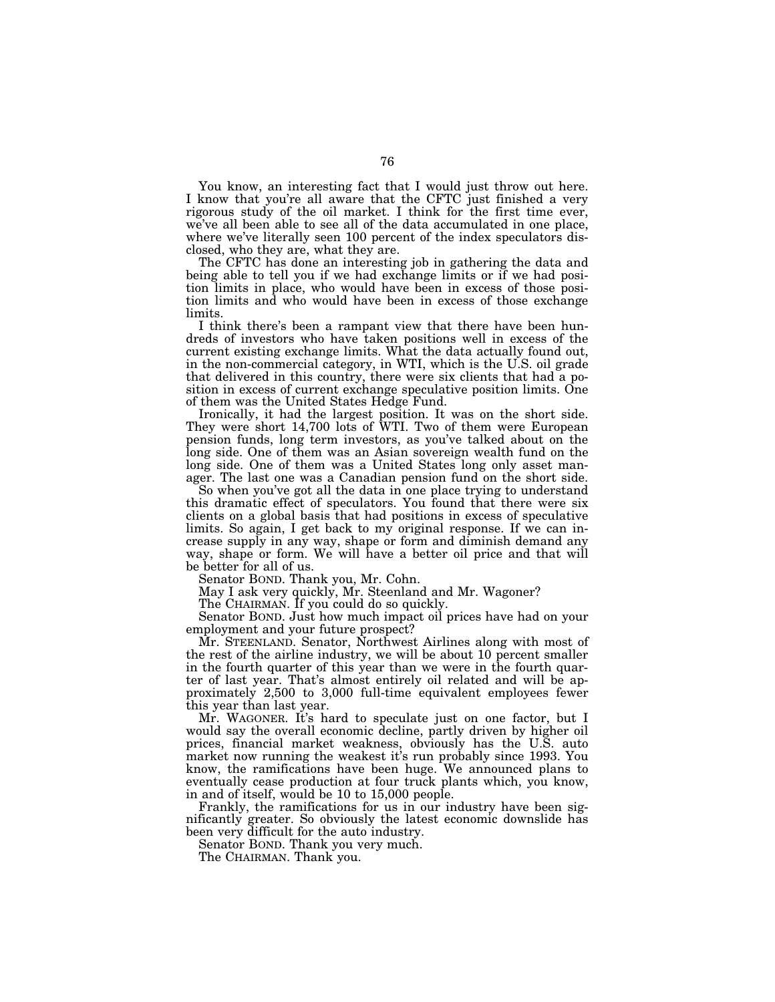You know, an interesting fact that I would just throw out here. I know that you're all aware that the CFTC just finished a very rigorous study of the oil market. I think for the first time ever, we've all been able to see all of the data accumulated in one place, where we've literally seen 100 percent of the index speculators disclosed, who they are, what they are.

The CFTC has done an interesting job in gathering the data and being able to tell you if we had exchange limits or if we had position limits in place, who would have been in excess of those position limits and who would have been in excess of those exchange limits.

I think there's been a rampant view that there have been hundreds of investors who have taken positions well in excess of the current existing exchange limits. What the data actually found out, in the non-commercial category, in WTI, which is the U.S. oil grade that delivered in this country, there were six clients that had a position in excess of current exchange speculative position limits. One of them was the United States Hedge Fund.

Ironically, it had the largest position. It was on the short side. They were short 14,700 lots of WTI. Two of them were European pension funds, long term investors, as you've talked about on the long side. One of them was an Asian sovereign wealth fund on the long side. One of them was a United States long only asset manager. The last one was a Canadian pension fund on the short side.

So when you've got all the data in one place trying to understand this dramatic effect of speculators. You found that there were six clients on a global basis that had positions in excess of speculative limits. So again, I get back to my original response. If we can increase supply in any way, shape or form and diminish demand any way, shape or form. We will have a better oil price and that will be better for all of us.

Senator BOND. Thank you, Mr. Cohn.

May I ask very quickly, Mr. Steenland and Mr. Wagoner?

The CHAIRMAN. If you could do so quickly.

Senator BOND. Just how much impact oil prices have had on your employment and your future prospect?

Mr. STEENLAND. Senator, Northwest Airlines along with most of the rest of the airline industry, we will be about 10 percent smaller in the fourth quarter of this year than we were in the fourth quarter of last year. That's almost entirely oil related and will be approximately 2,500 to 3,000 full-time equivalent employees fewer this year than last year.

Mr. WAGONER. It's hard to speculate just on one factor, but I would say the overall economic decline, partly driven by higher oil prices, financial market weakness, obviously has the U.S. auto market now running the weakest it's run probably since 1993. You know, the ramifications have been huge. We announced plans to eventually cease production at four truck plants which, you know, in and of itself, would be 10 to 15,000 people.

Frankly, the ramifications for us in our industry have been significantly greater. So obviously the latest economic downslide has been very difficult for the auto industry.

Senator BOND. Thank you very much.

The CHAIRMAN. Thank you.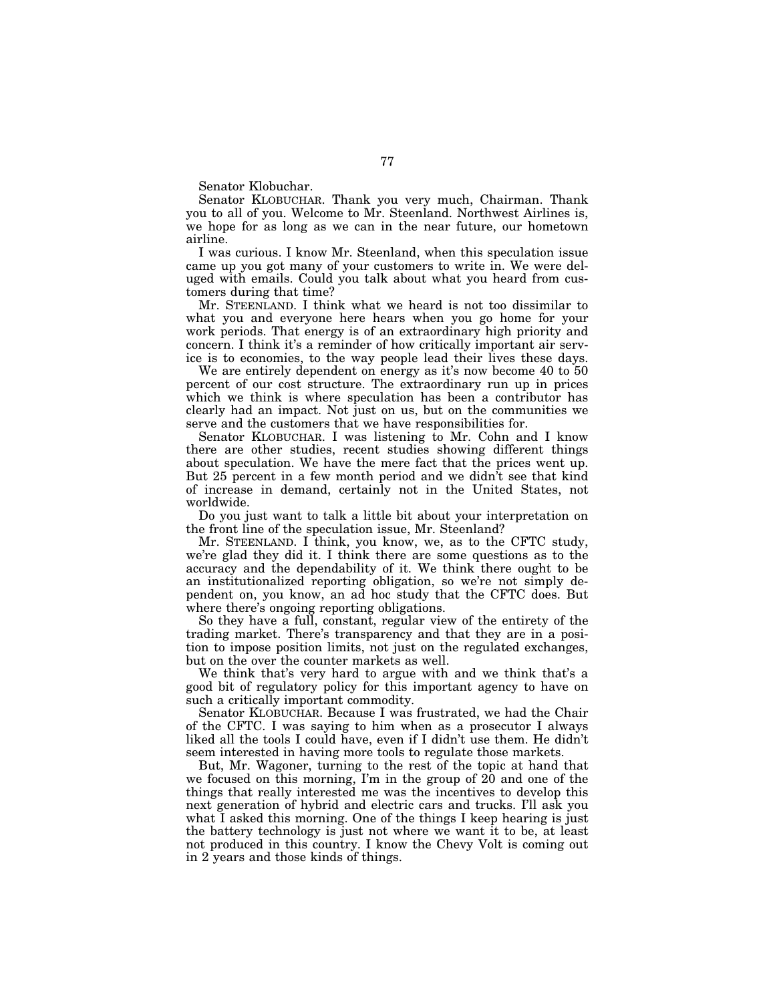Senator Klobuchar.

Senator KLOBUCHAR. Thank you very much, Chairman. Thank you to all of you. Welcome to Mr. Steenland. Northwest Airlines is, we hope for as long as we can in the near future, our hometown airline.

I was curious. I know Mr. Steenland, when this speculation issue came up you got many of your customers to write in. We were deluged with emails. Could you talk about what you heard from customers during that time?

Mr. STEENLAND. I think what we heard is not too dissimilar to what you and everyone here hears when you go home for your work periods. That energy is of an extraordinary high priority and concern. I think it's a reminder of how critically important air service is to economies, to the way people lead their lives these days.

We are entirely dependent on energy as it's now become 40 to 50 percent of our cost structure. The extraordinary run up in prices which we think is where speculation has been a contributor has clearly had an impact. Not just on us, but on the communities we serve and the customers that we have responsibilities for.

Senator KLOBUCHAR. I was listening to Mr. Cohn and I know there are other studies, recent studies showing different things about speculation. We have the mere fact that the prices went up. But 25 percent in a few month period and we didn't see that kind of increase in demand, certainly not in the United States, not worldwide.

Do you just want to talk a little bit about your interpretation on the front line of the speculation issue, Mr. Steenland?

Mr. STEENLAND. I think, you know, we, as to the CFTC study, we're glad they did it. I think there are some questions as to the accuracy and the dependability of it. We think there ought to be an institutionalized reporting obligation, so we're not simply dependent on, you know, an ad hoc study that the CFTC does. But where there's ongoing reporting obligations.

So they have a full, constant, regular view of the entirety of the trading market. There's transparency and that they are in a position to impose position limits, not just on the regulated exchanges, but on the over the counter markets as well.

We think that's very hard to argue with and we think that's a good bit of regulatory policy for this important agency to have on such a critically important commodity.

Senator KLOBUCHAR. Because I was frustrated, we had the Chair of the CFTC. I was saying to him when as a prosecutor I always liked all the tools I could have, even if I didn't use them. He didn't seem interested in having more tools to regulate those markets.

But, Mr. Wagoner, turning to the rest of the topic at hand that we focused on this morning, I'm in the group of 20 and one of the things that really interested me was the incentives to develop this next generation of hybrid and electric cars and trucks. I'll ask you what I asked this morning. One of the things I keep hearing is just the battery technology is just not where we want it to be, at least not produced in this country. I know the Chevy Volt is coming out in 2 years and those kinds of things.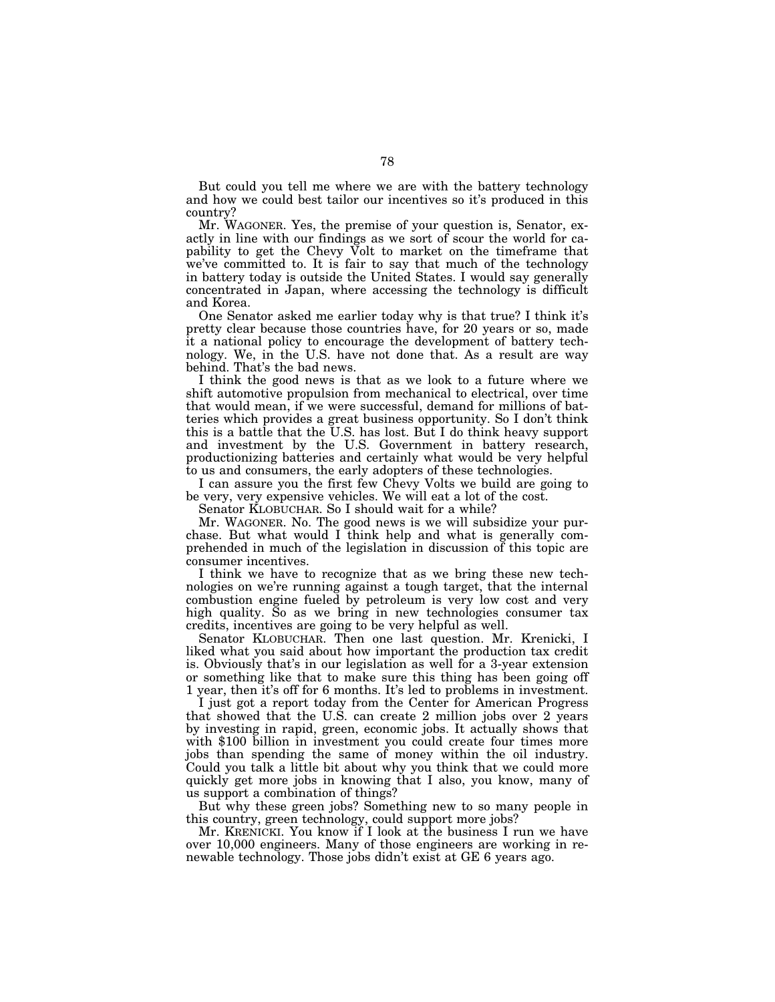But could you tell me where we are with the battery technology and how we could best tailor our incentives so it's produced in this country?

Mr. WAGONER. Yes, the premise of your question is, Senator, exactly in line with our findings as we sort of scour the world for capability to get the Chevy Volt to market on the timeframe that we've committed to. It is fair to say that much of the technology in battery today is outside the United States. I would say generally concentrated in Japan, where accessing the technology is difficult and Korea.

One Senator asked me earlier today why is that true? I think it's pretty clear because those countries have, for 20 years or so, made it a national policy to encourage the development of battery technology. We, in the U.S. have not done that. As a result are way behind. That's the bad news.

I think the good news is that as we look to a future where we shift automotive propulsion from mechanical to electrical, over time that would mean, if we were successful, demand for millions of batteries which provides a great business opportunity. So I don't think this is a battle that the U.S. has lost. But I do think heavy support and investment by the U.S. Government in battery research, productionizing batteries and certainly what would be very helpful to us and consumers, the early adopters of these technologies.

I can assure you the first few Chevy Volts we build are going to be very, very expensive vehicles. We will eat a lot of the cost.

Senator KLOBUCHAR. So I should wait for a while?

Mr. WAGONER. No. The good news is we will subsidize your purchase. But what would I think help and what is generally comprehended in much of the legislation in discussion of this topic are consumer incentives.

I think we have to recognize that as we bring these new technologies on we're running against a tough target, that the internal combustion engine fueled by petroleum is very low cost and very high quality. So as we bring in new technologies consumer tax credits, incentives are going to be very helpful as well.

Senator KLOBUCHAR. Then one last question. Mr. Krenicki, I liked what you said about how important the production tax credit is. Obviously that's in our legislation as well for a 3-year extension or something like that to make sure this thing has been going off 1 year, then it's off for 6 months. It's led to problems in investment.

I just got a report today from the Center for American Progress that showed that the U.S. can create 2 million jobs over 2 years by investing in rapid, green, economic jobs. It actually shows that with \$100 billion in investment you could create four times more jobs than spending the same of money within the oil industry. Could you talk a little bit about why you think that we could more quickly get more jobs in knowing that I also, you know, many of us support a combination of things?

But why these green jobs? Something new to so many people in this country, green technology, could support more jobs?

Mr. KRENICKI. You know if I look at the business I run we have over 10,000 engineers. Many of those engineers are working in renewable technology. Those jobs didn't exist at GE 6 years ago.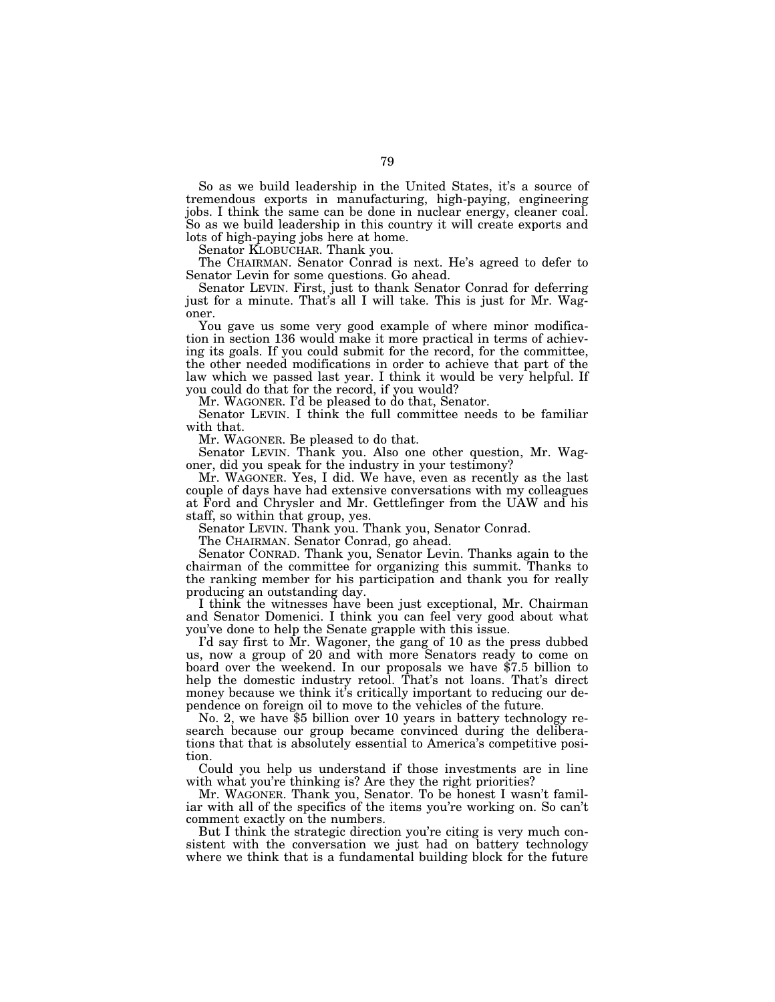So as we build leadership in the United States, it's a source of tremendous exports in manufacturing, high-paying, engineering jobs. I think the same can be done in nuclear energy, cleaner coal. So as we build leadership in this country it will create exports and lots of high-paying jobs here at home.

Senator KLOBUCHAR. Thank you.

The CHAIRMAN. Senator Conrad is next. He's agreed to defer to Senator Levin for some questions. Go ahead.

Senator LEVIN. First, just to thank Senator Conrad for deferring just for a minute. That's all I will take. This is just for Mr. Wagoner.

You gave us some very good example of where minor modification in section 136 would make it more practical in terms of achieving its goals. If you could submit for the record, for the committee, the other needed modifications in order to achieve that part of the law which we passed last year. I think it would be very helpful. If you could do that for the record, if you would?

Mr. WAGONER. I'd be pleased to do that, Senator.

Senator LEVIN. I think the full committee needs to be familiar with that.

Mr. WAGONER. Be pleased to do that.

Senator LEVIN. Thank you. Also one other question, Mr. Wagoner, did you speak for the industry in your testimony?

Mr. WAGONER. Yes, I did. We have, even as recently as the last couple of days have had extensive conversations with my colleagues at Ford and Chrysler and Mr. Gettlefinger from the UAW and his staff, so within that group, yes.

Senator LEVIN. Thank you. Thank you, Senator Conrad.

The CHAIRMAN. Senator Conrad, go ahead.

Senator CONRAD. Thank you, Senator Levin. Thanks again to the chairman of the committee for organizing this summit. Thanks to the ranking member for his participation and thank you for really producing an outstanding day.

I think the witnesses have been just exceptional, Mr. Chairman and Senator Domenici. I think you can feel very good about what you've done to help the Senate grapple with this issue.

I'd say first to Mr. Wagoner, the gang of 10 as the press dubbed us, now a group of 20 and with more Senators ready to come on board over the weekend. In our proposals we have \$7.5 billion to help the domestic industry retool. That's not loans. That's direct money because we think it's critically important to reducing our de-<br>pendence on foreign oil to move to the vehicles of the future.

No. 2, we have \$5 billion over 10 years in battery technology research because our group became convinced during the deliberations that that is absolutely essential to America's competitive position.

Could you help us understand if those investments are in line with what you're thinking is? Are they the right priorities?

Mr. WAGONER. Thank you, Senator. To be honest I wasn't familiar with all of the specifics of the items you're working on. So can't comment exactly on the numbers.

But I think the strategic direction you're citing is very much consistent with the conversation we just had on battery technology where we think that is a fundamental building block for the future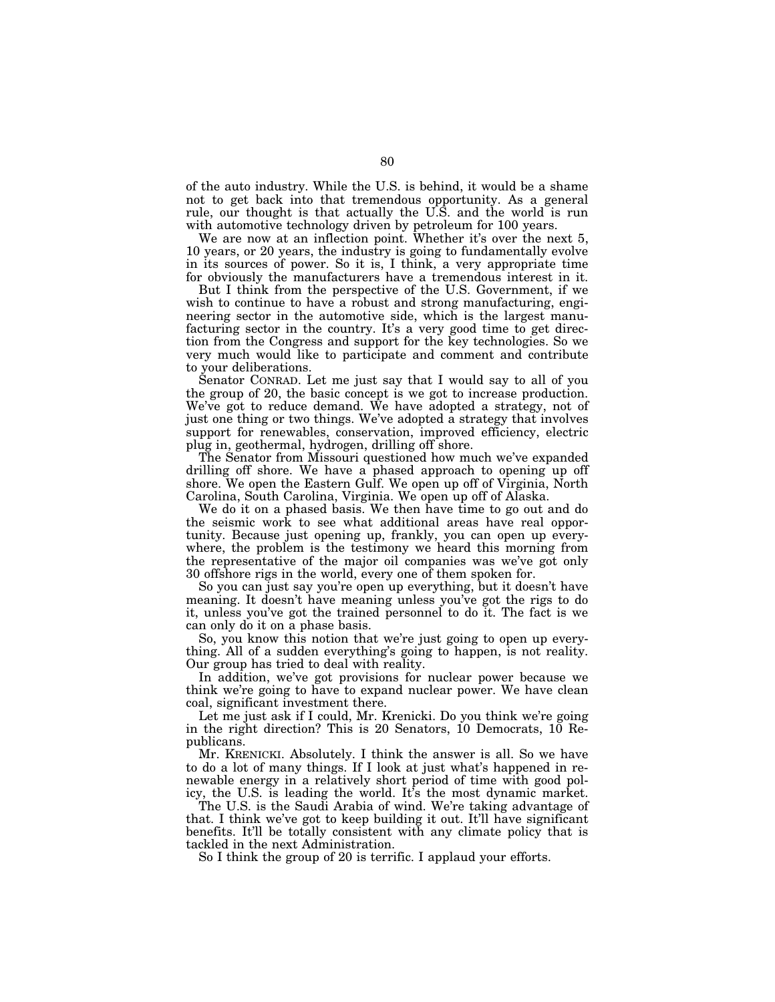of the auto industry. While the U.S. is behind, it would be a shame not to get back into that tremendous opportunity. As a general rule, our thought is that actually the U.S. and the world is run with automotive technology driven by petroleum for 100 years.

We are now at an inflection point. Whether it's over the next 5, 10 years, or 20 years, the industry is going to fundamentally evolve in its sources of power. So it is, I think, a very appropriate time for obviously the manufacturers have a tremendous interest in it.

But I think from the perspective of the U.S. Government, if we wish to continue to have a robust and strong manufacturing, engineering sector in the automotive side, which is the largest manufacturing sector in the country. It's a very good time to get direction from the Congress and support for the key technologies. So we very much would like to participate and comment and contribute to your deliberations.

Senator CONRAD. Let me just say that I would say to all of you the group of 20, the basic concept is we got to increase production. We've got to reduce demand. We have adopted a strategy, not of just one thing or two things. We've adopted a strategy that involves support for renewables, conservation, improved efficiency, electric plug in, geothermal, hydrogen, drilling off shore.

The Senator from Missouri questioned how much we've expanded drilling off shore. We have a phased approach to opening up off shore. We open the Eastern Gulf. We open up off of Virginia, North Carolina, South Carolina, Virginia. We open up off of Alaska.

We do it on a phased basis. We then have time to go out and do the seismic work to see what additional areas have real opportunity. Because just opening up, frankly, you can open up everywhere, the problem is the testimony we heard this morning from the representative of the major oil companies was we've got only 30 offshore rigs in the world, every one of them spoken for.

So you can just say you're open up everything, but it doesn't have meaning. It doesn't have meaning unless you've got the rigs to do it, unless you've got the trained personnel to do it. The fact is we can only do it on a phase basis.

So, you know this notion that we're just going to open up everything. All of a sudden everything's going to happen, is not reality. Our group has tried to deal with reality.

In addition, we've got provisions for nuclear power because we think we're going to have to expand nuclear power. We have clean coal, significant investment there.

Let me just ask if I could, Mr. Krenicki. Do you think we're going in the right direction? This is 20 Senators, 10 Democrats, 10 Republicans.

Mr. KRENICKI. Absolutely. I think the answer is all. So we have to do a lot of many things. If I look at just what's happened in renewable energy in a relatively short period of time with good policy, the U.S. is leading the world. It's the most dynamic market.

The U.S. is the Saudi Arabia of wind. We're taking advantage of that. I think we've got to keep building it out. It'll have significant benefits. It'll be totally consistent with any climate policy that is tackled in the next Administration.

So I think the group of 20 is terrific. I applaud your efforts.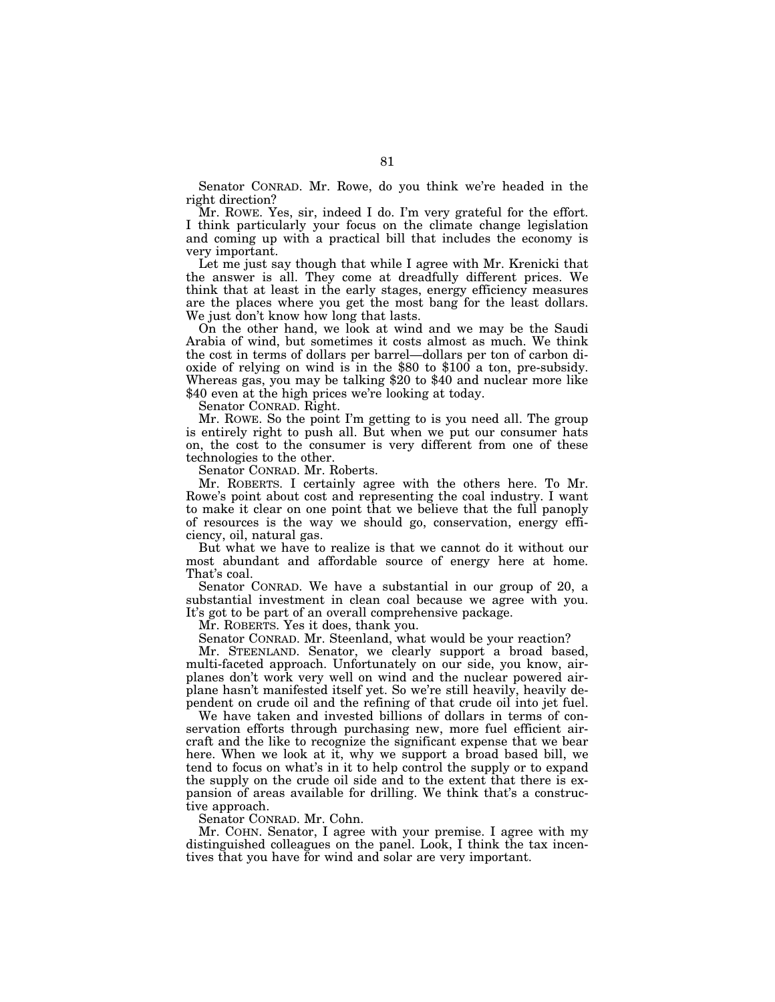Senator CONRAD. Mr. Rowe, do you think we're headed in the right direction?

Mr. ROWE. Yes, sir, indeed I do. I'm very grateful for the effort. I think particularly your focus on the climate change legislation and coming up with a practical bill that includes the economy is very important.

Let me just say though that while I agree with Mr. Krenicki that the answer is all. They come at dreadfully different prices. We think that at least in the early stages, energy efficiency measures are the places where you get the most bang for the least dollars. We just don't know how long that lasts.

On the other hand, we look at wind and we may be the Saudi Arabia of wind, but sometimes it costs almost as much. We think the cost in terms of dollars per barrel—dollars per ton of carbon dioxide of relying on wind is in the \$80 to \$100 a ton, pre-subsidy. Whereas gas, you may be talking \$20 to \$40 and nuclear more like \$40 even at the high prices we're looking at today.

Senator CONRAD. Right.

Mr. ROWE. So the point I'm getting to is you need all. The group is entirely right to push all. But when we put our consumer hats on, the cost to the consumer is very different from one of these technologies to the other.

Senator CONRAD. Mr. Roberts.

Mr. ROBERTS. I certainly agree with the others here. To Mr. Rowe's point about cost and representing the coal industry. I want to make it clear on one point that we believe that the full panoply of resources is the way we should go, conservation, energy efficiency, oil, natural gas.

But what we have to realize is that we cannot do it without our most abundant and affordable source of energy here at home. That's coal.

Senator CONRAD. We have a substantial in our group of 20, a substantial investment in clean coal because we agree with you. It's got to be part of an overall comprehensive package.

Mr. ROBERTS. Yes it does, thank you.

Senator CONRAD. Mr. Steenland, what would be your reaction?

Mr. STEENLAND. Senator, we clearly support a broad based, multi-faceted approach. Unfortunately on our side, you know, airplanes don't work very well on wind and the nuclear powered airplane hasn't manifested itself yet. So we're still heavily, heavily dependent on crude oil and the refining of that crude oil into jet fuel.

We have taken and invested billions of dollars in terms of conservation efforts through purchasing new, more fuel efficient aircraft and the like to recognize the significant expense that we bear here. When we look at it, why we support a broad based bill, we tend to focus on what's in it to help control the supply or to expand the supply on the crude oil side and to the extent that there is expansion of areas available for drilling. We think that's a constructive approach.

Senator CONRAD. Mr. Cohn.

Mr. COHN. Senator, I agree with your premise. I agree with my distinguished colleagues on the panel. Look, I think the tax incentives that you have for wind and solar are very important.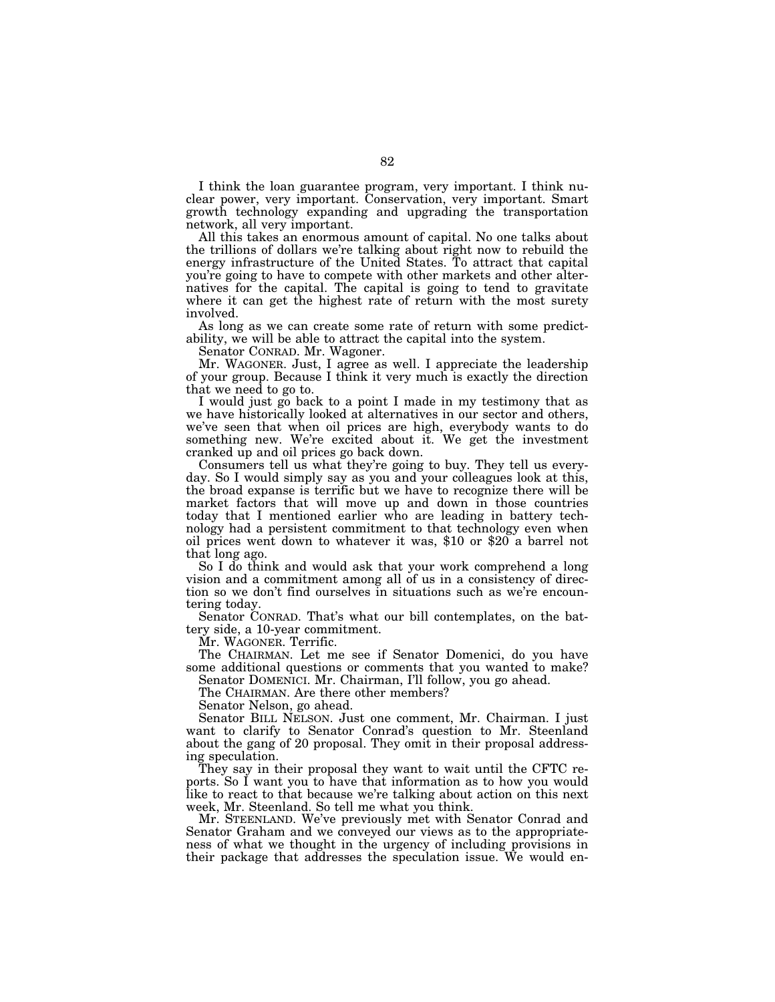I think the loan guarantee program, very important. I think nuclear power, very important. Conservation, very important. Smart growth technology expanding and upgrading the transportation network, all very important.

All this takes an enormous amount of capital. No one talks about the trillions of dollars we're talking about right now to rebuild the energy infrastructure of the United States. To attract that capital you're going to have to compete with other markets and other alternatives for the capital. The capital is going to tend to gravitate where it can get the highest rate of return with the most surety involved.

As long as we can create some rate of return with some predictability, we will be able to attract the capital into the system.

Senator CONRAD. Mr. Wagoner.

Mr. WAGONER. Just, I agree as well. I appreciate the leadership of your group. Because I think it very much is exactly the direction that we need to go to.

I would just go back to a point I made in my testimony that as we have historically looked at alternatives in our sector and others, we've seen that when oil prices are high, everybody wants to do something new. We're excited about it. We get the investment cranked up and oil prices go back down.

Consumers tell us what they're going to buy. They tell us everyday. So I would simply say as you and your colleagues look at this, the broad expanse is terrific but we have to recognize there will be market factors that will move up and down in those countries today that I mentioned earlier who are leading in battery technology had a persistent commitment to that technology even when oil prices went down to whatever it was, \$10 or \$20 a barrel not that long ago.

So I do think and would ask that your work comprehend a long vision and a commitment among all of us in a consistency of direction so we don't find ourselves in situations such as we're encountering today.

Senator CONRAD. That's what our bill contemplates, on the battery side, a 10-year commitment.

Mr. WAGONER. Terrific.

The CHAIRMAN. Let me see if Senator Domenici, do you have some additional questions or comments that you wanted to make? Senator DOMENICI. Mr. Chairman, I'll follow, you go ahead.

The CHAIRMAN. Are there other members?

Senator Nelson, go ahead.

Senator BILL NELSON. Just one comment, Mr. Chairman. I just want to clarify to Senator Conrad's question to Mr. Steenland about the gang of 20 proposal. They omit in their proposal addressing speculation.

They say in their proposal they want to wait until the CFTC reports. So I want you to have that information as to how you would like to react to that because we're talking about action on this next week, Mr. Steenland. So tell me what you think.

Mr. STEENLAND. We've previously met with Senator Conrad and Senator Graham and we conveyed our views as to the appropriateness of what we thought in the urgency of including provisions in their package that addresses the speculation issue. We would en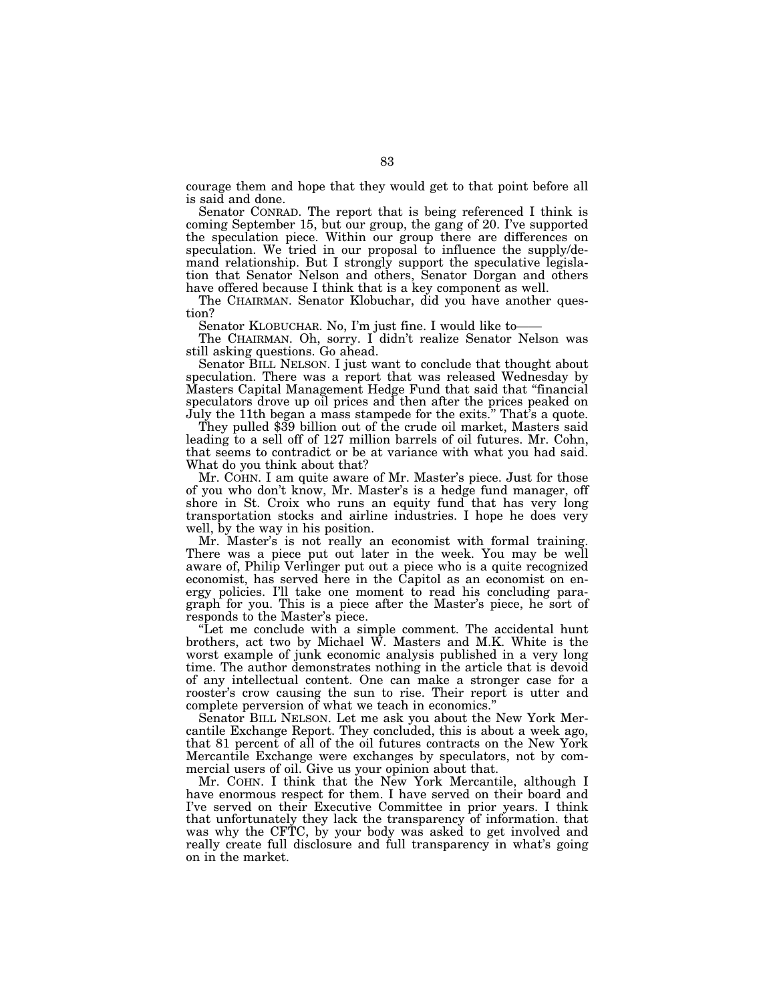courage them and hope that they would get to that point before all is said and done.

Senator CONRAD. The report that is being referenced I think is coming September 15, but our group, the gang of 20. I've supported the speculation piece. Within our group there are differences on speculation. We tried in our proposal to influence the supply/demand relationship. But I strongly support the speculative legislation that Senator Nelson and others, Senator Dorgan and others have offered because I think that is a key component as well.

The CHAIRMAN. Senator Klobuchar, did you have another question?

Senator KLOBUCHAR. No, I'm just fine. I would like to——

The CHAIRMAN. Oh, sorry. I didn't realize Senator Nelson was still asking questions. Go ahead.

Senator BILL NELSON. I just want to conclude that thought about speculation. There was a report that was released Wednesday by Masters Capital Management Hedge Fund that said that ''financial speculators drove up oil prices and then after the prices peaked on July the 11th began a mass stampede for the exits.'' That's a quote.

They pulled \$39 billion out of the crude oil market, Masters said leading to a sell off of 127 million barrels of oil futures. Mr. Cohn, that seems to contradict or be at variance with what you had said. What do you think about that?

Mr. COHN. I am quite aware of Mr. Master's piece. Just for those of you who don't know, Mr. Master's is a hedge fund manager, off shore in St. Croix who runs an equity fund that has very long transportation stocks and airline industries. I hope he does very well, by the way in his position.

Mr. Master's is not really an economist with formal training. There was a piece put out later in the week. You may be well aware of, Philip Verlinger put out a piece who is a quite recognized economist, has served here in the Capitol as an economist on energy policies. I'll take one moment to read his concluding paragraph for you. This is a piece after the Master's piece, he sort of responds to the Master's piece.

''Let me conclude with a simple comment. The accidental hunt brothers, act two by Michael W. Masters and M.K. White is the worst example of junk economic analysis published in a very long time. The author demonstrates nothing in the article that is devoid of any intellectual content. One can make a stronger case for a rooster's crow causing the sun to rise. Their report is utter and complete perversion of what we teach in economics.''

Senator BILL NELSON. Let me ask you about the New York Mercantile Exchange Report. They concluded, this is about a week ago, that 81 percent of all of the oil futures contracts on the New York Mercantile Exchange were exchanges by speculators, not by commercial users of oil. Give us your opinion about that.

Mr. COHN. I think that the New York Mercantile, although I have enormous respect for them. I have served on their board and I've served on their Executive Committee in prior years. I think that unfortunately they lack the transparency of information. that was why the CFTC, by your body was asked to get involved and really create full disclosure and full transparency in what's going on in the market.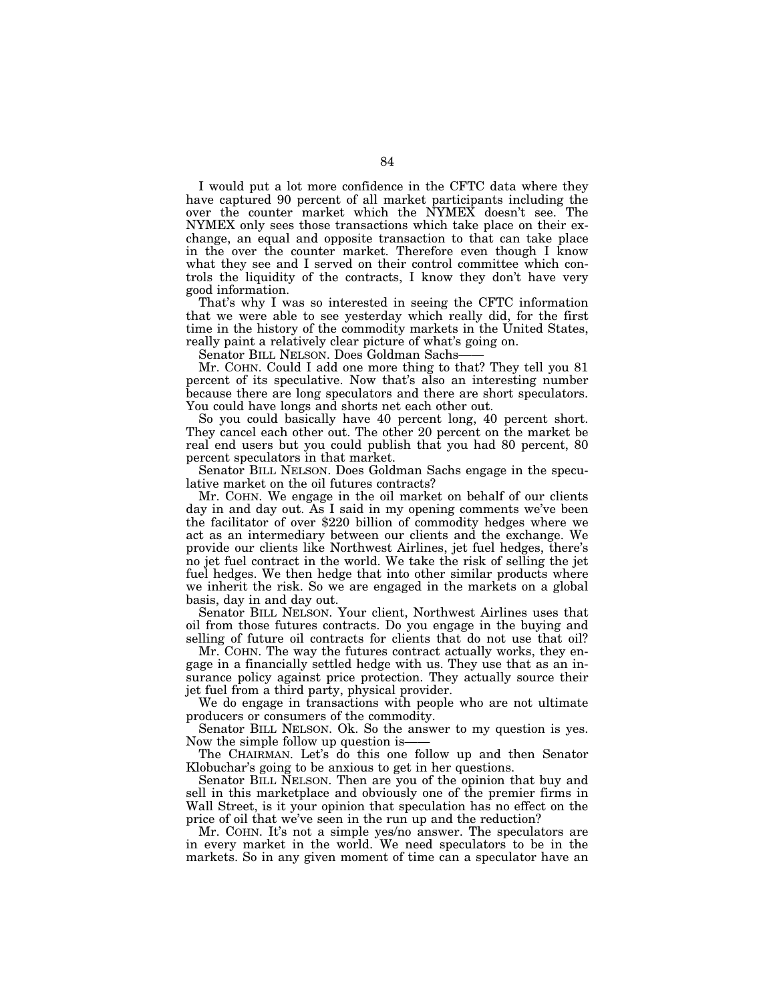I would put a lot more confidence in the CFTC data where they have captured 90 percent of all market participants including the over the counter market which the NYMEX doesn't see. The NYMEX only sees those transactions which take place on their exchange, an equal and opposite transaction to that can take place in the over the counter market. Therefore even though I know what they see and I served on their control committee which controls the liquidity of the contracts, I know they don't have very good information.

That's why I was so interested in seeing the CFTC information that we were able to see yesterday which really did, for the first time in the history of the commodity markets in the United States, really paint a relatively clear picture of what's going on.

Senator BILL NELSON. Does Goldman Sachs-

Mr. COHN. Could I add one more thing to that? They tell you 81 percent of its speculative. Now that's also an interesting number because there are long speculators and there are short speculators. You could have longs and shorts net each other out.

So you could basically have 40 percent long, 40 percent short. They cancel each other out. The other 20 percent on the market be real end users but you could publish that you had 80 percent, 80 percent speculators in that market.

Senator BILL NELSON. Does Goldman Sachs engage in the speculative market on the oil futures contracts?

Mr. COHN. We engage in the oil market on behalf of our clients day in and day out. As I said in my opening comments we've been the facilitator of over \$220 billion of commodity hedges where we act as an intermediary between our clients and the exchange. We provide our clients like Northwest Airlines, jet fuel hedges, there's no jet fuel contract in the world. We take the risk of selling the jet fuel hedges. We then hedge that into other similar products where we inherit the risk. So we are engaged in the markets on a global basis, day in and day out.

Senator BILL NELSON. Your client, Northwest Airlines uses that oil from those futures contracts. Do you engage in the buying and selling of future oil contracts for clients that do not use that oil?

Mr. COHN. The way the futures contract actually works, they engage in a financially settled hedge with us. They use that as an insurance policy against price protection. They actually source their jet fuel from a third party, physical provider.

We do engage in transactions with people who are not ultimate producers or consumers of the commodity.

Senator BILL NELSON. Ok. So the answer to my question is yes. Now the simple follow up question is-

The CHAIRMAN. Let's do this one follow up and then Senator Klobuchar's going to be anxious to get in her questions.

Senator BILL NELSON. Then are you of the opinion that buy and sell in this marketplace and obviously one of the premier firms in Wall Street, is it your opinion that speculation has no effect on the price of oil that we've seen in the run up and the reduction?

Mr. COHN. It's not a simple yes/no answer. The speculators are in every market in the world. We need speculators to be in the markets. So in any given moment of time can a speculator have an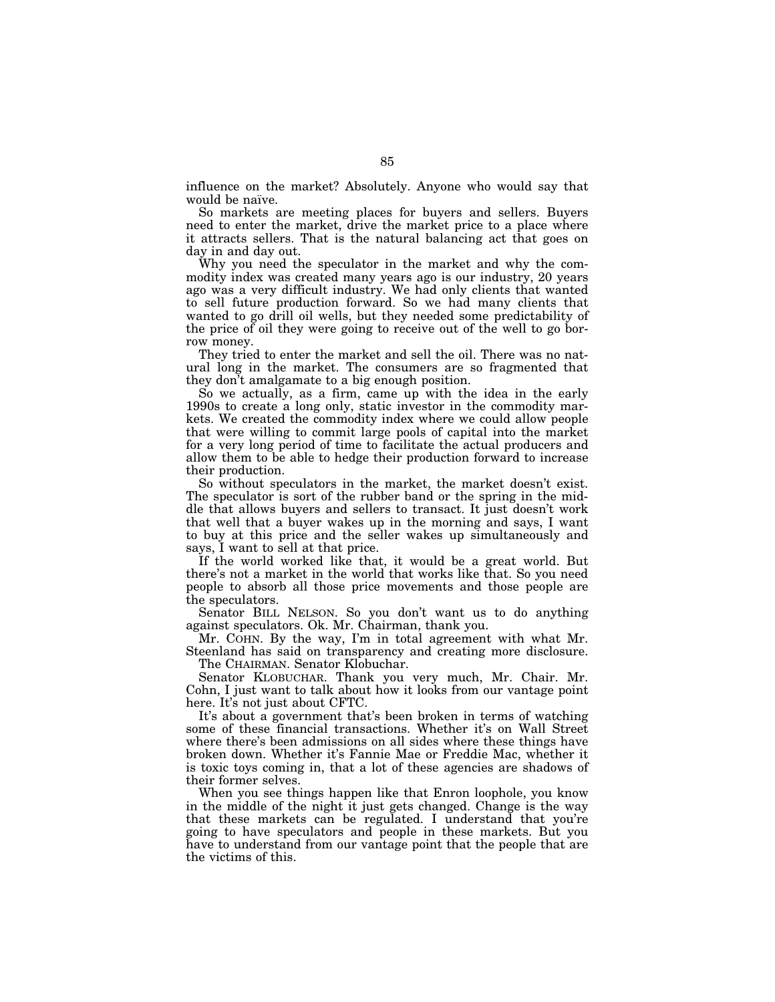influence on the market? Absolutely. Anyone who would say that would be naïve.

So markets are meeting places for buyers and sellers. Buyers need to enter the market, drive the market price to a place where it attracts sellers. That is the natural balancing act that goes on day in and day out.

Why you need the speculator in the market and why the commodity index was created many years ago is our industry, 20 years ago was a very difficult industry. We had only clients that wanted to sell future production forward. So we had many clients that wanted to go drill oil wells, but they needed some predictability of the price of oil they were going to receive out of the well to go borrow money.

They tried to enter the market and sell the oil. There was no natural long in the market. The consumers are so fragmented that they don't amalgamate to a big enough position.

So we actually, as a firm, came up with the idea in the early 1990s to create a long only, static investor in the commodity markets. We created the commodity index where we could allow people that were willing to commit large pools of capital into the market for a very long period of time to facilitate the actual producers and allow them to be able to hedge their production forward to increase their production.

So without speculators in the market, the market doesn't exist. The speculator is sort of the rubber band or the spring in the middle that allows buyers and sellers to transact. It just doesn't work that well that a buyer wakes up in the morning and says, I want to buy at this price and the seller wakes up simultaneously and says, I want to sell at that price.

If the world worked like that, it would be a great world. But there's not a market in the world that works like that. So you need people to absorb all those price movements and those people are the speculators.

Senator BILL NELSON. So you don't want us to do anything against speculators. Ok. Mr. Chairman, thank you.

Mr. COHN. By the way, I'm in total agreement with what Mr. Steenland has said on transparency and creating more disclosure.

The CHAIRMAN. Senator Klobuchar.

Senator KLOBUCHAR. Thank you very much, Mr. Chair. Mr. Cohn, I just want to talk about how it looks from our vantage point here. It's not just about CFTC.

It's about a government that's been broken in terms of watching some of these financial transactions. Whether it's on Wall Street where there's been admissions on all sides where these things have broken down. Whether it's Fannie Mae or Freddie Mac, whether it is toxic toys coming in, that a lot of these agencies are shadows of their former selves.

When you see things happen like that Enron loophole, you know in the middle of the night it just gets changed. Change is the way that these markets can be regulated. I understand that you're going to have speculators and people in these markets. But you have to understand from our vantage point that the people that are the victims of this.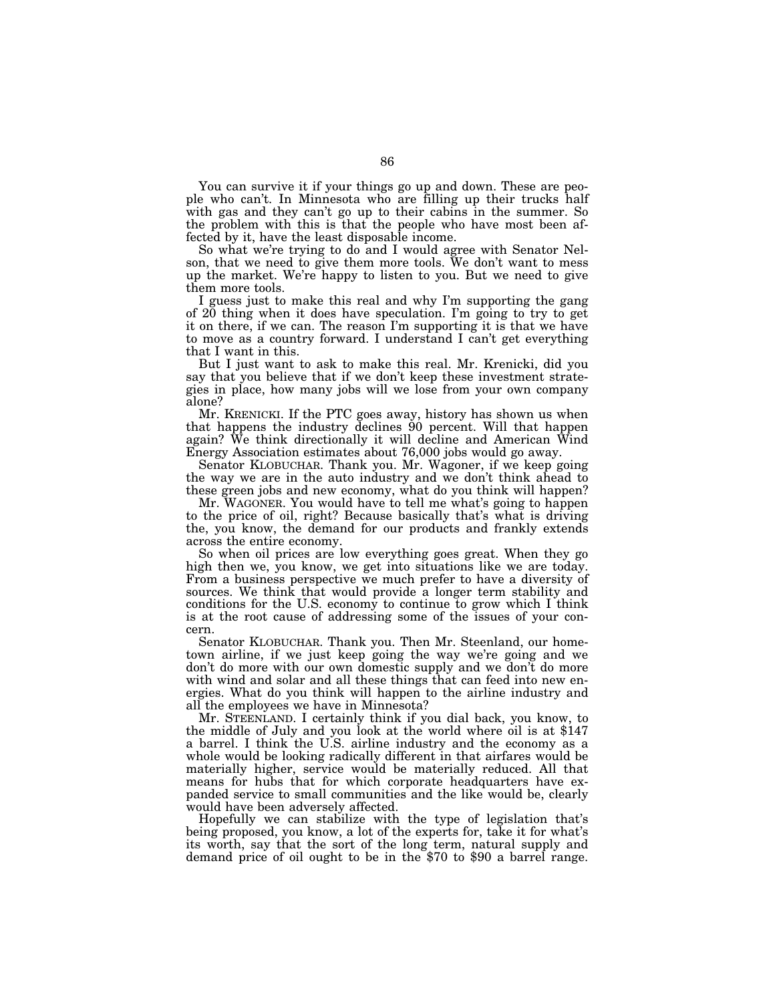You can survive it if your things go up and down. These are people who can't. In Minnesota who are filling up their trucks half with gas and they can't go up to their cabins in the summer. So the problem with this is that the people who have most been affected by it, have the least disposable income.

So what we're trying to do and I would agree with Senator Nelson, that we need to give them more tools. We don't want to mess up the market. We're happy to listen to you. But we need to give them more tools.

I guess just to make this real and why I'm supporting the gang of 20 thing when it does have speculation. I'm going to try to get it on there, if we can. The reason I'm supporting it is that we have to move as a country forward. I understand I can't get everything that I want in this.

But I just want to ask to make this real. Mr. Krenicki, did you say that you believe that if we don't keep these investment strategies in place, how many jobs will we lose from your own company alone?

Mr. KRENICKI. If the PTC goes away, history has shown us when that happens the industry declines 90 percent. Will that happen again? We think directionally it will decline and American Wind Energy Association estimates about 76,000 jobs would go away.

Senator KLOBUCHAR. Thank you. Mr. Wagoner, if we keep going the way we are in the auto industry and we don't think ahead to these green jobs and new economy, what do you think will happen?

Mr. WAGONER. You would have to tell me what's going to happen to the price of oil, right? Because basically that's what is driving the, you know, the demand for our products and frankly extends across the entire economy.

So when oil prices are low everything goes great. When they go high then we, you know, we get into situations like we are today. From a business perspective we much prefer to have a diversity of sources. We think that would provide a longer term stability and conditions for the U.S. economy to continue to grow which I think is at the root cause of addressing some of the issues of your concern.

Senator KLOBUCHAR. Thank you. Then Mr. Steenland, our hometown airline, if we just keep going the way we're going and we don't do more with our own domestic supply and we don't do more with wind and solar and all these things that can feed into new energies. What do you think will happen to the airline industry and all the employees we have in Minnesota?

Mr. STEENLAND. I certainly think if you dial back, you know, to the middle of July and you look at the world where oil is at \$147 a barrel. I think the U.S. airline industry and the economy as a whole would be looking radically different in that airfares would be materially higher, service would be materially reduced. All that means for hubs that for which corporate headquarters have expanded service to small communities and the like would be, clearly would have been adversely affected.

Hopefully we can stabilize with the type of legislation that's being proposed, you know, a lot of the experts for, take it for what's its worth, say that the sort of the long term, natural supply and demand price of oil ought to be in the \$70 to \$90 a barrel range.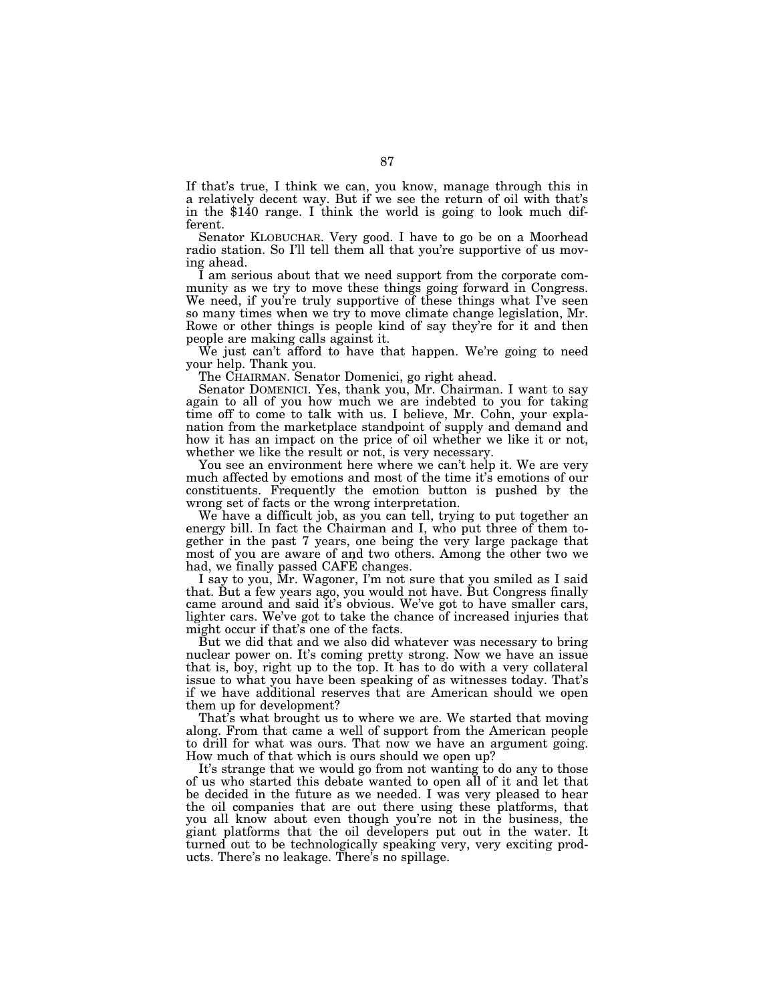If that's true, I think we can, you know, manage through this in a relatively decent way. But if we see the return of oil with that's in the \$140 range. I think the world is going to look much different.

Senator KLOBUCHAR. Very good. I have to go be on a Moorhead radio station. So I'll tell them all that you're supportive of us moving ahead.

I am serious about that we need support from the corporate community as we try to move these things going forward in Congress. We need, if you're truly supportive of these things what I've seen so many times when we try to move climate change legislation, Mr. Rowe or other things is people kind of say they're for it and then people are making calls against it.

We just can't afford to have that happen. We're going to need your help. Thank you.

The CHAIRMAN. Senator Domenici, go right ahead.

Senator DOMENICI. Yes, thank you, Mr. Chairman. I want to say again to all of you how much we are indebted to you for taking time off to come to talk with us. I believe, Mr. Cohn, your explanation from the marketplace standpoint of supply and demand and how it has an impact on the price of oil whether we like it or not, whether we like the result or not, is very necessary.

You see an environment here where we can't help it. We are very much affected by emotions and most of the time it's emotions of our constituents. Frequently the emotion button is pushed by the wrong set of facts or the wrong interpretation.

We have a difficult job, as you can tell, trying to put together an energy bill. In fact the Chairman and I, who put three of them together in the past 7 years, one being the very large package that most of you are aware of and two others. Among the other two we had, we finally passed CAFE changes.

I say to you, Mr. Wagoner, I'm not sure that you smiled as I said that. But a few years ago, you would not have. But Congress finally came around and said it's obvious. We've got to have smaller cars, lighter cars. We've got to take the chance of increased injuries that might occur if that's one of the facts.

But we did that and we also did whatever was necessary to bring nuclear power on. It's coming pretty strong. Now we have an issue that is, boy, right up to the top. It has to do with a very collateral issue to what you have been speaking of as witnesses today. That's if we have additional reserves that are American should we open them up for development?

That's what brought us to where we are. We started that moving along. From that came a well of support from the American people to drill for what was ours. That now we have an argument going. How much of that which is ours should we open up?

It's strange that we would go from not wanting to do any to those of us who started this debate wanted to open all of it and let that be decided in the future as we needed. I was very pleased to hear the oil companies that are out there using these platforms, that you all know about even though you're not in the business, the giant platforms that the oil developers put out in the water. It turned out to be technologically speaking very, very exciting products. There's no leakage. There's no spillage.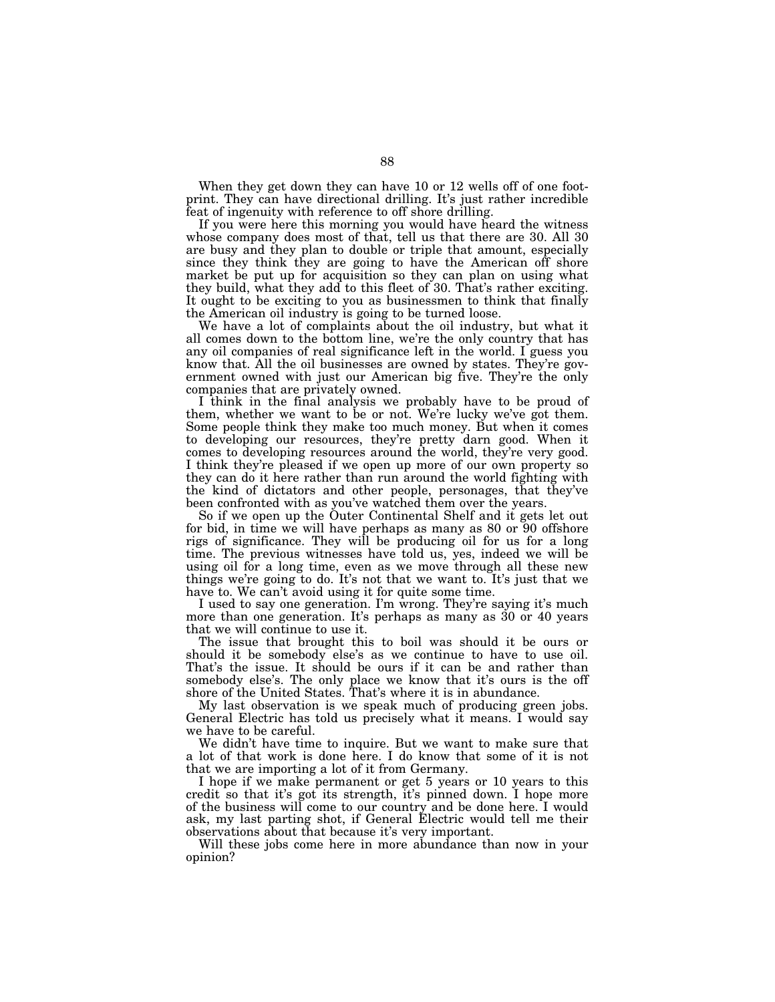When they get down they can have 10 or 12 wells off of one footprint. They can have directional drilling. It's just rather incredible feat of ingenuity with reference to off shore drilling.

If you were here this morning you would have heard the witness whose company does most of that, tell us that there are 30. All 30 are busy and they plan to double or triple that amount, especially since they think they are going to have the American off shore market be put up for acquisition so they can plan on using what they build, what they add to this fleet of 30. That's rather exciting. It ought to be exciting to you as businessmen to think that finally the American oil industry is going to be turned loose.

We have a lot of complaints about the oil industry, but what it all comes down to the bottom line, we're the only country that has any oil companies of real significance left in the world. I guess you know that. All the oil businesses are owned by states. They're government owned with just our American big five. They're the only companies that are privately owned.

I think in the final analysis we probably have to be proud of them, whether we want to be or not. We're lucky we've got them. Some people think they make too much money. But when it comes to developing our resources, they're pretty darn good. When it comes to developing resources around the world, they're very good. I think they're pleased if we open up more of our own property so they can do it here rather than run around the world fighting with the kind of dictators and other people, personages, that they've been confronted with as you've watched them over the years.

So if we open up the Outer Continental Shelf and it gets let out for bid, in time we will have perhaps as many as 80 or 90 offshore rigs of significance. They will be producing oil for us for a long time. The previous witnesses have told us, yes, indeed we will be using oil for a long time, even as we move through all these new things we're going to do. It's not that we want to. It's just that we have to. We can't avoid using it for quite some time.

I used to say one generation. I'm wrong. They're saying it's much more than one generation. It's perhaps as many as 30 or 40 years that we will continue to use it.

The issue that brought this to boil was should it be ours or should it be somebody else's as we continue to have to use oil. That's the issue. It should be ours if it can be and rather than somebody else's. The only place we know that it's ours is the off shore of the United States. That's where it is in abundance.

My last observation is we speak much of producing green jobs. General Electric has told us precisely what it means. I would say we have to be careful.

We didn't have time to inquire. But we want to make sure that a lot of that work is done here. I do know that some of it is not that we are importing a lot of it from Germany.

I hope if we make permanent or get 5 years or 10 years to this credit so that it's got its strength, it's pinned down. I hope more of the business will come to our country and be done here. I would ask, my last parting shot, if General Electric would tell me their observations about that because it's very important.

Will these jobs come here in more abundance than now in your opinion?